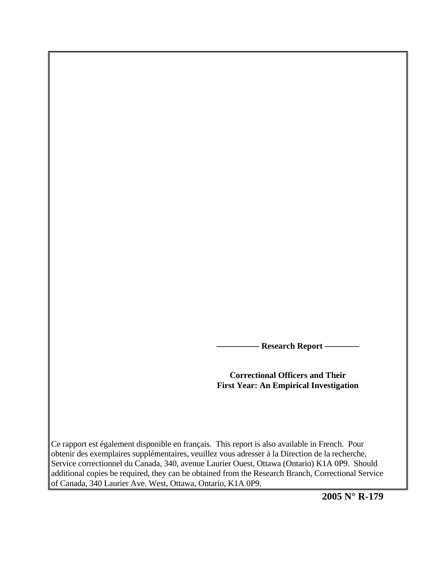**- Research Report —** 

## **Correctional Officers and Their First Year: An Empirical Investigation**

Ce rapport est également disponible en français. This report is also available in French. Pour obtenir des exemplaires supplémentaires, veuillez vous adresser à la Direction de la recherche, Service correctionnel du Canada, 340, avenue Laurier Ouest, Ottawa (Ontario) K1A 0P9. Should additional copies be required, they can be obtained from the Research Branch, Correctional Service of Canada, 340 Laurier Ave. West, Ottawa, Ontario, K1A 0P9.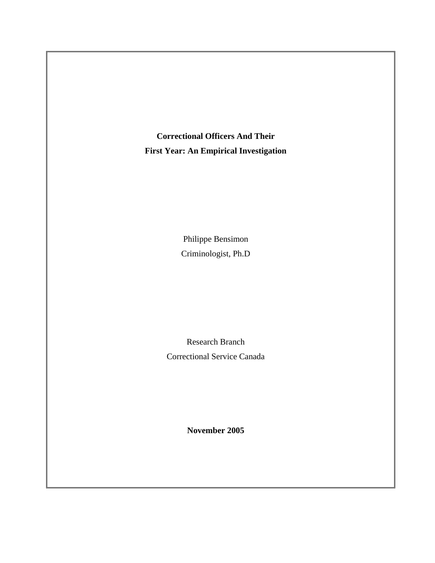**Correctional Officers And Their First Year: An Empirical Investigation**

> Philippe Bensimon Criminologist, Ph.D

Research Branch Correctional Service Canada

**November 2005**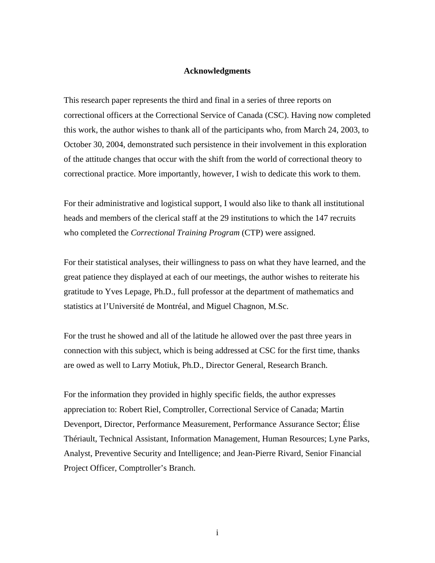## **Acknowledgments**

This research paper represents the third and final in a series of three reports on correctional officers at the Correctional Service of Canada (CSC). Having now completed this work, the author wishes to thank all of the participants who, from March 24, 2003, to October 30, 2004, demonstrated such persistence in their involvement in this exploration of the attitude changes that occur with the shift from the world of correctional theory to correctional practice. More importantly, however, I wish to dedicate this work to them.

For their administrative and logistical support, I would also like to thank all institutional heads and members of the clerical staff at the 29 institutions to which the 147 recruits who completed the *Correctional Training Program* (CTP) were assigned.

For their statistical analyses, their willingness to pass on what they have learned, and the great patience they displayed at each of our meetings, the author wishes to reiterate his gratitude to Yves Lepage, Ph.D., full professor at the department of mathematics and statistics at l'Université de Montréal, and Miguel Chagnon, M.Sc.

For the trust he showed and all of the latitude he allowed over the past three years in connection with this subject, which is being addressed at CSC for the first time, thanks are owed as well to Larry Motiuk, Ph.D., Director General, Research Branch.

For the information they provided in highly specific fields, the author expresses appreciation to: Robert Riel, Comptroller, Correctional Service of Canada; Martin Devenport, Director, Performance Measurement, Performance Assurance Sector; Élise Thériault, Technical Assistant, Information Management, Human Resources; Lyne Parks, Analyst, Preventive Security and Intelligence; and Jean-Pierre Rivard, Senior Financial Project Officer, Comptroller's Branch.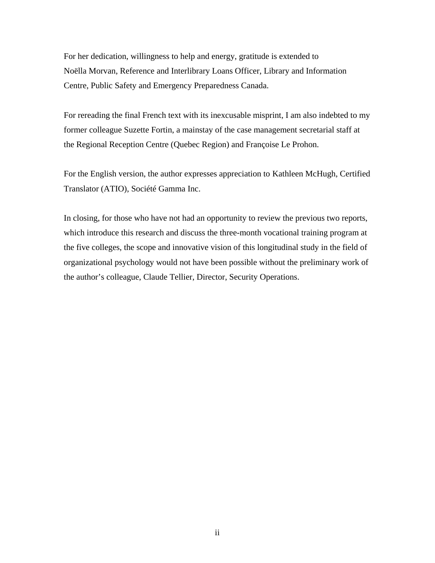For her dedication, willingness to help and energy, gratitude is extended to Noëlla Morvan, Reference and Interlibrary Loans Officer, Library and Information Centre, Public Safety and Emergency Preparedness Canada.

For rereading the final French text with its inexcusable misprint, I am also indebted to my former colleague Suzette Fortin, a mainstay of the case management secretarial staff at the Regional Reception Centre (Quebec Region) and Françoise Le Prohon.

For the English version, the author expresses appreciation to Kathleen McHugh, Certified Translator (ATIO), Société Gamma Inc.

In closing, for those who have not had an opportunity to review the previous two reports, which introduce this research and discuss the three-month vocational training program at the five colleges, the scope and innovative vision of this longitudinal study in the field of organizational psychology would not have been possible without the preliminary work of the author's colleague, Claude Tellier, Director, Security Operations.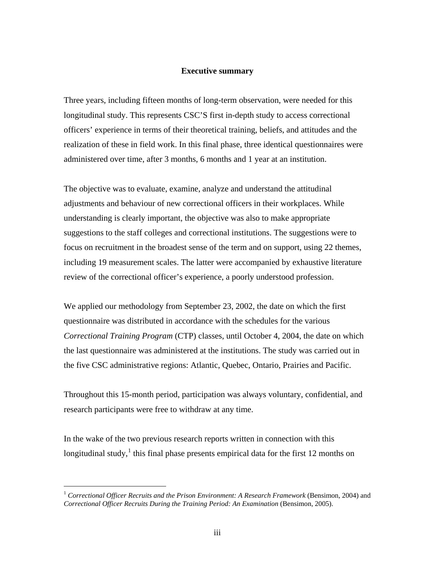## **Executive summary**

Three years, including fifteen months of long-term observation, were needed for this longitudinal study. This represents CSC'S first in-depth study to access correctional officers' experience in terms of their theoretical training, beliefs, and attitudes and the realization of these in field work. In this final phase, three identical questionnaires were administered over time, after 3 months, 6 months and 1 year at an institution.

The objective was to evaluate, examine, analyze and understand the attitudinal adjustments and behaviour of new correctional officers in their workplaces. While understanding is clearly important, the objective was also to make appropriate suggestions to the staff colleges and correctional institutions. The suggestions were to focus on recruitment in the broadest sense of the term and on support, using 22 themes, including 19 measurement scales. The latter were accompanied by exhaustive literature review of the correctional officer's experience, a poorly understood profession.

We applied our methodology from September 23, 2002, the date on which the first questionnaire was distributed in accordance with the schedules for the various *Correctional Training Program* (CTP) classes, until October 4, 2004, the date on which the last questionnaire was administered at the institutions. The study was carried out in the five CSC administrative regions: Atlantic, Quebec, Ontario, Prairies and Pacific.

Throughout this 15-month period, participation was always voluntary, confidential, and research participants were free to withdraw at any time.

In the wake of the two previous research reports written in connection with this longitudinal study,  $1$  this final phase presents empirical data for the first 12 months on

<span id="page-6-0"></span><sup>1</sup> *Correctional Officer Recruits and the Prison Environment: A Research Framework* (Bensimon, 2004) and *Correctional Officer Recruits During the Training Period: An Examination (Bensimon, 2005).*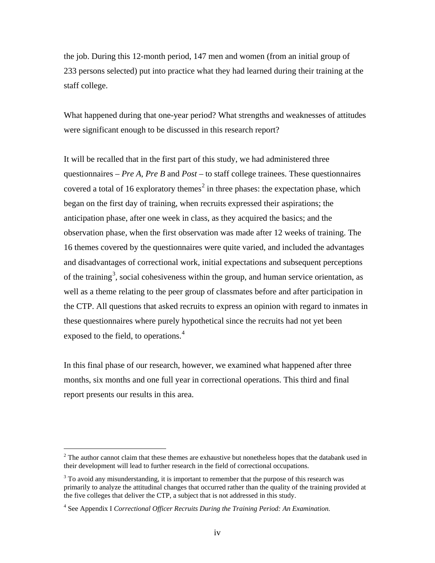the job. During this 12-month period, 147 men and women (from an initial group of 233 persons selected) put into practice what they had learned during their training at the staff college.

What happened during that one-year period? What strengths and weaknesses of attitudes were significant enough to be discussed in this research report?

It will be recalled that in the first part of this study, we had administered three questionnaires – *Pre A*, *Pre B* and *Post* – to staff college trainees. These questionnaires covered a total of 16 exploratory themes<sup>[2](#page-7-0)</sup> in three phases: the expectation phase, which began on the first day of training, when recruits expressed their aspirations; the anticipation phase, after one week in class, as they acquired the basics; and the observation phase, when the first observation was made after 12 weeks of training. The 16 themes covered by the questionnaires were quite varied, and included the advantages and disadvantages of correctional work, initial expectations and subsequent perceptions of the training<sup>[3](#page-7-1)</sup>, social cohesiveness within the group, and human service orientation, as well as a theme relating to the peer group of classmates before and after participation in the CTP. All questions that asked recruits to express an opinion with regard to inmates in these questionnaires where purely hypothetical since the recruits had not yet been exposed to the field, to operations.<sup>[4](#page-7-2)</sup>

In this final phase of our research, however, we examined what happened after three months, six months and one full year in correctional operations. This third and final report presents our results in this area.

 $2<sup>2</sup>$  The author cannot claim that these themes are exhaustive but nonetheless hopes that the databank used in their development will lead to further research in the field of correctional occupations.

 $3$  To avoid any misunderstanding, it is important to remember that the purpose of this research was primarily to analyze the attitudinal changes that occurred rather than the quality of the training provided at the five colleges that deliver the CTP, a subject that is not addressed in this study.

<span id="page-7-2"></span><span id="page-7-1"></span><span id="page-7-0"></span><sup>&</sup>lt;sup>4</sup> See Appendix I *Correctional Officer Recruits During the Training Period: An Examination.*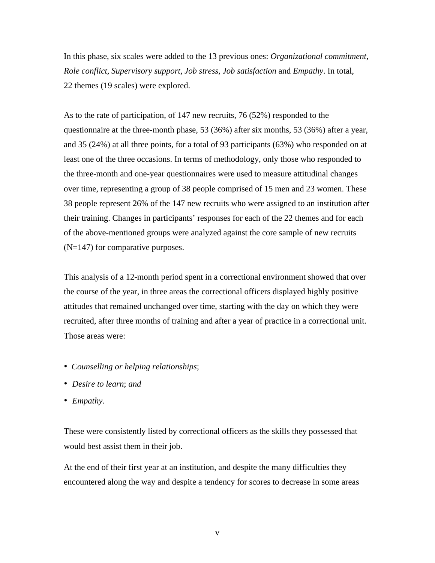In this phase, six scales were added to the 13 previous ones: *Organizational commitment, Role conflict, Supervisory support, Job stress, Job satisfaction* and *Empathy*. In total, 22 themes (19 scales) were explored.

As to the rate of participation, of 147 new recruits, 76 (52%) responded to the questionnaire at the three-month phase, 53 (36%) after six months, 53 (36%) after a year, and 35 (24%) at all three points, for a total of 93 participants (63%) who responded on at least one of the three occasions. In terms of methodology, only those who responded to the three-month and one-year questionnaires were used to measure attitudinal changes over time, representing a group of 38 people comprised of 15 men and 23 women. These 38 people represent 26% of the 147 new recruits who were assigned to an institution after their training. Changes in participants' responses for each of the 22 themes and for each of the above-mentioned groups were analyzed against the core sample of new recruits (N=147) for comparative purposes.

This analysis of a 12-month period spent in a correctional environment showed that over the course of the year, in three areas the correctional officers displayed highly positive attitudes that remained unchanged over time, starting with the day on which they were recruited, after three months of training and after a year of practice in a correctional unit. Those areas were:

- *Counselling or helping relationships*;
- *Desire to learn*; *and*
- *Empathy*.

These were consistently listed by correctional officers as the skills they possessed that would best assist them in their job.

At the end of their first year at an institution, and despite the many difficulties they encountered along the way and despite a tendency for scores to decrease in some areas

v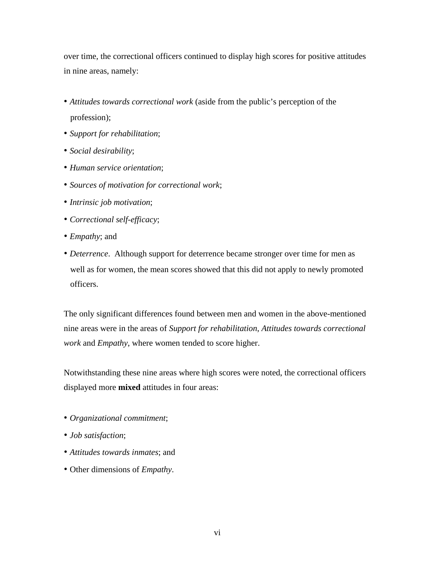over time, the correctional officers continued to display high scores for positive attitudes in nine areas, namely:

- *Attitudes towards correctional work* (aside from the public's perception of the profession);
- *Support for rehabilitation*;
- *Social desirability*;
- *Human service orientation*;
- *Sources of motivation for correctional work*;
- *Intrinsic job motivation*;
- *Correctional self-efficacy*;
- *Empathy*; and
- *Deterrence*. Although support for deterrence became stronger over time for men as well as for women, the mean scores showed that this did not apply to newly promoted officers.

The only significant differences found between men and women in the above-mentioned nine areas were in the areas of *Support for rehabilitation*, *Attitudes towards correctional work* and *Empathy*, where women tended to score higher.

Notwithstanding these nine areas where high scores were noted, the correctional officers displayed more **mixed** attitudes in four areas:

- *Organizational commitment*;
- *Job satisfaction*;
- *Attitudes towards inmates*; and
- *•* Other dimensions of *Empathy*.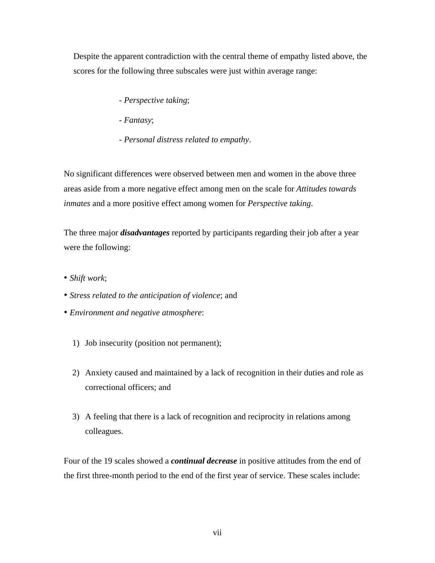Despite the apparent contradiction with the central theme of empathy listed above, the scores for the following three subscales were just within average range:

- *Perspective taking*;
- *Fantasy*;
- *Personal distress related to empathy*.

No significant differences were observed between men and women in the above three areas aside from a more negative effect among men on the scale for *Attitudes towards inmates* and a more positive effect among women for *Perspective taking*.

The three major *disadvantages* reported by participants regarding their job after a year were the following:

- *Shift work*;
- *Stress related to the anticipation of violence*; and
- *Environment and negative atmosphere*:
	- 1) Job insecurity (position not permanent);
	- 2) Anxiety caused and maintained by a lack of recognition in their duties and role as correctional officers; and
	- 3) A feeling that there is a lack of recognition and reciprocity in relations among colleagues.

Four of the 19 scales showed a *continual decrease* in positive attitudes from the end of the first three-month period to the end of the first year of service. These scales include: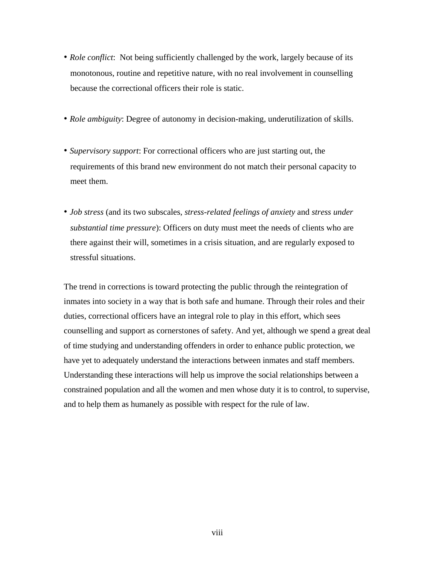- *Role conflict*: Not being sufficiently challenged by the work, largely because of its monotonous, routine and repetitive nature, with no real involvement in counselling because the correctional officers their role is static.
- *Role ambiguity*: Degree of autonomy in decision-making, underutilization of skills.
- *Supervisory support*: For correctional officers who are just starting out, the requirements of this brand new environment do not match their personal capacity to meet them.
- *Job stress* (and its two subscales, *stress-related feelings of anxiety* and *stress under substantial time pressure*): Officers on duty must meet the needs of clients who are there against their will, sometimes in a crisis situation, and are regularly exposed to stressful situations.

The trend in corrections is toward protecting the public through the reintegration of inmates into society in a way that is both safe and humane. Through their roles and their duties, correctional officers have an integral role to play in this effort, which sees counselling and support as cornerstones of safety. And yet, although we spend a great deal of time studying and understanding offenders in order to enhance public protection, we have yet to adequately understand the interactions between inmates and staff members. Understanding these interactions will help us improve the social relationships between a constrained population and all the women and men whose duty it is to control, to supervise, and to help them as humanely as possible with respect for the rule of law.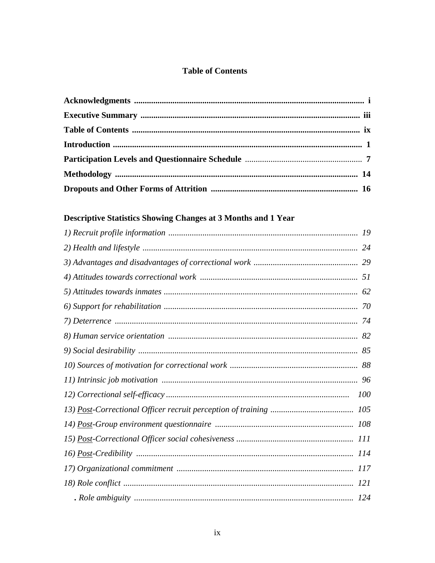## **Table of Contents**

# **Descriptive Statistics Showing Changes at 3 Months and 1 Year**

| 100 |  |
|-----|--|
|     |  |
|     |  |
|     |  |
|     |  |
|     |  |
|     |  |
|     |  |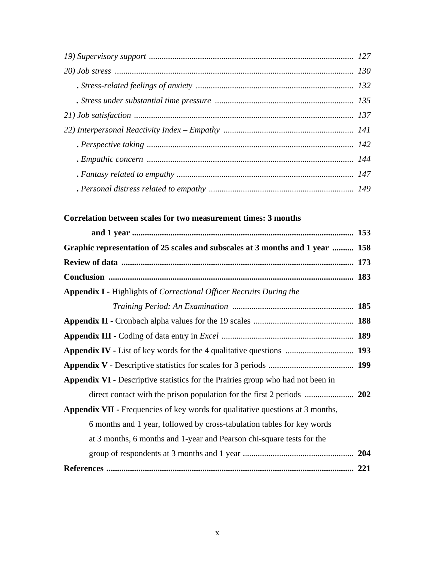## **Correlation between scales for two measurement times: 3 months**

| Graphic representation of 25 scales and subscales at 3 months and 1 year  158   |  |
|---------------------------------------------------------------------------------|--|
|                                                                                 |  |
|                                                                                 |  |
| <b>Appendix I - Highlights of Correctional Officer Recruits During the</b>      |  |
|                                                                                 |  |
|                                                                                 |  |
|                                                                                 |  |
|                                                                                 |  |
|                                                                                 |  |
| Appendix VI - Descriptive statistics for the Prairies group who had not been in |  |
|                                                                                 |  |
| Appendix VII - Frequencies of key words for qualitative questions at 3 months,  |  |
| 6 months and 1 year, followed by cross-tabulation tables for key words          |  |
| at 3 months, 6 months and 1-year and Pearson chi-square tests for the           |  |
|                                                                                 |  |
|                                                                                 |  |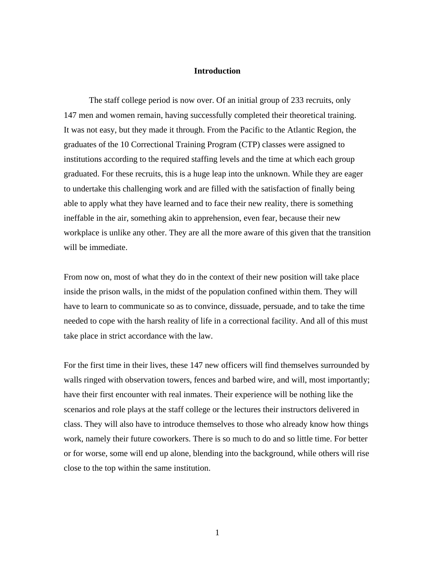## **Introduction**

The staff college period is now over. Of an initial group of 233 recruits, only 147 men and women remain, having successfully completed their theoretical training. It was not easy, but they made it through. From the Pacific to the Atlantic Region, the graduates of the 10 Correctional Training Program (CTP) classes were assigned to institutions according to the required staffing levels and the time at which each group graduated. For these recruits, this is a huge leap into the unknown. While they are eager to undertake this challenging work and are filled with the satisfaction of finally being able to apply what they have learned and to face their new reality, there is something ineffable in the air, something akin to apprehension, even fear, because their new workplace is unlike any other. They are all the more aware of this given that the transition will be immediate.

From now on, most of what they do in the context of their new position will take place inside the prison walls, in the midst of the population confined within them. They will have to learn to communicate so as to convince, dissuade, persuade, and to take the time needed to cope with the harsh reality of life in a correctional facility. And all of this must take place in strict accordance with the law.

For the first time in their lives, these 147 new officers will find themselves surrounded by walls ringed with observation towers, fences and barbed wire, and will, most importantly; have their first encounter with real inmates. Their experience will be nothing like the scenarios and role plays at the staff college or the lectures their instructors delivered in class. They will also have to introduce themselves to those who already know how things work, namely their future coworkers. There is so much to do and so little time. For better or for worse, some will end up alone, blending into the background, while others will rise close to the top within the same institution.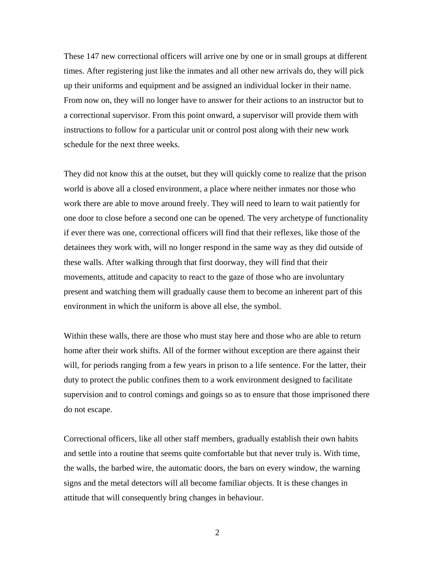These 147 new correctional officers will arrive one by one or in small groups at different times. After registering just like the inmates and all other new arrivals do, they will pick up their uniforms and equipment and be assigned an individual locker in their name. From now on, they will no longer have to answer for their actions to an instructor but to a correctional supervisor. From this point onward, a supervisor will provide them with instructions to follow for a particular unit or control post along with their new work schedule for the next three weeks.

They did not know this at the outset, but they will quickly come to realize that the prison world is above all a closed environment, a place where neither inmates nor those who work there are able to move around freely. They will need to learn to wait patiently for one door to close before a second one can be opened. The very archetype of functionality if ever there was one, correctional officers will find that their reflexes, like those of the detainees they work with, will no longer respond in the same way as they did outside of these walls. After walking through that first doorway, they will find that their movements, attitude and capacity to react to the gaze of those who are involuntary present and watching them will gradually cause them to become an inherent part of this environment in which the uniform is above all else, the symbol.

Within these walls, there are those who must stay here and those who are able to return home after their work shifts. All of the former without exception are there against their will, for periods ranging from a few years in prison to a life sentence. For the latter, their duty to protect the public confines them to a work environment designed to facilitate supervision and to control comings and goings so as to ensure that those imprisoned there do not escape.

Correctional officers, like all other staff members, gradually establish their own habits and settle into a routine that seems quite comfortable but that never truly is. With time, the walls, the barbed wire, the automatic doors, the bars on every window, the warning signs and the metal detectors will all become familiar objects. It is these changes in attitude that will consequently bring changes in behaviour.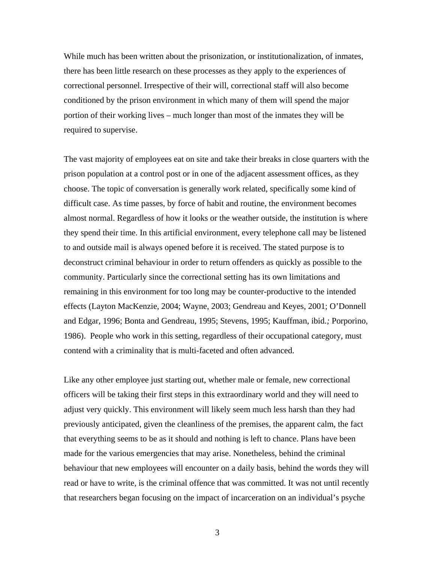While much has been written about the prisonization, or institutionalization, of inmates, there has been little research on these processes as they apply to the experiences of correctional personnel. Irrespective of their will, correctional staff will also become conditioned by the prison environment in which many of them will spend the major portion of their working lives – much longer than most of the inmates they will be required to supervise.

The vast majority of employees eat on site and take their breaks in close quarters with the prison population at a control post or in one of the adjacent assessment offices, as they choose. The topic of conversation is generally work related, specifically some kind of difficult case. As time passes, by force of habit and routine, the environment becomes almost normal. Regardless of how it looks or the weather outside, the institution is where they spend their time. In this artificial environment, every telephone call may be listened to and outside mail is always opened before it is received. The stated purpose is to deconstruct criminal behaviour in order to return offenders as quickly as possible to the community. Particularly since the correctional setting has its own limitations and remaining in this environment for too long may be counter-productive to the intended effects (Layton MacKenzie, 2004; Wayne, 2003; Gendreau and Keyes, 2001; O'Donnell and Edgar, 1996; Bonta and Gendreau, 1995; Stevens, 1995; Kauffman, ibid.*;* Porporino, 1986). People who work in this setting, regardless of their occupational category, must contend with a criminality that is multi-faceted and often advanced.

Like any other employee just starting out, whether male or female, new correctional officers will be taking their first steps in this extraordinary world and they will need to adjust very quickly. This environment will likely seem much less harsh than they had previously anticipated, given the cleanliness of the premises, the apparent calm, the fact that everything seems to be as it should and nothing is left to chance. Plans have been made for the various emergencies that may arise. Nonetheless, behind the criminal behaviour that new employees will encounter on a daily basis, behind the words they will read or have to write, is the criminal offence that was committed. It was not until recently that researchers began focusing on the impact of incarceration on an individual's psyche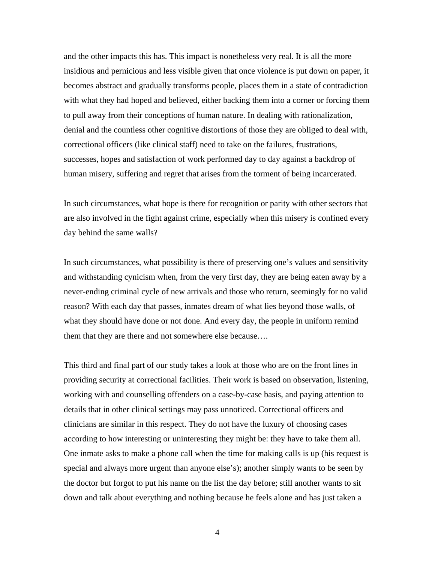and the other impacts this has. This impact is nonetheless very real. It is all the more insidious and pernicious and less visible given that once violence is put down on paper, it becomes abstract and gradually transforms people, places them in a state of contradiction with what they had hoped and believed, either backing them into a corner or forcing them to pull away from their conceptions of human nature. In dealing with rationalization, denial and the countless other cognitive distortions of those they are obliged to deal with, correctional officers (like clinical staff) need to take on the failures, frustrations, successes, hopes and satisfaction of work performed day to day against a backdrop of human misery, suffering and regret that arises from the torment of being incarcerated.

In such circumstances, what hope is there for recognition or parity with other sectors that are also involved in the fight against crime, especially when this misery is confined every day behind the same walls?

In such circumstances, what possibility is there of preserving one's values and sensitivity and withstanding cynicism when, from the very first day, they are being eaten away by a never-ending criminal cycle of new arrivals and those who return, seemingly for no valid reason? With each day that passes, inmates dream of what lies beyond those walls, of what they should have done or not done. And every day, the people in uniform remind them that they are there and not somewhere else because….

This third and final part of our study takes a look at those who are on the front lines in providing security at correctional facilities. Their work is based on observation, listening, working with and counselling offenders on a case-by-case basis, and paying attention to details that in other clinical settings may pass unnoticed. Correctional officers and clinicians are similar in this respect. They do not have the luxury of choosing cases according to how interesting or uninteresting they might be: they have to take them all. One inmate asks to make a phone call when the time for making calls is up (his request is special and always more urgent than anyone else's); another simply wants to be seen by the doctor but forgot to put his name on the list the day before; still another wants to sit down and talk about everything and nothing because he feels alone and has just taken a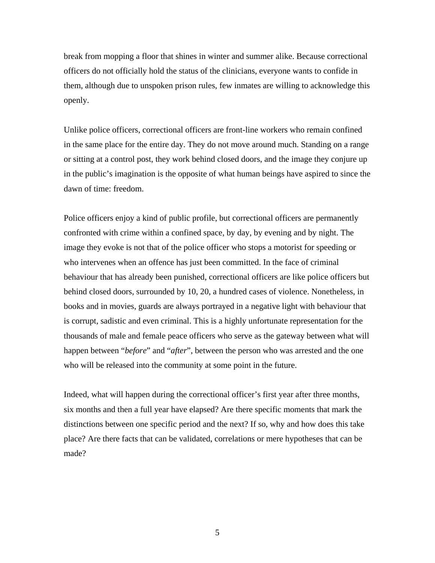break from mopping a floor that shines in winter and summer alike. Because correctional officers do not officially hold the status of the clinicians, everyone wants to confide in them, although due to unspoken prison rules, few inmates are willing to acknowledge this openly.

Unlike police officers, correctional officers are front-line workers who remain confined in the same place for the entire day. They do not move around much. Standing on a range or sitting at a control post, they work behind closed doors, and the image they conjure up in the public's imagination is the opposite of what human beings have aspired to since the dawn of time: freedom.

Police officers enjoy a kind of public profile, but correctional officers are permanently confronted with crime within a confined space, by day, by evening and by night. The image they evoke is not that of the police officer who stops a motorist for speeding or who intervenes when an offence has just been committed. In the face of criminal behaviour that has already been punished, correctional officers are like police officers but behind closed doors, surrounded by 10, 20, a hundred cases of violence. Nonetheless, in books and in movies, guards are always portrayed in a negative light with behaviour that is corrupt, sadistic and even criminal. This is a highly unfortunate representation for the thousands of male and female peace officers who serve as the gateway between what will happen between "*before*" and "*after*", between the person who was arrested and the one who will be released into the community at some point in the future.

Indeed, what will happen during the correctional officer's first year after three months, six months and then a full year have elapsed? Are there specific moments that mark the distinctions between one specific period and the next? If so, why and how does this take place? Are there facts that can be validated, correlations or mere hypotheses that can be made?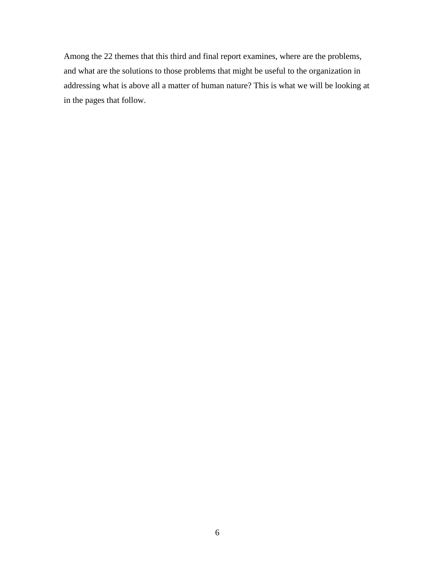Among the 22 themes that this third and final report examines, where are the problems, and what are the solutions to those problems that might be useful to the organization in addressing what is above all a matter of human nature? This is what we will be looking at in the pages that follow.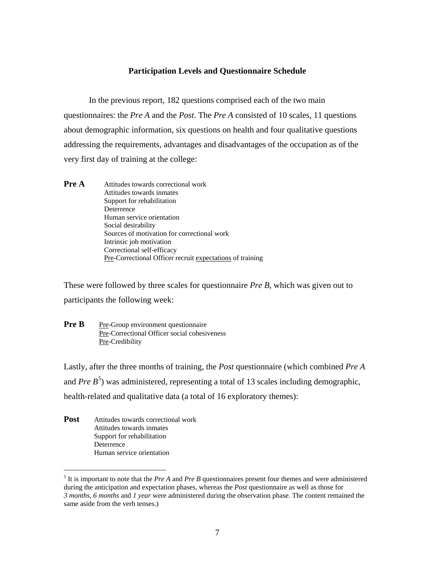## **Participation Levels and Questionnaire Schedule**

<span id="page-20-0"></span>In the previous report, 182 questions comprised each of the two main questionnaires: the *Pre A* and the *Post*. The *Pre A* consisted of 10 scales, 11 questions about demographic information, six questions on health and four qualitative questions addressing the requirements, advantages and disadvantages of the occupation as of the very first day of training at the college:

**Pre A** Attitudes towards correctional work Attitudes towards inmates Support for rehabilitation **Deterrence** Human service orientation Social desirability Sources of motivation for correctional work Intrinsic job motivation Correctional self-efficacy Pre-Correctional Officer recruit expectations of training

These were followed by three scales for questionnaire *Pre B*, which was given out to participants the following week:

**Pre B** Pre-Group environment questionnaire Pre-Correctional Officer social cohesiveness Pre-Credibility

Lastly, after the three months of training, the *Post* questionnaire (which combined *Pre A* and *Pre B*<sup>[5](#page-20-0)</sup>) was administered, representing a total of 13 scales including demographic, health-related and qualitative data (a total of 16 exploratory themes):

**Post** Attitudes towards correctional work Attitudes towards inmates Support for rehabilitation Deterrence Human service orientation

<sup>5</sup> It is important to note that the *Pre A* and *Pre B* questionnaires present four themes and were administered during the anticipation and expectation phases, whereas the *Post* questionnaire as well as those for *3 months, 6 months* and *1 year* were administered during the observation phase. The content remained the same aside from the verb tenses.)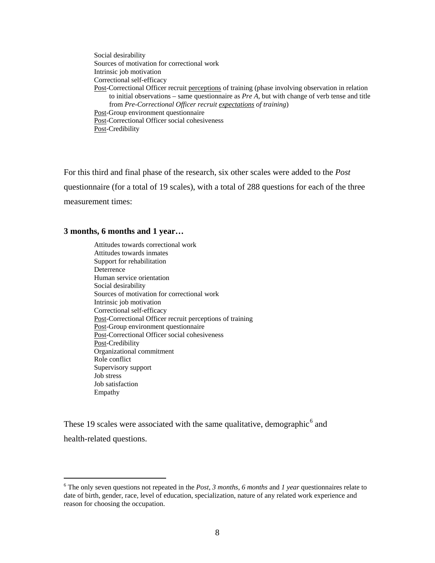<span id="page-21-0"></span>Social desirability Sources of motivation for correctional work Intrinsic job motivation Correctional self-efficacy Post-Correctional Officer recruit perceptions of training (phase involving observation in relation to initial observations – same questionnaire as *Pre A,* but with change of verb tense and title from *Pre-Correctional Officer recruit expectations of training*) Post-Group environment questionnaire Post-Correctional Officer social cohesiveness Post-Credibility

For this third and final phase of the research, six other scales were added to the *Post* questionnaire (for a total of 19 scales), with a total of 288 questions for each of the three measurement times:

### **3 months, 6 months and 1 year…**

Attitudes towards correctional work Attitudes towards inmates Support for rehabilitation Deterrence Human service orientation Social desirability Sources of motivation for correctional work Intrinsic job motivation Correctional self-efficacy Post-Correctional Officer recruit perceptions of training Post-Group environment questionnaire Post-Correctional Officer social cohesiveness Post-Credibility Organizational commitment Role conflict Supervisory support Job stress Job satisfaction Empathy

These 19 scales were associated with the same qualitative, demographic<sup>[6](#page-21-0)</sup> and health-related questions.

<sup>6</sup> The only seven questions not repeated in the *Post*, *3 months*, *6 months* and *1 year* questionnaires relate to date of birth, gender, race, level of education, specialization, nature of any related work experience and reason for choosing the occupation.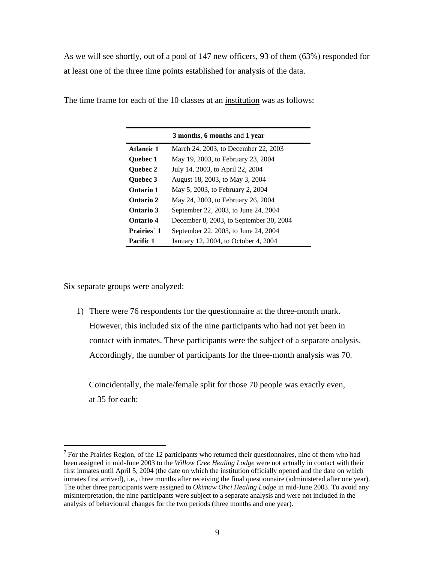<span id="page-22-0"></span>As we will see shortly, out of a pool of 147 new officers, 93 of them (63%) responded for at least one of the three time points established for analysis of the data.

|                         | 3 months, 6 months and 1 year           |
|-------------------------|-----------------------------------------|
| <b>Atlantic 1</b>       | March 24, 2003, to December 22, 2003    |
| <b>Ouebec 1</b>         | May 19, 2003, to February 23, 2004      |
| <b>Ouebec 2</b>         | July 14, 2003, to April 22, 2004        |
| Quebec 3                | August 18, 2003, to May 3, 2004         |
| Ontario 1               | May 5, 2003, to February 2, 2004        |
| Ontario 2               | May 24, 2003, to February 26, 2004      |
| Ontario 3               | September 22, 2003, to June 24, 2004    |
| Ontario 4               | December 8, 2003, to September 30, 2004 |
| Prairies <sup>7</sup> 1 | September 22, 2003, to June 24, 2004    |
| Pacific 1               | January 12, 2004, to October 4, 2004    |

The time frame for each of the 10 classes at an institution was as follows:

Six separate groups were analyzed:

1) There were 76 respondents for the questionnaire at the three-month mark. However, this included six of the nine participants who had not yet been in contact with inmates. These participants were the subject of a separate analysis. Accordingly, the number of participants for the three-month analysis was 70.

Coincidentally, the male/female split for those 70 people was exactly even, at 35 for each:

<sup>&</sup>lt;sup>7</sup> For the Prairies Region, of the 12 participants who returned their questionnaires, nine of them who had been assigned in mid-June 2003 to the *Willow Cree Healing Lodge* were not actually in contact with their first inmates until April 5, 2004 (the date on which the institution officially opened and the date on which inmates first arrived), i.e., three months after receiving the final questionnaire (administered after one year). The other three participants were assigned to *Okimaw Ohci Healing Lodge* in mid-June 2003. To avoid any misinterpretation, the nine participants were subject to a separate analysis and were not included in the analysis of behavioural changes for the two periods (three months and one year).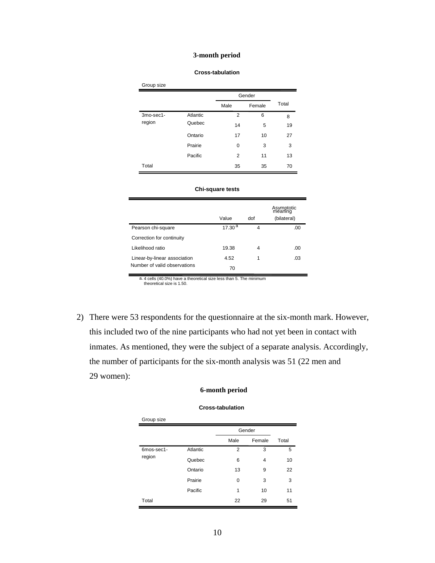#### **3-month period**

#### **Cross-tabulation**

| Group size |          |      |        |       |
|------------|----------|------|--------|-------|
|            |          |      | Gender |       |
|            |          | Male | Female | Total |
| 3mo-sec1-  | Atlantic | 2    | 6      | 8     |
| region     | Quebec   | 14   | 5      | 19    |
|            | Ontario  | 17   | 10     | 27    |
|            | Prairie  | 0    | 3      | 3     |
|            | Pacific  | 2    | 11     | 13    |
| Total      |          | 35   | 35     | 70    |

#### **Chi-square tests**

|                              | Value              | dof | Asymptotic<br>meaning<br>(bilateral) |
|------------------------------|--------------------|-----|--------------------------------------|
| Pearson chi-square           | 17.30 <sup>a</sup> | 4   | .00.                                 |
| Correction for continuity    |                    |     |                                      |
| Likelihood ratio             | 19.38              | 4   | .00                                  |
| Linear-by-linear association | 4.52               | 1   | .03                                  |
| Number of valid observations | 70                 |     |                                      |

a. 4 cells (40.0%) have a theoretical size less than 5. The minimum theoretical size is 1.50.

2) There were 53 respondents for the questionnaire at the six-month mark. However, this included two of the nine participants who had not yet been in contact with inmates. As mentioned, they were the subject of a separate analysis. Accordingly, the number of participants for the six-month analysis was 51 (22 men and 29 women):

#### **6-month period**

#### **Cross-tabulation**

| Group size |          |          |        |       |
|------------|----------|----------|--------|-------|
|            |          |          | Gender |       |
|            |          | Male     | Female | Total |
| 6mos-sec1- | Atlantic | 2        | 3      | 5     |
| region     | Quebec   | 6        | 4      | 10    |
|            | Ontario  | 13       | 9      | 22    |
|            | Prairie  | $\Omega$ | 3      | 3     |
|            | Pacific  | 1        | 10     | 11    |
| Total      |          | 22       | 29     | 51    |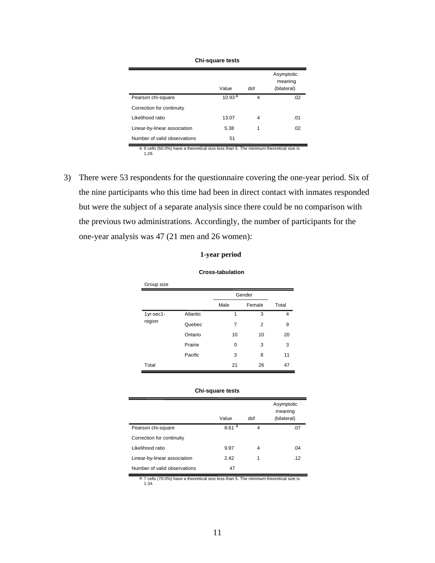| <b>Chi-square tests</b>      |                    |     |                                      |  |  |
|------------------------------|--------------------|-----|--------------------------------------|--|--|
|                              | Value              | dof | Asymptotic<br>meaning<br>(bilateral) |  |  |
| Pearson chi-square           | 10.93 <sup>a</sup> | 4   | .02                                  |  |  |
| Correction for continuity    |                    |     |                                      |  |  |
| Likelihood ratio             | 13.07              | 4   | .01                                  |  |  |
| Linear-by-linear association | 5.38               | 1   | .02                                  |  |  |
| Number of valid observations | 51                 |     |                                      |  |  |

a. 6 cells (60.0%) have a theoretical size less than 5. The minimum theoretical size is 1.29.

3) There were 53 respondents for the questionnaire covering the one-year period. Six of the nine participants who this time had been in direct contact with inmates responded but were the subject of a separate analysis since there could be no comparison with the previous two administrations. Accordingly, the number of participants for the one-year analysis was 47 (21 men and 26 women):

### **1-year period**

#### **Cross-tabulation**

| Group size          |          |      |        |       |
|---------------------|----------|------|--------|-------|
|                     |          |      | Gender |       |
|                     |          | Male | Female | Total |
| 1yr-sec1-<br>region | Atlantic | 1    | 3      | 4     |
|                     | Quebec   | 7    | 2      | 9     |
|                     | Ontario  | 10   | 10     | 20    |
|                     | Prairie  | 0    | 3      | 3     |
|                     | Pacific  | 3    | 8      | 11    |
| Total               |          | 21   | 26     | 47    |

#### **Chi-square tests**

|                              | Value             | dof | Asymptotic<br>meaning<br>(bilateral) |
|------------------------------|-------------------|-----|--------------------------------------|
| Pearson chi-square           | 8.61 <sup>a</sup> | 4   | .07                                  |
| Correction for continuity    |                   |     |                                      |
| Likelihood ratio             | 9.97              | 4   | .04                                  |
| Linear-by-linear association | 2.42              | 1   | .12                                  |
| Number of valid observations | 47                |     |                                      |

a. 7 cells (70.0%) have a theoretical size less than 5. The minimum theoretical size is 1.34.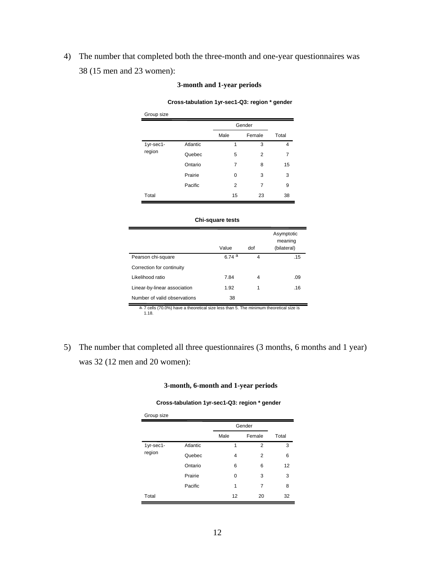4) The number that completed both the three-month and one-year questionnaires was 38 (15 men and 23 women):

#### **3-month and 1-year periods**

| Group size          |          |      |        |       |
|---------------------|----------|------|--------|-------|
|                     |          |      | Gender |       |
|                     |          | Male | Female | Total |
| 1yr-sec1-<br>region | Atlantic | 1    | 3      | 4     |
|                     | Quebec   | 5    | 2      | 7     |
|                     | Ontario  | 7    | 8      | 15    |
|                     | Prairie  | 0    | 3      | 3     |
|                     | Pacific  | 2    | 7      | 9     |
| Total               |          | 15   | 23     | 38    |

#### **Cross-tabulation 1yr-sec1-Q3: region \* gender**

| Chi-square tests |  |
|------------------|--|
|------------------|--|

|                              | Value             | dof | Asymptotic<br>meaning<br>(bilateral) |
|------------------------------|-------------------|-----|--------------------------------------|
| Pearson chi-square           | 6.74 <sup>a</sup> | 4   | .15                                  |
| Correction for continuity    |                   |     |                                      |
| Likelihood ratio             | 7.84              | 4   | .09                                  |
| Linear-by-linear association | 1.92              | 1   | .16                                  |
| Number of valid observations | 38                |     |                                      |

a. 7 cells (70.0%) have a theoretical size less than 5. The minimum theoretical size is 1.18.

5) The number that completed all three questionnaires (3 months, 6 months and 1 year) was 32 (12 men and 20 women):

#### **3-month, 6-month and 1-year periods**

**Cross-tabulation 1yr-sec1-Q3: region \* gender**

| Group size |          |      |        |       |  |  |  |
|------------|----------|------|--------|-------|--|--|--|
|            |          |      | Gender |       |  |  |  |
|            |          | Male | Female | Total |  |  |  |
| 1yr-sec1-  | Atlantic | 1    | 2      | 3     |  |  |  |
| region     | Quebec   | 4    | 2      | 6     |  |  |  |
|            | Ontario  | 6    | 6      | 12    |  |  |  |
|            | Prairie  | 0    | 3      | 3     |  |  |  |
|            | Pacific  | 1    | 7      | 8     |  |  |  |
| Total      |          | 12   | 20     | 32    |  |  |  |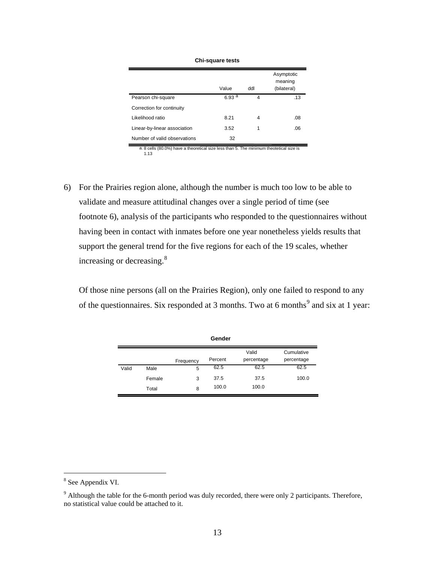<span id="page-26-0"></span>

|                              | Value             | ddl | Asymptotic<br>meaning<br>(bilateral) |
|------------------------------|-------------------|-----|--------------------------------------|
| Pearson chi-square           | 6.93 <sup>a</sup> | 4   | .13                                  |
| Correction for continuity    |                   |     |                                      |
| Likelihood ratio             | 8.21              | 4   | .08                                  |
| Linear-by-linear association | 3.52              | 1   | .06                                  |
| Number of valid observations | 32                |     |                                      |

#### **Chi-square tests**

a. 8 cells (80.0%) have a theoretical size less than 5. The minimum theotetical size is 1.13

6) For the Prairies region alone, although the number is much too low to be able to validate and measure attitudinal changes over a single period of time (see footnote 6), analysis of the participants who responded to the questionnaires without having been in contact with inmates before one year nonetheless yields results that support the general trend for the five regions for each of the 19 scales, whether increasing or decreasing.<sup>[8](#page-26-0)</sup>

Of those nine persons (all on the Prairies Region), only one failed to respond to any of the questionnaires. Six responded at 3 months. Two at 6 months<sup>[9](#page-26-0)</sup> and six at 1 year:

|       |        |           | Gender  |            |            |
|-------|--------|-----------|---------|------------|------------|
|       |        |           |         | Valid      | Cumulative |
|       |        | Frequency | Percent | percentage | percentage |
| Valid | Male   | 5         | 62.5    | 62.5       | 62.5       |
|       | Female | 3         | 37.5    | 37.5       | 100.0      |
|       | Total  | 8         | 100.0   | 100.0      |            |

<sup>&</sup>lt;sup>8</sup> See Appendix VI.

 $9$  Although the table for the 6-month period was duly recorded, there were only 2 participants. Therefore, no statistical value could be attached to it.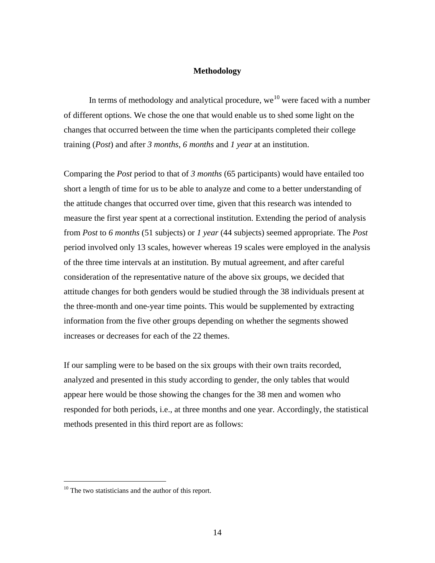## **Methodology**

<span id="page-27-0"></span>In terms of methodology and analytical procedure, we<sup>[10](#page-27-0)</sup> were faced with a number of different options. We chose the one that would enable us to shed some light on the changes that occurred between the time when the participants completed their college training (*Post*) and after *3 months*, *6 months* and *1 year* at an institution.

Comparing the *Post* period to that of *3 months* (65 participants) would have entailed too short a length of time for us to be able to analyze and come to a better understanding of the attitude changes that occurred over time, given that this research was intended to measure the first year spent at a correctional institution. Extending the period of analysis from *Post* to *6 months* (51 subjects) or *1 year* (44 subjects) seemed appropriate. The *Post* period involved only 13 scales, however whereas 19 scales were employed in the analysis of the three time intervals at an institution. By mutual agreement, and after careful consideration of the representative nature of the above six groups, we decided that attitude changes for both genders would be studied through the 38 individuals present at the three-month and one-year time points. This would be supplemented by extracting information from the five other groups depending on whether the segments showed increases or decreases for each of the 22 themes.

If our sampling were to be based on the six groups with their own traits recorded, analyzed and presented in this study according to gender, the only tables that would appear here would be those showing the changes for the 38 men and women who responded for both periods, i.e., at three months and one year. Accordingly, the statistical methods presented in this third report are as follows:

 $10$  The two statisticians and the author of this report.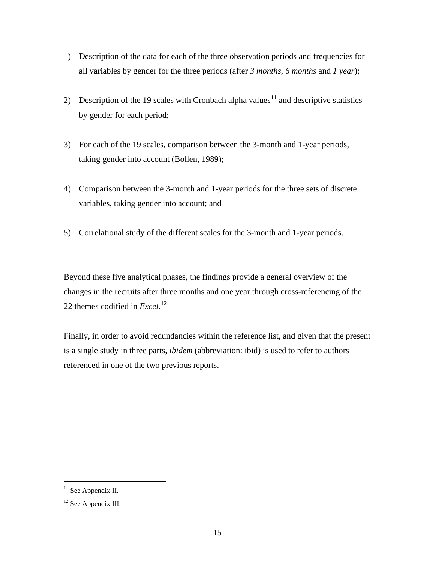- <span id="page-28-0"></span>1) Description of the data for each of the three observation periods and frequencies for all variables by gender for the three periods (after *3 months*, *6 months* and *1 year*);
- 2) Description of the 19 scales with Cronbach alpha values<sup>[11](#page-28-0)</sup> and descriptive statistics by gender for each period;
- 3) For each of the 19 scales, comparison between the 3-month and 1-year periods, taking gender into account (Bollen, 1989);
- 4) Comparison between the 3-month and 1-year periods for the three sets of discrete variables, taking gender into account; and
- 5) Correlational study of the different scales for the 3-month and 1-year periods.

Beyond these five analytical phases, the findings provide a general overview of the changes in the recruits after three months and one year through cross-referencing of the 22 themes codified in *Excel*. [12](#page-28-0)

Finally, in order to avoid redundancies within the reference list, and given that the present is a single study in three parts, *ibidem* (abbreviation: ibid) is used to refer to authors referenced in one of the two previous reports.

<sup>&</sup>lt;sup>11</sup> See Appendix II.

<sup>&</sup>lt;sup>12</sup> See Appendix III.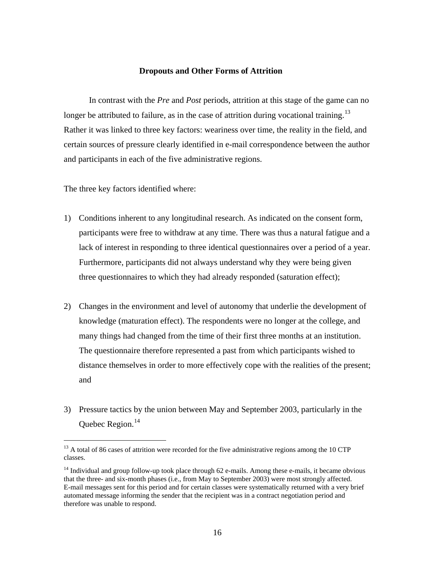## **Dropouts and Other Forms of Attrition**

<span id="page-29-0"></span>In contrast with the *Pre* and *Post* periods*,* attrition at this stage of the game can no longer be attributed to failure, as in the case of attrition during vocational training.<sup>[1](#page-29-0)3</sup> Rather it was linked to three key factors: weariness over time, the reality in the field, and certain sources of pressure clearly identified in e-mail correspondence between the author and participants in each of the five administrative regions.

The three key factors identified where:

- 1) Conditions inherent to any longitudinal research. As indicated on the consent form, participants were free to withdraw at any time. There was thus a natural fatigue and a lack of interest in responding to three identical questionnaires over a period of a year. Furthermore, participants did not always understand why they were being given three questionnaires to which they had already responded (saturation effect);
- 2) Changes in the environment and level of autonomy that underlie the development of knowledge (maturation effect). The respondents were no longer at the college, and many things had changed from the time of their first three months at an institution. The questionnaire therefore represented a past from which participants wished to distance themselves in order to more effectively cope with the realities of the present; and
- 3) Pressure tactics by the union between May and September 2003, particularly in the Quebec Region.<sup>[1](#page-29-0)4</sup>

 $13$  A total of 86 cases of attrition were recorded for the five administrative regions among the 10 CTP classes.

 $14$  Individual and group follow-up took place through 62 e-mails. Among these e-mails, it became obvious that the three- and six-month phases (i.e., from May to September 2003) were most strongly affected. E-mail messages sent for this period and for certain classes were systematically returned with a very brief automated message informing the sender that the recipient was in a contract negotiation period and therefore was unable to respond.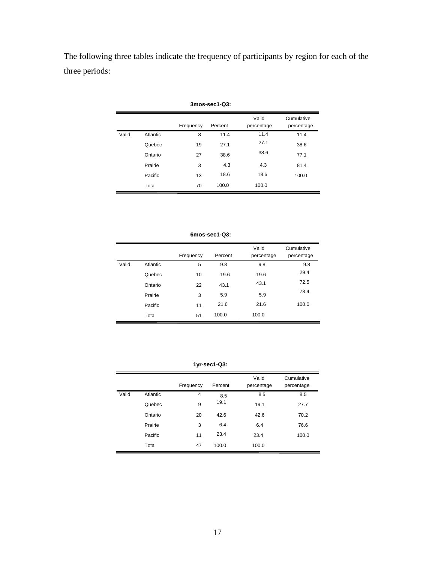The following three tables indicate the frequency of participants by region for each of the three periods:

|       |          | Frequency | Percent      | Valid<br>percentage | Cumulative<br>percentage |
|-------|----------|-----------|--------------|---------------------|--------------------------|
| Valid | Atlantic | 8         | 11.4         | 11.4                | 11.4                     |
|       | Quebec   | 19        | 27.1         | 27.1                | 38.6                     |
|       | Ontario  | 27        | 38.6<br>38.6 |                     | 77.1                     |
|       | Prairie  | 3         | 4.3          | 4.3                 | 81.4                     |
|       | Pacific  | 13        | 18.6         | 18.6                | 100.0                    |
|       | Total    | 70        | 100.0        | 100.0               |                          |

**3mos-sec1-Q3:** 

**6mos-sec1-Q3:** 

|       |          | Frequency | Percent | Valid<br>percentage | Cumulative<br>percentage |
|-------|----------|-----------|---------|---------------------|--------------------------|
| Valid | Atlantic | 5         | 9.8     | 9.8                 | 9.8                      |
|       | Quebec   | 10        | 19.6    | 19.6                | 29.4                     |
|       | Ontario  | 22        | 43.1    | 43.1                | 72.5                     |
|       | Prairie  | 3         | 5.9     | 5.9                 | 78.4                     |
|       | Pacific  | 11        | 21.6    | 21.6                | 100.0                    |
|       | Total    | 51        | 100.0   | 100.0               |                          |

**1yr-sec1-Q3:** 

|       |          | Frequency      | Percent | Valid<br>percentage | Cumulative<br>percentage |
|-------|----------|----------------|---------|---------------------|--------------------------|
| Valid | Atlantic | $\overline{4}$ | 8.5     | 8.5                 | 8.5                      |
|       | Quebec   | 9              | 19.1    | 19.1                | 27.7                     |
|       | Ontario  | 20             | 42.6    |                     | 70.2                     |
|       | Prairie  | 3              | 6.4     | 6.4                 | 76.6                     |
|       | Pacific  | 11             | 23.4    | 23.4                | 100.0                    |
|       | Total    | 47             | 100.0   | 100.0               |                          |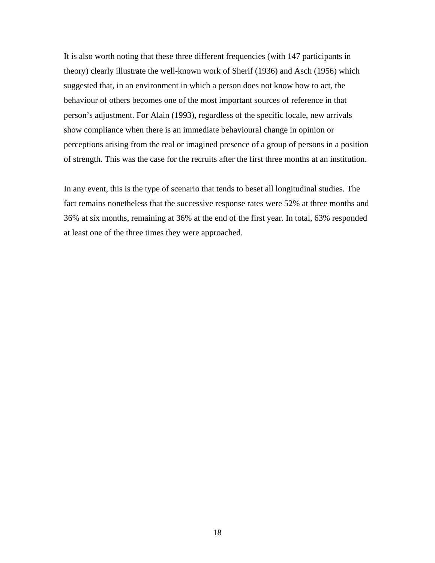It is also worth noting that these three different frequencies (with 147 participants in theory) clearly illustrate the well-known work of Sherif (1936) and Asch (1956) which suggested that, in an environment in which a person does not know how to act, the behaviour of others becomes one of the most important sources of reference in that person's adjustment. For Alain (1993), regardless of the specific locale, new arrivals show compliance when there is an immediate behavioural change in opinion or perceptions arising from the real or imagined presence of a group of persons in a position of strength. This was the case for the recruits after the first three months at an institution.

In any event, this is the type of scenario that tends to beset all longitudinal studies. The fact remains nonetheless that the successive response rates were 52% at three months and 36% at six months, remaining at 36% at the end of the first year. In total, 63% responded at least one of the three times they were approached.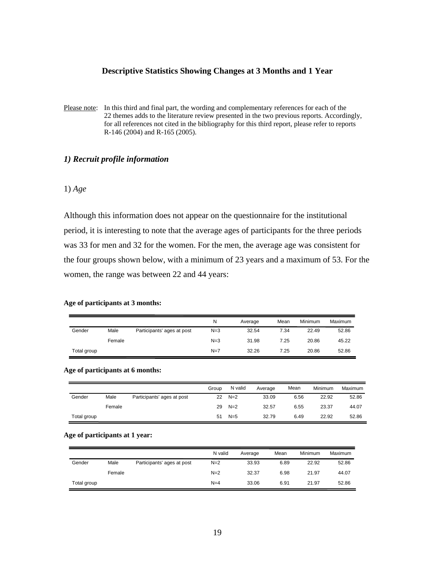## **Descriptive Statistics Showing Changes at 3 Months and 1 Year**

Please note: In this third and final part, the wording and complementary references for each of the 22 themes adds to the literature review presented in the two previous reports. Accordingly, for all references not cited in the bibliography for this third report, please refer to reports R-146 (2004) and R-165 (2005).

## *1) Recruit profile information*

### 1) *Age*

Although this information does not appear on the questionnaire for the institutional period, it is interesting to note that the average ages of participants for the three periods was 33 for men and 32 for the women. For the men, the average age was consistent for the four groups shown below, with a minimum of 23 years and a maximum of 53. For the women, the range was between 22 and 44 years:

#### **Age of participants at 3 months:**

|             |        |                            | N     | Average | Mean | Minimum | Maximum |
|-------------|--------|----------------------------|-------|---------|------|---------|---------|
| Gender      | Male   | Participants' ages at post | $N=3$ | 32.54   | 7.34 | 22.49   | 52.86   |
|             | Female |                            | $N=3$ | 31.98   | 7.25 | 20.86   | 45.22   |
| Total group |        |                            | $N=7$ | 32.26   | 7.25 | 20.86   | 52.86   |

## **Age of participants at 6 months:**

|             |        |                            | Group | N valid | Average | Mean | Minimum | Maximum |
|-------------|--------|----------------------------|-------|---------|---------|------|---------|---------|
| Gender      | Male   | Participants' ages at post | 22    | $N=2$   | 33.09   | 6.56 | 22.92   | 52.86   |
|             | Female |                            | 29    | $N=2$   | 32.57   | 6.55 | 23.37   | 44.07   |
| Total group |        |                            | 51    | $N=5$   | 32.79   | 6.49 | 22.92   | 52.86   |

#### **Age of participants at 1 year:**

|             |        |                            | N valid | Average | Mean | Minimum | Maximum |
|-------------|--------|----------------------------|---------|---------|------|---------|---------|
| Gender      | Male   | Participants' ages at post | $N=2$   | 33.93   | 6.89 | 22.92   | 52.86   |
|             | Female |                            | $N=2$   | 32.37   | 6.98 | 21.97   | 44.07   |
| Total group |        |                            | $N=4$   | 33.06   | 6.91 | 21.97   | 52.86   |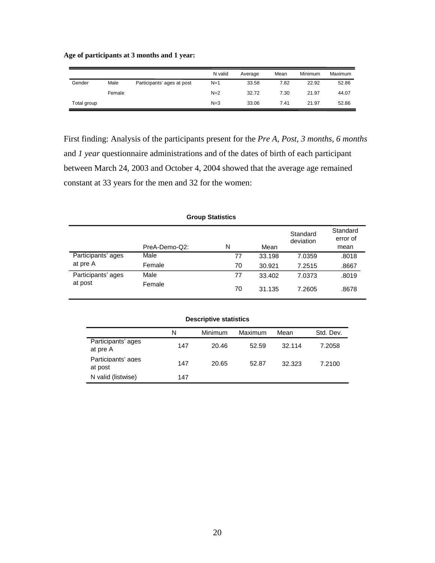|             |        |                            | N valid | Average | Mean | <b>Minimum</b> | Maximum |
|-------------|--------|----------------------------|---------|---------|------|----------------|---------|
| Gender      | Male   | Participants' ages at post | $N=1$   | 33.58   | 7.82 | 22.92          | 52.86   |
|             | Female |                            | $N=2$   | 32.72   | 7.30 | 21.97          | 44.07   |
| Total group |        |                            | $N=3$   | 33.06   | 7.41 | 21.97          | 52.86   |

## **Age of participants at 3 months and 1 year:**

First finding: Analysis of the participants present for the *Pre A*, *Post*, *3 months*, *6 months* and *1 year* questionnaire administrations and of the dates of birth of each participant between March 24, 2003 and October 4, 2004 showed that the average age remained constant at 33 years for the men and 32 for the women:

| OI VUD OLUUSLIVS               |               |    |        |                       |                      |  |  |
|--------------------------------|---------------|----|--------|-----------------------|----------------------|--|--|
|                                |               |    |        | Standard<br>deviation | Standard<br>error of |  |  |
|                                | PreA-Demo-Q2: | N  | Mean   |                       | mean                 |  |  |
| Participants' ages<br>at pre A | Male          | 77 | 33.198 | 7.0359                | .8018                |  |  |
|                                | Female        | 70 | 30.921 | 7.2515                | .8667                |  |  |
| Participants' ages<br>at post  | Male          | 77 | 33.402 | 7.0373                | .8019                |  |  |
|                                | Female        | 70 | 31.135 | 7.2605                | .8678                |  |  |

## **Group Statistics**

| <b>Descriptive statistics</b>  |     |         |         |        |           |  |
|--------------------------------|-----|---------|---------|--------|-----------|--|
|                                | N   | Minimum | Maximum | Mean   | Std. Dev. |  |
| Participants' ages<br>at pre A | 147 | 20.46   | 52.59   | 32.114 | 7.2058    |  |
| Participants' ages<br>at post  | 147 | 20.65   | 52.87   | 32.323 | 7.2100    |  |
| N valid (listwise)             | 147 |         |         |        |           |  |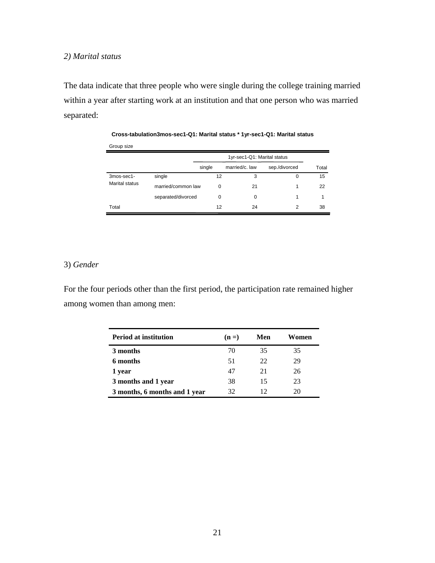## *2) Marital status*

The data indicate that three people who were single during the college training married within a year after starting work at an institution and that one person who was married separated:

| Group size     |                    |                             |                |               |       |  |
|----------------|--------------------|-----------------------------|----------------|---------------|-------|--|
|                |                    | 1yr-sec1-Q1: Marital status |                |               |       |  |
|                |                    | single                      | married/c. law | sep./divorced | Total |  |
| 3mos-sec1-     | single             | 12                          | 3              | $\Omega$      | 15    |  |
| Marital status | married/common law | $\Omega$                    | 21             |               | 22    |  |
|                | separated/divorced | $\Omega$                    | 0              |               | 1     |  |
| Total          |                    | 12                          | 24             | 2             | 38    |  |

**Cross-tabulation3mos-sec1-Q1: Marital status \* 1yr-sec1-Q1: Marital status**

## 3) *Gender*

For the four periods other than the first period, the participation rate remained higher among women than among men:

| <b>Period at institution</b>  | $(n=)$ | Men | Women |
|-------------------------------|--------|-----|-------|
| 3 months                      | 70     | 35  | 35    |
| 6 months                      | 51     | 22  | 29    |
| 1 year                        | 47     | 21  | 26    |
| 3 months and 1 year           | 38     | 15  | 23    |
| 3 months, 6 months and 1 year | 32     | 12  | 20    |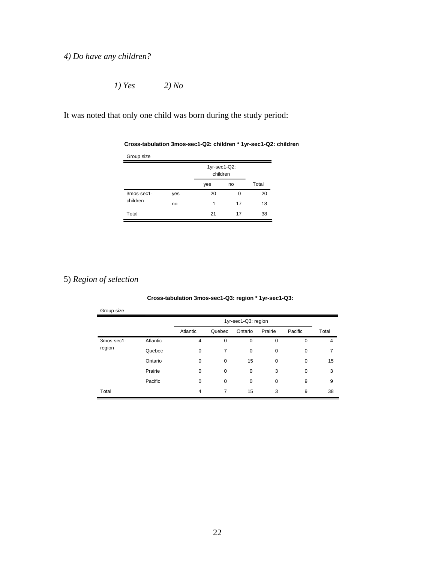## *4) Do have any children?*

$$
I) Yes \t2) No
$$

It was noted that only one child was born during the study period:

| Group size |     |                             |    |       |  |  |
|------------|-----|-----------------------------|----|-------|--|--|
|            |     | $1yr-sec1-Q2$ :<br>children |    |       |  |  |
|            |     | yes                         | no | Total |  |  |
| 3mos-sec1- | yes | 20                          | O  | 20    |  |  |
| children   | no  | 1                           | 17 | 18    |  |  |
| Total      |     | 21                          | 17 | 38    |  |  |

**Cross-tabulation 3mos-sec1-Q2: children \* 1yr-sec1-Q2: children**

## 5) *Region of selection*

### **Cross-tabulation 3mos-sec1-Q3: region \* 1yr-sec1-Q3:**

| S. S. S. P. S. E. S. |          |                     |        |         |             |             |       |
|----------------------|----------|---------------------|--------|---------|-------------|-------------|-------|
|                      |          | 1yr-sec1-Q3: region |        |         |             |             |       |
|                      |          | Atlantic            | Quebec | Ontario | Prairie     | Pacific     | Total |
| 3mos-sec1-<br>region | Atlantic | $\overline{4}$      | 0      | 0       | 0           | $\mathbf 0$ | 4     |
|                      | Quebec   | 0                   | 7      | 0       | 0           | 0           | 7     |
|                      | Ontario  | 0                   | 0      | 15      | $\mathbf 0$ | $\mathbf 0$ | 15    |
|                      | Prairie  | 0                   | 0      | 0       | 3           | 0           | 3     |
|                      | Pacific  | 0                   | 0      | 0       | 0           | 9           | 9     |
| Total                |          | $\overline{4}$      | 7      | 15      | 3           | 9           | 38    |

Group size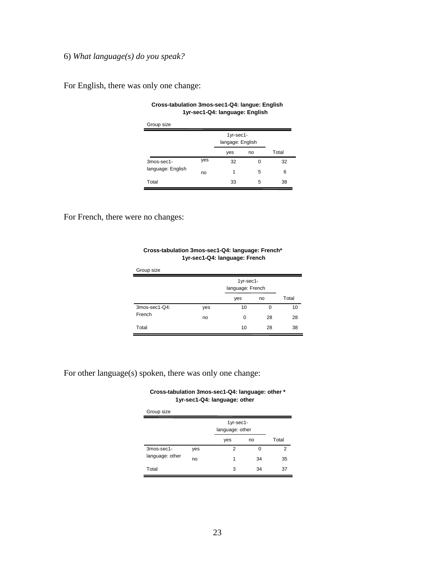# 6) *What language(s) do you speak?*

For English, there was only one change:

| Group size        |                               |     |    |       |
|-------------------|-------------------------------|-----|----|-------|
|                   | 1yr-sec1-<br>langage: English |     |    |       |
|                   |                               | yes | no | Total |
| 3mos-sec1-        | yes                           | 32  |    | 32    |
| language: English | no                            | 1   | 5  | 6     |
| Total             |                               | 33  | 5  | 38    |

## **Cross-tabulation 3mos-sec1-Q4: langue: English 1yr-sec1-Q4: language: English**

For French, there were no changes:

| Group size    |     |                               |    |       |
|---------------|-----|-------------------------------|----|-------|
|               |     | 1yr-sec1-<br>language: French |    |       |
|               |     | yes                           | no | Total |
| 3mos-sec1-Q4: | yes | 10                            | 0  | 10    |
| French        | no  | 0                             | 28 | 28    |
| Total         |     | 10                            | 28 | 38    |

#### **Cross-tabulation 3mos-sec1-Q4: language: French\* 1yr-sec1-Q4: language: French**

For other language(s) spoken, there was only one change:

## **Cross-tabulation 3mos-sec1-Q4: language: other \* 1yr-sec1-Q4: language: other**

| Group size      |     |                              |    |       |
|-----------------|-----|------------------------------|----|-------|
|                 |     | 1yr-sec1-<br>language: other |    |       |
|                 |     | yes                          | no | Total |
| 3mos-sec1-      | yes | 2                            | 0  | 2     |
| language: other | no  | 1                            | 34 | 35    |
| Total           |     | 3                            | 34 | 37    |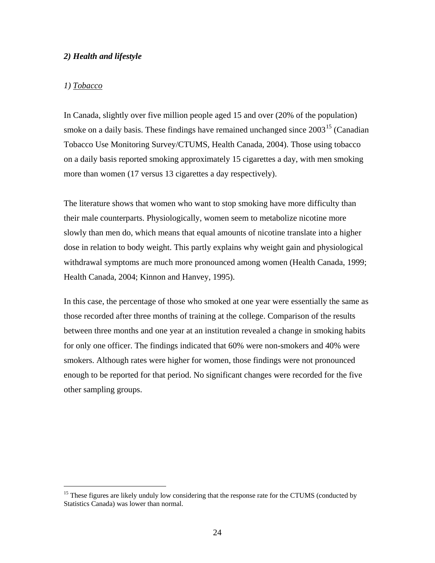## <span id="page-37-0"></span>*2) Health and lifestyle*

## *1) Tobacco*

In Canada, slightly over five million people aged 15 and over (20% of the population) smoke on a daily basis. These findings have remained unchanged since  $2003^{15}$  $2003^{15}$  $2003^{15}$  (Canadian Tobacco Use Monitoring Survey/CTUMS, Health Canada, 2004). Those using tobacco on a daily basis reported smoking approximately 15 cigarettes a day, with men smoking more than women (17 versus 13 cigarettes a day respectively).

The literature shows that women who want to stop smoking have more difficulty than their male counterparts. Physiologically, women seem to metabolize nicotine more slowly than men do, which means that equal amounts of nicotine translate into a higher dose in relation to body weight. This partly explains why weight gain and physiological withdrawal symptoms are much more pronounced among women (Health Canada, 1999; Health Canada, 2004; Kinnon and Hanvey, 1995).

In this case, the percentage of those who smoked at one year were essentially the same as those recorded after three months of training at the college. Comparison of the results between three months and one year at an institution revealed a change in smoking habits for only one officer. The findings indicated that 60% were non-smokers and 40% were smokers. Although rates were higher for women, those findings were not pronounced enough to be reported for that period. No significant changes were recorded for the five other sampling groups.

<sup>&</sup>lt;sup>15</sup> These figures are likely unduly low considering that the response rate for the CTUMS (conducted by Statistics Canada) was lower than normal.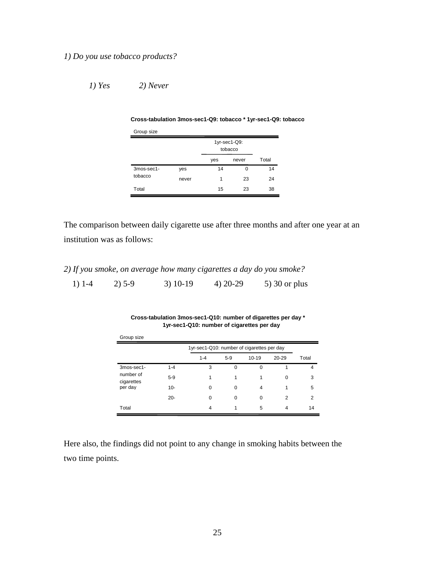# *1) Do you use tobacco products?*

*1) Yes 2) Never* 

| Group size |       |                            |       |       |
|------------|-------|----------------------------|-------|-------|
|            |       | $1yr-sec1-Q9$ :<br>tobacco |       |       |
|            |       | yes                        | never | Total |
| 3mos-sec1- | yes   | 14                         | O     | 14    |
| tobacco    | never | 1                          | 23    | 24    |
| Total      |       | 15                         | 23    | 38    |

**Cross-tabulation 3mos-sec1-Q9: tobacco \* 1yr-sec1-Q9: tobacco**

The comparison between daily cigarette use after three months and after one year at an institution was as follows:

*2) If you smoke, on average how many cigarettes a day do you smoke?* 

| $1) 1-4$ | $2) 5-9$ | $3)$ 10-19 | $4) 20-29$ | $5)$ 30 or plus |
|----------|----------|------------|------------|-----------------|
|          |          |            |            |                 |

**Cross-tabulation 3mos-sec1-Q10: number of digarettes per day \* 1yr-sec1-Q10: number of cigarettes per day**

| Group size              |         |                                            |          |           |           |                |
|-------------------------|---------|--------------------------------------------|----------|-----------|-----------|----------------|
|                         |         | 1yr-sec1-Q10: number of cigarettes per day |          |           |           |                |
|                         |         | $1 - 4$                                    | $5-9$    | $10 - 19$ | $20 - 29$ | Total          |
| 3mos-sec1-              | $1 - 4$ | 3                                          | $\Omega$ | $\Omega$  |           | 4              |
| number of<br>cigarettes | $5-9$   | 1                                          |          |           | 0         | 3              |
| per day                 | $10 -$  | $\Omega$                                   | 0        | 4         |           | 5              |
|                         | $20 -$  | 0                                          | $\Omega$ | $\Omega$  | 2         | $\overline{2}$ |
| Total                   |         | 4                                          |          | 5         | 4         | 14             |

Here also, the findings did not point to any change in smoking habits between the two time points.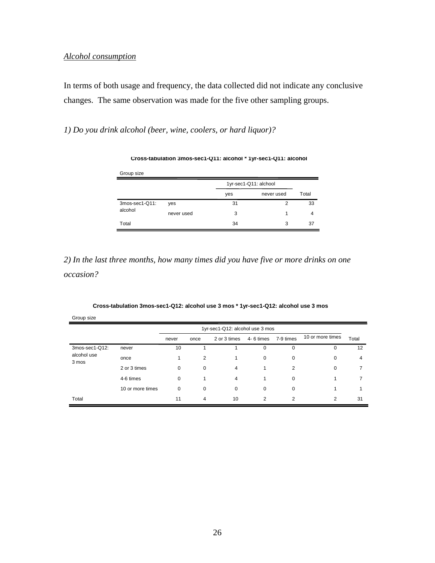# *Alcohol consumption*

In terms of both usage and frequency, the data collected did not indicate any conclusive changes. The same observation was made for the five other sampling groups.

*1) Do you drink alcohol (beer, wine, coolers, or hard liquor)?*

| Group size     |                       |     |            |       |
|----------------|-----------------------|-----|------------|-------|
|                | 1yr-sec1-Q11: alchool |     |            |       |
|                |                       | yes | never used | Total |
| 3mos-sec1-Q11: | yes                   | 31  | っ          | 33    |
| alcohol        | never used            | 3   |            | 4     |
| Total          |                       | 34  | 3          | 37    |

**Cross-tabulation 3mos-sec1-Q11: alcohol \* 1yr-sec1-Q11: alcohol**

*2) In the last three months, how many times did you have five or more drinks on one occasion?* 

| Cross-tabulation 3mos-sec1-Q12: alcohol use 3 mos * 1yr-sec1-Q12: alcohol use 3 mos |
|-------------------------------------------------------------------------------------|
|-------------------------------------------------------------------------------------|

| Group size |  |
|------------|--|
|            |  |
|            |  |

|                      |                  |       | 1yr-sec1-Q12: alcohol use 3 mos |                |           |           |                  |       |
|----------------------|------------------|-------|---------------------------------|----------------|-----------|-----------|------------------|-------|
|                      |                  | never | once                            | 2 or 3 times   | 4-6 times | 7-9 times | 10 or more times | Total |
| 3mos-sec1-Q12:       | never            | 10    |                                 |                | 0         | 0         | 0                | 12    |
| alcohol use<br>3 mos | once             |       | 2                               | $\overline{ }$ | 0         | 0         | $\Omega$         | 4     |
|                      | 2 or 3 times     | 0     | 0                               | 4              |           | 2         | $\Omega$         |       |
|                      | 4-6 times        | 0     |                                 | 4              |           | 0         |                  |       |
|                      | 10 or more times | 0     | $\Omega$                        | $\Omega$       | $\Omega$  | $\Omega$  |                  |       |
| Total                |                  | 11    | 4                               | 10             | 2         | 2         | 2                | 31    |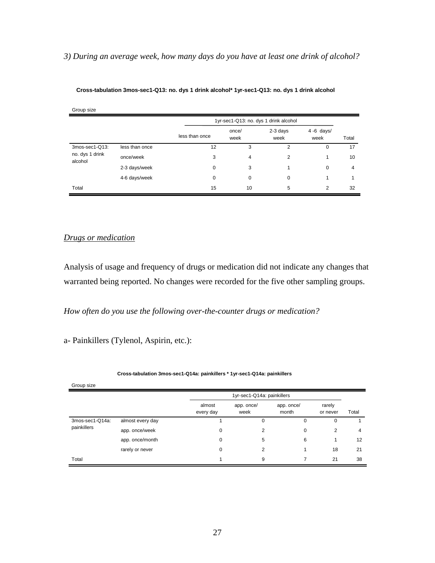# *3) During an average week, how many days do you have at least one drink of alcohol?*

| Group size                 |                |                |               |                                       |                       |       |
|----------------------------|----------------|----------------|---------------|---------------------------------------|-----------------------|-------|
|                            |                |                |               | 1yr-sec1-Q13: no. dys 1 drink alcohol |                       |       |
|                            |                | less than once | once/<br>week | 2-3 days<br>week                      | $4 - 6$ days/<br>week | Total |
| 3mos-sec1-Q13:             | less than once | 12             | 3             | 2                                     | 0                     | 17    |
| no. dys 1 drink<br>alcohol | once/week      | 3              | 4             | 2                                     |                       | 10    |
|                            | 2-3 days/week  | 0              | 3             |                                       | 0                     | 4     |
|                            | 4-6 days/week  | 0              | 0             | 0                                     |                       |       |
| Total                      |                | 15             | 10            | 5                                     | 2                     | 32    |

#### **Cross-tabulation 3mos-sec1-Q13: no. dys 1 drink alcohol\* 1yr-sec1-Q13: no. dys 1 drink alcohol**

# *Drugs or medication*

 $G_{\text{source}}$  size

Analysis of usage and frequency of drugs or medication did not indicate any changes that warranted being reported. No changes were recorded for the five other sampling groups.

*How often do you use the following over-the-counter drugs or medication?* 

a- Painkillers (Tylenol, Aspirin, etc.):

| Group size                     |                  |                     |                            |                     |                    |       |
|--------------------------------|------------------|---------------------|----------------------------|---------------------|--------------------|-------|
|                                |                  |                     | 1yr-sec1-Q14a: painkillers |                     |                    |       |
|                                |                  | almost<br>every day | app. once/<br>week         | app. once/<br>month | rarely<br>or never | Total |
| 3mos-sec1-Q14a:<br>painkillers | almost every day |                     | $\Omega$                   | 0                   | $\Omega$           |       |
|                                | app. once/week   | 0                   | 2                          | 0                   | 2                  | 4     |
|                                | app. once/month  | 0                   | 5                          | 6                   |                    | 12    |
|                                | rarely or never  | 0                   | $\overline{2}$             |                     | 18                 | 21    |
| Total                          |                  |                     | 9                          |                     | 21                 | 38    |

#### **Cross-tabulation 3mos-sec1-Q14a: painkillers \* 1yr-sec1-Q14a: painkillers**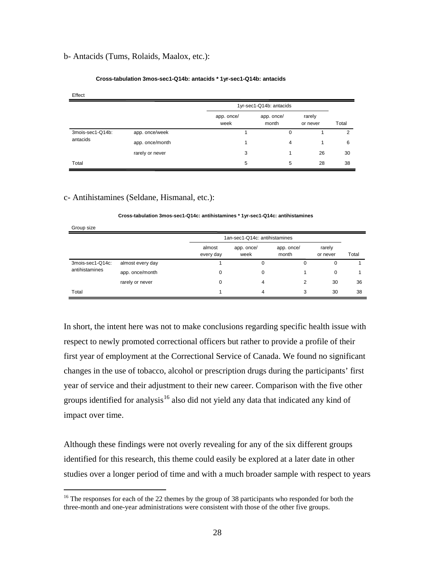## <span id="page-41-0"></span>b- Antacids (Tums, Rolaids, Maalox, etc.):

| Effect           |                 |                         |                     |                    |       |
|------------------|-----------------|-------------------------|---------------------|--------------------|-------|
|                  |                 | 1yr-sec1-Q14b: antacids |                     |                    |       |
|                  |                 | app. once/<br>week      | app. once/<br>month | rarely<br>or never | Total |
| 3mois-sec1-Q14b: | app. once/week  |                         | 0                   |                    | 2     |
| antacids         | app. once/month | 1                       | 4                   | 1                  | 6     |
|                  | rarely or never | 3                       |                     | 26                 | 30    |
| Total            |                 | 5                       | 5                   | 28                 | 38    |

#### **Cross-tabulation 3mos-sec1-Q14b: antacids \* 1yr-sec1-Q14b: antacids**

## c- Antihistamines (Seldane, Hismanal, etc.):

Group size

#### **Cross-tabulation 3mos-sec1-Q14c: antihistamines \* 1yr-sec1-Q14c: antihistamines**

| - - - - - - - - -                  |                  |                     |                               |                     |                    |       |
|------------------------------------|------------------|---------------------|-------------------------------|---------------------|--------------------|-------|
|                                    |                  |                     | 1an-sec1-Q14c: antihistamines |                     |                    |       |
|                                    |                  | almost<br>every day | app. once/<br>week            | app. once/<br>month | rarely<br>or never | Total |
| 3mois-sec1-Q14c:<br>antihistamines | almost every day |                     | 0                             | 0                   | 0                  |       |
|                                    | app. once/month  | 0                   | $\Omega$                      |                     | 0                  |       |
|                                    | rarely or never  | 0                   | 4                             | 2                   | 30                 | 36    |
| Total                              |                  |                     | 4                             | 3                   | 30                 | 38    |

In short, the intent here was not to make conclusions regarding specific health issue with respect to newly promoted correctional officers but rather to provide a profile of their first year of employment at the Correctional Service of Canada. We found no significant changes in the use of tobacco, alcohol or prescription drugs during the participants' first year of service and their adjustment to their new career. Comparison with the five other groups identified for analysis $16$  also did not yield any data that indicated any kind of impact over time.

Although these findings were not overly revealing for any of the six different groups identified for this research, this theme could easily be explored at a later date in other studies over a longer period of time and with a much broader sample with respect to years

<sup>&</sup>lt;sup>16</sup> The responses for each of the 22 themes by the group of 38 participants who responded for both the three-month and one-year administrations were consistent with those of the other five groups.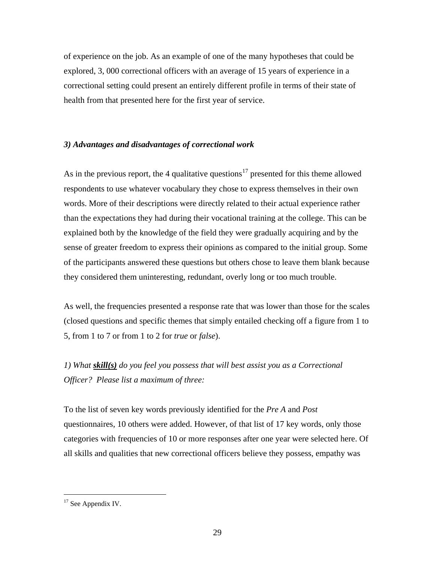<span id="page-42-0"></span>of experience on the job. As an example of one of the many hypotheses that could be explored, 3, 000 correctional officers with an average of 15 years of experience in a correctional setting could present an entirely different profile in terms of their state of health from that presented here for the first year of service.

## *3) Advantages and disadvantages of correctional work*

As in the previous report, the 4 qualitative questions<sup>[1](#page-42-0)7</sup> presented for this theme allowed respondents to use whatever vocabulary they chose to express themselves in their own words. More of their descriptions were directly related to their actual experience rather than the expectations they had during their vocational training at the college. This can be explained both by the knowledge of the field they were gradually acquiring and by the sense of greater freedom to express their opinions as compared to the initial group. Some of the participants answered these questions but others chose to leave them blank because they considered them uninteresting, redundant, overly long or too much trouble.

As well, the frequencies presented a response rate that was lower than those for the scales (closed questions and specific themes that simply entailed checking off a figure from 1 to 5, from 1 to 7 or from 1 to 2 for *true* or *false*).

# *1) What skill(s) do you feel you possess that will best assist you as a Correctional Officer? Please list a maximum of three:*

To the list of seven key words previously identified for the *Pre A* and *Post* questionnaires, 10 others were added. However, of that list of 17 key words, only those categories with frequencies of 10 or more responses after one year were selected here. Of all skills and qualities that new correctional officers believe they possess, empathy was

<sup>&</sup>lt;sup>17</sup> See Appendix IV.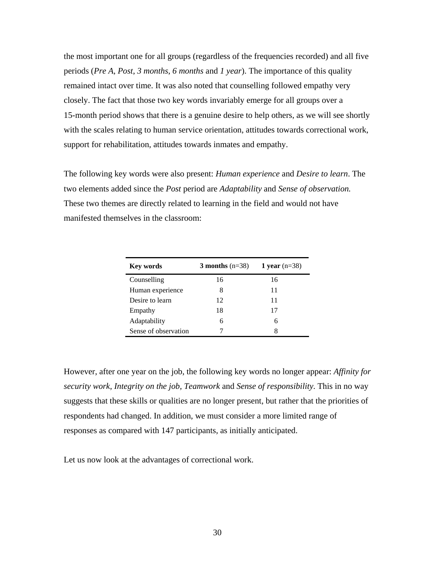the most important one for all groups (regardless of the frequencies recorded) and all five periods (*Pre A*, *Post*, *3 months*, *6 months* and *1 year*). The importance of this quality remained intact over time. It was also noted that counselling followed empathy very closely. The fact that those two key words invariably emerge for all groups over a 15-month period shows that there is a genuine desire to help others, as we will see shortly with the scales relating to human service orientation, attitudes towards correctional work, support for rehabilitation, attitudes towards inmates and empathy.

The following key words were also present: *Human experience* and *Desire to learn*. The two elements added since the *Post* period are *Adaptability* and *Sense of observation.* These two themes are directly related to learning in the field and would not have manifested themselves in the classroom:

| <b>Key words</b>     | 3 months $(n=38)$ | 1 year $(n=38)$ |
|----------------------|-------------------|-----------------|
| Counselling          | 16                | 16              |
| Human experience     | 8                 | 11              |
| Desire to learn      | 12                | 11              |
| Empathy              | 18                | 17              |
| Adaptability         | 6                 | 6               |
| Sense of observation |                   | 8               |

However, after one year on the job, the following key words no longer appear: *Affinity for security work*, *Integrity on the job, Teamwork* and *Sense of responsibility*. This in no way suggests that these skills or qualities are no longer present, but rather that the priorities of respondents had changed. In addition, we must consider a more limited range of responses as compared with 147 participants, as initially anticipated.

Let us now look at the advantages of correctional work.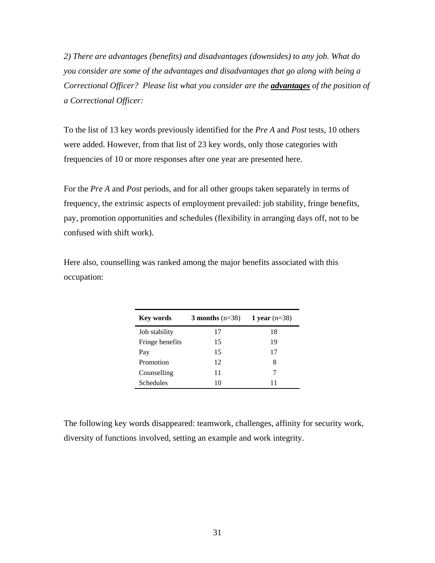*2) There are advantages (benefits) and disadvantages (downsides) to any job. What do you consider are some of the advantages and disadvantages that go along with being a Correctional Officer? Please list what you consider are the advantages of the position of a Correctional Officer:* 

To the list of 13 key words previously identified for the *Pre A* and *Post* tests, 10 others were added. However, from that list of 23 key words, only those categories with frequencies of 10 or more responses after one year are presented here.

For the *Pre A* and *Post* periods, and for all other groups taken separately in terms of frequency, the extrinsic aspects of employment prevailed: job stability, fringe benefits, pay, promotion opportunities and schedules (flexibility in arranging days off, not to be confused with shift work).

Here also, counselling was ranked among the major benefits associated with this occupation:

| <b>Key words</b> | 3 months $(n=38)$ | 1 year $(n=38)$ |
|------------------|-------------------|-----------------|
| Job stability    | 17                | 18              |
| Fringe benefits  | 15                | 19              |
| Pay              | 15                | 17              |
| Promotion        | 12                | 8               |
| Counselling      | 11                |                 |
| Schedules        | 10                | 11              |

The following key words disappeared: teamwork, challenges, affinity for security work, diversity of functions involved, setting an example and work integrity.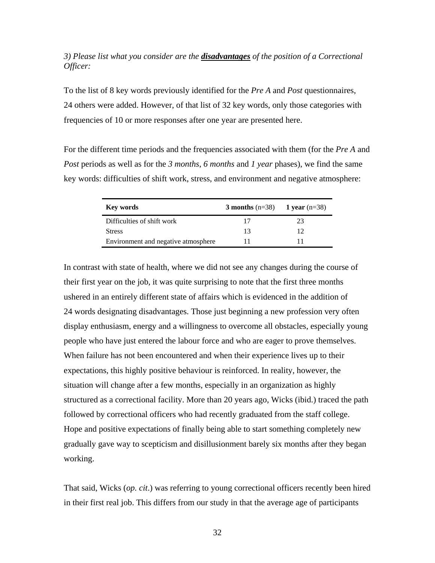# *3) Please list what you consider are the disadvantages of the position of a Correctional Officer:*

To the list of 8 key words previously identified for the *Pre A* and *Post* questionnaires, 24 others were added. However, of that list of 32 key words, only those categories with frequencies of 10 or more responses after one year are presented here.

For the different time periods and the frequencies associated with them (for the *Pre A* and *Post* periods as well as for the *3 months*, *6 months* and *1 year* phases), we find the same key words: difficulties of shift work, stress, and environment and negative atmosphere:

| Key words                           | 3 months $(n=38)$ 1 year $(n=38)$ |    |
|-------------------------------------|-----------------------------------|----|
| Difficulties of shift work          |                                   | 23 |
| <b>Stress</b>                       | 13                                | 12 |
| Environment and negative atmosphere |                                   |    |

In contrast with state of health, where we did not see any changes during the course of their first year on the job, it was quite surprising to note that the first three months ushered in an entirely different state of affairs which is evidenced in the addition of 24 words designating disadvantages. Those just beginning a new profession very often display enthusiasm, energy and a willingness to overcome all obstacles, especially young people who have just entered the labour force and who are eager to prove themselves. When failure has not been encountered and when their experience lives up to their expectations, this highly positive behaviour is reinforced. In reality, however, the situation will change after a few months, especially in an organization as highly structured as a correctional facility. More than 20 years ago, Wicks (ibid.) traced the path followed by correctional officers who had recently graduated from the staff college. Hope and positive expectations of finally being able to start something completely new gradually gave way to scepticism and disillusionment barely six months after they began working.

That said, Wicks (*op. cit*.) was referring to young correctional officers recently been hired in their first real job. This differs from our study in that the average age of participants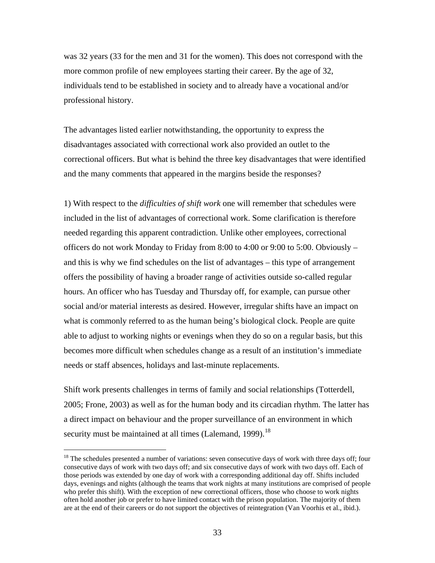<span id="page-46-0"></span>was 32 years (33 for the men and 31 for the women). This does not correspond with the more common profile of new employees starting their career. By the age of 32, individuals tend to be established in society and to already have a vocational and/or professional history.

The advantages listed earlier notwithstanding, the opportunity to express the disadvantages associated with correctional work also provided an outlet to the correctional officers. But what is behind the three key disadvantages that were identified and the many comments that appeared in the margins beside the responses?

1) With respect to the *difficulties of shift work* one will remember that schedules were included in the list of advantages of correctional work. Some clarification is therefore needed regarding this apparent contradiction. Unlike other employees, correctional officers do not work Monday to Friday from 8:00 to 4:00 or 9:00 to 5:00. Obviously – and this is why we find schedules on the list of advantages – this type of arrangement offers the possibility of having a broader range of activities outside so-called regular hours. An officer who has Tuesday and Thursday off, for example, can pursue other social and/or material interests as desired. However, irregular shifts have an impact on what is commonly referred to as the human being's biological clock. People are quite able to adjust to working nights or evenings when they do so on a regular basis, but this becomes more difficult when schedules change as a result of an institution's immediate needs or staff absences, holidays and last-minute replacements.

Shift work presents challenges in terms of family and social relationships (Totterdell, 2005; Frone, 2003) as well as for the human body and its circadian rhythm. The latter has a direct impact on behaviour and the proper surveillance of an environment in which security must be maintained at all times (Lalemand, 1999).<sup>[18](#page-46-0)</sup>

 $18$  The schedules presented a number of variations: seven consecutive days of work with three days off; four consecutive days of work with two days off; and six consecutive days of work with two days off. Each of those periods was extended by one day of work with a corresponding additional day off. Shifts included days, evenings and nights (although the teams that work nights at many institutions are comprised of people who prefer this shift). With the exception of new correctional officers, those who choose to work nights often hold another job or prefer to have limited contact with the prison population. The majority of them are at the end of their careers or do not support the objectives of reintegration (Van Voorhis et al., ibid.).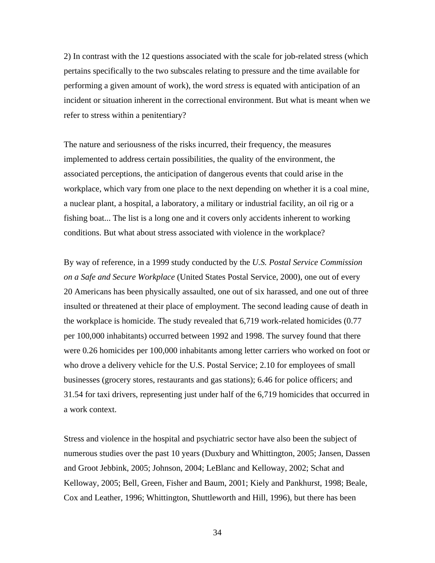2) In contrast with the 12 questions associated with the scale for job-related stress (which pertains specifically to the two subscales relating to pressure and the time available for performing a given amount of work), the word *stress* is equated with anticipation of an incident or situation inherent in the correctional environment. But what is meant when we refer to stress within a penitentiary?

The nature and seriousness of the risks incurred, their frequency, the measures implemented to address certain possibilities, the quality of the environment, the associated perceptions, the anticipation of dangerous events that could arise in the workplace, which vary from one place to the next depending on whether it is a coal mine, a nuclear plant, a hospital, a laboratory, a military or industrial facility, an oil rig or a fishing boat... The list is a long one and it covers only accidents inherent to working conditions. But what about stress associated with violence in the workplace?

By way of reference, in a 1999 study conducted by the *U.S. Postal Service Commission on a Safe and Secure Workplace* (United States Postal Service, 2000), one out of every 20 Americans has been physically assaulted, one out of six harassed, and one out of three insulted or threatened at their place of employment. The second leading cause of death in the workplace is homicide. The study revealed that 6,719 work-related homicides (0.77 per 100,000 inhabitants) occurred between 1992 and 1998. The survey found that there were 0.26 homicides per 100,000 inhabitants among letter carriers who worked on foot or who drove a delivery vehicle for the U.S. Postal Service; 2.10 for employees of small businesses (grocery stores, restaurants and gas stations); 6.46 for police officers; and 31.54 for taxi drivers, representing just under half of the 6,719 homicides that occurred in a work context.

Stress and violence in the hospital and psychiatric sector have also been the subject of numerous studies over the past 10 years (Duxbury and Whittington, 2005; Jansen, Dassen and Groot Jebbink, 2005; Johnson, 2004; LeBlanc and Kelloway, 2002; Schat and Kelloway, 2005; Bell, Green, Fisher and Baum, 2001; Kiely and Pankhurst, 1998; Beale, Cox and Leather, 1996; Whittington, Shuttleworth and Hill, 1996), but there has been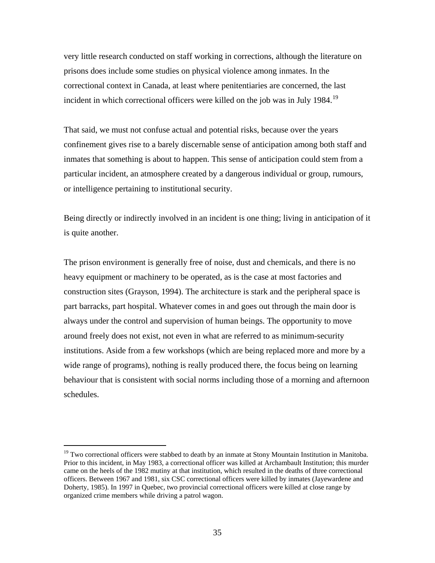<span id="page-48-0"></span>very little research conducted on staff working in corrections, although the literature on prisons does include some studies on physical violence among inmates. In the correctional context in Canada, at least where penitentiaries are concerned, the last incident in which correctional officers were killed on the job was in July [1](#page-48-0)984.<sup>19</sup>

That said, we must not confuse actual and potential risks, because over the years confinement gives rise to a barely discernable sense of anticipation among both staff and inmates that something is about to happen. This sense of anticipation could stem from a particular incident, an atmosphere created by a dangerous individual or group, rumours, or intelligence pertaining to institutional security.

Being directly or indirectly involved in an incident is one thing; living in anticipation of it is quite another.

The prison environment is generally free of noise, dust and chemicals, and there is no heavy equipment or machinery to be operated, as is the case at most factories and construction sites (Grayson, 1994). The architecture is stark and the peripheral space is part barracks, part hospital. Whatever comes in and goes out through the main door is always under the control and supervision of human beings. The opportunity to move around freely does not exist, not even in what are referred to as minimum-security institutions. Aside from a few workshops (which are being replaced more and more by a wide range of programs), nothing is really produced there, the focus being on learning behaviour that is consistent with social norms including those of a morning and afternoon schedules.

<sup>&</sup>lt;sup>19</sup> Two correctional officers were stabbed to death by an inmate at Stony Mountain Institution in Manitoba. Prior to this incident, in May 1983, a correctional officer was killed at Archambault Institution; this murder came on the heels of the 1982 mutiny at that institution, which resulted in the deaths of three correctional officers. Between 1967 and 1981, six CSC correctional officers were killed by inmates (Jayewardene and Doherty, 1985). In 1997 in Quebec, two provincial correctional officers were killed at close range by organized crime members while driving a patrol wagon.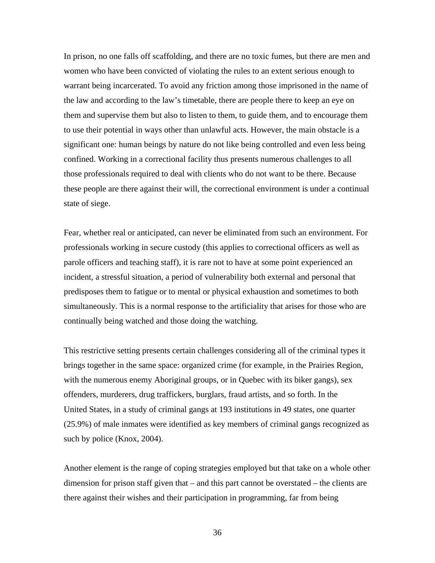In prison, no one falls off scaffolding, and there are no toxic fumes, but there are men and women who have been convicted of violating the rules to an extent serious enough to warrant being incarcerated. To avoid any friction among those imprisoned in the name of the law and according to the law's timetable, there are people there to keep an eye on them and supervise them but also to listen to them, to guide them, and to encourage them to use their potential in ways other than unlawful acts. However, the main obstacle is a significant one: human beings by nature do not like being controlled and even less being confined. Working in a correctional facility thus presents numerous challenges to all those professionals required to deal with clients who do not want to be there. Because these people are there against their will, the correctional environment is under a continual state of siege.

Fear, whether real or anticipated, can never be eliminated from such an environment. For professionals working in secure custody (this applies to correctional officers as well as parole officers and teaching staff), it is rare not to have at some point experienced an incident, a stressful situation, a period of vulnerability both external and personal that predisposes them to fatigue or to mental or physical exhaustion and sometimes to both simultaneously. This is a normal response to the artificiality that arises for those who are continually being watched and those doing the watching.

This restrictive setting presents certain challenges considering all of the criminal types it brings together in the same space: organized crime (for example, in the Prairies Region, with the numerous enemy Aboriginal groups, or in Quebec with its biker gangs), sex offenders, murderers, drug traffickers, burglars, fraud artists, and so forth. In the United States, in a study of criminal gangs at 193 institutions in 49 states, one quarter (25.9%) of male inmates were identified as key members of criminal gangs recognized as such by police (Knox, 2004).

Another element is the range of coping strategies employed but that take on a whole other dimension for prison staff given that – and this part cannot be overstated – the clients are there against their wishes and their participation in programming, far from being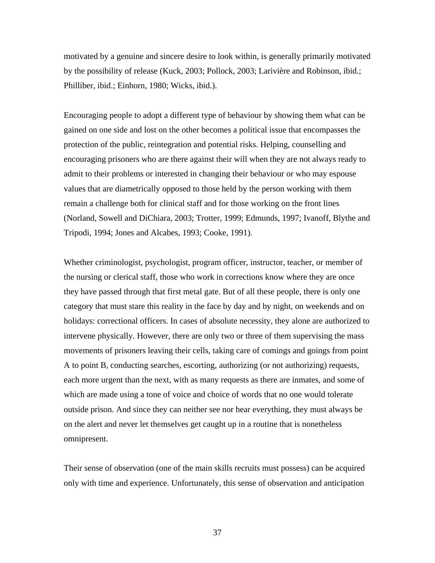motivated by a genuine and sincere desire to look within, is generally primarily motivated by the possibility of release (Kuck, 2003; Pollock, 2003; Larivière and Robinson, ibid.; Philliber, ibid.; Einhorn, 1980; Wicks, ibid.).

Encouraging people to adopt a different type of behaviour by showing them what can be gained on one side and lost on the other becomes a political issue that encompasses the protection of the public, reintegration and potential risks. Helping, counselling and encouraging prisoners who are there against their will when they are not always ready to admit to their problems or interested in changing their behaviour or who may espouse values that are diametrically opposed to those held by the person working with them remain a challenge both for clinical staff and for those working on the front lines (Norland, Sowell and DiChiara, 2003; Trotter, 1999; Edmunds, 1997; Ivanoff, Blythe and Tripodi, 1994; Jones and Alcabes, 1993; Cooke, 1991).

Whether criminologist, psychologist, program officer, instructor, teacher, or member of the nursing or clerical staff, those who work in corrections know where they are once they have passed through that first metal gate. But of all these people, there is only one category that must stare this reality in the face by day and by night, on weekends and on holidays: correctional officers. In cases of absolute necessity, they alone are authorized to intervene physically. However, there are only two or three of them supervising the mass movements of prisoners leaving their cells, taking care of comings and goings from point A to point B, conducting searches, escorting, authorizing (or not authorizing) requests, each more urgent than the next, with as many requests as there are inmates, and some of which are made using a tone of voice and choice of words that no one would tolerate outside prison. And since they can neither see nor hear everything, they must always be on the alert and never let themselves get caught up in a routine that is nonetheless omnipresent.

Their sense of observation (one of the main skills recruits must possess) can be acquired only with time and experience. Unfortunately, this sense of observation and anticipation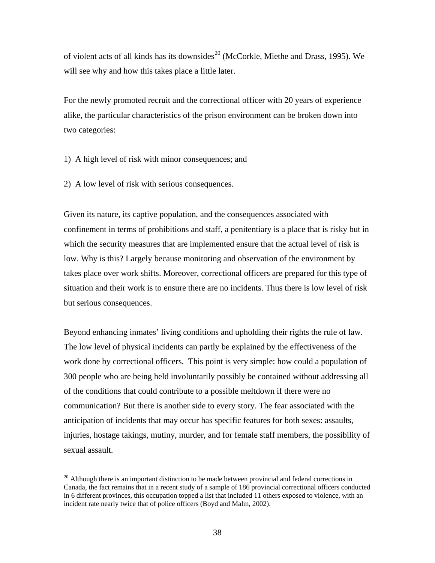<span id="page-51-0"></span>of violent acts of all kinds has its downsides<sup>[2](#page-51-0)0</sup> (McCorkle, Miethe and Drass, 1995). We will see why and how this takes place a little later.

For the newly promoted recruit and the correctional officer with 20 years of experience alike, the particular characteristics of the prison environment can be broken down into two categories:

- 1) A high level of risk with minor consequences; and
- 2) A low level of risk with serious consequences.

Given its nature, its captive population, and the consequences associated with confinement in terms of prohibitions and staff, a penitentiary is a place that is risky but in which the security measures that are implemented ensure that the actual level of risk is low. Why is this? Largely because monitoring and observation of the environment by takes place over work shifts. Moreover, correctional officers are prepared for this type of situation and their work is to ensure there are no incidents. Thus there is low level of risk but serious consequences.

Beyond enhancing inmates' living conditions and upholding their rights the rule of law. The low level of physical incidents can partly be explained by the effectiveness of the work done by correctional officers. This point is very simple: how could a population of 300 people who are being held involuntarily possibly be contained without addressing all of the conditions that could contribute to a possible meltdown if there were no communication? But there is another side to every story. The fear associated with the anticipation of incidents that may occur has specific features for both sexes: assaults, injuries, hostage takings, mutiny, murder, and for female staff members, the possibility of sexual assault.

 $20$  Although there is an important distinction to be made between provincial and federal corrections in Canada, the fact remains that in a recent study of a sample of 186 provincial correctional officers conducted in 6 different provinces, this occupation topped a list that included 11 others exposed to violence, with an incident rate nearly twice that of police officers (Boyd and Malm, 2002).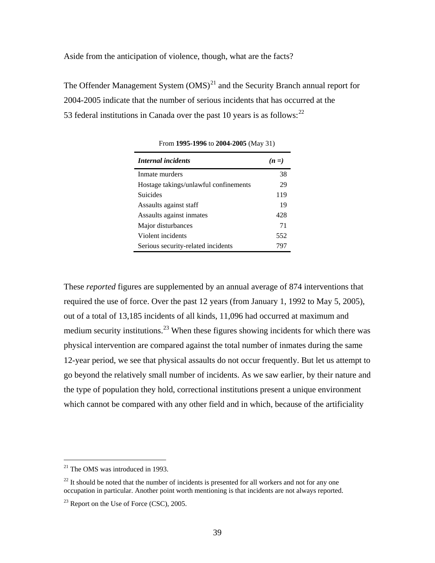<span id="page-52-0"></span>Aside from the anticipation of violence, though, what are the facts?

The Offender Management System  $(OMS)^{21}$  $(OMS)^{21}$  $(OMS)^{21}$  and the Security Branch annual report for 2004-2005 indicate that the number of serious incidents that has occurred at the 53 federal institutions in Canada over the past 10 years is as follows: $^{22}$  $^{22}$  $^{22}$ 

| Internal incidents                    | $(n=)$ |
|---------------------------------------|--------|
| Inmate murders                        | 38     |
| Hostage takings/unlawful confinements | 29     |
| Suicides                              | 119    |
| Assaults against staff                | 19     |
| Assaults against inmates              | 428    |
| Major disturbances                    | 71     |
| Violent incidents                     | 552    |
| Serious security-related incidents    | 797    |

From **1995-1996** to **2004-2005** (May 31)

These *reported* figures are supplemented by an annual average of 874 interventions that required the use of force. Over the past 12 years (from January 1, 1992 to May 5, 2005), out of a total of 13,185 incidents of all kinds, 11,096 had occurred at maximum and medium security institutions.<sup>[2](#page-52-0)3</sup> When these figures showing incidents for which there was physical intervention are compared against the total number of inmates during the same 12-year period, we see that physical assaults do not occur frequently. But let us attempt to go beyond the relatively small number of incidents. As we saw earlier, by their nature and the type of population they hold, correctional institutions present a unique environment which cannot be compared with any other field and in which, because of the artificiality

 $21$  The OMS was introduced in 1993.

 $^{22}$  It should be noted that the number of incidents is presented for all workers and not for any one occupation in particular. Another point worth mentioning is that incidents are not always reported.

 $23$  Report on the Use of Force (CSC), 2005.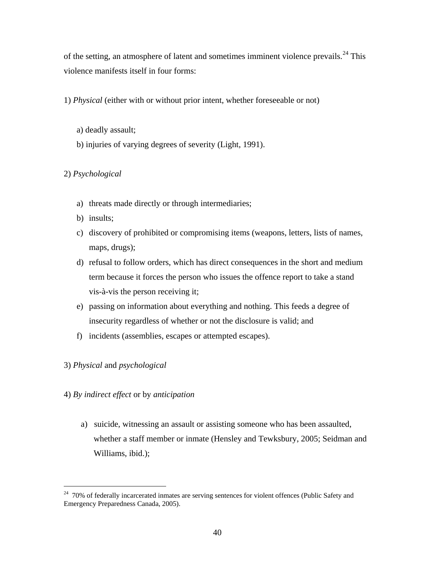<span id="page-53-0"></span>of the setting, an atmosphere of latent and sometimes imminent violence prevails.<sup>[24](#page-53-0)</sup> This violence manifests itself in four forms:

# 1) *Physical* (either with or without prior intent, whether foreseeable or not)

- a) deadly assault;
- b) injuries of varying degrees of severity (Light, 1991).

# 2) *Psychological*

- a) threats made directly or through intermediaries;
- b) insults;
- c) discovery of prohibited or compromising items (weapons, letters, lists of names, maps, drugs);
- d) refusal to follow orders, which has direct consequences in the short and medium term because it forces the person who issues the offence report to take a stand vis-à-vis the person receiving it;
- e) passing on information about everything and nothing. This feeds a degree of insecurity regardless of whether or not the disclosure is valid; and
- f) incidents (assemblies, escapes or attempted escapes).
- 3) *Physical* and *psychological*

- 4) *By indirect effect* or by *anticipation*
	- a) suicide, witnessing an assault or assisting someone who has been assaulted, whether a staff member or inmate (Hensley and Tewksbury, 2005; Seidman and Williams, ibid.);

<sup>&</sup>lt;sup>24</sup> 70% of federally incarcerated inmates are serving sentences for violent offences (Public Safety and Emergency Preparedness Canada, 2005).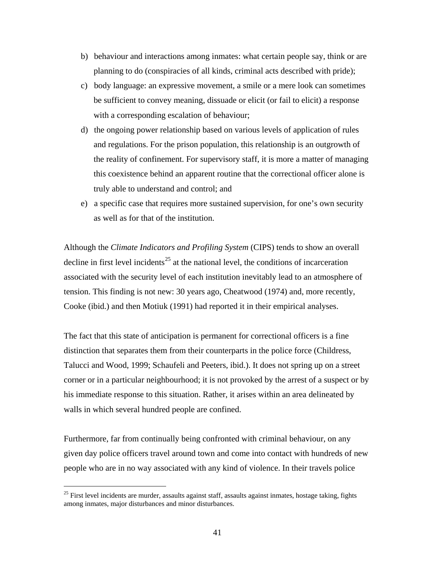- <span id="page-54-0"></span>b) behaviour and interactions among inmates: what certain people say, think or are planning to do (conspiracies of all kinds, criminal acts described with pride);
- c) body language: an expressive movement, a smile or a mere look can sometimes be sufficient to convey meaning, dissuade or elicit (or fail to elicit) a response with a corresponding escalation of behaviour;
- d) the ongoing power relationship based on various levels of application of rules and regulations. For the prison population, this relationship is an outgrowth of the reality of confinement. For supervisory staff, it is more a matter of managing this coexistence behind an apparent routine that the correctional officer alone is truly able to understand and control; and
- e) a specific case that requires more sustained supervision, for one's own security as well as for that of the institution.

Although the *Climate Indicators and Profiling System* (CIPS) tends to show an overall decline in first level incidents<sup>[2](#page-54-0)5</sup> at the national level, the conditions of incarceration associated with the security level of each institution inevitably lead to an atmosphere of tension. This finding is not new: 30 years ago, Cheatwood (1974) and, more recently, Cooke (ibid.) and then Motiuk (1991) had reported it in their empirical analyses.

The fact that this state of anticipation is permanent for correctional officers is a fine distinction that separates them from their counterparts in the police force (Childress, Talucci and Wood, 1999; Schaufeli and Peeters, ibid.). It does not spring up on a street corner or in a particular neighbourhood; it is not provoked by the arrest of a suspect or by his immediate response to this situation. Rather, it arises within an area delineated by walls in which several hundred people are confined.

Furthermore, far from continually being confronted with criminal behaviour, on any given day police officers travel around town and come into contact with hundreds of new people who are in no way associated with any kind of violence. In their travels police

<sup>&</sup>lt;sup>25</sup> First level incidents are murder, assaults against staff, assaults against inmates, hostage taking, fights among inmates, major disturbances and minor disturbances.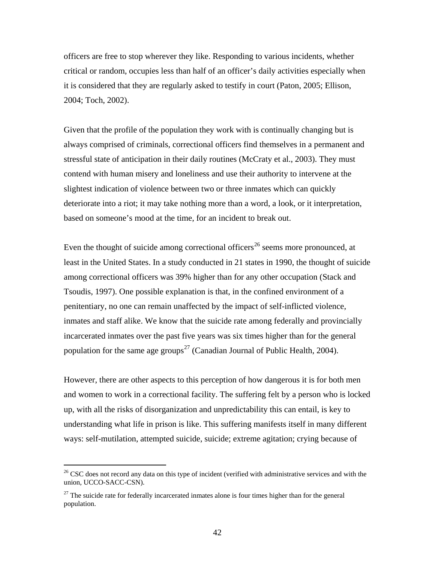<span id="page-55-0"></span>officers are free to stop wherever they like. Responding to various incidents, whether critical or random, occupies less than half of an officer's daily activities especially when it is considered that they are regularly asked to testify in court (Paton, 2005; Ellison, 2004; Toch, 2002).

Given that the profile of the population they work with is continually changing but is always comprised of criminals, correctional officers find themselves in a permanent and stressful state of anticipation in their daily routines (McCraty et al., 2003). They must contend with human misery and loneliness and use their authority to intervene at the slightest indication of violence between two or three inmates which can quickly deteriorate into a riot; it may take nothing more than a word, a look, or it interpretation, based on someone's mood at the time, for an incident to break out.

Even the thought of suicide among correctional officers<sup>[2](#page-55-0)6</sup> seems more pronounced, at least in the United States. In a study conducted in 21 states in 1990, the thought of suicide among correctional officers was 39% higher than for any other occupation (Stack and Tsoudis, 1997). One possible explanation is that, in the confined environment of a penitentiary, no one can remain unaffected by the impact of self-inflicted violence, inmates and staff alike. We know that the suicide rate among federally and provincially incarcerated inmates over the past five years was six times higher than for the general population for the same age groups<sup>[2](#page-55-0)7</sup> (Canadian Journal of Public Health, 2004).

However, there are other aspects to this perception of how dangerous it is for both men and women to work in a correctional facility. The suffering felt by a person who is locked up, with all the risks of disorganization and unpredictability this can entail, is key to understanding what life in prison is like. This suffering manifests itself in many different ways: self-mutilation, attempted suicide, suicide; extreme agitation; crying because of

<sup>&</sup>lt;sup>26</sup> CSC does not record any data on this type of incident (verified with administrative services and with the union, UCCO-SACC-CSN).

 $27$  The suicide rate for federally incarcerated inmates alone is four times higher than for the general population.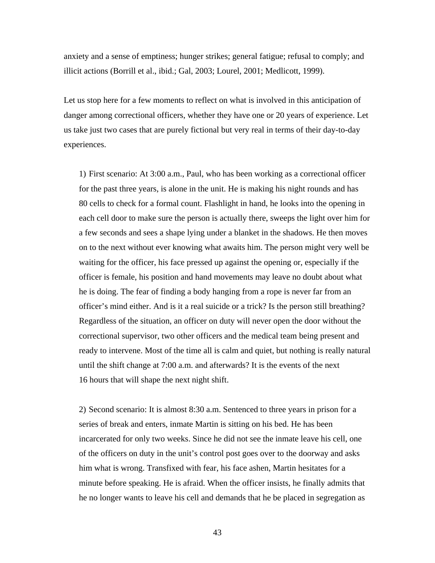anxiety and a sense of emptiness; hunger strikes; general fatigue; refusal to comply; and illicit actions (Borrill et al., ibid.; Gal, 2003; Lourel, 2001; Medlicott, 1999).

Let us stop here for a few moments to reflect on what is involved in this anticipation of danger among correctional officers, whether they have one or 20 years of experience. Let us take just two cases that are purely fictional but very real in terms of their day-to-day experiences.

1) First scenario: At 3:00 a.m., Paul, who has been working as a correctional officer for the past three years, is alone in the unit. He is making his night rounds and has 80 cells to check for a formal count. Flashlight in hand, he looks into the opening in each cell door to make sure the person is actually there, sweeps the light over him for a few seconds and sees a shape lying under a blanket in the shadows. He then moves on to the next without ever knowing what awaits him. The person might very well be waiting for the officer, his face pressed up against the opening or, especially if the officer is female, his position and hand movements may leave no doubt about what he is doing. The fear of finding a body hanging from a rope is never far from an officer's mind either. And is it a real suicide or a trick? Is the person still breathing? Regardless of the situation, an officer on duty will never open the door without the correctional supervisor, two other officers and the medical team being present and ready to intervene. Most of the time all is calm and quiet, but nothing is really natural until the shift change at 7:00 a.m. and afterwards? It is the events of the next 16 hours that will shape the next night shift.

2) Second scenario: It is almost 8:30 a.m. Sentenced to three years in prison for a series of break and enters, inmate Martin is sitting on his bed. He has been incarcerated for only two weeks. Since he did not see the inmate leave his cell, one of the officers on duty in the unit's control post goes over to the doorway and asks him what is wrong. Transfixed with fear, his face ashen, Martin hesitates for a minute before speaking. He is afraid. When the officer insists, he finally admits that he no longer wants to leave his cell and demands that he be placed in segregation as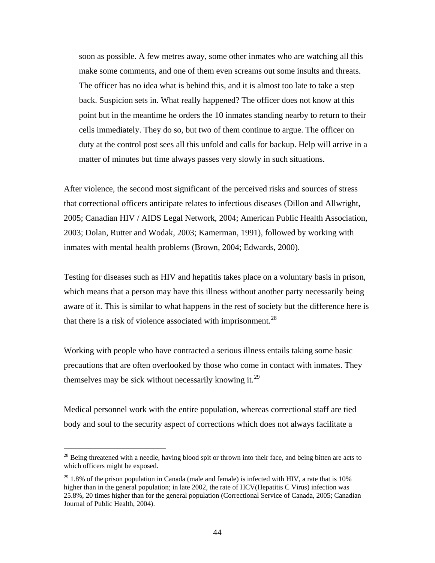<span id="page-57-0"></span>soon as possible. A few metres away, some other inmates who are watching all this make some comments, and one of them even screams out some insults and threats. The officer has no idea what is behind this, and it is almost too late to take a step back. Suspicion sets in. What really happened? The officer does not know at this point but in the meantime he orders the 10 inmates standing nearby to return to their cells immediately. They do so, but two of them continue to argue. The officer on duty at the control post sees all this unfold and calls for backup. Help will arrive in a matter of minutes but time always passes very slowly in such situations.

After violence, the second most significant of the perceived risks and sources of stress that correctional officers anticipate relates to infectious diseases (Dillon and Allwright, 2005; Canadian HIV / AIDS Legal Network, 2004; American Public Health Association, 2003; Dolan, Rutter and Wodak, 2003; Kamerman, 1991), followed by working with inmates with mental health problems (Brown, 2004; Edwards, 2000).

Testing for diseases such as HIV and hepatitis takes place on a voluntary basis in prison, which means that a person may have this illness without another party necessarily being aware of it. This is similar to what happens in the rest of society but the difference here is that there is a risk of violence associated with imprisonment.<sup>[28](#page-57-0)</sup>

Working with people who have contracted a serious illness entails taking some basic precautions that are often overlooked by those who come in contact with inmates. They themselves may be sick without necessarily knowing it.<sup>[29](#page-57-0)</sup>

Medical personnel work with the entire population, whereas correctional staff are tied body and soul to the security aspect of corrections which does not always facilitate a

<sup>&</sup>lt;sup>28</sup> Being threatened with a needle, having blood spit or thrown into their face, and being bitten are acts to which officers might be exposed.

<sup>&</sup>lt;sup>29</sup> 1.8% of the prison population in Canada (male and female) is infected with HIV, a rate that is 10% higher than in the general population; in late 2002, the rate of HCV(Hepatitis C Virus) infection was 25.8%, 20 times higher than for the general population (Correctional Service of Canada, 2005; Canadian Journal of Public Health, 2004).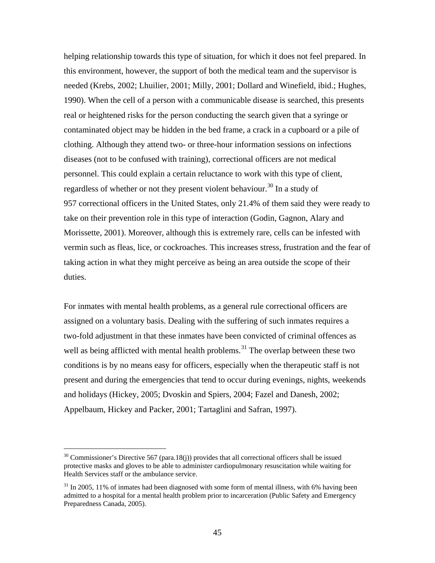<span id="page-58-0"></span>helping relationship towards this type of situation, for which it does not feel prepared. In this environment, however, the support of both the medical team and the supervisor is needed (Krebs, 2002; Lhuilier, 2001; Milly, 2001; Dollard and Winefield, ibid.; Hughes, 1990). When the cell of a person with a communicable disease is searched, this presents real or heightened risks for the person conducting the search given that a syringe or contaminated object may be hidden in the bed frame, a crack in a cupboard or a pile of clothing. Although they attend two- or three-hour information sessions on infections diseases (not to be confused with training), correctional officers are not medical personnel. This could explain a certain reluctance to work with this type of client, regardless of whether or not they present violent behaviour.<sup>[30](#page-58-0)</sup> In a study of 957 correctional officers in the United States, only 21.4% of them said they were ready to take on their prevention role in this type of interaction (Godin, Gagnon, Alary and Morissette, 2001). Moreover, although this is extremely rare, cells can be infested with vermin such as fleas, lice, or cockroaches. This increases stress, frustration and the fear of taking action in what they might perceive as being an area outside the scope of their duties.

For inmates with mental health problems, as a general rule correctional officers are assigned on a voluntary basis. Dealing with the suffering of such inmates requires a two-fold adjustment in that these inmates have been convicted of criminal offences as well as being afflicted with mental health problems.<sup>[31](#page-58-0)</sup> The overlap between these two conditions is by no means easy for officers, especially when the therapeutic staff is not present and during the emergencies that tend to occur during evenings, nights, weekends and holidays (Hickey, 2005; Dvoskin and Spiers, 2004; Fazel and Danesh, 2002; Appelbaum, Hickey and Packer, 2001; Tartaglini and Safran, 1997).

 $30$  Commissioner's Directive 567 (para.18(j)) provides that all correctional officers shall be issued protective masks and gloves to be able to administer cardiopulmonary resuscitation while waiting for Health Services staff or the ambulance service.

 $31$  In 2005, 11% of inmates had been diagnosed with some form of mental illness, with 6% having been admitted to a hospital for a mental health problem prior to incarceration (Public Safety and Emergency Preparedness Canada, 2005).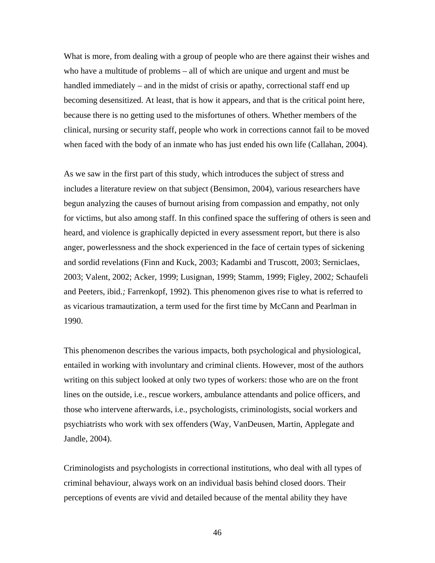What is more, from dealing with a group of people who are there against their wishes and who have a multitude of problems – all of which are unique and urgent and must be handled immediately – and in the midst of crisis or apathy, correctional staff end up becoming desensitized. At least, that is how it appears, and that is the critical point here, because there is no getting used to the misfortunes of others. Whether members of the clinical, nursing or security staff, people who work in corrections cannot fail to be moved when faced with the body of an inmate who has just ended his own life (Callahan, 2004).

As we saw in the first part of this study, which introduces the subject of stress and includes a literature review on that subject (Bensimon, 2004), various researchers have begun analyzing the causes of burnout arising from compassion and empathy, not only for victims, but also among staff. In this confined space the suffering of others is seen and heard, and violence is graphically depicted in every assessment report, but there is also anger, powerlessness and the shock experienced in the face of certain types of sickening and sordid revelations (Finn and Kuck, 2003; Kadambi and Truscott, 2003; Serniclaes, 2003; Valent, 2002; Acker, 1999; Lusignan, 1999; Stamm, 1999; Figley, 2002*;* Schaufeli and Peeters, ibid.*;* Farrenkopf, 1992). This phenomenon gives rise to what is referred to as vicarious tramautization, a term used for the first time by McCann and Pearlman in 1990.

This phenomenon describes the various impacts, both psychological and physiological, entailed in working with involuntary and criminal clients. However, most of the authors writing on this subject looked at only two types of workers: those who are on the front lines on the outside, i.e., rescue workers, ambulance attendants and police officers, and those who intervene afterwards, i.e., psychologists, criminologists, social workers and psychiatrists who work with sex offenders (Way, VanDeusen, Martin, Applegate and Jandle, 2004).

Criminologists and psychologists in correctional institutions, who deal with all types of criminal behaviour, always work on an individual basis behind closed doors. Their perceptions of events are vivid and detailed because of the mental ability they have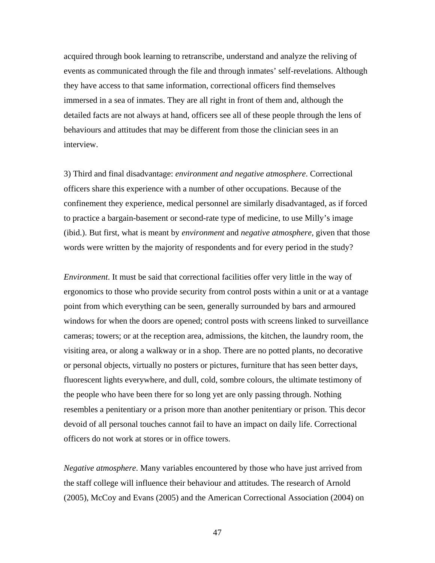acquired through book learning to retranscribe, understand and analyze the reliving of events as communicated through the file and through inmates' self-revelations. Although they have access to that same information, correctional officers find themselves immersed in a sea of inmates. They are all right in front of them and, although the detailed facts are not always at hand, officers see all of these people through the lens of behaviours and attitudes that may be different from those the clinician sees in an interview.

3) Third and final disadvantage: *environment and negative atmosphere*. Correctional officers share this experience with a number of other occupations. Because of the confinement they experience, medical personnel are similarly disadvantaged, as if forced to practice a bargain-basement or second-rate type of medicine, to use Milly's image (ibid.). But first, what is meant by *environment* and *negative atmosphere,* given that those words were written by the majority of respondents and for every period in the study?

*Environment*. It must be said that correctional facilities offer very little in the way of ergonomics to those who provide security from control posts within a unit or at a vantage point from which everything can be seen, generally surrounded by bars and armoured windows for when the doors are opened; control posts with screens linked to surveillance cameras; towers; or at the reception area, admissions, the kitchen, the laundry room, the visiting area, or along a walkway or in a shop. There are no potted plants, no decorative or personal objects, virtually no posters or pictures, furniture that has seen better days, fluorescent lights everywhere, and dull, cold, sombre colours, the ultimate testimony of the people who have been there for so long yet are only passing through. Nothing resembles a penitentiary or a prison more than another penitentiary or prison. This decor devoid of all personal touches cannot fail to have an impact on daily life. Correctional officers do not work at stores or in office towers.

*Negative atmosphere*. Many variables encountered by those who have just arrived from the staff college will influence their behaviour and attitudes. The research of Arnold (2005), McCoy and Evans (2005) and the American Correctional Association (2004) on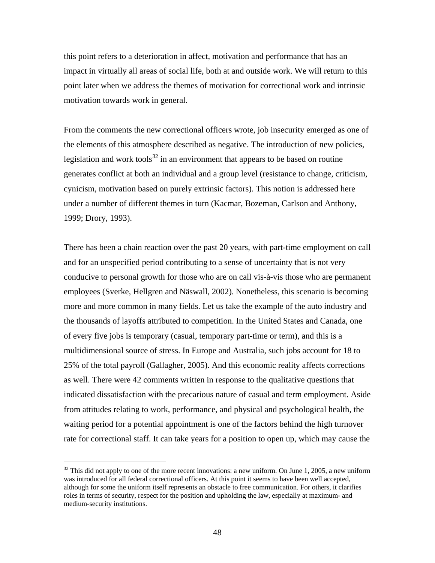<span id="page-61-0"></span>this point refers to a deterioration in affect, motivation and performance that has an impact in virtually all areas of social life, both at and outside work. We will return to this point later when we address the themes of motivation for correctional work and intrinsic motivation towards work in general.

From the comments the new correctional officers wrote, job insecurity emerged as one of the elements of this atmosphere described as negative. The introduction of new policies, legislation and work tools<sup>[32](#page-61-0)</sup> in an environment that appears to be based on routine generates conflict at both an individual and a group level (resistance to change, criticism, cynicism, motivation based on purely extrinsic factors). This notion is addressed here under a number of different themes in turn (Kacmar, Bozeman, Carlson and Anthony, 1999; Drory, 1993).

There has been a chain reaction over the past 20 years, with part-time employment on call and for an unspecified period contributing to a sense of uncertainty that is not very conducive to personal growth for those who are on call vis-à-vis those who are permanent employees (Sverke, Hellgren and Näswall, 2002). Nonetheless, this scenario is becoming more and more common in many fields. Let us take the example of the auto industry and the thousands of layoffs attributed to competition. In the United States and Canada, one of every five jobs is temporary (casual, temporary part-time or term), and this is a multidimensional source of stress. In Europe and Australia, such jobs account for 18 to 25% of the total payroll (Gallagher, 2005). And this economic reality affects corrections as well. There were 42 comments written in response to the qualitative questions that indicated dissatisfaction with the precarious nature of casual and term employment. Aside from attitudes relating to work, performance, and physical and psychological health, the waiting period for a potential appointment is one of the factors behind the high turnover rate for correctional staff. It can take years for a position to open up, which may cause the

 $32$  This did not apply to one of the more recent innovations: a new uniform. On June 1, 2005, a new uniform was introduced for all federal correctional officers. At this point it seems to have been well accepted, although for some the uniform itself represents an obstacle to free communication. For others, it clarifies roles in terms of security, respect for the position and upholding the law, especially at maximum- and medium-security institutions.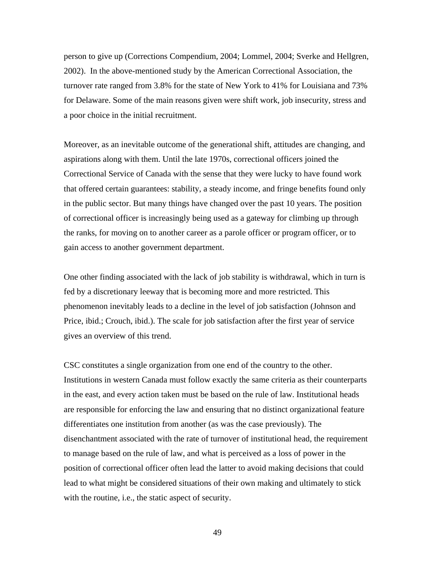person to give up (Corrections Compendium, 2004; Lommel, 2004; Sverke and Hellgren, 2002). In the above-mentioned study by the American Correctional Association, the turnover rate ranged from 3.8% for the state of New York to 41% for Louisiana and 73% for Delaware. Some of the main reasons given were shift work, job insecurity, stress and a poor choice in the initial recruitment.

Moreover, as an inevitable outcome of the generational shift, attitudes are changing, and aspirations along with them. Until the late 1970s, correctional officers joined the Correctional Service of Canada with the sense that they were lucky to have found work that offered certain guarantees: stability, a steady income, and fringe benefits found only in the public sector. But many things have changed over the past 10 years. The position of correctional officer is increasingly being used as a gateway for climbing up through the ranks, for moving on to another career as a parole officer or program officer, or to gain access to another government department.

One other finding associated with the lack of job stability is withdrawal, which in turn is fed by a discretionary leeway that is becoming more and more restricted. This phenomenon inevitably leads to a decline in the level of job satisfaction (Johnson and Price, ibid.; Crouch, ibid.). The scale for job satisfaction after the first year of service gives an overview of this trend.

CSC constitutes a single organization from one end of the country to the other. Institutions in western Canada must follow exactly the same criteria as their counterparts in the east, and every action taken must be based on the rule of law. Institutional heads are responsible for enforcing the law and ensuring that no distinct organizational feature differentiates one institution from another (as was the case previously). The disenchantment associated with the rate of turnover of institutional head, the requirement to manage based on the rule of law, and what is perceived as a loss of power in the position of correctional officer often lead the latter to avoid making decisions that could lead to what might be considered situations of their own making and ultimately to stick with the routine, i.e., the static aspect of security.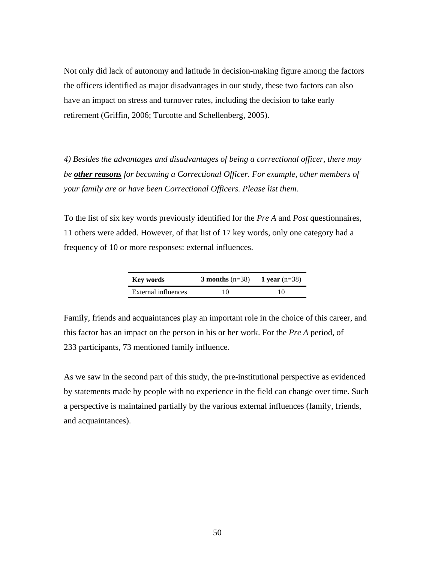Not only did lack of autonomy and latitude in decision-making figure among the factors the officers identified as major disadvantages in our study, these two factors can also have an impact on stress and turnover rates, including the decision to take early retirement (Griffin, 2006; Turcotte and Schellenberg, 2005).

*4) Besides the advantages and disadvantages of being a correctional officer, there may be other reasons for becoming a Correctional Officer. For example, other members of your family are or have been Correctional Officers. Please list them.* 

To the list of six key words previously identified for the *Pre A* and *Post* questionnaires, 11 others were added. However, of that list of 17 key words, only one category had a frequency of 10 or more responses: external influences.

| Key words           | 3 months $(n=38)$ | 1 year $(n=38)$ |
|---------------------|-------------------|-----------------|
| External influences | 10                | 10              |

Family, friends and acquaintances play an important role in the choice of this career, and this factor has an impact on the person in his or her work. For the *Pre A* period, of 233 participants, 73 mentioned family influence.

As we saw in the second part of this study, the pre-institutional perspective as evidenced by statements made by people with no experience in the field can change over time. Such a perspective is maintained partially by the various external influences (family, friends, and acquaintances).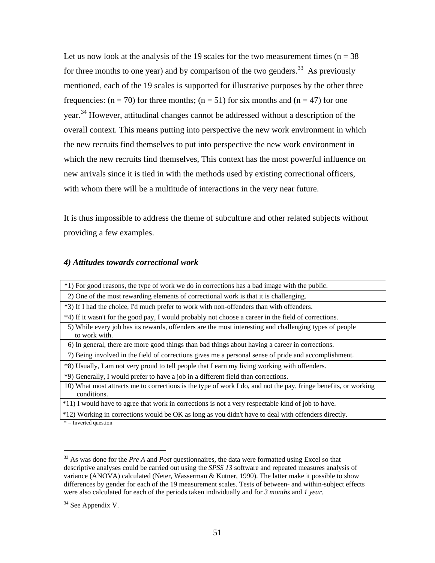<span id="page-64-0"></span>Let us now look at the analysis of the 19 scales for the two measurement times ( $n = 38$ ) for three months to one year) and by comparison of the two genders.<sup>[3](#page-64-0)3</sup> As previously mentioned, each of the 19 scales is supported for illustrative purposes by the other three frequencies:  $(n = 70)$  for three months;  $(n = 51)$  for six months and  $(n = 47)$  for one year.<sup>[3](#page-64-0)4</sup> However, attitudinal changes cannot be addressed without a description of the overall context. This means putting into perspective the new work environment in which the new recruits find themselves to put into perspective the new work environment in which the new recruits find themselves, This context has the most powerful influence on new arrivals since it is tied in with the methods used by existing correctional officers, with whom there will be a multitude of interactions in the very near future.

It is thus impossible to address the theme of subculture and other related subjects without providing a few examples.

## *4) Attitudes towards correctional work*

| *1) For good reasons, the type of work we do in corrections has a bad image with the public.                                   |
|--------------------------------------------------------------------------------------------------------------------------------|
| 2) One of the most rewarding elements of correctional work is that it is challenging.                                          |
| *3) If I had the choice, I'd much prefer to work with non-offenders than with offenders.                                       |
| *4) If it wasn't for the good pay, I would probably not choose a career in the field of corrections.                           |
| 5) While every job has its rewards, offenders are the most interesting and challenging types of people<br>to work with.        |
| 6) In general, there are more good things than bad things about having a career in corrections.                                |
| 7) Being involved in the field of corrections gives me a personal sense of pride and accomplishment.                           |
| *8) Usually, I am not very proud to tell people that I earn my living working with offenders.                                  |
| *9) Generally, I would prefer to have a job in a different field than corrections.                                             |
| 10) What most attracts me to corrections is the type of work I do, and not the pay, fringe benefits, or working<br>conditions. |
| *11) I would have to agree that work in corrections is not a very respectable kind of job to have.                             |
| *12) Working in corrections would be OK as long as you didn't have to deal with offenders directly.                            |

 $* = Inverted question$ 

<sup>&</sup>lt;sup>33</sup> As was done for the *Pre A* and *Post* questionnaires, the data were formatted using Excel so that descriptive analyses could be carried out using the *SPSS 13* software and repeated measures analysis of variance (ANOVA) calculated (Neter, Wasserman & Kutner, 1990). The latter make it possible to show differences by gender for each of the 19 measurement scales. Tests of between- and within-subject effects were also calculated for each of the periods taken individually and for *3 months* and *1 year*.

 $34$  See Appendix V.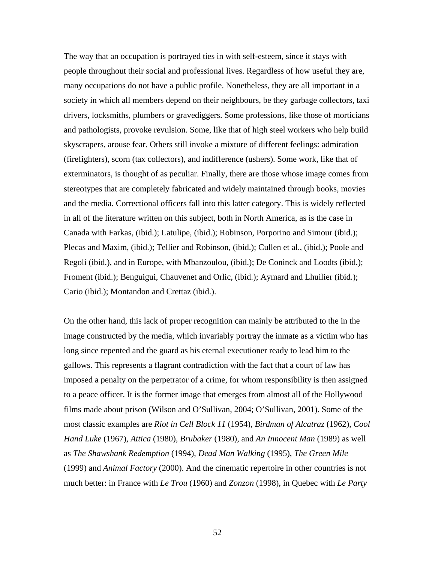The way that an occupation is portrayed ties in with self-esteem, since it stays with people throughout their social and professional lives. Regardless of how useful they are, many occupations do not have a public profile. Nonetheless, they are all important in a society in which all members depend on their neighbours, be they garbage collectors, taxi drivers, locksmiths, plumbers or gravediggers. Some professions, like those of morticians and pathologists, provoke revulsion. Some, like that of high steel workers who help build skyscrapers, arouse fear. Others still invoke a mixture of different feelings: admiration (firefighters), scorn (tax collectors), and indifference (ushers). Some work, like that of exterminators, is thought of as peculiar. Finally, there are those whose image comes from stereotypes that are completely fabricated and widely maintained through books, movies and the media. Correctional officers fall into this latter category. This is widely reflected in all of the literature written on this subject, both in North America, as is the case in Canada with Farkas, (ibid.); Latulipe, (ibid.); Robinson, Porporino and Simour (ibid.); Plecas and Maxim, (ibid.); Tellier and Robinson, (ibid.); Cullen et al., (ibid.); Poole and Regoli (ibid.), and in Europe, with Mbanzoulou, (ibid.); De Coninck and Loodts (ibid.); Froment (ibid.); Benguigui, Chauvenet and Orlic, (ibid.); Aymard and Lhuilier (ibid.); Cario (ibid.); Montandon and Crettaz (ibid.).

On the other hand, this lack of proper recognition can mainly be attributed to the in the image constructed by the media, which invariably portray the inmate as a victim who has long since repented and the guard as his eternal executioner ready to lead him to the gallows. This represents a flagrant contradiction with the fact that a court of law has imposed a penalty on the perpetrator of a crime, for whom responsibility is then assigned to a peace officer. It is the former image that emerges from almost all of the Hollywood films made about prison (Wilson and O'Sullivan, 2004; O'Sullivan, 2001). Some of the most classic examples are *Riot in Cell Block 11* (1954), *Birdman of Alcatraz* (1962), *Cool Hand Luke* (1967), *Attica* (1980), *Brubaker* (1980), and *An Innocent Man* (1989) as well as *The Shawshank Redemption* (1994), *Dead Man Walking* (1995), *The Green Mile* (1999) and *Animal Factory* (2000). And the cinematic repertoire in other countries is not much better: in France with *Le Trou* (1960) and *Zonzon* (1998), in Quebec with *Le Party*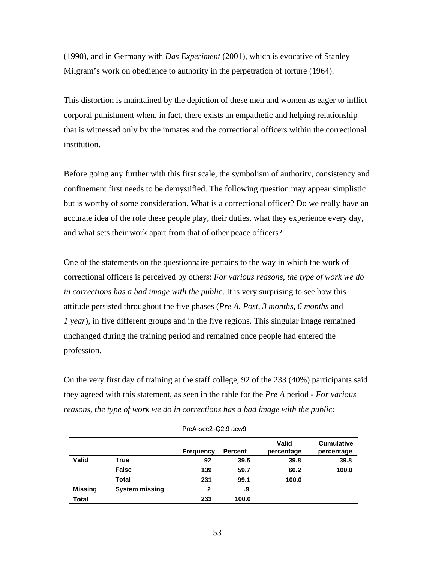(1990), and in Germany with *Das Experiment* (2001), which is evocative of Stanley Milgram's work on obedience to authority in the perpetration of torture (1964).

This distortion is maintained by the depiction of these men and women as eager to inflict corporal punishment when, in fact, there exists an empathetic and helping relationship that is witnessed only by the inmates and the correctional officers within the correctional institution.

Before going any further with this first scale, the symbolism of authority, consistency and confinement first needs to be demystified. The following question may appear simplistic but is worthy of some consideration. What is a correctional officer? Do we really have an accurate idea of the role these people play, their duties, what they experience every day, and what sets their work apart from that of other peace officers?

One of the statements on the questionnaire pertains to the way in which the work of correctional officers is perceived by others: *For various reasons, the type of work we do in corrections has a bad image with the public*. It is very surprising to see how this attitude persisted throughout the five phases (*Pre A*, *Post*, *3 months*, *6 months* and *1 year*), in five different groups and in the five regions. This singular image remained unchanged during the training period and remained once people had entered the profession.

On the very first day of training at the staff college, 92 of the 233 (40%) participants said they agreed with this statement, as seen in the table for the *Pre A* period - *For various reasons, the type of work we do in corrections has a bad image with the public:*

|                |                       | <b>Frequency</b> | <b>Percent</b> | <b>Valid</b><br>percentage | <b>Cumulative</b><br>percentage |
|----------------|-----------------------|------------------|----------------|----------------------------|---------------------------------|
| <b>Valid</b>   | True                  | 92               | 39.5           | 39.8                       | 39.8                            |
|                | <b>False</b>          | 139              | 59.7           | 60.2                       | 100.0                           |
|                | <b>Total</b>          | 231              | 99.1           | 100.0                      |                                 |
| <b>Missing</b> | <b>System missing</b> | 2                | .9             |                            |                                 |
| <b>Total</b>   |                       | 233              | 100.0          |                            |                                 |

PreA-sec2-Q2.9 acw9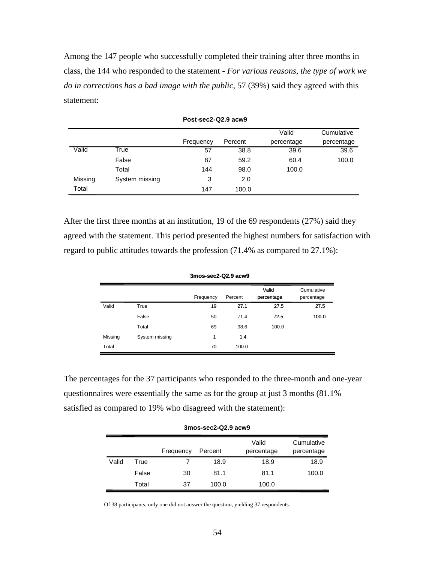Among the 147 people who successfully completed their training after three months in class, the 144 who responded to the statement - *For various reasons, the type of work we do in corrections has a bad image with the public*, 57 (39%) said they agreed with this statement:

|         |                |           |         | Valid      | Cumulative |
|---------|----------------|-----------|---------|------------|------------|
|         |                | Frequency | Percent | percentage | percentage |
| Valid   | ⊺rue           | 57        | 38.8    | 39.6       | 39.6       |
|         | False          | 87        | 59.2    | 60.4       | 100.0      |
|         | Total          | 144       | 98.0    | 100.0      |            |
| Missing | System missing | 3         | 2.0     |            |            |
| Total   |                | 147       | 100.0   |            |            |

| Post-sec2-Q2.9 acw9 |  |
|---------------------|--|
|---------------------|--|

After the first three months at an institution, 19 of the 69 respondents (27%) said they agreed with the statement. This period presented the highest numbers for satisfaction with regard to public attitudes towards the profession (71.4% as compared to 27.1%):

| 3mos-sec2-Q2.9 acw9 |                |           |         |                     |                          |
|---------------------|----------------|-----------|---------|---------------------|--------------------------|
|                     |                | Frequency | Percent | Valid<br>percentage | Cumulative<br>percentage |
| Valid               | True           | 19        | 27.1    | 27.5                | 27.5                     |
|                     | False          | 50        | 71.4    | 72.5                | 100.0                    |
|                     | Total          | 69        | 98.6    | 100.0               |                          |
| Missing             | System missing | 1         | 1.4     |                     |                          |
| Total               |                | 70        | 100.0   |                     |                          |

The percentages for the 37 participants who responded to the three-month and one-year questionnaires were essentially the same as for the group at just 3 months (81.1% satisfied as compared to 19% who disagreed with the statement):

|       | 3mos-sec2-Q2.9 acw9 |           |         |                     |                          |  |  |
|-------|---------------------|-----------|---------|---------------------|--------------------------|--|--|
|       |                     | Frequency | Percent | Valid<br>percentage | Cumulative<br>percentage |  |  |
| Valid | True                |           | 18.9    | 18.9                | 18.9                     |  |  |
|       | False               | 30        | 81.1    | 81.1                | 100.0                    |  |  |
|       | Total               | 37        | 100.0   | 100.0               |                          |  |  |

Of 38 participants, only one did not answer the question, yielding 37 respondents.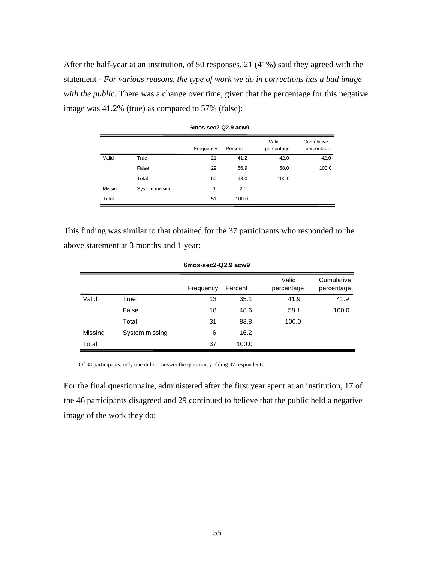After the half-year at an institution, of 50 responses, 21 (41%) said they agreed with the statement - *For various reasons, the type of work we do in corrections has a bad image with the public.* There was a change over time, given that the percentage for this negative image was 41.2% (true) as compared to 57% (false):

|         |                | Frequency | Percent | Valid<br>percentage | Cumulative<br>percentage |
|---------|----------------|-----------|---------|---------------------|--------------------------|
| Valid   | True           | 21        | 41.2    | 42.0                | 42.0                     |
|         | False          | 29        | 56.9    | 58.0                | 100.0                    |
|         | Total          | 50        | 98.0    | 100.0               |                          |
| Missing | System missing | 1         | 2.0     |                     |                          |
| Total   |                | 51        | 100.0   |                     |                          |

| 6mos-sec2-Q2.9 acw9 |  |
|---------------------|--|
|---------------------|--|

This finding was similar to that obtained for the 37 participants who responded to the above statement at 3 months and 1 year:

|         |                | Frequency | Percent | Valid<br>percentage | Cumulative<br>percentage |
|---------|----------------|-----------|---------|---------------------|--------------------------|
| Valid   | True           | 13        | 35.1    | 41.9                | 41.9                     |
|         | False          | 18        | 48.6    | 58.1                | 100.0                    |
|         | Total          | 31        | 83.8    | 100.0               |                          |
| Missing | System missing | 6         | 16.2    |                     |                          |
| Total   |                | 37        | 100.0   |                     |                          |

#### **6mos-sec2-Q2.9 acw9**

Of 38 participants, only one did not answer the question, yielding 37 respondents.

For the final questionnaire, administered after the first year spent at an institution, 17 of the 46 participants disagreed and 29 continued to believe that the public held a negative image of the work they do: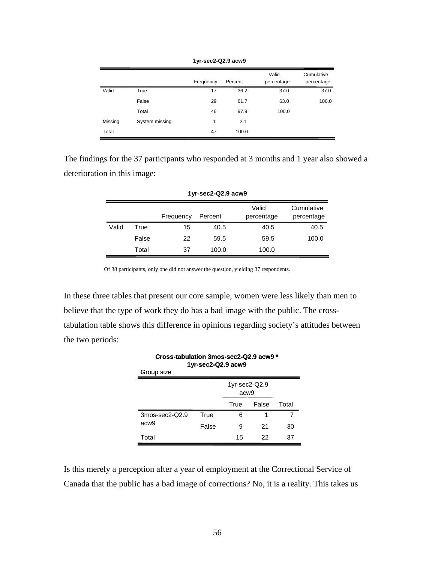|         |                | Frequency | Percent | Valid<br>percentage | Cumulative<br>percentage |
|---------|----------------|-----------|---------|---------------------|--------------------------|
| Valid   | True           | 17        | 36.2    | 37.0                | 37.0                     |
|         | False          | 29        | 61.7    | 63.0                | 100.0                    |
|         | Total          | 46        | 97.9    | 100.0               |                          |
| Missing | System missing | 1         | 2.1     |                     |                          |
| Total   |                | 47        | 100.0   |                     |                          |

**1yr-sec2-Q2.9 acw9**

The findings for the 37 participants who responded at 3 months and 1 year also showed a deterioration in this image:

|       |       | Frequency | Percent | Valid<br>percentage | Cumulative<br>percentage |  |  |
|-------|-------|-----------|---------|---------------------|--------------------------|--|--|
| Valid | True  | 15        | 40.5    | 40.5                | 40.5                     |  |  |
|       | False | 22        | 59.5    | 59.5                | 100.0                    |  |  |
|       | Total | 37        | 100.0   | 100.0               |                          |  |  |

| 1yr-sec2-Q2.9 acw9 |  |  |  |  |  |
|--------------------|--|--|--|--|--|
|--------------------|--|--|--|--|--|

Of 38 participants, only one did not answer the question, yielding 37 respondents.

In these three tables that present our core sample, women were less likely than men to believe that the type of work they do has a bad image with the public. The crosstabulation table shows this difference in opinions regarding society's attitudes between the two periods:

| Cross-tabulation 3mos-sec2-Q2.9 acw9 *<br>1yr-sec2-Q2.9 acw9<br>Group size |       |      |       |       |  |  |  |
|----------------------------------------------------------------------------|-------|------|-------|-------|--|--|--|
| $1$ yr-sec $2$ -Q $2.9$<br>acw <sub>9</sub>                                |       |      |       |       |  |  |  |
|                                                                            |       | True | False | Total |  |  |  |
| 3mos-sec2-Q2.9                                                             | True  | ิธ   |       |       |  |  |  |
| acw <sub>9</sub>                                                           | False | 9    | 21    | 30    |  |  |  |
| Total                                                                      |       | 15   | 22    | 37    |  |  |  |

Is this merely a perception after a year of employment at the Correctional Service of Canada that the public has a bad image of corrections? No, it is a reality. This takes us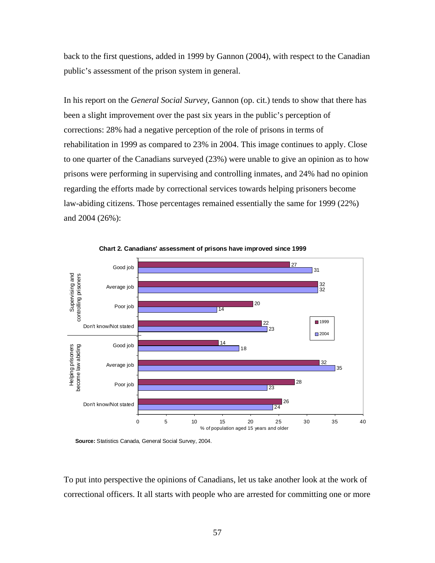back to the first questions, added in 1999 by Gannon (2004), with respect to the Canadian public's assessment of the prison system in general.

In his report on the *General Social Survey*, Gannon (op. cit.) tends to show that there has been a slight improvement over the past six years in the public's perception of corrections: 28% had a negative perception of the role of prisons in terms of rehabilitation in 1999 as compared to 23% in 2004. This image continues to apply. Close to one quarter of the Canadians surveyed (23%) were unable to give an opinion as to how prisons were performing in supervising and controlling inmates, and 24% had no opinion regarding the efforts made by correctional services towards helping prisoners become law-abiding citizens. Those percentages remained essentially the same for 1999 (22%) and 2004 (26%):



**Chart 2. Canadians' assessment of prisons have improved since 1999**

To put into perspective the opinions of Canadians, let us take another look at the work of correctional officers. It all starts with people who are arrested for committing one or more

**Source:** Statistics Canada, General Social Survey, 2004.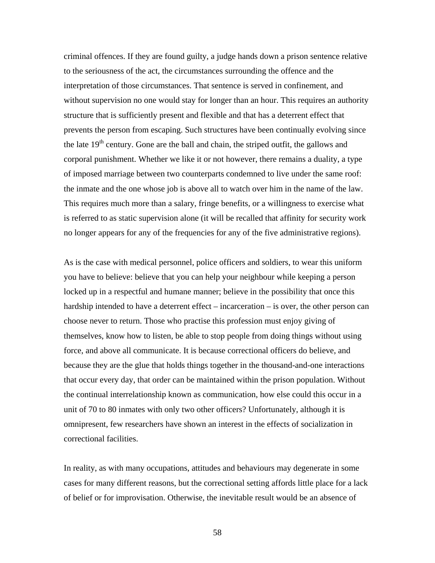criminal offences. If they are found guilty, a judge hands down a prison sentence relative to the seriousness of the act, the circumstances surrounding the offence and the interpretation of those circumstances. That sentence is served in confinement, and without supervision no one would stay for longer than an hour. This requires an authority structure that is sufficiently present and flexible and that has a deterrent effect that prevents the person from escaping. Such structures have been continually evolving since the late  $19<sup>th</sup>$  century. Gone are the ball and chain, the striped outfit, the gallows and corporal punishment. Whether we like it or not however, there remains a duality, a type of imposed marriage between two counterparts condemned to live under the same roof: the inmate and the one whose job is above all to watch over him in the name of the law. This requires much more than a salary, fringe benefits, or a willingness to exercise what is referred to as static supervision alone (it will be recalled that affinity for security work no longer appears for any of the frequencies for any of the five administrative regions).

As is the case with medical personnel, police officers and soldiers, to wear this uniform you have to believe: believe that you can help your neighbour while keeping a person locked up in a respectful and humane manner; believe in the possibility that once this hardship intended to have a deterrent effect – incarceration – is over, the other person can choose never to return. Those who practise this profession must enjoy giving of themselves, know how to listen, be able to stop people from doing things without using force, and above all communicate. It is because correctional officers do believe, and because they are the glue that holds things together in the thousand-and-one interactions that occur every day, that order can be maintained within the prison population. Without the continual interrelationship known as communication, how else could this occur in a unit of 70 to 80 inmates with only two other officers? Unfortunately, although it is omnipresent, few researchers have shown an interest in the effects of socialization in correctional facilities.

In reality, as with many occupations, attitudes and behaviours may degenerate in some cases for many different reasons, but the correctional setting affords little place for a lack of belief or for improvisation. Otherwise, the inevitable result would be an absence of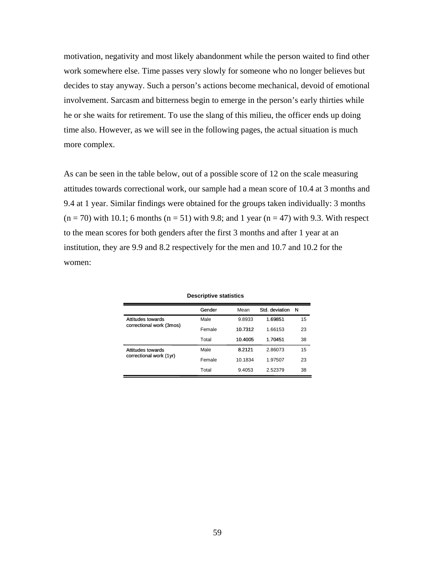motivation, negativity and most likely abandonment while the person waited to find other work somewhere else. Time passes very slowly for someone who no longer believes but decides to stay anyway. Such a person's actions become mechanical, devoid of emotional involvement. Sarcasm and bitterness begin to emerge in the person's early thirties while he or she waits for retirement. To use the slang of this milieu, the officer ends up doing time also. However, as we will see in the following pages, the actual situation is much more complex.

As can be seen in the table below, out of a possible score of 12 on the scale measuring attitudes towards correctional work, our sample had a mean score of 10.4 at 3 months and 9.4 at 1 year. Similar findings were obtained for the groups taken individually: 3 months  $(n = 70)$  with 10.1; 6 months  $(n = 51)$  with 9.8; and 1 year  $(n = 47)$  with 9.3. With respect to the mean scores for both genders after the first 3 months and after 1 year at an institution, they are 9.9 and 8.2 respectively for the men and 10.7 and 10.2 for the women:

|                          | Gender | Mean    | Std. deviation | N  |
|--------------------------|--------|---------|----------------|----|
| Attitudes towards        | Male   | 9.8933  | 1.69851        | 15 |
| correctional work (3mos) | Female | 10.7312 | 1.66153        | 23 |
|                          | Total  | 10.4005 | 1.70451        | 38 |
| Attitudes towards        | Male   | 8.2121  | 2.86073        | 15 |
| correctional work (1yr)  | Female | 10.1834 | 1.97507        | 23 |
|                          | Total  | 9.4053  | 2.52379        | 38 |

**Descriptive statistics**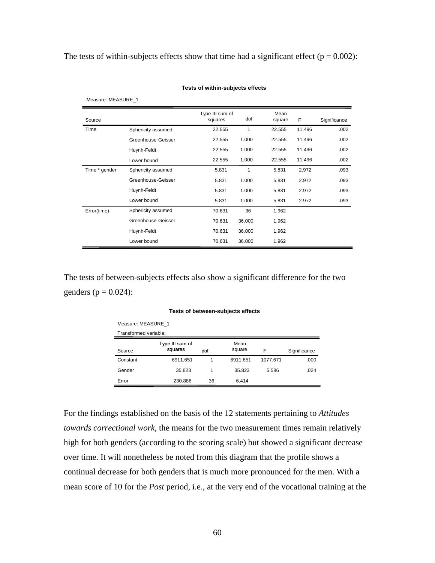The tests of within-subjects effects show that time had a significant effect ( $p = 0.002$ ):

Measure: MEASURE\_1

| Source        |                    | Type III sum of<br>squares | dof    | Mean<br>square | F      | Significance |
|---------------|--------------------|----------------------------|--------|----------------|--------|--------------|
| Time          | Sphericity assumed | 22.555                     | 1      | 22.555         | 11.496 | .002         |
|               | Greenhouse-Geisser | 22.555                     | 1.000  | 22.555         | 11.496 | .002         |
|               | Huynh-Feldt        | 22.555                     | 1.000  | 22.555         | 11.496 | .002         |
|               | Lower bound        | 22.555                     | 1.000  | 22.555         | 11.496 | .002         |
| Time * gender | Sphericity assumed | 5.831                      | 1      | 5.831          | 2.972  | .093         |
|               | Greenhouse-Geisser | 5.831                      | 1.000  | 5.831          | 2.972  | .093         |
|               | Huynh-Feldt        | 5.831                      | 1.000  | 5.831          | 2.972  | .093         |
|               | Lower bound        | 5.831                      | 1.000  | 5.831          | 2.972  | .093         |
| Error(time)   | Sphericity assumed | 70.631                     | 36     | 1.962          |        |              |
|               | Greenhouse-Geisser | 70.631                     | 36.000 | 1.962          |        |              |
|               | Huynh-Feldt        | 70.631                     | 36.000 | 1.962          |        |              |
|               | Lower bound        | 70.631                     | 36.000 | 1.962          |        |              |

#### **Tests of within-subjects effects**

The tests of between-subjects effects also show a significant difference for the two genders ( $p = 0.024$ ):

#### **Tests of between-subjects effects**

| Measure: MEASURE 1    |                            |     |                |          |              |  |  |
|-----------------------|----------------------------|-----|----------------|----------|--------------|--|--|
| Transformed variable: |                            |     |                |          |              |  |  |
| Source                | Type III sum of<br>squares | dof | Mean<br>square | F        | Significance |  |  |
| Constant              | 6911.651                   |     | 6911.651       | 1077.671 | .000         |  |  |
| Gender                | 35.823                     | 1   | 35.823         | 5.586    | .024         |  |  |
| Error                 | 230.886                    | 36  | 6.414          |          |              |  |  |

For the findings established on the basis of the 12 statements pertaining to *Attitudes towards correctional work*, the means for the two measurement times remain relatively high for both genders (according to the scoring scale) but showed a significant decrease over time. It will nonetheless be noted from this diagram that the profile shows a continual decrease for both genders that is much more pronounced for the men. With a mean score of 10 for the *Post* period, i.e., at the very end of the vocational training at the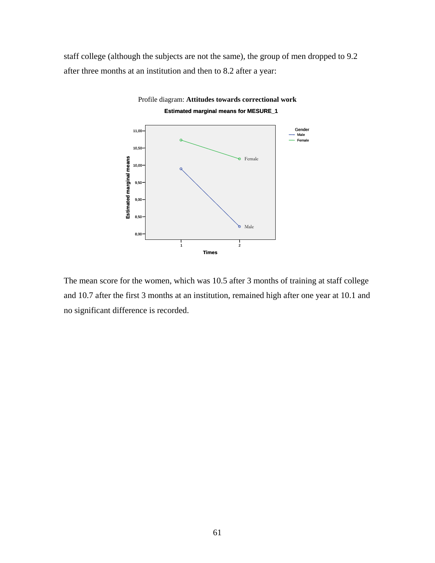staff college (although the subjects are not the same), the group of men dropped to 9.2 after three months at an institution and then to 8.2 after a year:

Profile diagram: **Attitudes towards correctional work** 



The mean score for the women, which was 10.5 after 3 months of training at staff college and 10.7 after the first 3 months at an institution, remained high after one year at 10.1 and no significant difference is recorded.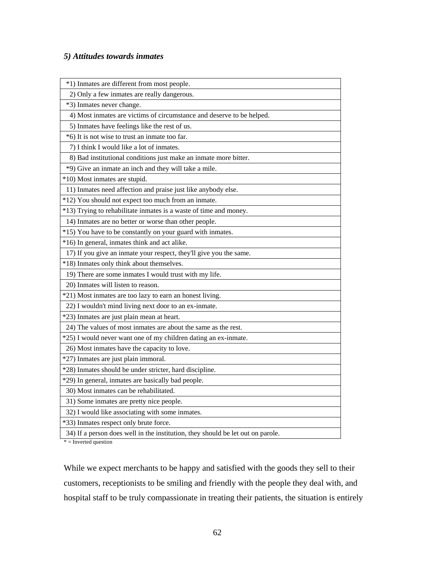# *5) Attitudes towards inmates*

| *1) Inmates are different from most people.                                     |
|---------------------------------------------------------------------------------|
| 2) Only a few inmates are really dangerous.                                     |
| *3) Inmates never change.                                                       |
| 4) Most inmates are victims of circumstance and deserve to be helped.           |
| 5) Inmates have feelings like the rest of us.                                   |
| *6) It is not wise to trust an inmate too far.                                  |
| 7) I think I would like a lot of inmates.                                       |
| 8) Bad institutional conditions just make an inmate more bitter.                |
| *9) Give an inmate an inch and they will take a mile.                           |
| *10) Most inmates are stupid.                                                   |
| 11) Inmates need affection and praise just like anybody else.                   |
| *12) You should not expect too much from an inmate.                             |
| *13) Trying to rehabilitate inmates is a waste of time and money.               |
| 14) Inmates are no better or worse than other people.                           |
| *15) You have to be constantly on your guard with inmates.                      |
| *16) In general, inmates think and act alike.                                   |
| 17) If you give an inmate your respect, they'll give you the same.              |
| *18) Inmates only think about themselves.                                       |
| 19) There are some inmates I would trust with my life.                          |
| 20) Inmates will listen to reason.                                              |
| *21) Most inmates are too lazy to earn an honest living.                        |
| 22) I wouldn't mind living next door to an ex-inmate.                           |
| *23) Inmates are just plain mean at heart.                                      |
| 24) The values of most inmates are about the same as the rest.                  |
| *25) I would never want one of my children dating an ex-inmate.                 |
| 26) Most inmates have the capacity to love.                                     |
| *27) Inmates are just plain immoral.                                            |
| *28) Inmates should be under stricter, hard discipline.                         |
| *29) In general, inmates are basically bad people.                              |
| 30) Most inmates can be rehabilitated.                                          |
| 31) Some inmates are pretty nice people.                                        |
| 32) I would like associating with some inmates.                                 |
| *33) Inmates respect only brute force.                                          |
| 34) If a person does well in the institution, they should be let out on parole. |

\* = Inverted question

While we expect merchants to be happy and satisfied with the goods they sell to their customers, receptionists to be smiling and friendly with the people they deal with, and hospital staff to be truly compassionate in treating their patients, the situation is entirely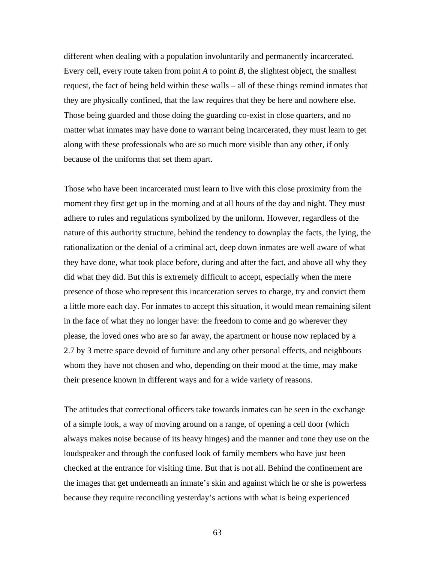different when dealing with a population involuntarily and permanently incarcerated. Every cell, every route taken from point *A* to point *B*, the slightest object, the smallest request, the fact of being held within these walls – all of these things remind inmates that they are physically confined, that the law requires that they be here and nowhere else. Those being guarded and those doing the guarding co-exist in close quarters, and no matter what inmates may have done to warrant being incarcerated, they must learn to get along with these professionals who are so much more visible than any other, if only because of the uniforms that set them apart.

Those who have been incarcerated must learn to live with this close proximity from the moment they first get up in the morning and at all hours of the day and night. They must adhere to rules and regulations symbolized by the uniform. However, regardless of the nature of this authority structure, behind the tendency to downplay the facts, the lying, the rationalization or the denial of a criminal act, deep down inmates are well aware of what they have done, what took place before, during and after the fact, and above all why they did what they did. But this is extremely difficult to accept, especially when the mere presence of those who represent this incarceration serves to charge, try and convict them a little more each day. For inmates to accept this situation, it would mean remaining silent in the face of what they no longer have: the freedom to come and go wherever they please, the loved ones who are so far away, the apartment or house now replaced by a 2.7 by 3 metre space devoid of furniture and any other personal effects, and neighbours whom they have not chosen and who, depending on their mood at the time, may make their presence known in different ways and for a wide variety of reasons.

The attitudes that correctional officers take towards inmates can be seen in the exchange of a simple look, a way of moving around on a range, of opening a cell door (which always makes noise because of its heavy hinges) and the manner and tone they use on the loudspeaker and through the confused look of family members who have just been checked at the entrance for visiting time. But that is not all. Behind the confinement are the images that get underneath an inmate's skin and against which he or she is powerless because they require reconciling yesterday's actions with what is being experienced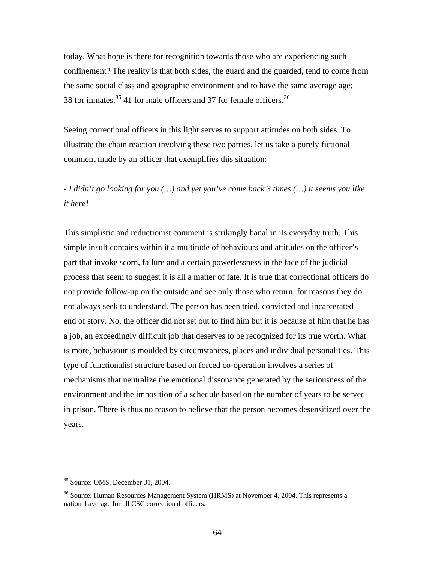<span id="page-77-0"></span>today. What hope is there for recognition towards those who are experiencing such confinement? The reality is that both sides, the guard and the guarded, tend to come from the same social class and geographic environment and to have the same average age: 38 for inmates,  $35$  41 for male officers and 37 for female officers.  $36$ 

Seeing correctional officers in this light serves to support attitudes on both sides. To illustrate the chain reaction involving these two parties, let us take a purely fictional comment made by an officer that exemplifies this situation:

- *I didn't go looking for you (…) and yet you've come back 3 times (…) it seems you like it here!*

This simplistic and reductionist comment is strikingly banal in its everyday truth. This simple insult contains within it a multitude of behaviours and attitudes on the officer's part that invoke scorn, failure and a certain powerlessness in the face of the judicial process that seem to suggest it is all a matter of fate. It is true that correctional officers do not provide follow-up on the outside and see only those who return, for reasons they do not always seek to understand. The person has been tried, convicted and incarcerated – end of story. No, the officer did not set out to find him but it is because of him that he has a job, an exceedingly difficult job that deserves to be recognized for its true worth. What is more, behaviour is moulded by circumstances, places and individual personalities. This type of functionalist structure based on forced co-operation involves a series of mechanisms that neutralize the emotional dissonance generated by the seriousness of the environment and the imposition of a schedule based on the number of years to be served in prison. There is thus no reason to believe that the person becomes desensitized over the years.

<sup>&</sup>lt;sup>35</sup> Source: OMS, December 31, 2004.

<sup>36</sup> Source: Human Resources Management System (HRMS) at November 4, 2004. This represents a national average for all CSC correctional officers.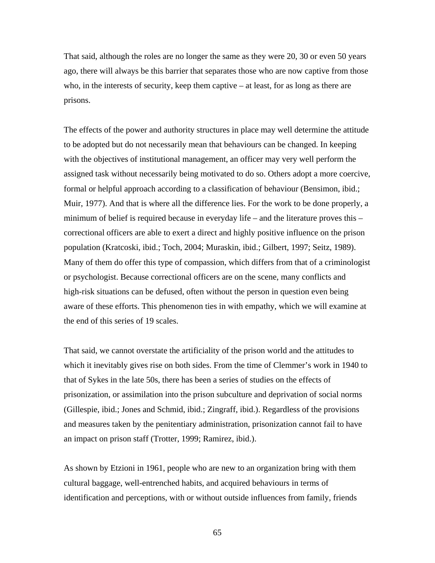That said, although the roles are no longer the same as they were 20, 30 or even 50 years ago, there will always be this barrier that separates those who are now captive from those who, in the interests of security, keep them captive – at least, for as long as there are prisons.

The effects of the power and authority structures in place may well determine the attitude to be adopted but do not necessarily mean that behaviours can be changed. In keeping with the objectives of institutional management, an officer may very well perform the assigned task without necessarily being motivated to do so. Others adopt a more coercive, formal or helpful approach according to a classification of behaviour (Bensimon, ibid.; Muir, 1977). And that is where all the difference lies. For the work to be done properly, a minimum of belief is required because in everyday life – and the literature proves this – correctional officers are able to exert a direct and highly positive influence on the prison population (Kratcoski, ibid.; Toch, 2004; Muraskin, ibid.; Gilbert, 1997; Seitz, 1989). Many of them do offer this type of compassion, which differs from that of a criminologist or psychologist. Because correctional officers are on the scene, many conflicts and high-risk situations can be defused, often without the person in question even being aware of these efforts. This phenomenon ties in with empathy, which we will examine at the end of this series of 19 scales.

That said, we cannot overstate the artificiality of the prison world and the attitudes to which it inevitably gives rise on both sides. From the time of Clemmer's work in 1940 to that of Sykes in the late 50s, there has been a series of studies on the effects of prisonization, or assimilation into the prison subculture and deprivation of social norms (Gillespie, ibid.; Jones and Schmid, ibid.; Zingraff, ibid.). Regardless of the provisions and measures taken by the penitentiary administration, prisonization cannot fail to have an impact on prison staff (Trotter, 1999; Ramirez, ibid.).

As shown by Etzioni in 1961, people who are new to an organization bring with them cultural baggage, well-entrenched habits, and acquired behaviours in terms of identification and perceptions, with or without outside influences from family, friends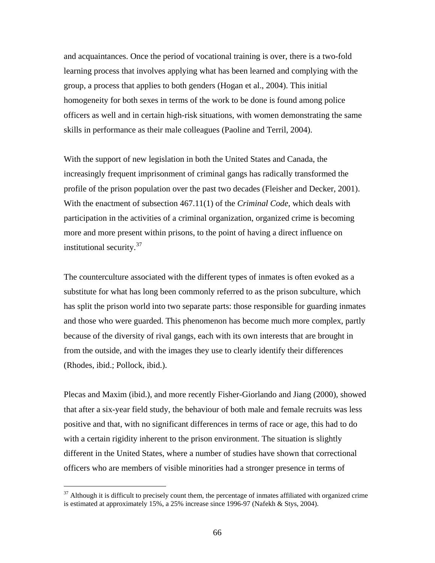<span id="page-79-0"></span>and acquaintances. Once the period of vocational training is over, there is a two-fold learning process that involves applying what has been learned and complying with the group, a process that applies to both genders (Hogan et al., 2004). This initial homogeneity for both sexes in terms of the work to be done is found among police officers as well and in certain high-risk situations, with women demonstrating the same skills in performance as their male colleagues (Paoline and Terril, 2004).

With the support of new legislation in both the United States and Canada, the increasingly frequent imprisonment of criminal gangs has radically transformed the profile of the prison population over the past two decades (Fleisher and Decker, 2001). With the enactment of subsection 467.11(1) of the *Criminal Code*, which deals with participation in the activities of a criminal organization, organized crime is becoming more and more present within prisons, to the point of having a direct influence on institutional security.<sup>[37](#page-79-0)</sup>

The counterculture associated with the different types of inmates is often evoked as a substitute for what has long been commonly referred to as the prison subculture, which has split the prison world into two separate parts: those responsible for guarding inmates and those who were guarded. This phenomenon has become much more complex, partly because of the diversity of rival gangs, each with its own interests that are brought in from the outside, and with the images they use to clearly identify their differences (Rhodes, ibid.; Pollock, ibid.).

Plecas and Maxim (ibid.), and more recently Fisher-Giorlando and Jiang (2000), showed that after a six-year field study, the behaviour of both male and female recruits was less positive and that, with no significant differences in terms of race or age, this had to do with a certain rigidity inherent to the prison environment. The situation is slightly different in the United States, where a number of studies have shown that correctional officers who are members of visible minorities had a stronger presence in terms of

 $37$  Although it is difficult to precisely count them, the percentage of inmates affiliated with organized crime is estimated at approximately 15%, a 25% increase since 1996-97 (Nafekh & Stys, 2004).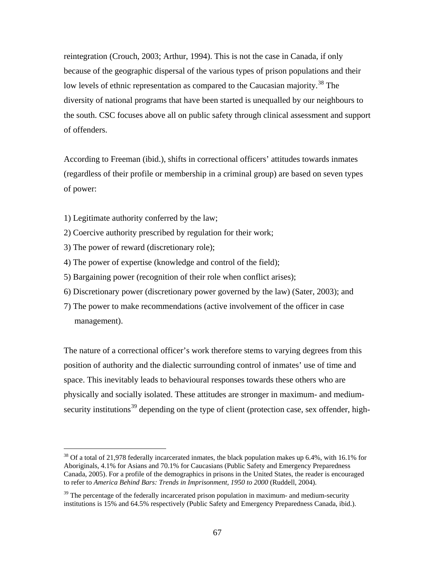<span id="page-80-0"></span>reintegration (Crouch, 2003; Arthur, 1994). This is not the case in Canada, if only because of the geographic dispersal of the various types of prison populations and their low levels of ethnic representation as compared to the Caucasian majority.<sup>[38](#page-80-0)</sup> The diversity of national programs that have been started is unequalled by our neighbours to the south. CSC focuses above all on public safety through clinical assessment and support of offenders.

According to Freeman (ibid.), shifts in correctional officers' attitudes towards inmates (regardless of their profile or membership in a criminal group) are based on seven types of power:

- 1) Legitimate authority conferred by the law;
- 2) Coercive authority prescribed by regulation for their work;
- 3) The power of reward (discretionary role);

- 4) The power of expertise (knowledge and control of the field);
- 5) Bargaining power (recognition of their role when conflict arises);
- 6) Discretionary power (discretionary power governed by the law) (Sater, 2003); and
- 7) The power to make recommendations (active involvement of the officer in case management).

The nature of a correctional officer's work therefore stems to varying degrees from this position of authority and the dialectic surrounding control of inmates' use of time and space. This inevitably leads to behavioural responses towards these others who are physically and socially isolated. These attitudes are stronger in maximum- and medium-security institutions<sup>[39](#page-80-0)</sup> depending on the type of client (protection case, sex offender, high-

 $38$  Of a total of 21,978 federally incarcerated inmates, the black population makes up 6.4%, with 16.1% for Aboriginals, 4.1% for Asians and 70.1% for Caucasians (Public Safety and Emergency Preparedness Canada, 2005). For a profile of the demographics in prisons in the United States, the reader is encouraged to refer to *America Behind Bars: Trends in Imprisonment, 1950 to 2000* (Ruddell, 2004).

 $39$  The percentage of the federally incarcerated prison population in maximum- and medium-security institutions is 15% and 64.5% respectively (Public Safety and Emergency Preparedness Canada, ibid.).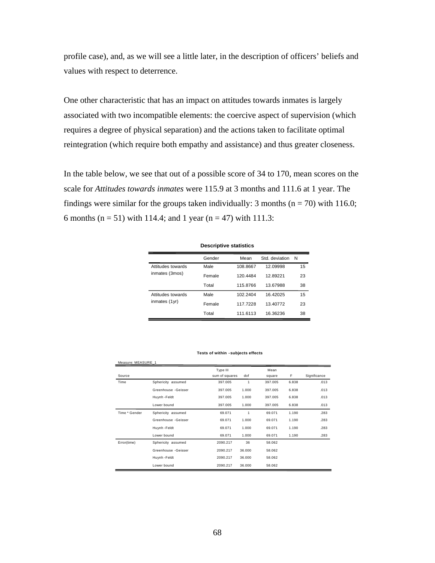profile case), and, as we will see a little later, in the description of officers' beliefs and values with respect to deterrence.

One other characteristic that has an impact on attitudes towards inmates is largely associated with two incompatible elements: the coercive aspect of supervision (which requires a degree of physical separation) and the actions taken to facilitate optimal reintegration (which require both empathy and assistance) and thus greater closeness.

In the table below, we see that out of a possible score of 34 to 170, mean scores on the scale for *Attitudes towards inmates* were 115.9 at 3 months and 111.6 at 1 year. The findings were similar for the groups taken individually: 3 months ( $n = 70$ ) with 116.0; 6 months ( $n = 51$ ) with 114.4; and 1 year ( $n = 47$ ) with 111.3:

| <b>Descriptive statistics</b> |        |          |                |    |  |  |  |
|-------------------------------|--------|----------|----------------|----|--|--|--|
|                               | Gender | Mean     | Std. deviation | N  |  |  |  |
| Attitudes towards             | Male   | 108.8667 | 12.09998       | 15 |  |  |  |
| inmates (3mos)                | Female | 120.4484 | 12.89221       | 23 |  |  |  |
|                               | Total  | 115.8766 | 13.67988       | 38 |  |  |  |
| Attitudes towards             | Male   | 102.2404 | 16.42025       | 15 |  |  |  |
| inmates (1yr)                 | Female | 117.7228 | 13.40772       | 23 |  |  |  |
|                               | Total  | 111.6113 | 16.36236       | 38 |  |  |  |

#### **Tests of within - subjects effects**

| Measure: MEASURE_1 |                     |                            |        |                |       |              |
|--------------------|---------------------|----------------------------|--------|----------------|-------|--------------|
| Source             |                     | Type III<br>sum of squares | dof    | Mean<br>square | F     | Significance |
| Time               | Sphericity assumed  | 397.005                    | 1      | 397.005        | 6.838 | .013         |
|                    | Greenhouse -Geisser | 397.005                    | 1.000  | 397.005        | 6.838 | .013         |
|                    | Huynh - Feldt       | 397.005                    | 1.000  | 397.005        | 6.838 | .013         |
|                    | Lower bound         | 397.005                    | 1.000  | 397.005        | 6.838 | .013         |
| Time * Gender      | Sphericity assumed  | 69.071                     | 1      | 69.071         | 1.190 | .283         |
|                    | Greenhouse -Geisser | 69.071                     | 1.000  | 69.071         | 1.190 | .283         |
|                    | Huynh - Feldt       | 69.071                     | 1.000  | 69.071         | 1.190 | .283         |
|                    | Lower bound         | 69.071                     | 1.000  | 69.071         | 1.190 | .283         |
| Error(time)        | Sphericity assumed  | 2090.217                   | 36     | 58.062         |       |              |
|                    | Greenhouse -Geisser | 2090.217                   | 36,000 | 58.062         |       |              |
|                    | Huynh -Feldt        | 2090.217                   | 36,000 | 58.062         |       |              |
|                    | Lower bound         | 2090.217                   | 36,000 | 58.062         |       |              |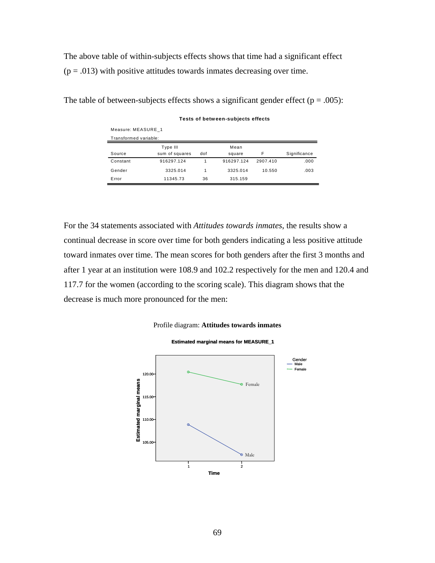The above table of within-subjects effects shows that time had a significant effect  $(p = .013)$  with positive attitudes towards inmates decreasing over time.

| Measure: MEASURE 1    |                |     |            |          |              |  |
|-----------------------|----------------|-----|------------|----------|--------------|--|
| Transformed variable: |                |     |            |          |              |  |
|                       | Type III       |     | Mean       |          |              |  |
| Source                | sum of squares | dof | square     | F        | Significance |  |
| Constant              | 916297.124     |     | 916297.124 | 2907.410 | .000         |  |
| Gender                | 3325.014       |     | 3325.014   | 10.550   | .003         |  |
| Error                 | 11345.73       | 36  | 315.159    |          |              |  |

The table of between-subjects effects shows a significant gender effect ( $p = .005$ ):

**Tests of between-subjects effects** 

For the 34 statements associated with *Attitudes towards inmates*, the results show a continual decrease in score over time for both genders indicating a less positive attitude toward inmates over time. The mean scores for both genders after the first 3 months and after 1 year at an institution were 108.9 and 102.2 respectively for the men and 120.4 and 117.7 for the women (according to the scoring scale). This diagram shows that the decrease is much more pronounced for the men:



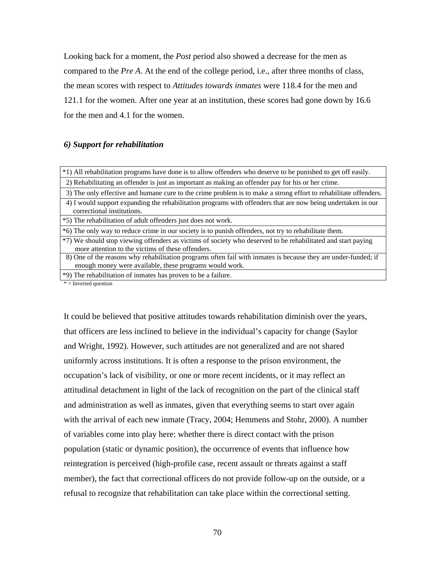Looking back for a moment, the *Post* period also showed a decrease for the men as compared to the *Pre A*. At the end of the college period, i.e., after three months of class, the mean scores with respect to *Attitudes towards inmates* were 118.4 for the men and 121.1 for the women. After one year at an institution, these scores had gone down by 16.6 for the men and 4.1 for the women.

## *6) Support for rehabilitation*

 $* = Inverted question$ 

It could be believed that positive attitudes towards rehabilitation diminish over the years, that officers are less inclined to believe in the individual's capacity for change (Saylor and Wright, 1992). However, such attitudes are not generalized and are not shared uniformly across institutions. It is often a response to the prison environment, the occupation's lack of visibility, or one or more recent incidents, or it may reflect an attitudinal detachment in light of the lack of recognition on the part of the clinical staff and administration as well as inmates, given that everything seems to start over again with the arrival of each new inmate (Tracy, 2004; Hemmens and Stohr, 2000). A number of variables come into play here: whether there is direct contact with the prison population (static or dynamic position), the occurrence of events that influence how reintegration is perceived (high-profile case, recent assault or threats against a staff member), the fact that correctional officers do not provide follow-up on the outside, or a refusal to recognize that rehabilitation can take place within the correctional setting.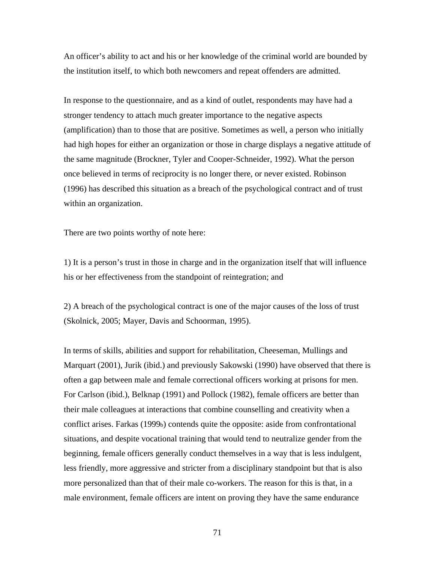An officer's ability to act and his or her knowledge of the criminal world are bounded by the institution itself, to which both newcomers and repeat offenders are admitted.

In response to the questionnaire, and as a kind of outlet, respondents may have had a stronger tendency to attach much greater importance to the negative aspects (amplification) than to those that are positive. Sometimes as well, a person who initially had high hopes for either an organization or those in charge displays a negative attitude of the same magnitude (Brockner, Tyler and Cooper-Schneider, 1992). What the person once believed in terms of reciprocity is no longer there, or never existed. Robinson (1996) has described this situation as a breach of the psychological contract and of trust within an organization.

There are two points worthy of note here:

1) It is a person's trust in those in charge and in the organization itself that will influence his or her effectiveness from the standpoint of reintegration; and

2) A breach of the psychological contract is one of the major causes of the loss of trust (Skolnick, 2005; Mayer, Davis and Schoorman, 1995).

In terms of skills, abilities and support for rehabilitation, Cheeseman, Mullings and Marquart (2001), Jurik (ibid.) and previously Sakowski (1990) have observed that there is often a gap between male and female correctional officers working at prisons for men. For Carlson (ibid.), Belknap (1991) and Pollock (1982), female officers are better than their male colleagues at interactions that combine counselling and creativity when a conflict arises. Farkas  $(1999<sub>b</sub>)$  contends quite the opposite: aside from confrontational situations, and despite vocational training that would tend to neutralize gender from the beginning, female officers generally conduct themselves in a way that is less indulgent, less friendly, more aggressive and stricter from a disciplinary standpoint but that is also more personalized than that of their male co-workers. The reason for this is that, in a male environment, female officers are intent on proving they have the same endurance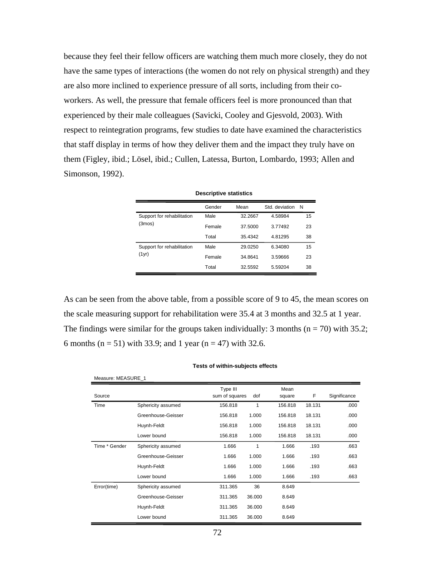because they feel their fellow officers are watching them much more closely, they do not have the same types of interactions (the women do not rely on physical strength) and they are also more inclined to experience pressure of all sorts, including from their coworkers. As well, the pressure that female officers feel is more pronounced than that experienced by their male colleagues (Savicki, Cooley and Gjesvold, 2003). With respect to reintegration programs, few studies to date have examined the characteristics that staff display in terms of how they deliver them and the impact they truly have on them (Figley, ibid.; Lösel, ibid.; Cullen, Latessa, Burton, Lombardo, 1993; Allen and Simonson, 1992).

|                                      | Gender | Mean    | Std. deviation | N  |
|--------------------------------------|--------|---------|----------------|----|
| Support for rehabilitation<br>(3mos) | Male   | 32.2667 | 4.58984        | 15 |
|                                      | Female | 37.5000 | 3.77492        | 23 |
|                                      | Total  | 35.4342 | 4.81295        | 38 |
| Support for rehabilitation           | Male   | 29.0250 | 6.34080        | 15 |
| (1yr)                                | Female | 34.8641 | 3.59666        | 23 |
|                                      | Total  | 32.5592 | 5.59204        | 38 |

| <b>Descriptive statistics</b> |  |
|-------------------------------|--|
|-------------------------------|--|

As can be seen from the above table, from a possible score of 9 to 45, the mean scores on the scale measuring support for rehabilitation were 35.4 at 3 months and 32.5 at 1 year. The findings were similar for the groups taken individually: 3 months ( $n = 70$ ) with 35.2; 6 months ( $n = 51$ ) with 33.9; and 1 year ( $n = 47$ ) with 32.6.

### **Tests of within-subjects effects**

| Measure: MEASURE 1 |                    |                            |        |                |        |              |
|--------------------|--------------------|----------------------------|--------|----------------|--------|--------------|
| Source             |                    | Type III<br>sum of squares | dof    | Mean<br>square | F      | Significance |
| Time               | Sphericity assumed | 156.818                    | 1      | 156.818        | 18.131 | .000         |
|                    | Greenhouse-Geisser | 156.818                    | 1.000  | 156.818        | 18.131 | .000         |
|                    | Huynh-Feldt        | 156.818                    | 1.000  | 156.818        | 18.131 | .000         |
|                    | Lower bound        | 156.818                    | 1.000  | 156.818        | 18.131 | .000         |
| Time * Gender      | Sphericity assumed | 1.666                      | 1      | 1.666          | .193   | .663         |
|                    | Greenhouse-Geisser | 1.666                      | 1.000  | 1.666          | .193   | .663         |
|                    | Huynh-Feldt        | 1.666                      | 1.000  | 1.666          | .193   | .663         |
|                    | Lower bound        | 1.666                      | 1.000  | 1.666          | .193   | .663         |
| Error(time)        | Sphericity assumed | 311.365                    | 36     | 8.649          |        |              |
|                    | Greenhouse-Geisser | 311.365                    | 36.000 | 8.649          |        |              |
|                    | Huynh-Feldt        | 311.365                    | 36.000 | 8.649          |        |              |
|                    | Lower bound        | 311.365                    | 36.000 | 8.649          |        |              |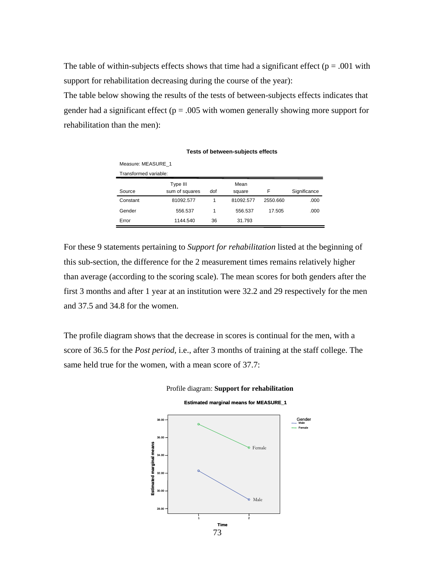The table of within-subjects effects shows that time had a significant effect ( $p = .001$  with support for rehabilitation decreasing during the course of the year):

The table below showing the results of the tests of between-subjects effects indicates that gender had a significant effect ( $p = .005$  with women generally showing more support for rehabilitation than the men):

| Measure: MEASURE 1    |                |     |           |          |              |  |  |
|-----------------------|----------------|-----|-----------|----------|--------------|--|--|
| Transformed variable: |                |     |           |          |              |  |  |
|                       | Type III       |     | Mean      |          |              |  |  |
| Source                | sum of squares | dof | square    | F        | Significance |  |  |
| Constant              | 81092.577      |     | 81092.577 | 2550.660 | .000         |  |  |
| Gender                | 556.537        | 1   | 556.537   | 17.505   | .000         |  |  |
| Error                 | 1144.540       | 36  | 31.793    |          |              |  |  |

**Tests of between-subjects effects** 

For these 9 statements pertaining to *Support for rehabilitation* listed at the beginning of this sub-section, the difference for the 2 measurement times remains relatively higher than average (according to the scoring scale). The mean scores for both genders after the first 3 months and after 1 year at an institution were 32.2 and 29 respectively for the men and 37.5 and 34.8 for the women.

The profile diagram shows that the decrease in scores is continual for the men, with a score of 36.5 for the *Post period,* i.e., after 3 months of training at the staff college. The same held true for the women, with a mean score of 37.7:



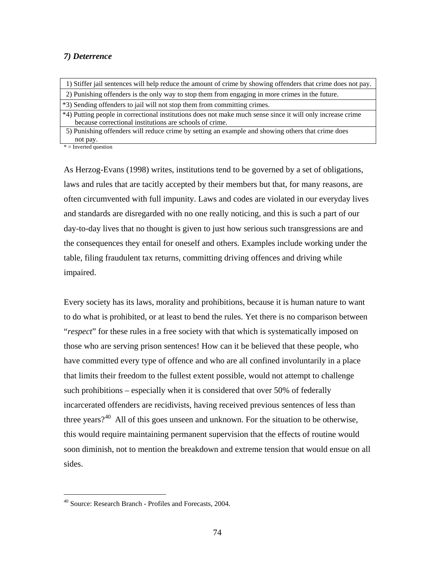## <span id="page-87-0"></span>*7) Deterrence*

 1) Stiffer jail sentences will help reduce the amount of crime by showing offenders that crime does not pay. 2) Punishing offenders is the only way to stop them from engaging in more crimes in the future. \*3) Sending offenders to jail will not stop them from committing crimes. \*4) Putting people in correctional institutions does not make much sense since it will only increase crime because correctional institutions are schools of crime. 5) Punishing offenders will reduce crime by setting an example and showing others that crime does

 not pay.  $* = Inverted question$ 

As Herzog-Evans (1998) writes, institutions tend to be governed by a set of obligations, laws and rules that are tacitly accepted by their members but that, for many reasons, are often circumvented with full impunity. Laws and codes are violated in our everyday lives and standards are disregarded with no one really noticing, and this is such a part of our day-to-day lives that no thought is given to just how serious such transgressions are and the consequences they entail for oneself and others. Examples include working under the table, filing fraudulent tax returns, committing driving offences and driving while impaired.

Every society has its laws, morality and prohibitions, because it is human nature to want to do what is prohibited, or at least to bend the rules. Yet there is no comparison between "*respect*" for these rules in a free society with that which is systematically imposed on those who are serving prison sentences! How can it be believed that these people, who have committed every type of offence and who are all confined involuntarily in a place that limits their freedom to the fullest extent possible, would not attempt to challenge such prohibitions – especially when it is considered that over 50% of federally incarcerated offenders are recidivists, having received previous sentences of less than three years?<sup>[4](#page-87-0)0</sup> All of this goes unseen and unknown. For the situation to be otherwise, this would require maintaining permanent supervision that the effects of routine would soon diminish, not to mention the breakdown and extreme tension that would ensue on all sides.

<sup>40</sup> Source: Research Branch - Profiles and Forecasts, 2004.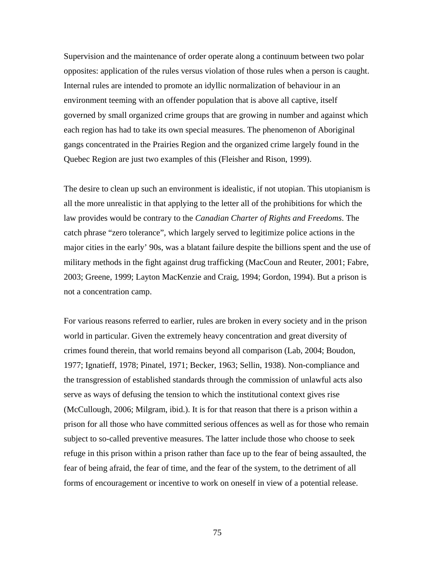Supervision and the maintenance of order operate along a continuum between two polar opposites: application of the rules versus violation of those rules when a person is caught. Internal rules are intended to promote an idyllic normalization of behaviour in an environment teeming with an offender population that is above all captive, itself governed by small organized crime groups that are growing in number and against which each region has had to take its own special measures. The phenomenon of Aboriginal gangs concentrated in the Prairies Region and the organized crime largely found in the Quebec Region are just two examples of this (Fleisher and Rison, 1999).

The desire to clean up such an environment is idealistic, if not utopian. This utopianism is all the more unrealistic in that applying to the letter all of the prohibitions for which the law provides would be contrary to the *Canadian Charter of Rights and Freedoms*. The catch phrase "zero tolerance", which largely served to legitimize police actions in the major cities in the early' 90s, was a blatant failure despite the billions spent and the use of military methods in the fight against drug trafficking (MacCoun and Reuter, 2001; Fabre, 2003; Greene, 1999; Layton MacKenzie and Craig, 1994; Gordon, 1994). But a prison is not a concentration camp.

For various reasons referred to earlier, rules are broken in every society and in the prison world in particular. Given the extremely heavy concentration and great diversity of crimes found therein, that world remains beyond all comparison (Lab, 2004; Boudon, 1977; Ignatieff, 1978; Pinatel, 1971; Becker, 1963; Sellin, 1938). Non-compliance and the transgression of established standards through the commission of unlawful acts also serve as ways of defusing the tension to which the institutional context gives rise (McCullough, 2006; Milgram, ibid.). It is for that reason that there is a prison within a prison for all those who have committed serious offences as well as for those who remain subject to so-called preventive measures. The latter include those who choose to seek refuge in this prison within a prison rather than face up to the fear of being assaulted, the fear of being afraid, the fear of time, and the fear of the system, to the detriment of all forms of encouragement or incentive to work on oneself in view of a potential release.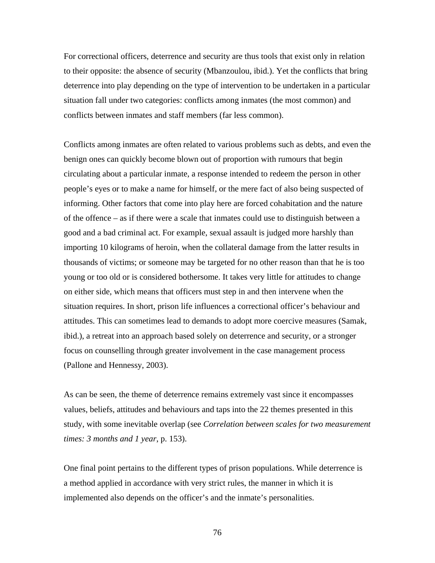For correctional officers, deterrence and security are thus tools that exist only in relation to their opposite: the absence of security (Mbanzoulou, ibid.). Yet the conflicts that bring deterrence into play depending on the type of intervention to be undertaken in a particular situation fall under two categories: conflicts among inmates (the most common) and conflicts between inmates and staff members (far less common).

Conflicts among inmates are often related to various problems such as debts, and even the benign ones can quickly become blown out of proportion with rumours that begin circulating about a particular inmate, a response intended to redeem the person in other people's eyes or to make a name for himself, or the mere fact of also being suspected of informing. Other factors that come into play here are forced cohabitation and the nature of the offence – as if there were a scale that inmates could use to distinguish between a good and a bad criminal act. For example, sexual assault is judged more harshly than importing 10 kilograms of heroin, when the collateral damage from the latter results in thousands of victims; or someone may be targeted for no other reason than that he is too young or too old or is considered bothersome. It takes very little for attitudes to change on either side, which means that officers must step in and then intervene when the situation requires. In short, prison life influences a correctional officer's behaviour and attitudes. This can sometimes lead to demands to adopt more coercive measures (Samak, ibid.), a retreat into an approach based solely on deterrence and security, or a stronger focus on counselling through greater involvement in the case management process (Pallone and Hennessy, 2003).

As can be seen, the theme of deterrence remains extremely vast since it encompasses values, beliefs, attitudes and behaviours and taps into the 22 themes presented in this study, with some inevitable overlap (see *Correlation between scales for two measurement times: 3 months and 1 year*, p. 153).

One final point pertains to the different types of prison populations. While deterrence is a method applied in accordance with very strict rules, the manner in which it is implemented also depends on the officer's and the inmate's personalities.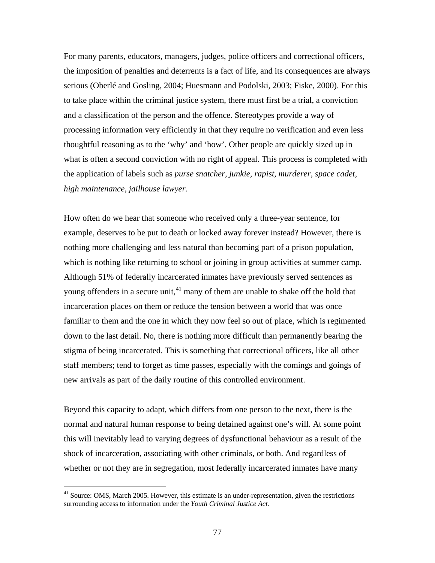<span id="page-90-0"></span>For many parents, educators, managers, judges, police officers and correctional officers, the imposition of penalties and deterrents is a fact of life, and its consequences are always serious (Oberlé and Gosling, 2004; Huesmann and Podolski, 2003; Fiske, 2000). For this to take place within the criminal justice system, there must first be a trial, a conviction and a classification of the person and the offence. Stereotypes provide a way of processing information very efficiently in that they require no verification and even less thoughtful reasoning as to the 'why' and 'how'. Other people are quickly sized up in what is often a second conviction with no right of appeal. This process is completed with the application of labels such as *purse snatcher, junkie, rapist, murderer, space cadet, high maintenance, jailhouse lawyer.* 

How often do we hear that someone who received only a three-year sentence, for example, deserves to be put to death or locked away forever instead? However, there is nothing more challenging and less natural than becoming part of a prison population, which is nothing like returning to school or joining in group activities at summer camp. Although 51% of federally incarcerated inmates have previously served sentences as young offenders in a secure unit, $^{41}$  $^{41}$  $^{41}$  many of them are unable to shake off the hold that incarceration places on them or reduce the tension between a world that was once familiar to them and the one in which they now feel so out of place, which is regimented down to the last detail. No, there is nothing more difficult than permanently bearing the stigma of being incarcerated. This is something that correctional officers, like all other staff members; tend to forget as time passes, especially with the comings and goings of new arrivals as part of the daily routine of this controlled environment.

Beyond this capacity to adapt, which differs from one person to the next, there is the normal and natural human response to being detained against one's will. At some point this will inevitably lead to varying degrees of dysfunctional behaviour as a result of the shock of incarceration, associating with other criminals, or both. And regardless of whether or not they are in segregation, most federally incarcerated inmates have many

<sup>&</sup>lt;sup>41</sup> Source: OMS, March 2005. However, this estimate is an under-representation, given the restrictions surrounding access to information under the *Youth Criminal Justice Act.*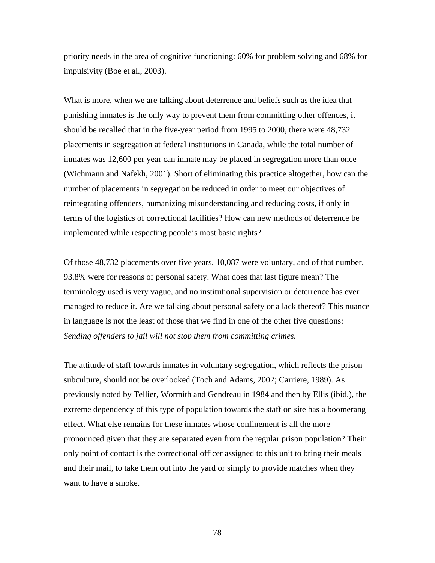priority needs in the area of cognitive functioning: 60% for problem solving and 68% for impulsivity (Boe et al., 2003).

What is more, when we are talking about deterrence and beliefs such as the idea that punishing inmates is the only way to prevent them from committing other offences, it should be recalled that in the five-year period from 1995 to 2000, there were 48,732 placements in segregation at federal institutions in Canada, while the total number of inmates was 12,600 per year can inmate may be placed in segregation more than once (Wichmann and Nafekh, 2001). Short of eliminating this practice altogether, how can the number of placements in segregation be reduced in order to meet our objectives of reintegrating offenders, humanizing misunderstanding and reducing costs, if only in terms of the logistics of correctional facilities? How can new methods of deterrence be implemented while respecting people's most basic rights?

Of those 48,732 placements over five years, 10,087 were voluntary, and of that number, 93.8% were for reasons of personal safety. What does that last figure mean? The terminology used is very vague, and no institutional supervision or deterrence has ever managed to reduce it. Are we talking about personal safety or a lack thereof? This nuance in language is not the least of those that we find in one of the other five questions: *Sending offenders to jail will not stop them from committing crimes.* 

The attitude of staff towards inmates in voluntary segregation, which reflects the prison subculture, should not be overlooked (Toch and Adams, 2002; Carriere, 1989). As previously noted by Tellier, Wormith and Gendreau in 1984 and then by Ellis (ibid.), the extreme dependency of this type of population towards the staff on site has a boomerang effect. What else remains for these inmates whose confinement is all the more pronounced given that they are separated even from the regular prison population? Their only point of contact is the correctional officer assigned to this unit to bring their meals and their mail, to take them out into the yard or simply to provide matches when they want to have a smoke.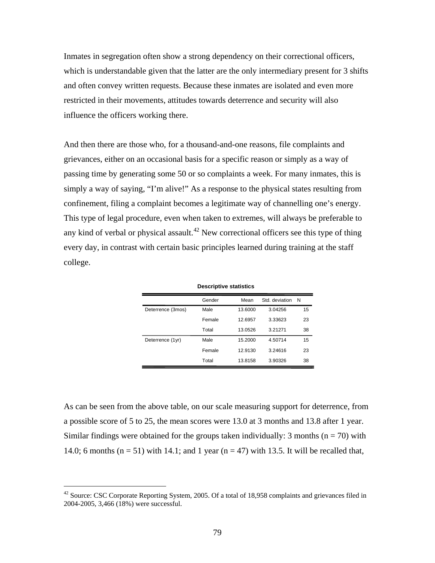<span id="page-92-0"></span>Inmates in segregation often show a strong dependency on their correctional officers, which is understandable given that the latter are the only intermediary present for 3 shifts and often convey written requests. Because these inmates are isolated and even more restricted in their movements, attitudes towards deterrence and security will also influence the officers working there.

And then there are those who, for a thousand-and-one reasons, file complaints and grievances, either on an occasional basis for a specific reason or simply as a way of passing time by generating some 50 or so complaints a week. For many inmates, this is simply a way of saying, "I'm alive!" As a response to the physical states resulting from confinement, filing a complaint becomes a legitimate way of channelling one's energy. This type of legal procedure, even when taken to extremes, will always be preferable to any kind of verbal or physical assault.<sup> $42$ </sup> New correctional officers see this type of thing every day, in contrast with certain basic principles learned during training at the staff college.

|                   | Gender | Mean    | Std. deviation | - N |
|-------------------|--------|---------|----------------|-----|
| Deterrence (3mos) | Male   | 13.6000 | 3.04256        | 15  |
|                   | Female | 12.6957 | 3.33623        | 23  |
|                   | Total  | 13.0526 | 3.21271        | 38  |
| Deterrence (1yr)  | Male   | 15.2000 | 4.50714        | 15  |
|                   | Female | 12.9130 | 3.24616        | 23  |
|                   | Total  | 13.8158 | 3.90326        | 38  |

**Descriptive statistics**

As can be seen from the above table, on our scale measuring support for deterrence, from a possible score of 5 to 25, the mean scores were 13.0 at 3 months and 13.8 after 1 year. Similar findings were obtained for the groups taken individually: 3 months ( $n = 70$ ) with 14.0; 6 months ( $n = 51$ ) with 14.1; and 1 year ( $n = 47$ ) with 13.5. It will be recalled that,

 $42$  Source: CSC Corporate Reporting System, 2005. Of a total of 18,958 complaints and grievances filed in 2004-2005, 3,466 (18%) were successful.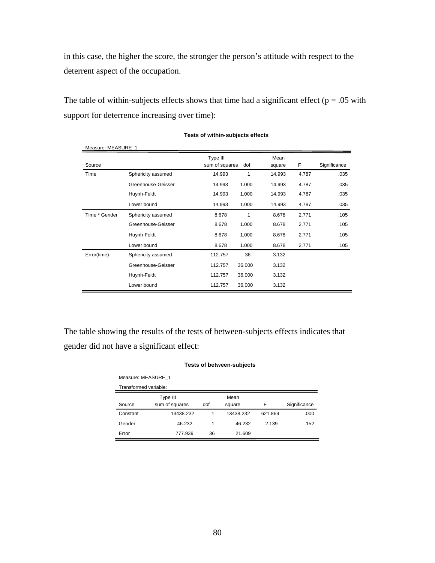in this case, the higher the score, the stronger the person's attitude with respect to the deterrent aspect of the occupation.

The table of within-subjects effects shows that time had a significant effect ( $p = .05$  with support for deterrence increasing over time):

| Measure: MEASURE 1 |                    |                            |        |                |       |              |
|--------------------|--------------------|----------------------------|--------|----------------|-------|--------------|
| Source             |                    | Type III<br>sum of squares | dof    | Mean<br>square | F     | Significance |
| Time               | Sphericity assumed | 14.993                     | 1      | 14.993         | 4.787 | .035         |
|                    | Greenhouse-Geisser | 14.993                     | 1.000  | 14.993         | 4.787 | .035         |
|                    | Huynh-Feldt        | 14.993                     | 1.000  | 14.993         | 4.787 | .035         |
|                    | Lower bound        | 14.993                     | 1.000  | 14.993         | 4.787 | .035         |
| Time * Gender      | Sphericity assumed | 8.678                      | 1      | 8.678          | 2.771 | .105         |
|                    | Greenhouse-Geisser | 8.678                      | 1.000  | 8.678          | 2.771 | .105         |
|                    | Huynh-Feldt        | 8.678                      | 1.000  | 8.678          | 2.771 | .105         |
|                    | Lower bound        | 8.678                      | 1.000  | 8.678          | 2.771 | .105         |
| Error(time)        | Sphericity assumed | 112.757                    | 36     | 3.132          |       |              |
|                    | Greenhouse-Geisser | 112.757                    | 36.000 | 3.132          |       |              |
|                    | Huynh-Feldt        | 112.757                    | 36.000 | 3.132          |       |              |
|                    | Lower bound        | 112.757                    | 36.000 | 3.132          |       |              |

### **Tests of within-subjects effects**

The table showing the results of the tests of between-subjects effects indicates that gender did not have a significant effect:

#### Tests of between-subjects

| Measure: MEASURE 1    |                |     |           |         |              |
|-----------------------|----------------|-----|-----------|---------|--------------|
| Transformed variable: |                |     |           |         |              |
|                       | Type III       |     | Mean      |         |              |
| Source                | sum of squares | dof | square    | F       | Significance |
| Constant              | 13438.232      | 1   | 13438.232 | 621.869 | .000         |
| Gender                | 46.232         | 1   | 46.232    | 2.139   | .152         |
| Error                 | 777.939        | 36  | 21.609    |         |              |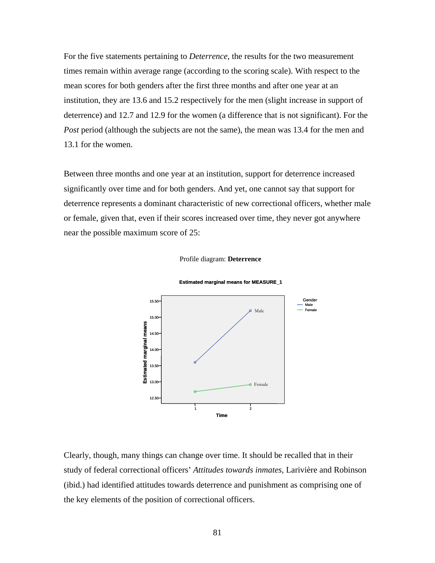For the five statements pertaining to *Deterrence*, the results for the two measurement times remain within average range (according to the scoring scale). With respect to the mean scores for both genders after the first three months and after one year at an institution, they are 13.6 and 15.2 respectively for the men (slight increase in support of deterrence) and 12.7 and 12.9 for the women (a difference that is not significant). For the *Post* period (although the subjects are not the same), the mean was 13.4 for the men and 13.1 for the women.

Between three months and one year at an institution, support for deterrence increased significantly over time and for both genders. And yet, one cannot say that support for deterrence represents a dominant characteristic of new correctional officers, whether male or female, given that, even if their scores increased over time, they never got anywhere near the possible maximum score of 25:

### Profile diagram: **Deterrence**



**Estimated marginal means for MEASURE\_1**

Clearly, though, many things can change over time. It should be recalled that in their study of federal correctional officers' *Attitudes towards inmates*, Larivière and Robinson (ibid.) had identified attitudes towards deterrence and punishment as comprising one of the key elements of the position of correctional officers.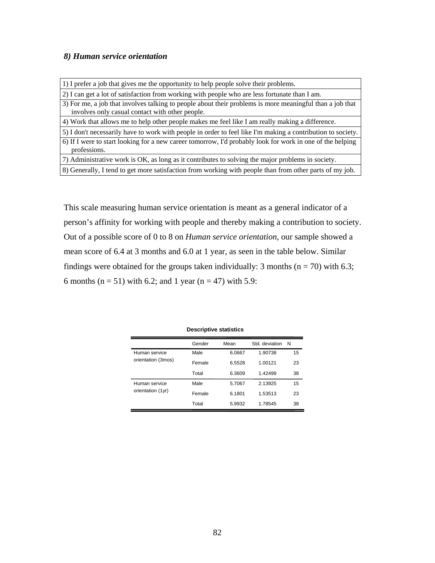### *8) Human service orientation*

1) I prefer a job that gives me the opportunity to help people solve their problems.

2) I can get a lot of satisfaction from working with people who are less fortunate than I am.

3) For me, a job that involves talking to people about their problems is more meaningful than a job that involves only casual contact with other people.

4) Work that allows me to help other people makes me feel like I am really making a difference.

5) I don't necessarily have to work with people in order to feel like I'm making a contribution to society.

6) If I were to start looking for a new career tomorrow, I'd probably look for work in one of the helping professions.

7) Administrative work is OK, as long as it contributes to solving the major problems in society.

8) Generally, I tend to get more satisfaction from working with people than from other parts of my job.

This scale measuring human service orientation is meant as a general indicator of a person's affinity for working with people and thereby making a contribution to society. Out of a possible score of 0 to 8 on *Human service orientation*, our sample showed a mean score of 6.4 at 3 months and 6.0 at 1 year, as seen in the table below. Similar findings were obtained for the groups taken individually: 3 months ( $n = 70$ ) with 6.3; 6 months ( $n = 51$ ) with 6.2; and 1 year ( $n = 47$ ) with 5.9:

|                                     | Gender | Mean   | Std. deviation | - N |
|-------------------------------------|--------|--------|----------------|-----|
| Human service<br>orientation (3mos) | Male   | 6.0667 | 1.90738        | 15  |
|                                     | Female | 6.5528 | 1.00121        | 23  |
|                                     | Total  | 6.3609 | 1.42499        | 38  |
| Human service                       | Male   | 5.7067 | 2.13925        | 15  |
| orientation (1yr)                   | Female | 6.1801 | 1.53513        | 23  |
|                                     | Total  | 5.9932 | 1.78545        | 38  |

**Descriptive statistics**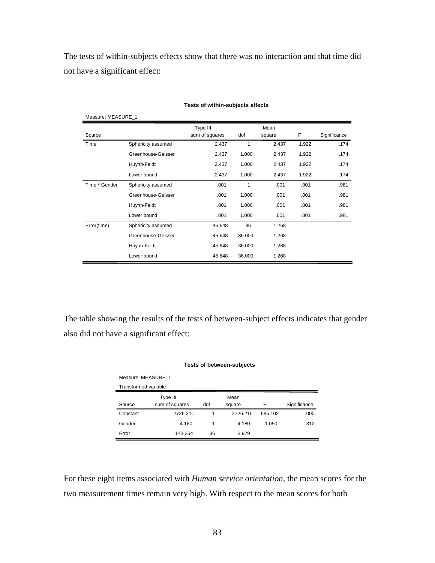The tests of within-subjects effects show that there was no interaction and that time did not have a significant effect:

| Measure: MEASURE 1 |                    |                            |        |                |       |              |
|--------------------|--------------------|----------------------------|--------|----------------|-------|--------------|
| Source             |                    | Type III<br>sum of squares | dof    | Mean<br>square | F     | Significance |
| Time               | Sphericity assumed | 2.437                      | 1      | 2.437          | 1.922 | .174         |
|                    | Greenhouse-Geisser | 2.437                      | 1.000  | 2.437          | 1.922 | .174         |
|                    | Huynh-Feldt        | 2.437                      | 1.000  | 2.437          | 1.922 | .174         |
|                    | Lower bound        | 2.437                      | 1.000  | 2.437          | 1.922 | .174         |
| Time * Gender      | Sphericity assumed | .001                       | 1      | .001           | .001  | .981         |
|                    | Greenhouse-Geisser | .001                       | 1.000  | .001           | .001  | .981         |
|                    | Huynh-Feldt        | .001                       | 1.000  | .001           | .001  | .981         |
|                    | Lower bound        | .001                       | 1.000  | .001           | .001  | .981         |
| Error(time)        | Sphericity assumed | 45.648                     | 36     | 1.268          |       |              |
|                    | Greenhouse-Geisser | 45.648                     | 36.000 | 1.268          |       |              |
|                    | Huynh-Feldt        | 45.648                     | 36.000 | 1.268          |       |              |
|                    | Lower bound        | 45.648                     | 36.000 | 1.268          |       |              |

### **Tests of within-subjects effects**

The table showing the results of the tests of between-subject effects indicates that gender also did not have a significant effect:

| Measure: MEASURE 1    |                |     |          |         |              |
|-----------------------|----------------|-----|----------|---------|--------------|
| Transformed variable: |                |     |          |         |              |
|                       | Type III       |     | Mean     |         |              |
| Source                | sum of squares | dof | square   | F       | Significance |
| Constant              | 2726.210       | 1   | 2726.210 | 685.102 | .000         |
| Gender                | 4.180          | 1   | 4.180    | 1.050   | .312         |
| Error                 | 143.254        | 36  | 3.979    |         |              |

#### **Tests of between-subjects**

For these eight items associated with *Human service orientation*, the mean scores for the two measurement times remain very high. With respect to the mean scores for both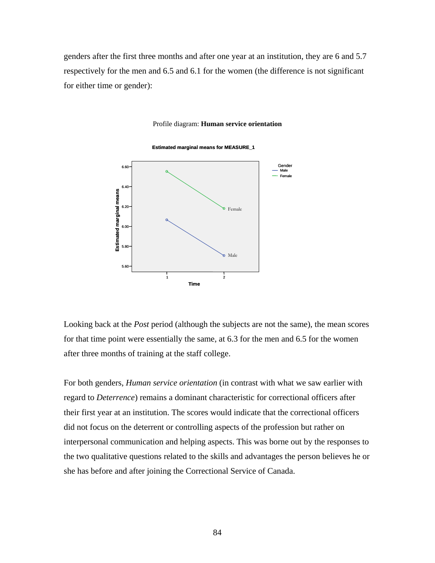genders after the first three months and after one year at an institution, they are 6 and 5.7 respectively for the men and 6.5 and 6.1 for the women (the difference is not significant for either time or gender):

Profile diagram: **Human service orientation** 



**Estimated marginal means for MEASURE\_1**

Looking back at the *Post* period (although the subjects are not the same), the mean scores for that time point were essentially the same, at 6.3 for the men and 6.5 for the women after three months of training at the staff college.

For both genders, *Human service orientation* (in contrast with what we saw earlier with regard to *Deterrence*) remains a dominant characteristic for correctional officers after their first year at an institution. The scores would indicate that the correctional officers did not focus on the deterrent or controlling aspects of the profession but rather on interpersonal communication and helping aspects. This was borne out by the responses to the two qualitative questions related to the skills and advantages the person believes he or she has before and after joining the Correctional Service of Canada.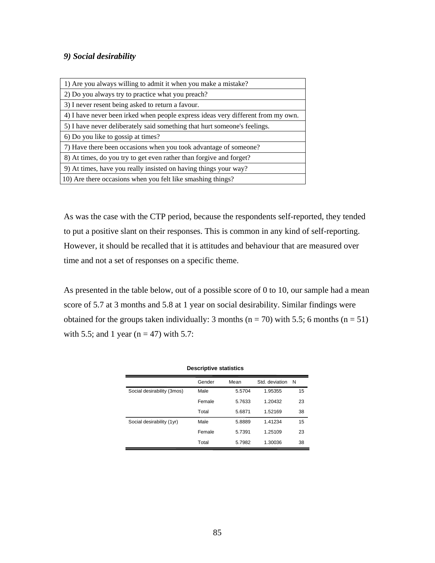## *9) Social desirability*

| 1) Are you always willing to admit it when you make a mistake?                   |
|----------------------------------------------------------------------------------|
| 2) Do you always try to practice what you preach?                                |
| 3) I never resent being asked to return a favour.                                |
| 4) I have never been irked when people express ideas very different from my own. |
| 5) I have never deliberately said something that hurt someone's feelings.        |
| 6) Do you like to gossip at times?                                               |
| 7) Have there been occasions when you took advantage of someone?                 |
| 8) At times, do you try to get even rather than forgive and forget?              |
| 9) At times, have you really insisted on having things your way?                 |
| 10) Are there occasions when you felt like smashing things?                      |

As was the case with the CTP period, because the respondents self-reported, they tended to put a positive slant on their responses. This is common in any kind of self-reporting. However, it should be recalled that it is attitudes and behaviour that are measured over time and not a set of responses on a specific theme.

As presented in the table below, out of a possible score of 0 to 10, our sample had a mean score of 5.7 at 3 months and 5.8 at 1 year on social desirability. Similar findings were obtained for the groups taken individually: 3 months ( $n = 70$ ) with 5.5; 6 months ( $n = 51$ ) with 5.5; and 1 year ( $n = 47$ ) with 5.7:

| <b>Descriptive statistics</b> |        |        |                |     |
|-------------------------------|--------|--------|----------------|-----|
|                               | Gender | Mean   | Std. deviation | - N |
| Social desirability (3mos)    | Male   | 5.5704 | 1.95355        | 15  |
|                               | Female | 5.7633 | 1.20432        | 23  |
|                               | Total  | 5.6871 | 1.52169        | 38  |
| Social desirability (1yr)     | Male   | 5.8889 | 1.41234        | 15  |
|                               | Female | 5.7391 | 1.25109        | 23  |
|                               | Total  | 5.7982 | 1.30036        | 38  |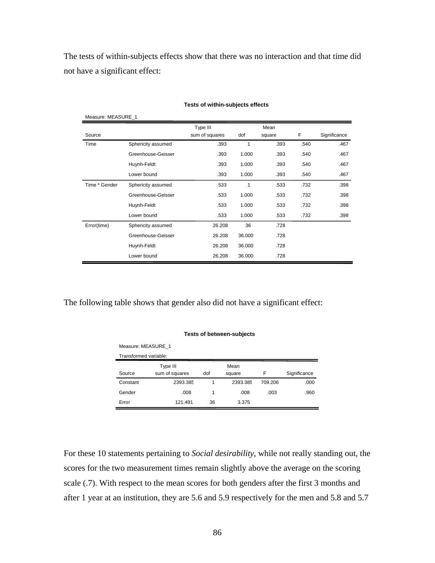The tests of within-subjects effects show that there was no interaction and that time did not have a significant effect:

Measure: MEASURE\_1

| <b>IVICASUIC. IVILAJUNL I</b> |                    |                |        |        |      |              |
|-------------------------------|--------------------|----------------|--------|--------|------|--------------|
|                               |                    | Type III       |        | Mean   |      |              |
| Source                        |                    | sum of squares | dof    | square | F    | Significance |
| Time                          | Sphericity assumed | .393           | 1      | .393   | .540 | .467         |
|                               | Greenhouse-Geisser | .393           | 1.000  | .393   | .540 | .467         |
|                               | Huynh-Feldt        | .393           | 1.000  | .393   | .540 | .467         |
|                               | Lower bound        | .393           | 1.000  | .393   | .540 | .467         |
| Time * Gender                 | Sphericity assumed | .533           | 1      | .533   | .732 | .398         |
|                               | Greenhouse-Geisser | .533           | 1.000  | .533   | .732 | .398         |
|                               | Huynh-Feldt        | .533           | 1.000  | .533   | .732 | .398         |
|                               | Lower bound        | .533           | 1.000  | .533   | .732 | .398         |
| Error(time)                   | Sphericity assumed | 26.208         | 36     | .728   |      |              |
|                               | Greenhouse-Geisser | 26.208         | 36.000 | .728   |      |              |
|                               | Huynh-Feldt        | 26.208         | 36.000 | .728   |      |              |
|                               | Lower bound        | 26.208         | 36.000 | .728   |      |              |

#### **Tests of within-subjects effects**

The following table shows that gender also did not have a significant effect:

| Measure: MEASURE 1    |                |     |          |         |              |
|-----------------------|----------------|-----|----------|---------|--------------|
| Transformed variable: |                |     |          |         |              |
|                       | Type III       |     | Mean     |         |              |
| Source                | sum of squares | dof | square   | F       | Significance |
| Constant              | 2393.385       |     | 2393.385 | 709.206 | .000         |
| Gender                | .008           | 1   | .008     | .003    | .960         |
| Error                 | 121.491        | 36  | 3.375    |         |              |

#### Tests of between-subjects

For these 10 statements pertaining to *Social desirability*, while not really standing out, the scores for the two measurement times remain slightly above the average on the scoring scale (.7). With respect to the mean scores for both genders after the first 3 months and after 1 year at an institution, they are 5.6 and 5.9 respectively for the men and 5.8 and 5.7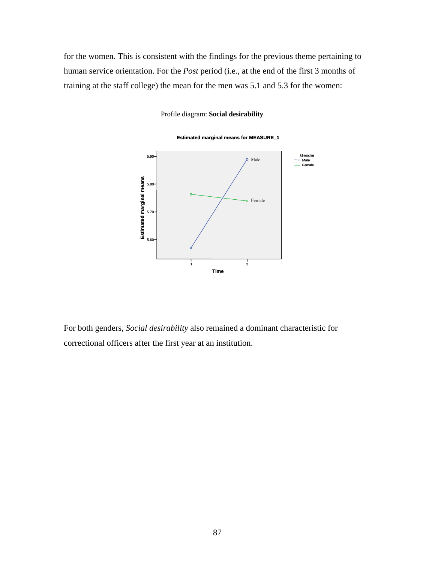for the women. This is consistent with the findings for the previous theme pertaining to human service orientation. For the *Post* period (i.e., at the end of the first 3 months of training at the staff college) the mean for the men was 5.1 and 5.3 for the women:

Profile diagram: **Social desirability** 



For both genders, *Social desirability* also remained a dominant characteristic for correctional officers after the first year at an institution.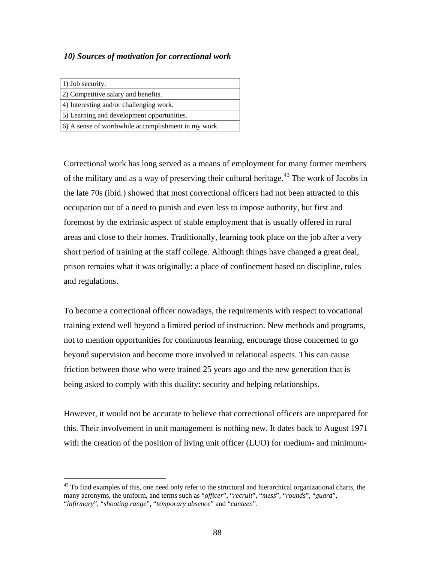## <span id="page-101-0"></span>*10) Sources of motivation for correctional work*

1) Job security.

2) Competitive salary and benefits.

4) Interesting and/or challenging work.

5) Learning and development opportunities.

6) A sense of worthwhile accomplishment in my work.

Correctional work has long served as a means of employment for many former members of the military and as a way of preserving their cultural heritage.<sup>[43](#page-101-0)</sup> The work of Jacobs in the late 70s (ibid.) showed that most correctional officers had not been attracted to this occupation out of a need to punish and even less to impose authority, but first and foremost by the extrinsic aspect of stable employment that is usually offered in rural areas and close to their homes. Traditionally, learning took place on the job after a very short period of training at the staff college. Although things have changed a great deal, prison remains what it was originally: a place of confinement based on discipline, rules and regulations.

To become a correctional officer nowadays, the requirements with respect to vocational training extend well beyond a limited period of instruction. New methods and programs, not to mention opportunities for continuous learning, encourage those concerned to go beyond supervision and become more involved in relational aspects. This can cause friction between those who were trained 25 years ago and the new generation that is being asked to comply with this duality: security and helping relationships.

However, it would not be accurate to believe that correctional officers are unprepared for this. Their involvement in unit management is nothing new. It dates back to August 1971 with the creation of the position of living unit officer (LUO) for medium- and minimum-

 $^{43}$  To find examples of this, one need only refer to the structural and hierarchical organizational charts, the many acronyms, the uniform, and terms such as "*officer*", "*recruit*", "*mess*", "*rounds*", "*guard*", "*infirmary*", "*shooting range*", "*temporary absence*" and "*canteen*".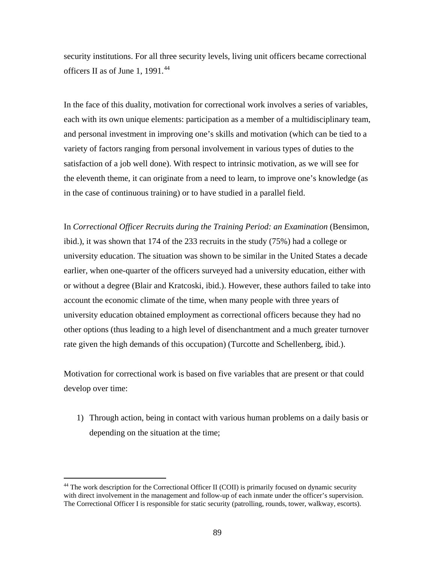<span id="page-102-0"></span>security institutions. For all three security levels, living unit officers became correctional officers II as of June 1,  $1991.<sup>44</sup>$  $1991.<sup>44</sup>$  $1991.<sup>44</sup>$ 

In the face of this duality, motivation for correctional work involves a series of variables, each with its own unique elements: participation as a member of a multidisciplinary team, and personal investment in improving one's skills and motivation (which can be tied to a variety of factors ranging from personal involvement in various types of duties to the satisfaction of a job well done). With respect to intrinsic motivation, as we will see for the eleventh theme, it can originate from a need to learn, to improve one's knowledge (as in the case of continuous training) or to have studied in a parallel field.

In *Correctional Officer Recruits during the Training Period: an Examination* (Bensimon, ibid.), it was shown that 174 of the 233 recruits in the study (75%) had a college or university education. The situation was shown to be similar in the United States a decade earlier, when one-quarter of the officers surveyed had a university education, either with or without a degree (Blair and Kratcoski, ibid.). However, these authors failed to take into account the economic climate of the time, when many people with three years of university education obtained employment as correctional officers because they had no other options (thus leading to a high level of disenchantment and a much greater turnover rate given the high demands of this occupation) (Turcotte and Schellenberg, ibid.).

Motivation for correctional work is based on five variables that are present or that could develop over time:

1) Through action, being in contact with various human problems on a daily basis or depending on the situation at the time;

 $44$  The work description for the Correctional Officer II (COII) is primarily focused on dynamic security with direct involvement in the management and follow-up of each inmate under the officer's supervision. The Correctional Officer I is responsible for static security (patrolling, rounds, tower, walkway, escorts).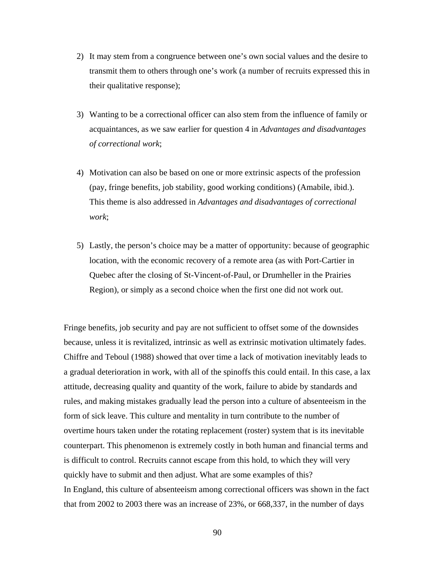- 2) It may stem from a congruence between one's own social values and the desire to transmit them to others through one's work (a number of recruits expressed this in their qualitative response);
- 3) Wanting to be a correctional officer can also stem from the influence of family or acquaintances, as we saw earlier for question 4 in *Advantages and disadvantages of correctional work*;
- 4) Motivation can also be based on one or more extrinsic aspects of the profession (pay, fringe benefits, job stability, good working conditions) (Amabile, ibid.). This theme is also addressed in *Advantages and disadvantages of correctional work*;
- 5) Lastly, the person's choice may be a matter of opportunity: because of geographic location, with the economic recovery of a remote area (as with Port-Cartier in Quebec after the closing of St-Vincent-of-Paul, or Drumheller in the Prairies Region), or simply as a second choice when the first one did not work out.

Fringe benefits, job security and pay are not sufficient to offset some of the downsides because, unless it is revitalized, intrinsic as well as extrinsic motivation ultimately fades. Chiffre and Teboul (1988) showed that over time a lack of motivation inevitably leads to a gradual deterioration in work, with all of the spinoffs this could entail. In this case, a lax attitude, decreasing quality and quantity of the work, failure to abide by standards and rules, and making mistakes gradually lead the person into a culture of absenteeism in the form of sick leave. This culture and mentality in turn contribute to the number of overtime hours taken under the rotating replacement (roster) system that is its inevitable counterpart. This phenomenon is extremely costly in both human and financial terms and is difficult to control. Recruits cannot escape from this hold, to which they will very quickly have to submit and then adjust. What are some examples of this? In England, this culture of absenteeism among correctional officers was shown in the fact that from 2002 to 2003 there was an increase of 23%, or 668,337, in the number of days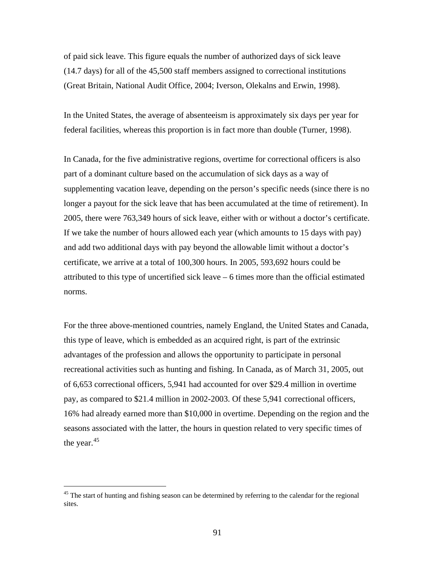<span id="page-104-0"></span>of paid sick leave. This figure equals the number of authorized days of sick leave (14.7 days) for all of the 45,500 staff members assigned to correctional institutions (Great Britain, National Audit Office, 2004; Iverson, Olekalns and Erwin, 1998).

In the United States, the average of absenteeism is approximately six days per year for federal facilities, whereas this proportion is in fact more than double (Turner, 1998).

In Canada, for the five administrative regions, overtime for correctional officers is also part of a dominant culture based on the accumulation of sick days as a way of supplementing vacation leave, depending on the person's specific needs (since there is no longer a payout for the sick leave that has been accumulated at the time of retirement). In 2005, there were 763,349 hours of sick leave, either with or without a doctor's certificate. If we take the number of hours allowed each year (which amounts to 15 days with pay) and add two additional days with pay beyond the allowable limit without a doctor's certificate, we arrive at a total of 100,300 hours. In 2005, 593,692 hours could be attributed to this type of uncertified sick leave – 6 times more than the official estimated norms.

For the three above-mentioned countries, namely England, the United States and Canada, this type of leave, which is embedded as an acquired right, is part of the extrinsic advantages of the profession and allows the opportunity to participate in personal recreational activities such as hunting and fishing. In Canada, as of March 31, 2005, out of 6,653 correctional officers, 5,941 had accounted for over \$29.4 million in overtime pay, as compared to \$21.4 million in 2002-2003. Of these 5,941 correctional officers, 16% had already earned more than \$10,000 in overtime. Depending on the region and the seasons associated with the latter, the hours in question related to very specific times of the year. $45$ 

<sup>&</sup>lt;sup>45</sup> The start of hunting and fishing season can be determined by referring to the calendar for the regional sites.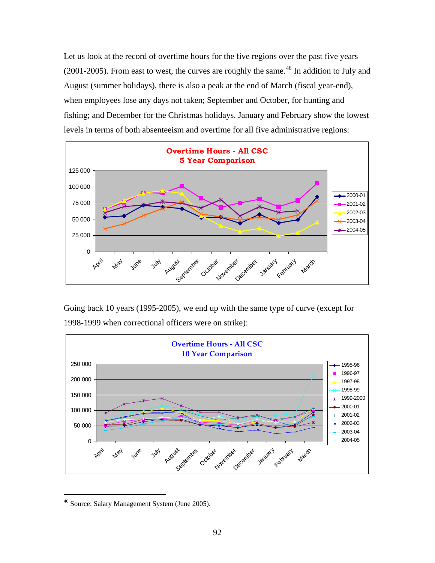<span id="page-105-0"></span>Let us look at the record of overtime hours for the five regions over the past five years  $(2001-2005)$ . From east to west, the curves are roughly the same.<sup>[46](#page-105-0)</sup> In addition to July and August (summer holidays), there is also a peak at the end of March (fiscal year-end), when employees lose any days not taken; September and October, for hunting and fishing; and December for the Christmas holidays. January and February show the lowest levels in terms of both absenteeism and overtime for all five administrative regions:



Going back 10 years (1995-2005), we end up with the same type of curve (except for 1998-1999 when correctional officers were on strike):



<sup>46</sup> Source: Salary Management System (June 2005).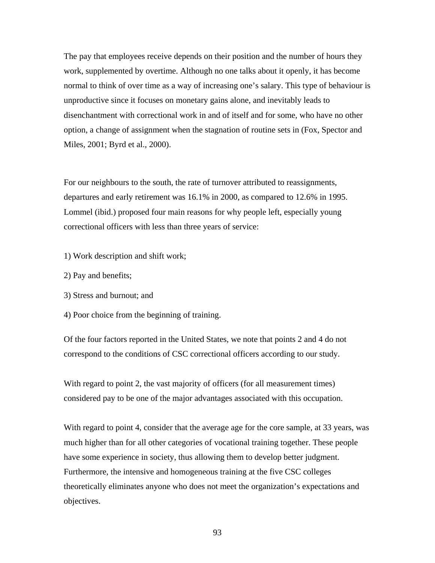The pay that employees receive depends on their position and the number of hours they work, supplemented by overtime. Although no one talks about it openly, it has become normal to think of over time as a way of increasing one's salary. This type of behaviour is unproductive since it focuses on monetary gains alone, and inevitably leads to disenchantment with correctional work in and of itself and for some, who have no other option, a change of assignment when the stagnation of routine sets in (Fox, Spector and Miles, 2001; Byrd et al., 2000).

For our neighbours to the south, the rate of turnover attributed to reassignments, departures and early retirement was 16.1% in 2000, as compared to 12.6% in 1995. Lommel (ibid.) proposed four main reasons for why people left, especially young correctional officers with less than three years of service:

- 1) Work description and shift work;
- 2) Pay and benefits;
- 3) Stress and burnout; and
- 4) Poor choice from the beginning of training.

Of the four factors reported in the United States, we note that points 2 and 4 do not correspond to the conditions of CSC correctional officers according to our study.

With regard to point 2, the vast majority of officers (for all measurement times) considered pay to be one of the major advantages associated with this occupation.

With regard to point 4, consider that the average age for the core sample, at 33 years, was much higher than for all other categories of vocational training together. These people have some experience in society, thus allowing them to develop better judgment. Furthermore, the intensive and homogeneous training at the five CSC colleges theoretically eliminates anyone who does not meet the organization's expectations and objectives.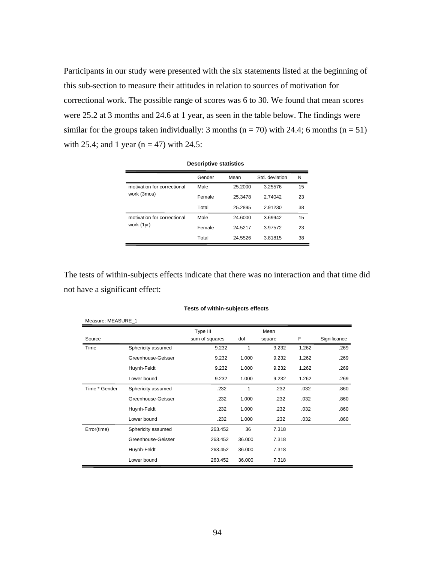Participants in our study were presented with the six statements listed at the beginning of this sub-section to measure their attitudes in relation to sources of motivation for correctional work. The possible range of scores was 6 to 30. We found that mean scores were 25.2 at 3 months and 24.6 at 1 year, as seen in the table below. The findings were similar for the groups taken individually: 3 months ( $n = 70$ ) with 24.4; 6 months ( $n = 51$ ) with 25.4; and 1 year ( $n = 47$ ) with 24.5:

|                             | Gender | Mean    | Std. deviation | N  |
|-----------------------------|--------|---------|----------------|----|
|                             |        |         |                |    |
| motivation for correctional | Male   | 25,2000 | 3.25576        | 15 |
| work (3mos)                 | Female | 25.3478 | 2.74042        | 23 |
|                             | Total  | 25.2895 | 2.91230        | 38 |
| motivation for correctional | Male   | 24,6000 | 3.69942        | 15 |
| work (1yr)                  | Female | 24.5217 | 3.97572        | 23 |
|                             | Total  | 24.5526 | 3.81815        | 38 |

| <b>Descriptive statistics</b> |  |
|-------------------------------|--|
|-------------------------------|--|

The tests of within-subjects effects indicate that there was no interaction and that time did not have a significant effect:

| Measure: MEASURE 1 |                    |                |        |        |       |              |
|--------------------|--------------------|----------------|--------|--------|-------|--------------|
|                    |                    | Type III       |        | Mean   | F     |              |
| Source             |                    | sum of squares | dof    | square |       | Significance |
| Time               | Sphericity assumed | 9.232          | 1      | 9.232  | 1.262 | .269         |
|                    | Greenhouse-Geisser | 9.232          | 1.000  | 9.232  | 1.262 | .269         |
|                    | Huynh-Feldt        | 9.232          | 1.000  | 9.232  | 1.262 | .269         |
|                    | Lower bound        | 9.232          | 1.000  | 9.232  | 1.262 | .269         |
| Time * Gender      | Sphericity assumed | .232           | 1      | .232   | .032  | .860         |
|                    | Greenhouse-Geisser | .232           | 1.000  | .232   | .032  | .860         |
|                    | Huynh-Feldt        | .232           | 1.000  | .232   | .032  | .860         |
|                    | Lower bound        | .232           | 1.000  | .232   | .032  | .860         |
| Error(time)        | Sphericity assumed | 263.452        | 36     | 7.318  |       |              |
|                    | Greenhouse-Geisser | 263.452        | 36.000 | 7.318  |       |              |
|                    | Huynh-Feldt        | 263.452        | 36.000 | 7.318  |       |              |
|                    | Lower bound        | 263.452        | 36.000 | 7.318  |       |              |

### **Tests of within-subjects effects**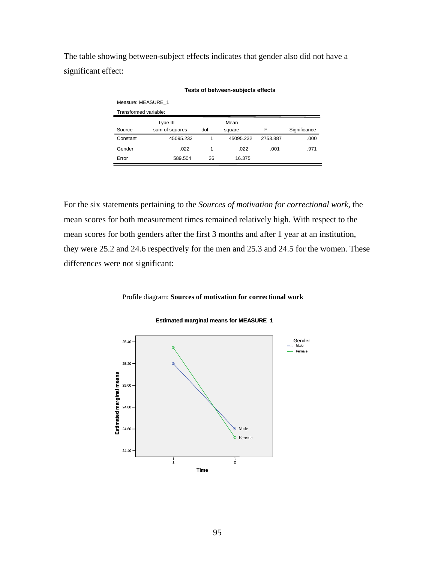The table showing between-subject effects indicates that gender also did not have a significant effect:

| Measure: MEASURE 1    |                |     |           |          |              |  |  |
|-----------------------|----------------|-----|-----------|----------|--------------|--|--|
| Transformed variable: |                |     |           |          |              |  |  |
|                       | Type III       |     | Mean      |          |              |  |  |
| Source                | sum of squares | dof | square    | F        | Significance |  |  |
| Constant              | 45095.232      |     | 45095.232 | 2753.887 | .000         |  |  |
| Gender                | .022           |     | .022      | .001     | .971         |  |  |
| Error                 | 589.504        | 36  | 16.375    |          |              |  |  |

Tests of between-subjects effects

For the six statements pertaining to the *Sources of motivation for correctional work*, the mean scores for both measurement times remained relatively high. With respect to the mean scores for both genders after the first 3 months and after 1 year at an institution, they were 25.2 and 24.6 respectively for the men and 25.3 and 24.5 for the women. These differences were not significant:

Profile diagram: **Sources of motivation for correctional work** 



### **Estimated marginal means for MEASURE\_1**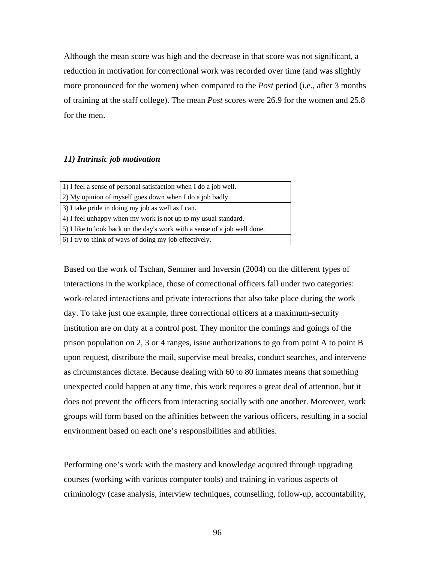Although the mean score was high and the decrease in that score was not significant, a reduction in motivation for correctional work was recorded over time (and was slightly more pronounced for the women) when compared to the *Post* period (i.e., after 3 months of training at the staff college). The mean *Post* scores were 26.9 for the women and 25.8 for the men.

## *11) Intrinsic job motivation*

| 1) I feel a sense of personal satisfaction when I do a job well.          |
|---------------------------------------------------------------------------|
| 2) My opinion of myself goes down when I do a job badly.                  |
| 3) I take pride in doing my job as well as I can.                         |
| 4) I feel unhappy when my work is not up to my usual standard.            |
| 5) I like to look back on the day's work with a sense of a job well done. |
| 6) I try to think of ways of doing my job effectively.                    |

Based on the work of Tschan, Semmer and Inversin (2004) on the different types of interactions in the workplace, those of correctional officers fall under two categories: work-related interactions and private interactions that also take place during the work day. To take just one example, three correctional officers at a maximum-security institution are on duty at a control post. They monitor the comings and goings of the prison population on 2, 3 or 4 ranges, issue authorizations to go from point A to point B upon request, distribute the mail, supervise meal breaks, conduct searches, and intervene as circumstances dictate. Because dealing with 60 to 80 inmates means that something unexpected could happen at any time, this work requires a great deal of attention, but it does not prevent the officers from interacting socially with one another. Moreover, work groups will form based on the affinities between the various officers, resulting in a social environment based on each one's responsibilities and abilities.

Performing one's work with the mastery and knowledge acquired through upgrading courses (working with various computer tools) and training in various aspects of criminology (case analysis, interview techniques, counselling, follow-up, accountability,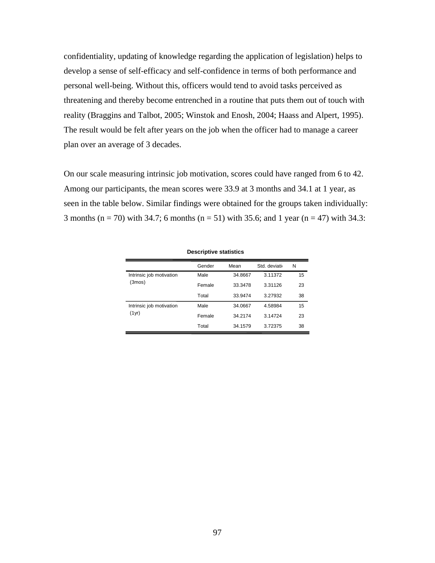confidentiality, updating of knowledge regarding the application of legislation) helps to develop a sense of self-efficacy and self-confidence in terms of both performance and personal well-being. Without this, officers would tend to avoid tasks perceived as threatening and thereby become entrenched in a routine that puts them out of touch with reality (Braggins and Talbot, 2005; Winstok and Enosh, 2004; Haass and Alpert, 1995). The result would be felt after years on the job when the officer had to manage a career plan over an average of 3 decades.

On our scale measuring intrinsic job motivation, scores could have ranged from 6 to 42. Among our participants, the mean scores were 33.9 at 3 months and 34.1 at 1 year, as seen in the table below. Similar findings were obtained for the groups taken individually: 3 months (n = 70) with 34.7; 6 months (n = 51) with 35.6; and 1 year (n = 47) with 34.3:

|                          | Gender | Mean    | Std. deviation | N  |
|--------------------------|--------|---------|----------------|----|
| Intrinsic job motivation | Male   | 34.8667 | 3.11372        | 15 |
| (3mos)                   | Female | 33.3478 | 3.31126        | 23 |
|                          | Total  | 33.9474 | 3.27932        | 38 |
| Intrinsic job motivation | Male   | 34.0667 | 4.58984        | 15 |
| (1yr)                    | Female | 34.2174 | 3.14724        | 23 |
|                          | Total  | 34.1579 | 3.72375        | 38 |

**Descriptive statistics**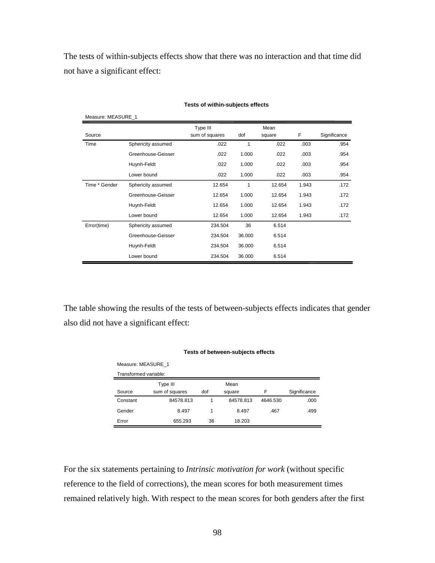The tests of within-subjects effects show that there was no interaction and that time did not have a significant effect:

| Measure: MEASURE 1 |                    |                            |        |                |       |              |
|--------------------|--------------------|----------------------------|--------|----------------|-------|--------------|
| Source             |                    | Type III<br>sum of squares | dof    | Mean<br>square | F     | Significance |
| Time               | Sphericity assumed | .022                       | 1      | .022           | .003  | .954         |
|                    | Greenhouse-Geisser | .022                       | 1.000  | .022           | .003  | .954         |
|                    | Huynh-Feldt        | .022                       | 1.000  | .022           | .003  | .954         |
|                    | Lower bound        | .022                       | 1.000  | .022           | .003  | .954         |
| Time * Gender      | Sphericity assumed | 12.654                     | 1      | 12.654         | 1.943 | .172         |
|                    | Greenhouse-Geisser | 12.654                     | 1.000  | 12.654         | 1.943 | .172         |
|                    | Huynh-Feldt        | 12.654                     | 1.000  | 12.654         | 1.943 | .172         |
|                    | Lower bound        | 12.654                     | 1.000  | 12.654         | 1.943 | .172         |
| Error(time)        | Sphericity assumed | 234.504                    | 36     | 6.514          |       |              |
|                    | Greenhouse-Geisser | 234.504                    | 36.000 | 6.514          |       |              |
|                    | Huynh-Feldt        | 234.504                    | 36.000 | 6.514          |       |              |
|                    | Lower bound        | 234.504                    | 36.000 | 6.514          |       |              |

### **Tests of within-subjects effects**

The table showing the results of the tests of between-subjects effects indicates that gender also did not have a significant effect:

| Measure: MEASURE 1    |                |     |           |          |              |  |  |
|-----------------------|----------------|-----|-----------|----------|--------------|--|--|
| Transformed variable: |                |     |           |          |              |  |  |
|                       | Type III       |     | Mean      |          |              |  |  |
| Source                | sum of squares | dof | square    | F        | Significance |  |  |
| Constant              | 84578.813      |     | 84578.813 | 4646.530 | .000         |  |  |
| Gender                | 8.497          | 1   | 8.497     | .467     | .499         |  |  |
| Error                 | 655.293        | 36  | 18.203    |          |              |  |  |

#### **Tests of between-subjects effects**

For the six statements pertaining to *Intrinsic motivation for work* (without specific reference to the field of corrections), the mean scores for both measurement times remained relatively high. With respect to the mean scores for both genders after the first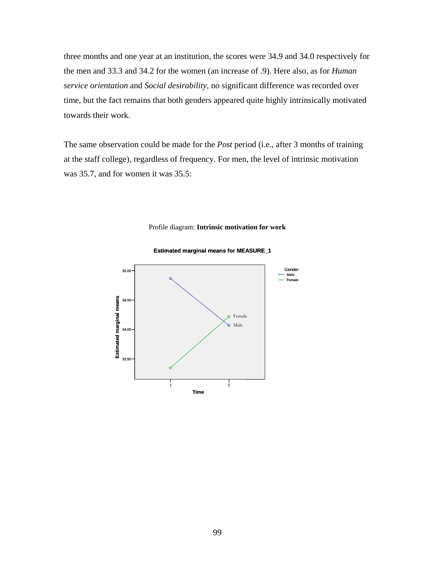three months and one year at an institution, the scores were 34.9 and 34.0 respectively for the men and 33.3 and 34.2 for the women (an increase of .9). Here also, as for *Human service orientation* and *Social desirability*, no significant difference was recorded over time, but the fact remains that both genders appeared quite highly intrinsically motivated towards their work.

The same observation could be made for the *Post* period (i.e., after 3 months of training at the staff college), regardless of frequency. For men, the level of intrinsic motivation was 35.7, and for women it was 35.5:



**Estimated marginal means for MEASURE\_1**

Profile diagram: **Intrinsic motivation for work**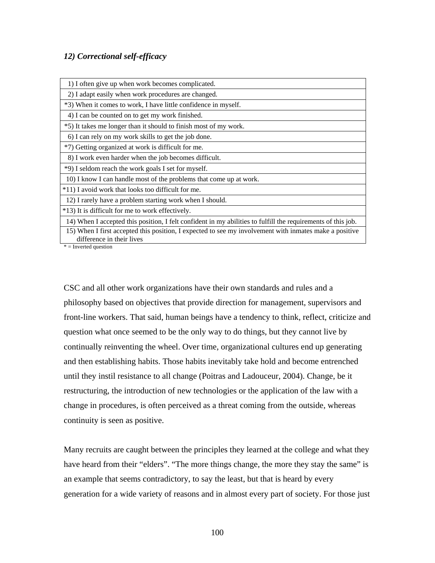# *12) Correctional self-efficacy*

| 1) I often give up when work becomes complicated.                                                                                   |
|-------------------------------------------------------------------------------------------------------------------------------------|
| 2) I adapt easily when work procedures are changed.                                                                                 |
| *3) When it comes to work, I have little confidence in myself.                                                                      |
| 4) I can be counted on to get my work finished.                                                                                     |
| *5) It takes me longer than it should to finish most of my work.                                                                    |
| 6) I can rely on my work skills to get the job done.                                                                                |
| *7) Getting organized at work is difficult for me.                                                                                  |
| 8) I work even harder when the job becomes difficult.                                                                               |
| *9) I seldom reach the work goals I set for myself.                                                                                 |
| 10) I know I can handle most of the problems that come up at work.                                                                  |
| *11) I avoid work that looks too difficult for me.                                                                                  |
| 12) I rarely have a problem starting work when I should.                                                                            |
| *13) It is difficult for me to work effectively.                                                                                    |
| 14) When I accepted this position, I felt confident in my abilities to fulfill the requirements of this job.                        |
| 15) When I first accepted this position, I expected to see my involvement with inmates make a positive<br>difference in their lives |

 $* = Inverted question$ 

CSC and all other work organizations have their own standards and rules and a philosophy based on objectives that provide direction for management, supervisors and front-line workers. That said, human beings have a tendency to think, reflect, criticize and question what once seemed to be the only way to do things, but they cannot live by continually reinventing the wheel. Over time, organizational cultures end up generating and then establishing habits. Those habits inevitably take hold and become entrenched until they instil resistance to all change (Poitras and Ladouceur, 2004). Change, be it restructuring, the introduction of new technologies or the application of the law with a change in procedures, is often perceived as a threat coming from the outside, whereas continuity is seen as positive.

Many recruits are caught between the principles they learned at the college and what they have heard from their "elders". "The more things change, the more they stay the same" is an example that seems contradictory, to say the least, but that is heard by every generation for a wide variety of reasons and in almost every part of society. For those just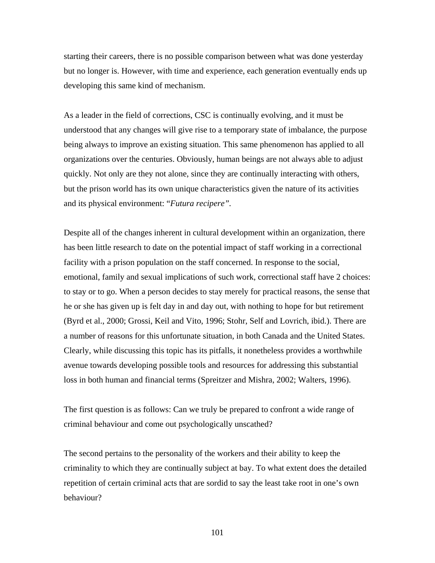starting their careers, there is no possible comparison between what was done yesterday but no longer is. However, with time and experience, each generation eventually ends up developing this same kind of mechanism.

As a leader in the field of corrections, CSC is continually evolving, and it must be understood that any changes will give rise to a temporary state of imbalance, the purpose being always to improve an existing situation. This same phenomenon has applied to all organizations over the centuries. Obviously, human beings are not always able to adjust quickly. Not only are they not alone, since they are continually interacting with others, but the prison world has its own unique characteristics given the nature of its activities and its physical environment: "*Futura recipere".* 

Despite all of the changes inherent in cultural development within an organization, there has been little research to date on the potential impact of staff working in a correctional facility with a prison population on the staff concerned. In response to the social, emotional, family and sexual implications of such work, correctional staff have 2 choices: to stay or to go. When a person decides to stay merely for practical reasons, the sense that he or she has given up is felt day in and day out, with nothing to hope for but retirement (Byrd et al., 2000; Grossi, Keil and Vito, 1996; Stohr, Self and Lovrich, ibid.). There are a number of reasons for this unfortunate situation, in both Canada and the United States. Clearly, while discussing this topic has its pitfalls, it nonetheless provides a worthwhile avenue towards developing possible tools and resources for addressing this substantial loss in both human and financial terms (Spreitzer and Mishra, 2002; Walters, 1996).

The first question is as follows: Can we truly be prepared to confront a wide range of criminal behaviour and come out psychologically unscathed?

The second pertains to the personality of the workers and their ability to keep the criminality to which they are continually subject at bay. To what extent does the detailed repetition of certain criminal acts that are sordid to say the least take root in one's own behaviour?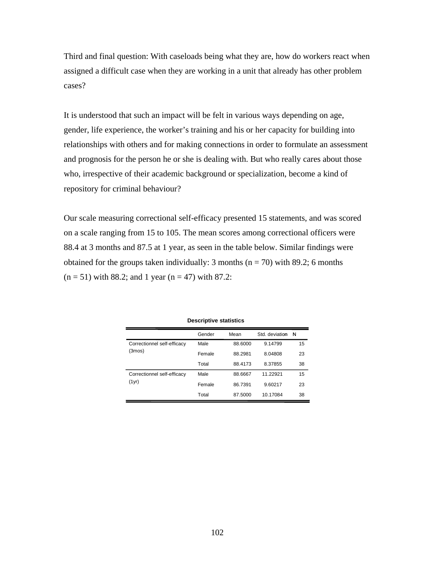Third and final question: With caseloads being what they are, how do workers react when assigned a difficult case when they are working in a unit that already has other problem cases?

It is understood that such an impact will be felt in various ways depending on age, gender, life experience, the worker's training and his or her capacity for building into relationships with others and for making connections in order to formulate an assessment and prognosis for the person he or she is dealing with. But who really cares about those who, irrespective of their academic background or specialization, become a kind of repository for criminal behaviour?

Our scale measuring correctional self-efficacy presented 15 statements, and was scored on a scale ranging from 15 to 105. The mean scores among correctional officers were 88.4 at 3 months and 87.5 at 1 year, as seen in the table below. Similar findings were obtained for the groups taken individually: 3 months ( $n = 70$ ) with 89.2; 6 months  $(n = 51)$  with 88.2; and 1 year  $(n = 47)$  with 87.2:

|                             | Gender | Mean    | Std. deviation N |    |  |  |  |
|-----------------------------|--------|---------|------------------|----|--|--|--|
| Correctionnel self-efficacy | Male   | 88.6000 | 9.14799          | 15 |  |  |  |
| (3mos)                      | Female | 88.2981 | 8.04808          | 23 |  |  |  |
|                             | Total  | 88.4173 | 8.37855          | 38 |  |  |  |
| Correctionnel self-efficacy | Male   | 88.6667 | 11.22921         | 15 |  |  |  |
| (1yr)                       | Female | 86.7391 | 9.60217          | 23 |  |  |  |
|                             | Total  | 87.5000 | 10.17084         | 38 |  |  |  |

**Descriptive statistics**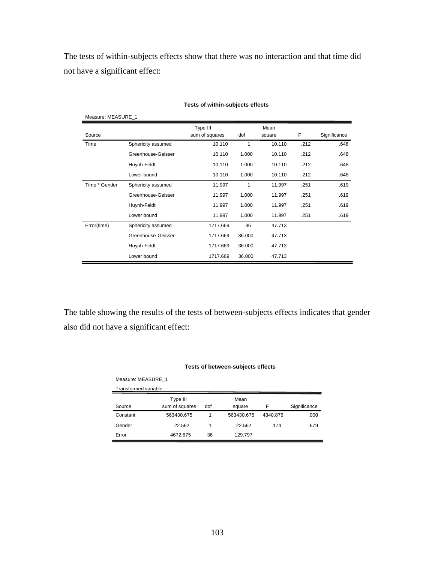The tests of within-subjects effects show that there was no interaction and that time did not have a significant effect:

| Measure: MEASURE 1 |                    |                |        |        |      |              |
|--------------------|--------------------|----------------|--------|--------|------|--------------|
|                    |                    | Type III       |        | Mean   |      |              |
| Source             |                    | sum of squares | dof    | square | F    | Significance |
| Time               | Sphericity assumed | 10.110         | 1      | 10.110 | .212 | .648         |
|                    | Greenhouse-Geisser | 10.110         | 1.000  | 10.110 | .212 | .648         |
|                    | Huynh-Feldt        | 10.110         | 1.000  | 10.110 | .212 | .648         |
|                    | Lower bound        | 10.110         | 1.000  | 10.110 | .212 | .648         |
| Time * Gender      | Sphericity assumed | 11.997         | 1      | 11.997 | .251 | .619         |
|                    | Greenhouse-Geisser | 11.997         | 1.000  | 11.997 | .251 | .619         |
|                    | Huynh-Feldt        | 11.997         | 1.000  | 11.997 | .251 | .619         |
|                    | Lower bound        | 11.997         | 1.000  | 11.997 | .251 | .619         |
| Error(time)        | Sphericity assumed | 1717.669       | 36     | 47.713 |      |              |
|                    | Greenhouse-Geisser | 1717.669       | 36.000 | 47.713 |      |              |
|                    | Huynh-Feldt        | 1717.669       | 36.000 | 47.713 |      |              |
|                    | Lower bound        | 1717.669       | 36.000 | 47.713 |      |              |

### **Tests of within-subjects effects**

The table showing the results of the tests of between-subjects effects indicates that gender also did not have a significant effect:

#### Tests of between-subjects effects

| Measure: MEASURE 1    |                |     |            |          |              |  |  |
|-----------------------|----------------|-----|------------|----------|--------------|--|--|
| Transformed variable: |                |     |            |          |              |  |  |
|                       | Type III       |     | Mean       |          |              |  |  |
| Source                | sum of squares | dof | square     | F        | Significance |  |  |
| Constant              | 563430.675     | 1   | 563430.675 | 4340.876 | .000         |  |  |
| Gender                | 22.562         | 1   | 22.562     | .174     | .679         |  |  |
| Error                 | 4672.675       | 36  | 129.797    |          |              |  |  |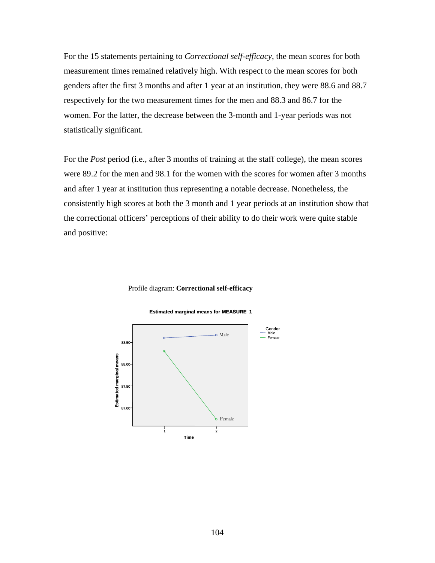For the 15 statements pertaining to *Correctional self-efficacy*, the mean scores for both measurement times remained relatively high. With respect to the mean scores for both genders after the first 3 months and after 1 year at an institution, they were 88.6 and 88.7 respectively for the two measurement times for the men and 88.3 and 86.7 for the women. For the latter, the decrease between the 3-month and 1-year periods was not statistically significant.

For the *Post* period (i.e., after 3 months of training at the staff college), the mean scores were 89.2 for the men and 98.1 for the women with the scores for women after 3 months and after 1 year at institution thus representing a notable decrease. Nonetheless, the consistently high scores at both the 3 month and 1 year periods at an institution show that the correctional officers' perceptions of their ability to do their work were quite stable and positive:

### Profile diagram: **Correctional self-efficacy**



**Estimated marginal means for MEASURE\_1**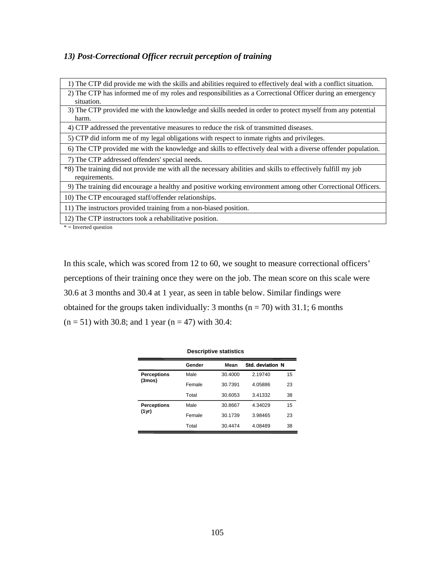# *13) Post-Correctional Officer recruit perception of training*

| 1) The CTP did provide me with the skills and abilities required to effectively deal with a conflict situation.                |
|--------------------------------------------------------------------------------------------------------------------------------|
| 2) The CTP has informed me of my roles and responsibilities as a Correctional Officer during an emergency<br>situation.        |
| 3) The CTP provided me with the knowledge and skills needed in order to protect myself from any potential<br>harm.             |
| 4) CTP addressed the preventative measures to reduce the risk of transmitted diseases.                                         |
| 5) CTP did inform me of my legal obligations with respect to inmate rights and privileges.                                     |
| 6) The CTP provided me with the knowledge and skills to effectively deal with a diverse offender population.                   |
| 7) The CTP addressed offenders' special needs.                                                                                 |
| *8) The training did not provide me with all the necessary abilities and skills to effectively fulfill my job<br>requirements. |
| 9) The training did encourage a healthy and positive working environment among other Correctional Officers.                    |
| 10) The CTP encouraged staff/offender relationships.                                                                           |
| 11) The instructors provided training from a non-biased position.                                                              |
| 12) The CTP instructors took a rehabilitative position.                                                                        |

\* = Inverted question

In this scale, which was scored from 12 to 60, we sought to measure correctional officers' perceptions of their training once they were on the job. The mean score on this scale were 30.6 at 3 months and 30.4 at 1 year, as seen in table below. Similar findings were obtained for the groups taken individually: 3 months ( $n = 70$ ) with 31.1; 6 months  $(n = 51)$  with 30.8; and 1 year  $(n = 47)$  with 30.4:

| <b>Descriptive statistics</b> |        |         |                         |    |  |  |
|-------------------------------|--------|---------|-------------------------|----|--|--|
|                               | Gender | Mean    | <b>Std. deviation N</b> |    |  |  |
| <b>Perceptions</b>            | Male   | 30.4000 | 2.19740                 | 15 |  |  |
| (3mos)                        | Female | 30.7391 | 4.05886                 | 23 |  |  |
|                               | Total  | 30.6053 | 3.41332                 | 38 |  |  |
| <b>Perceptions</b>            | Male   | 30.8667 | 4.34029                 | 15 |  |  |
| (1yr)                         | Female | 30.1739 | 3.98465                 | 23 |  |  |
|                               | Total  | 30.4474 | 4.08489                 | 38 |  |  |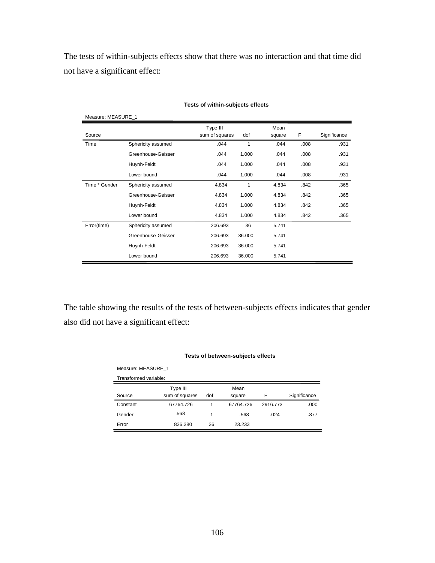The tests of within-subjects effects show that there was no interaction and that time did not have a significant effect:

| Measure: MEASURE 1 |                    |                            |        |                |      |              |
|--------------------|--------------------|----------------------------|--------|----------------|------|--------------|
| Source             |                    | Type III<br>sum of squares | dof    | Mean<br>square | F    | Significance |
| Time               | Sphericity assumed | .044                       | 1      | .044           | .008 | .931         |
|                    | Greenhouse-Geisser | .044                       | 1.000  | .044           | .008 | .931         |
|                    | Huynh-Feldt        | .044                       | 1.000  | .044           | .008 | .931         |
|                    | Lower bound        | .044                       | 1.000  | .044           | .008 | .931         |
| Time * Gender      | Sphericity assumed | 4.834                      | 1      | 4.834          | .842 | .365         |
|                    | Greenhouse-Geisser | 4.834                      | 1.000  | 4.834          | .842 | .365         |
|                    | Huynh-Feldt        | 4.834                      | 1.000  | 4.834          | .842 | .365         |
|                    | Lower bound        | 4.834                      | 1.000  | 4.834          | .842 | .365         |
| Error(time)        | Sphericity assumed | 206.693                    | 36     | 5.741          |      |              |
|                    | Greenhouse-Geisser | 206.693                    | 36.000 | 5.741          |      |              |
|                    | Huynh-Feldt        | 206.693                    | 36.000 | 5.741          |      |              |
|                    | Lower bound        | 206.693                    | 36.000 | 5.741          |      |              |

## **Tests of within-subjects effects**

The table showing the results of the tests of between-subjects effects indicates that gender also did not have a significant effect:

|                       | Measure: MEASURE 1 |     |           |          |              |  |  |  |
|-----------------------|--------------------|-----|-----------|----------|--------------|--|--|--|
| Transformed variable: |                    |     |           |          |              |  |  |  |
|                       | Type III           |     | Mean      |          |              |  |  |  |
| Source                | sum of squares     | dof | square    | F        | Significance |  |  |  |
| Constant              | 67764.726          |     | 67764.726 | 2916.773 | .000         |  |  |  |
| Gender                | .568               | 1   | .568      | .024     | .877         |  |  |  |
| Error                 | 836.380            | 36  | 23.233    |          |              |  |  |  |

#### **Tests of between-subjects effects**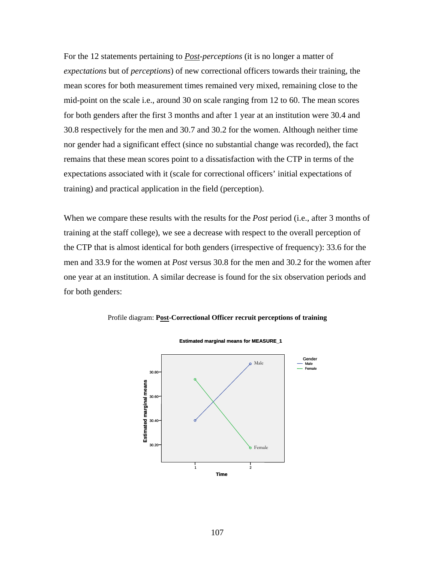For the 12 statements pertaining to *Post-perceptions* (it is no longer a matter of *expectations* but of *perceptions*) of new correctional officers towards their training, the mean scores for both measurement times remained very mixed, remaining close to the mid-point on the scale i.e., around 30 on scale ranging from 12 to 60. The mean scores for both genders after the first 3 months and after 1 year at an institution were 30.4 and 30.8 respectively for the men and 30.7 and 30.2 for the women. Although neither time nor gender had a significant effect (since no substantial change was recorded), the fact remains that these mean scores point to a dissatisfaction with the CTP in terms of the expectations associated with it (scale for correctional officers' initial expectations of training) and practical application in the field (perception).

When we compare these results with the results for the *Post* period (i.e., after 3 months of training at the staff college), we see a decrease with respect to the overall perception of the CTP that is almost identical for both genders (irrespective of frequency): 33.6 for the men and 33.9 for the women at *Post* versus 30.8 for the men and 30.2 for the women after one year at an institution. A similar decrease is found for the six observation periods and for both genders:

### Profile diagram: **Post-Correctional Officer recruit perceptions of training**



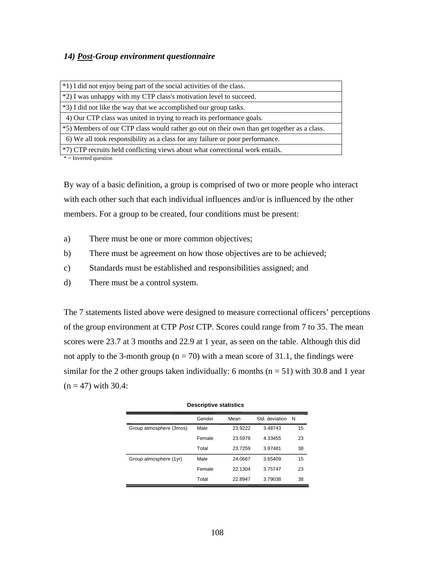# *14) Post-Group environment questionnaire*

 $* = Inverted question$ 

By way of a basic definition, a group is comprised of two or more people who interact with each other such that each individual influences and/or is influenced by the other members. For a group to be created, four conditions must be present:

- a) There must be one or more common objectives;
- b) There must be agreement on how those objectives are to be achieved;
- c) Standards must be established and responsibilities assigned; and
- d) There must be a control system.

The 7 statements listed above were designed to measure correctional officers' perceptions of the group environment at CTP *Post* CTP. Scores could range from 7 to 35. The mean scores were 23.7 at 3 months and 22.9 at 1 year, as seen on the table. Although this did not apply to the 3-month group ( $n = 70$ ) with a mean score of 31.1, the findings were similar for the 2 other groups taken individually: 6 months  $(n = 51)$  with 30.8 and 1 year  $(n = 47)$  with 30.4:

|                         | ------ <b>-</b> -- |         |                |     |
|-------------------------|--------------------|---------|----------------|-----|
|                         | Gender             | Mean    | Std. deviation | - N |
| Group atmosphere (3mos) | Male               | 23.9222 | 3.48743        | 15  |
|                         | Female             | 23.5978 | 4.33455        | 23  |
|                         | Total              | 23.7259 | 3.97481        | 38  |
| Group atmosphere (1yr)  | Male               | 24.0667 | 3.65409        | 15  |
|                         | Female             | 22.1304 | 3.75747        | 23  |
|                         | Total              | 22.8947 | 3.79038        | 38  |

### **Descriptive statistics**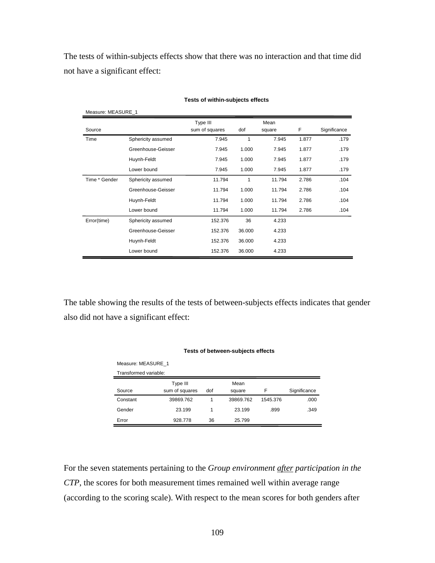The tests of within-subjects effects show that there was no interaction and that time did not have a significant effect:

| Measure: MEASURE 1 |                    |                            |        |                |       |              |
|--------------------|--------------------|----------------------------|--------|----------------|-------|--------------|
| Source             |                    | Type III<br>sum of squares | dof    | Mean<br>square | F     | Significance |
| Time               | Sphericity assumed | 7.945                      | 1      | 7.945          | 1.877 | .179         |
|                    | Greenhouse-Geisser | 7.945                      | 1.000  | 7.945          | 1.877 | .179         |
|                    | Huynh-Feldt        | 7.945                      | 1.000  | 7.945          | 1.877 | .179         |
|                    | Lower bound        | 7.945                      | 1.000  | 7.945          | 1.877 | .179         |
| Time * Gender      | Sphericity assumed | 11.794                     | 1      | 11.794         | 2.786 | .104         |
|                    | Greenhouse-Geisser | 11.794                     | 1.000  | 11.794         | 2.786 | .104         |
|                    | Huynh-Feldt        | 11.794                     | 1.000  | 11.794         | 2.786 | .104         |
|                    | Lower bound        | 11.794                     | 1.000  | 11.794         | 2.786 | .104         |
| Error(time)        | Sphericity assumed | 152.376                    | 36     | 4.233          |       |              |
|                    | Greenhouse-Geisser | 152.376                    | 36.000 | 4.233          |       |              |
|                    | Huynh-Feldt        | 152.376                    | 36.000 | 4.233          |       |              |
|                    | Lower bound        | 152.376                    | 36.000 | 4.233          |       |              |

## **Tests of within-subjects effects**

The table showing the results of the tests of between-subjects effects indicates that gender also did not have a significant effect:

| Measure: MEASURE 1    |                |     |           |          |              |  |
|-----------------------|----------------|-----|-----------|----------|--------------|--|
| Transformed variable: |                |     |           |          |              |  |
|                       | Type III       |     | Mean      |          |              |  |
| Source                | sum of squares | dof | square    | F        | Significance |  |
| Constant              | 39869.762      | 1   | 39869.762 | 1545.376 | .000         |  |
| Gender                | 23.199         | 1   | 23.199    | .899     | .349         |  |
| Error                 | 928.778        | 36  | 25.799    |          |              |  |

#### Tests of between-subjects effects

For the seven statements pertaining to the *Group environment after participation in the CTP*, the scores for both measurement times remained well within average range (according to the scoring scale). With respect to the mean scores for both genders after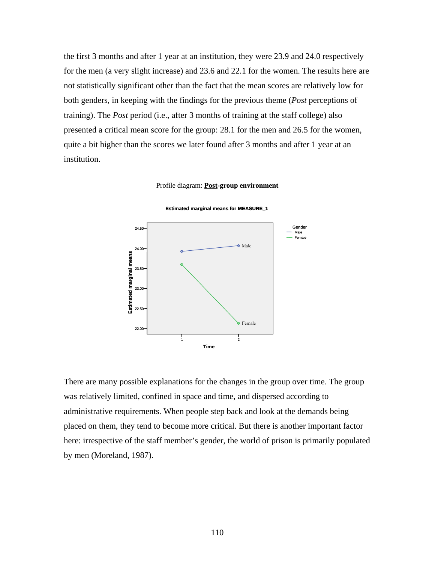the first 3 months and after 1 year at an institution, they were 23.9 and 24.0 respectively for the men (a very slight increase) and 23.6 and 22.1 for the women. The results here are not statistically significant other than the fact that the mean scores are relatively low for both genders, in keeping with the findings for the previous theme (*Post* perceptions of training). The *Post* period (i.e., after 3 months of training at the staff college) also presented a critical mean score for the group: 28.1 for the men and 26.5 for the women, quite a bit higher than the scores we later found after 3 months and after 1 year at an institution.

# Profile diagram: **Post-group environment**



**Estimated marginal means for MEASURE\_1**

There are many possible explanations for the changes in the group over time. The group was relatively limited, confined in space and time, and dispersed according to administrative requirements. When people step back and look at the demands being placed on them, they tend to become more critical. But there is another important factor here: irrespective of the staff member's gender, the world of prison is primarily populated by men (Moreland, 1987).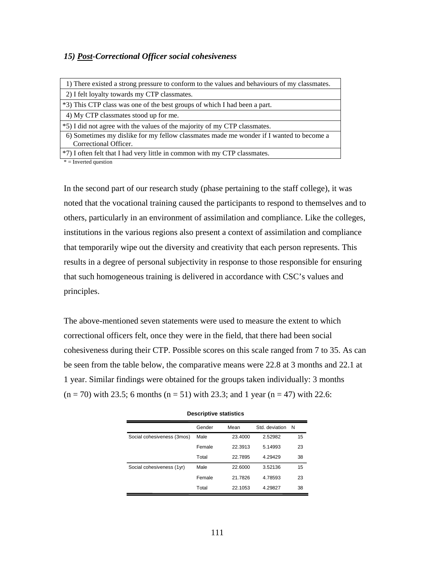# *15) Post-Correctional Officer social cohesiveness*

| 1) There existed a strong pressure to conform to the values and behaviours of my classmates.                     |
|------------------------------------------------------------------------------------------------------------------|
| 2) I felt loyalty towards my CTP classmates.                                                                     |
| *3) This CTP class was one of the best groups of which I had been a part.                                        |
| 4) My CTP classmates stood up for me.                                                                            |
| *5) I did not agree with the values of the majority of my CTP classmates.                                        |
| 6) Sometimes my dislike for my fellow classmates made me wonder if I wanted to become a<br>Correctional Officer. |
| *7) I often felt that I had very little in common with my CTP classmates.                                        |

 $* = Inverted question$ 

In the second part of our research study (phase pertaining to the staff college), it was noted that the vocational training caused the participants to respond to themselves and to others, particularly in an environment of assimilation and compliance. Like the colleges, institutions in the various regions also present a context of assimilation and compliance that temporarily wipe out the diversity and creativity that each person represents. This results in a degree of personal subjectivity in response to those responsible for ensuring that such homogeneous training is delivered in accordance with CSC's values and principles.

The above-mentioned seven statements were used to measure the extent to which correctional officers felt, once they were in the field, that there had been social cohesiveness during their CTP. Possible scores on this scale ranged from 7 to 35. As can be seen from the table below, the comparative means were 22.8 at 3 months and 22.1 at 1 year. Similar findings were obtained for the groups taken individually: 3 months  $(n = 70)$  with 23.5; 6 months  $(n = 51)$  with 23.3; and 1 year  $(n = 47)$  with 22.6:

|                            | ------ <b>-</b> -- |         |                |     |
|----------------------------|--------------------|---------|----------------|-----|
|                            | Gender             | Mean    | Std. deviation | - N |
| Social cohesiveness (3mos) | Male               | 23.4000 | 2.52982        | 15  |
|                            | Female             | 22.3913 | 5.14993        | 23  |
|                            | Total              | 22.7895 | 4.29429        | 38  |
| Social cohesiveness (1yr)  | Male               | 22.6000 | 3.52136        | 15  |
|                            | Female             | 21.7826 | 4.78593        | 23  |
|                            | Total              | 22.1053 | 4.29827        | 38  |

**Descriptive statistics**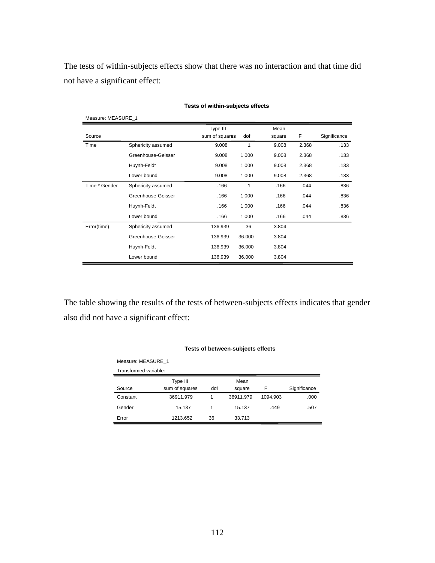The tests of within-subjects effects show that there was no interaction and that time did not have a significant effect:

| Measure: MEASURE 1 |                    |                            |        |                |       |              |  |
|--------------------|--------------------|----------------------------|--------|----------------|-------|--------------|--|
| Source             |                    | Type III<br>sum of squares | dof    | Mean<br>square | F     | Significance |  |
| Time               | Sphericity assumed | 9.008                      | 1      | 9.008          | 2.368 | .133         |  |
|                    | Greenhouse-Geisser | 9.008                      | 1.000  | 9.008          | 2.368 | .133         |  |
|                    | Huynh-Feldt        | 9.008                      | 1.000  | 9.008          | 2.368 | .133         |  |
|                    | Lower bound        | 9.008                      | 1.000  | 9.008          | 2.368 | .133         |  |
| Time * Gender      | Sphericity assumed | .166                       | 1      | .166           | .044  | .836         |  |
|                    | Greenhouse-Geisser | .166                       | 1.000  | .166           | .044  | .836         |  |
|                    | Huynh-Feldt        | .166                       | 1.000  | .166           | .044  | .836         |  |
|                    | Lower bound        | .166                       | 1.000  | .166           | .044  | .836         |  |
| Error(time)        | Sphericity assumed | 136.939                    | 36     | 3.804          |       |              |  |
|                    | Greenhouse-Geisser | 136.939                    | 36.000 | 3.804          |       |              |  |
|                    | Huynh-Feldt        | 136.939                    | 36.000 | 3.804          |       |              |  |
|                    | Lower bound        | 136.939                    | 36.000 | 3.804          |       |              |  |

**Tests of within-subjects effects**

The table showing the results of the tests of between-subjects effects indicates that gender also did not have a significant effect:

| Measure: MEASURE 1    |                |     |           |          |              |
|-----------------------|----------------|-----|-----------|----------|--------------|
| Transformed variable: |                |     |           |          |              |
|                       | Type III       |     | Mean      |          |              |
| Source                | sum of squares | dol | square    | F        | Significance |
| Constant              | 36911.979      |     | 36911.979 | 1094.903 | .000         |
| Gender                | 15.137         | 1   | 15.137    | .449     | .507         |
| Error                 | 1213.652       | 36  | 33.713    |          |              |

#### Tests of between-subjects effects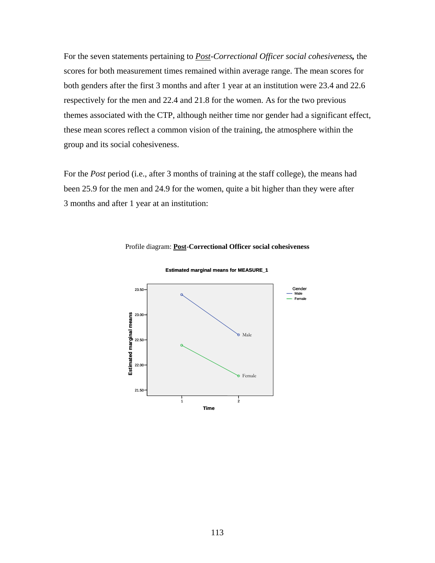For the seven statements pertaining to *Post-Correctional Officer social cohesiveness,* the scores for both measurement times remained within average range. The mean scores for both genders after the first 3 months and after 1 year at an institution were 23.4 and 22.6 respectively for the men and 22.4 and 21.8 for the women. As for the two previous themes associated with the CTP, although neither time nor gender had a significant effect, these mean scores reflect a common vision of the training, the atmosphere within the group and its social cohesiveness.

For the *Post* period (i.e., after 3 months of training at the staff college), the means had been 25.9 for the men and 24.9 for the women, quite a bit higher than they were after 3 months and after 1 year at an institution:



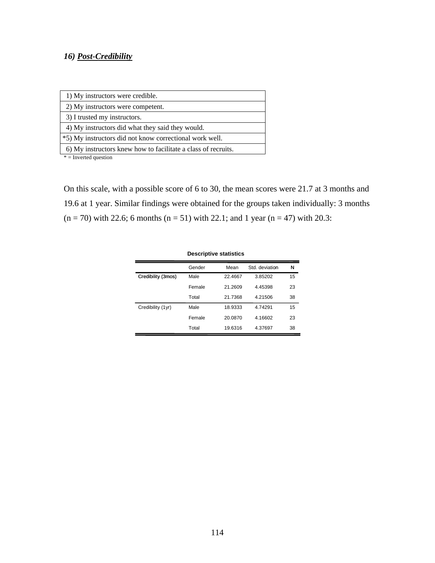# *16) Post-Credibility*

| 1) My instructors were credible.                              |
|---------------------------------------------------------------|
| 2) My instructors were competent.                             |
| 3) I trusted my instructors.                                  |
| 4) My instructors did what they said they would.              |
| *5) My instructors did not know correctional work well.       |
| 6) My instructors knew how to facilitate a class of recruits. |
|                                                               |

\* = Inverted question

On this scale, with a possible score of 6 to 30, the mean scores were 21.7 at 3 months and 19.6 at 1 year. Similar findings were obtained for the groups taken individually: 3 months  $(n = 70)$  with 22.6; 6 months  $(n = 51)$  with 22.1; and 1 year  $(n = 47)$  with 20.3:

| <b>Descriptive statistics</b> |        |         |                |    |  |
|-------------------------------|--------|---------|----------------|----|--|
|                               | Gender | Mean    | Std. deviation | N  |  |
| Credibility (3mos)            | Male   | 22.4667 | 3.85202        | 15 |  |
|                               | Female | 21.2609 | 4.45398        | 23 |  |
|                               | Total  | 21.7368 | 4.21506        | 38 |  |
| Credibility (1yr)             | Male   | 18.9333 | 4.74291        | 15 |  |
|                               | Female | 20.0870 | 4.16602        | 23 |  |
|                               | Total  | 19.6316 | 4.37697        | 38 |  |

| <b>)escriptive statistics</b> |  |  |
|-------------------------------|--|--|
|                               |  |  |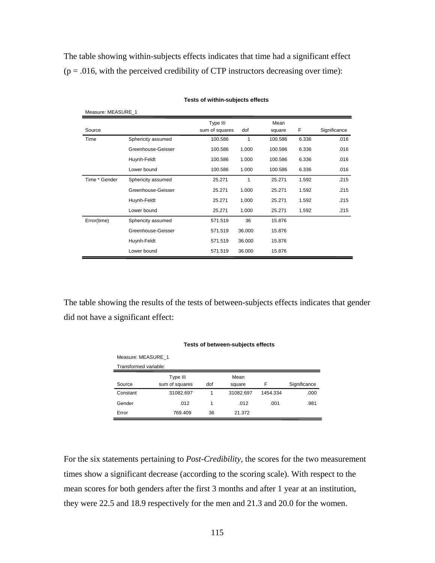The table showing within-subjects effects indicates that time had a significant effect  $(p = .016$ , with the perceived credibility of CTP instructors decreasing over time):

| Measure: MEASURE 1 |                    |                            |        |                |       |              |
|--------------------|--------------------|----------------------------|--------|----------------|-------|--------------|
| Source             |                    | Type III<br>sum of squares | dof    | Mean<br>square | F     | Significance |
| Time               | Sphericity assumed | 100.586                    | 1      | 100.586        | 6.336 | .016         |
|                    | Greenhouse-Geisser | 100.586                    | 1.000  | 100.586        | 6.336 | .016         |
|                    | Huynh-Feldt        | 100.586                    | 1.000  | 100.586        | 6.336 | .016         |
|                    | Lower bound        | 100.586                    | 1.000  | 100.586        | 6.336 | .016         |
| Time * Gender      | Sphericity assumed | 25.271                     | 1      | 25.271         | 1.592 | .215         |
|                    | Greenhouse-Geisser | 25.271                     | 1.000  | 25.271         | 1.592 | .215         |
|                    | Huynh-Feldt        | 25.271                     | 1.000  | 25.271         | 1.592 | .215         |
|                    | Lower bound        | 25.271                     | 1.000  | 25.271         | 1.592 | .215         |
| Error(time)        | Sphericity assumed | 571.519                    | 36     | 15.876         |       |              |
|                    | Greenhouse-Geisser | 571.519                    | 36.000 | 15.876         |       |              |
|                    | Huynh-Feldt        | 571.519                    | 36.000 | 15.876         |       |              |
|                    | Lower bound        | 571.519                    | 36.000 | 15.876         |       |              |

#### **Tests of within-subjects effects**

The table showing the results of the tests of between-subjects effects indicates that gender did not have a significant effect:

| Measure: MEASURE 1    |                |     |           |          |              |  |  |
|-----------------------|----------------|-----|-----------|----------|--------------|--|--|
| Transformed variable: |                |     |           |          |              |  |  |
|                       | Type III       |     | Mean      |          |              |  |  |
| Source                | sum of squares | dof | square    | F        | Significance |  |  |
| Constant              | 31082.697      | 1   | 31082.697 | 1454.334 | .000         |  |  |
| Gender                | .012           | 1   | .012      | .001     | .981         |  |  |
| Error                 | 769.409        | 36  | 21.372    |          |              |  |  |

#### Tests of between-subjects effects

For the six statements pertaining to *Post-Credibility*, the scores for the two measurement times show a significant decrease (according to the scoring scale). With respect to the mean scores for both genders after the first 3 months and after 1 year at an institution, they were 22.5 and 18.9 respectively for the men and 21.3 and 20.0 for the women.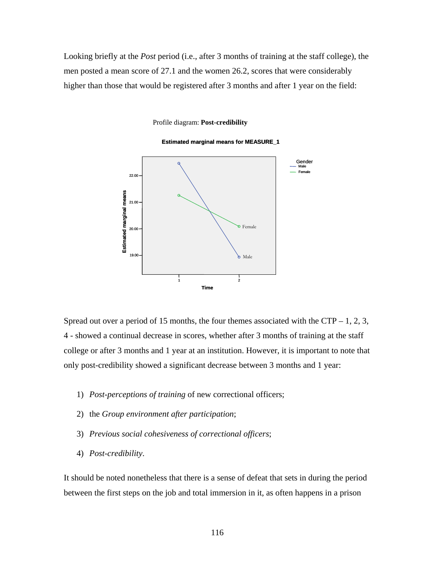Looking briefly at the *Post* period (i.e., after 3 months of training at the staff college), the men posted a mean score of 27.1 and the women 26.2, scores that were considerably higher than those that would be registered after 3 months and after 1 year on the field:

Profile diagram: **Post-credibility** 

**Estimated marginal means for MEASURE\_1**



Spread out over a period of 15 months, the four themes associated with the CTP – 1, 2, 3, 4 - showed a continual decrease in scores, whether after 3 months of training at the staff college or after 3 months and 1 year at an institution. However, it is important to note that only post-credibility showed a significant decrease between 3 months and 1 year:

- 1) *Post-perceptions of training* of new correctional officers;
- 2) the *Group environment after participation*;
- 3) *Previous social cohesiveness of correctional officers*;
- 4) *Post-credibility*.

It should be noted nonetheless that there is a sense of defeat that sets in during the period between the first steps on the job and total immersion in it, as often happens in a prison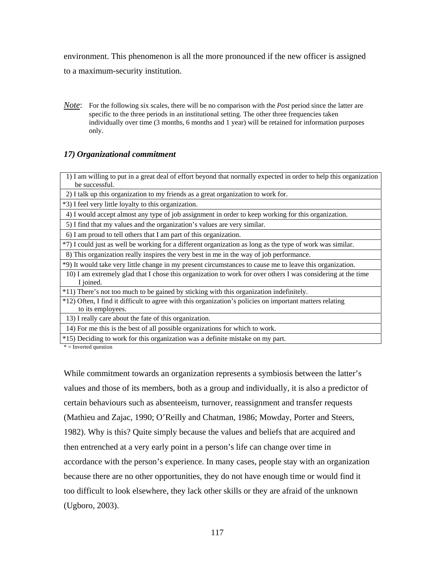environment. This phenomenon is all the more pronounced if the new officer is assigned

to a maximum-security institution.

*Note*: For the following six scales, there will be no comparison with the *Post* period since the latter are specific to the three periods in an institutional setting. The other three frequencies taken individually over time (3 months, 6 months and 1 year) will be retained for information purposes only.

# *17) Organizational commitment*

| 1) I am willing to put in a great deal of effort beyond that normally expected in order to help this organization<br>be successful. |
|-------------------------------------------------------------------------------------------------------------------------------------|
| 2) I talk up this organization to my friends as a great organization to work for.                                                   |
| *3) I feel very little loyalty to this organization.                                                                                |
| 4) I would accept almost any type of job assignment in order to keep working for this organization.                                 |
| 5) I find that my values and the organization's values are very similar.                                                            |
| 6) I am proud to tell others that I am part of this organization.                                                                   |
| *7) I could just as well be working for a different organization as long as the type of work was similar.                           |
| 8) This organization really inspires the very best in me in the way of job performance.                                             |
| *9) It would take very little change in my present circumstances to cause me to leave this organization.                            |
| 10) I am extremely glad that I chose this organization to work for over others I was considering at the time<br>I joined.           |
| *11) There's not too much to be gained by sticking with this organization indefinitely.                                             |
| *12) Often, I find it difficult to agree with this organization's policies on important matters relating<br>to its employees.       |
| 13) I really care about the fate of this organization.                                                                              |
| 14) For me this is the best of all possible organizations for which to work.                                                        |
| *15) Deciding to work for this organization was a definite mistake on my part.                                                      |

 $* = Inverted question$ 

While commitment towards an organization represents a symbiosis between the latter's values and those of its members, both as a group and individually, it is also a predictor of certain behaviours such as absenteeism, turnover, reassignment and transfer requests (Mathieu and Zajac, 1990; O'Reilly and Chatman, 1986; Mowday, Porter and Steers, 1982). Why is this? Quite simply because the values and beliefs that are acquired and then entrenched at a very early point in a person's life can change over time in accordance with the person's experience. In many cases, people stay with an organization because there are no other opportunities, they do not have enough time or would find it too difficult to look elsewhere, they lack other skills or they are afraid of the unknown (Ugboro, 2003).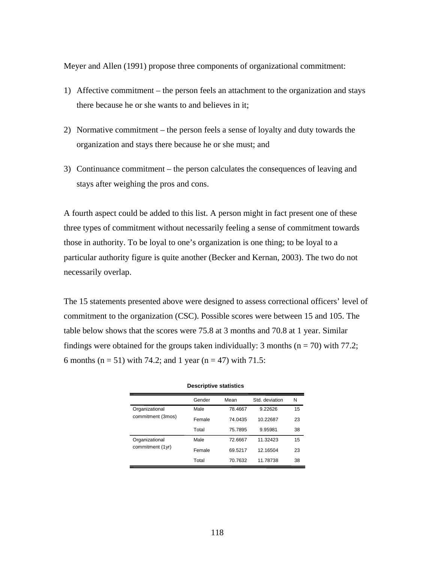Meyer and Allen (1991) propose three components of organizational commitment:

- 1) Affective commitment the person feels an attachment to the organization and stays there because he or she wants to and believes in it;
- 2) Normative commitment the person feels a sense of loyalty and duty towards the organization and stays there because he or she must; and
- 3) Continuance commitment the person calculates the consequences of leaving and stays after weighing the pros and cons.

A fourth aspect could be added to this list. A person might in fact present one of these three types of commitment without necessarily feeling a sense of commitment towards those in authority. To be loyal to one's organization is one thing; to be loyal to a particular authority figure is quite another (Becker and Kernan, 2003). The two do not necessarily overlap.

The 15 statements presented above were designed to assess correctional officers' level of commitment to the organization (CSC). Possible scores were between 15 and 105. The table below shows that the scores were 75.8 at 3 months and 70.8 at 1 year. Similar findings were obtained for the groups taken individually: 3 months ( $n = 70$ ) with 77.2; 6 months ( $n = 51$ ) with 74.2; and 1 year ( $n = 47$ ) with 71.5:

|                   | Gender | Mean    | Std. deviation | N  |
|-------------------|--------|---------|----------------|----|
| Organizational    | Male   | 78.4667 | 9.22626        | 15 |
| commitment (3mos) | Female | 74.0435 | 10.22687       | 23 |
|                   | Total  | 75.7895 | 9.95981        | 38 |
| Organizational    | Male   | 72.6667 | 11.32423       | 15 |
| commitment (1yr)  | Female | 69.5217 | 12.16504       | 23 |
|                   | Total  | 70.7632 | 11.78738       | 38 |

| Descriptive statistics |  |
|------------------------|--|
|------------------------|--|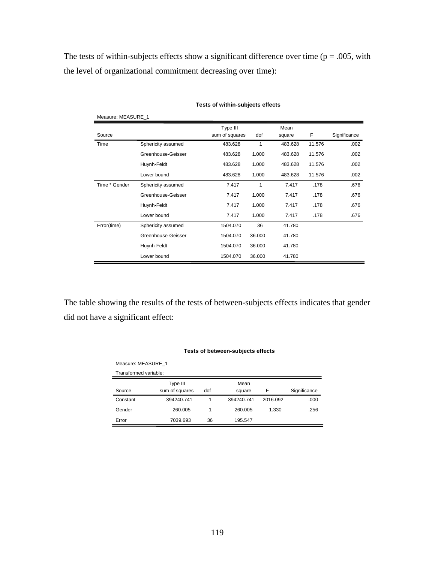The tests of within-subjects effects show a significant difference over time ( $p = .005$ , with the level of organizational commitment decreasing over time):

| Measure: MEASURE 1 |                    |                            |        |                |        |              |
|--------------------|--------------------|----------------------------|--------|----------------|--------|--------------|
| Source             |                    | Type III<br>sum of squares | dof    | Mean<br>square | F      | Significance |
| Time               | Sphericity assumed | 483.628                    | 1      | 483.628        | 11.576 | .002         |
|                    | Greenhouse-Geisser | 483.628                    | 1.000  | 483.628        | 11.576 | .002         |
|                    | Huynh-Feldt        | 483.628                    | 1.000  | 483.628        | 11.576 | .002         |
|                    | Lower bound        | 483.628                    | 1.000  | 483.628        | 11.576 | .002         |
| Time * Gender      | Sphericity assumed | 7.417                      | 1      | 7.417          | .178   | .676         |
|                    | Greenhouse-Geisser | 7.417                      | 1.000  | 7.417          | .178   | .676         |
|                    | Huynh-Feldt        | 7.417                      | 1.000  | 7.417          | .178   | .676         |
|                    | Lower bound        | 7.417                      | 1.000  | 7.417          | .178   | .676         |
| Error(time)        | Sphericity assumed | 1504.070                   | 36     | 41.780         |        |              |
|                    | Greenhouse-Geisser | 1504.070                   | 36.000 | 41.780         |        |              |
|                    | Huynh-Feldt        | 1504.070                   | 36.000 | 41.780         |        |              |
|                    | Lower bound        | 1504.070                   | 36.000 | 41.780         |        |              |

## **Tests of within-subjects effects**

The table showing the results of the tests of between-subjects effects indicates that gender did not have a significant effect:

| Measure: MEASURE 1    |                |     |            |          |              |  |  |
|-----------------------|----------------|-----|------------|----------|--------------|--|--|
| Transformed variable: |                |     |            |          |              |  |  |
|                       | Type III       |     | Mean       |          |              |  |  |
| Source                | sum of squares | dof | square     | F        | Significance |  |  |
| Constant              | 394240.741     |     | 394240.741 | 2016.092 | .000         |  |  |
| Gender                | 260,005        | 1   | 260.005    | 1.330    | .256         |  |  |
| Error                 | 7039.693       | 36  | 195.547    |          |              |  |  |

#### **Tests of between-subjects effects**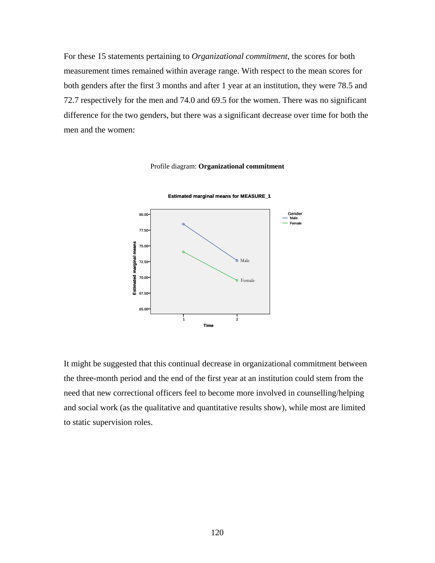For these 15 statements pertaining to *Organizational commitment*, the scores for both measurement times remained within average range. With respect to the mean scores for both genders after the first 3 months and after 1 year at an institution, they were 78.5 and 72.7 respectively for the men and 74.0 and 69.5 for the women. There was no significant difference for the two genders, but there was a significant decrease over time for both the men and the women:

# Profile diagram: **Organizational commitment**



**Estimated marginal means for MEASURE\_1**

It might be suggested that this continual decrease in organizational commitment between the three-month period and the end of the first year at an institution could stem from the need that new correctional officers feel to become more involved in counselling/helping and social work (as the qualitative and quantitative results show), while most are limited to static supervision roles.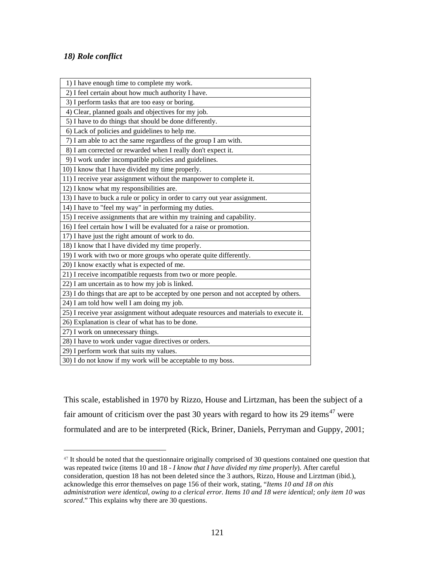# <span id="page-134-0"></span>*18) Role conflict*

| 1) I have enough time to complete my work.                                            |
|---------------------------------------------------------------------------------------|
| 2) I feel certain about how much authority I have.                                    |
| 3) I perform tasks that are too easy or boring.                                       |
| 4) Clear, planned goals and objectives for my job.                                    |
| 5) I have to do things that should be done differently.                               |
| 6) Lack of policies and guidelines to help me.                                        |
| 7) I am able to act the same regardless of the group I am with.                       |
| 8) I am corrected or rewarded when I really don't expect it.                          |
| 9) I work under incompatible policies and guidelines.                                 |
| 10) I know that I have divided my time properly.                                      |
| 11) I receive year assignment without the manpower to complete it.                    |
| 12) I know what my responsibilities are.                                              |
| 13) I have to buck a rule or policy in order to carry out year assignment.            |
| 14) I have to "feel my way" in performing my duties.                                  |
| 15) I receive assignments that are within my training and capability.                 |
| 16) I feel certain how I will be evaluated for a raise or promotion.                  |
| 17) I have just the right amount of work to do.                                       |
| 18) I know that I have divided my time properly.                                      |
| 19) I work with two or more groups who operate quite differently.                     |
| 20) I know exactly what is expected of me.                                            |
| 21) I receive incompatible requests from two or more people.                          |
| 22) I am uncertain as to how my job is linked.                                        |
| 23) I do things that are apt to be accepted by one person and not accepted by others. |
| 24) I am told how well I am doing my job.                                             |
| 25) I receive year assignment without adequate resources and materials to execute it. |
| 26) Explanation is clear of what has to be done.                                      |
| 27) I work on unnecessary things.                                                     |
| 28) I have to work under vague directives or orders.                                  |
| 29) I perform work that suits my values.                                              |
| 30) I do not know if my work will be acceptable to my boss.                           |

This scale, established in 1970 by Rizzo, House and Lirtzman, has been the subject of a fair amount of criticism over the past 30 years with regard to how its 29 items<sup>[47](#page-134-0)</sup> were formulated and are to be interpreted (Rick, Briner, Daniels, Perryman and Guppy, 2001;

<sup>47</sup> It should be noted that the questionnaire originally comprised of 30 questions contained one question that was repeated twice (items 10 and 18 - *I know that I have divided my time properly*). After careful consideration, question 18 has not been deleted since the 3 authors, Rizzo, House and Lirztman (ibid.), acknowledge this error themselves on page 156 of their work, stating, "*Items 10 and 18 on this administration were identical, owing to a clerical error. Items 10 and 18 were identical; only item 10 was scored*." This explains why there are 30 questions.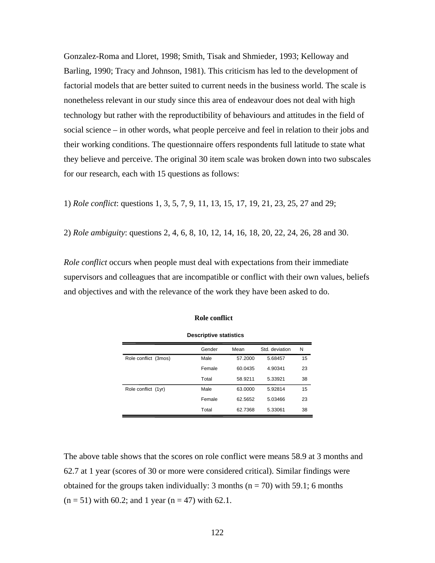Gonzalez-Roma and Lloret, 1998; Smith, Tisak and Shmieder, 1993; Kelloway and Barling, 1990; Tracy and Johnson, 1981). This criticism has led to the development of factorial models that are better suited to current needs in the business world. The scale is nonetheless relevant in our study since this area of endeavour does not deal with high technology but rather with the reproductibility of behaviours and attitudes in the field of social science – in other words, what people perceive and feel in relation to their jobs and their working conditions. The questionnaire offers respondents full latitude to state what they believe and perceive. The original 30 item scale was broken down into two subscales for our research, each with 15 questions as follows:

1) *Role conflict*: questions 1, 3, 5, 7, 9, 11, 13, 15, 17, 19, 21, 23, 25, 27 and 29;

2) *Role ambiguity*: questions 2, 4, 6, 8, 10, 12, 14, 16, 18, 20, 22, 24, 26, 28 and 30.

*Role conflict* occurs when people must deal with expectations from their immediate supervisors and colleagues that are incompatible or conflict with their own values, beliefs and objectives and with the relevance of the work they have been asked to do.

| <b>Descriptive statistics</b> |        |         |                |    |  |  |
|-------------------------------|--------|---------|----------------|----|--|--|
|                               | Gender | Mean    | Std. deviation | N  |  |  |
| Role conflict (3mos)          | Male   | 57.2000 | 5.68457        | 15 |  |  |
|                               | Female | 60.0435 | 4.90341        | 23 |  |  |
|                               | Total  | 58.9211 | 5.33921        | 38 |  |  |
| Role conflict (1yr)           | Male   | 63.0000 | 5.92814        | 15 |  |  |
|                               | Female | 62.5652 | 5.03466        | 23 |  |  |
|                               | Total  | 62.7368 | 5.33061        | 38 |  |  |

## **Role conflict**

The above table shows that the scores on role conflict were means 58.9 at 3 months and 62.7 at 1 year (scores of 30 or more were considered critical). Similar findings were obtained for the groups taken individually: 3 months ( $n = 70$ ) with 59.1; 6 months  $(n = 51)$  with 60.2; and 1 year  $(n = 47)$  with 62.1.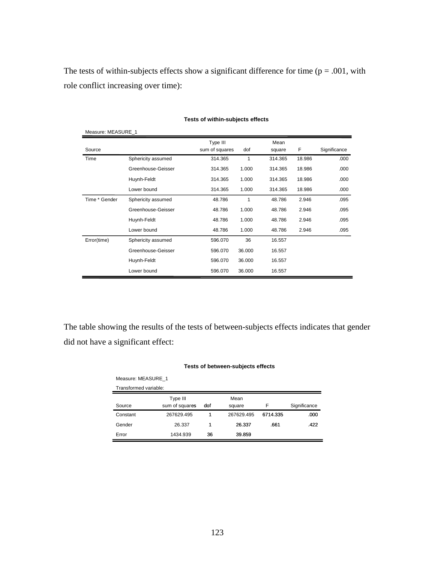The tests of within-subjects effects show a significant difference for time ( $p = .001$ , with role conflict increasing over time):

| Measure: MEASURE 1 |                    |                            |        |                |        |              |  |
|--------------------|--------------------|----------------------------|--------|----------------|--------|--------------|--|
| Source             |                    | Type III<br>sum of squares | dof    | Mean<br>square | F      | Significance |  |
| Time               | Sphericity assumed | 314.365                    | 1      | 314.365        | 18.986 | .000         |  |
|                    | Greenhouse-Geisser | 314.365                    | 1.000  | 314.365        | 18.986 | .000         |  |
|                    | Huynh-Feldt        | 314.365                    | 1.000  | 314.365        | 18.986 | .000         |  |
|                    | Lower bound        | 314.365                    | 1.000  | 314.365        | 18.986 | .000         |  |
| Time * Gender      | Sphericity assumed | 48.786                     | 1      | 48.786         | 2.946  | .095         |  |
|                    | Greenhouse-Geisser | 48.786                     | 1.000  | 48.786         | 2.946  | .095         |  |
|                    | Huynh-Feldt        | 48.786                     | 1.000  | 48.786         | 2.946  | .095         |  |
|                    | Lower bound        | 48.786                     | 1.000  | 48.786         | 2.946  | .095         |  |
| Error(time)        | Sphericity assumed | 596.070                    | 36     | 16.557         |        |              |  |
|                    | Greenhouse-Geisser | 596.070                    | 36.000 | 16.557         |        |              |  |
|                    | Huynh-Feldt        | 596.070                    | 36.000 | 16.557         |        |              |  |
|                    | Lower bound        | 596.070                    | 36.000 | 16.557         |        |              |  |

# **Tests of within-subjects effects**

The table showing the results of the tests of between-subjects effects indicates that gender did not have a significant effect:

### **Tests of between-subjects effects**

| Measure: MEASURE 1    |                            |     |                |          |              |  |  |
|-----------------------|----------------------------|-----|----------------|----------|--------------|--|--|
| Transformed variable: |                            |     |                |          |              |  |  |
| Source                | Type III<br>sum of squares | dof | Mean<br>square | F        | Significance |  |  |
| Constant              | 267629.495                 | 1   | 267629.495     | 6714.335 | .000         |  |  |
| Gender                | 26.337                     | 1   | 26.337         | .661     | .422         |  |  |
| Error                 | 1434.939                   | 36  | 39.859         |          |              |  |  |
|                       |                            |     |                |          |              |  |  |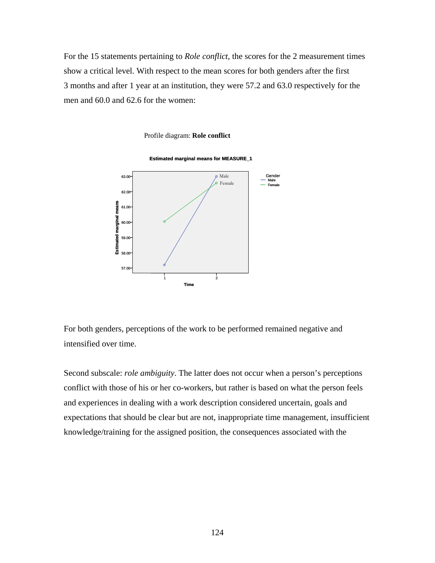For the 15 statements pertaining to *Role conflict*, the scores for the 2 measurement times show a critical level. With respect to the mean scores for both genders after the first 3 months and after 1 year at an institution, they were 57.2 and 63.0 respectively for the men and 60.0 and 62.6 for the women:

Profile diagram: **Role conflict** 



For both genders, perceptions of the work to be performed remained negative and intensified over time.

Second subscale: *role ambiguity*. The latter does not occur when a person's perceptions conflict with those of his or her co-workers, but rather is based on what the person feels and experiences in dealing with a work description considered uncertain, goals and expectations that should be clear but are not, inappropriate time management, insufficient knowledge/training for the assigned position, the consequences associated with the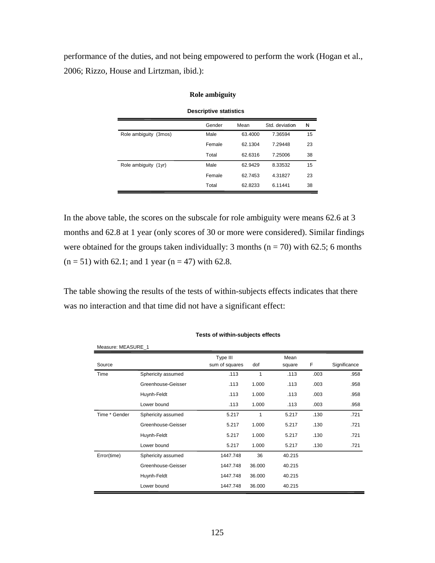performance of the duties, and not being empowered to perform the work (Hogan et al., 2006; Rizzo, House and Lirtzman, ibid.):

# **Role ambiguity**

### **Descriptive statistics**

|                       | Gender | Mean    | Std. deviation | N  |
|-----------------------|--------|---------|----------------|----|
| Role ambiguity (3mos) | Male   | 63.4000 | 7.36594        | 15 |
|                       | Female | 62.1304 | 7.29448        | 23 |
|                       | Total  | 62.6316 | 7.25006        | 38 |
| Role ambiguity (1yr)  | Male   | 62.9429 | 8.33532        | 15 |
|                       | Female | 62.7453 | 4.31827        | 23 |
|                       | Total  | 62.8233 | 6.11441        | 38 |

In the above table, the scores on the subscale for role ambiguity were means 62.6 at 3 months and 62.8 at 1 year (only scores of 30 or more were considered). Similar findings were obtained for the groups taken individually: 3 months ( $n = 70$ ) with 62.5; 6 months  $(n = 51)$  with 62.1; and 1 year  $(n = 47)$  with 62.8.

The table showing the results of the tests of within-subjects effects indicates that there was no interaction and that time did not have a significant effect:

| Measure: MEASURE 1 |                    |                            |        |                |      |              |
|--------------------|--------------------|----------------------------|--------|----------------|------|--------------|
| Source             |                    | Type III<br>sum of squares | dof    | Mean<br>square | F    | Significance |
| Time               | Sphericity assumed | .113                       | 1      | .113           | .003 | .958         |
|                    | Greenhouse-Geisser | .113                       | 1.000  | .113           | .003 | .958         |
|                    | Huynh-Feldt        | .113                       | 1.000  | .113           | .003 | .958         |
|                    | Lower bound        | .113                       | 1.000  | .113           | .003 | .958         |
| Time * Gender      | Sphericity assumed | 5.217                      | 1      | 5.217          | .130 | .721         |
|                    | Greenhouse-Geisser | 5.217                      | 1.000  | 5.217          | .130 | .721         |
|                    | Huynh-Feldt        | 5.217                      | 1.000  | 5.217          | .130 | .721         |
|                    | Lower bound        | 5.217                      | 1.000  | 5.217          | .130 | .721         |
| Error(time)        | Sphericity assumed | 1447.748                   | 36     | 40.215         |      |              |
|                    | Greenhouse-Geisser | 1447.748                   | 36.000 | 40.215         |      |              |
|                    | Huynh-Feldt        | 1447.748                   | 36.000 | 40.215         |      |              |
|                    | Lower bound        | 1447.748                   | 36.000 | 40.215         |      |              |

### **Tests of within-subjects effects**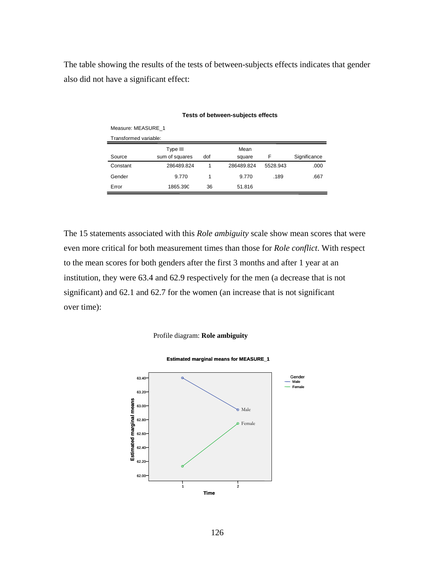The table showing the results of the tests of between-subjects effects indicates that gender also did not have a significant effect:

| Transformed variable: |                            |     |                |          |              |
|-----------------------|----------------------------|-----|----------------|----------|--------------|
| Source                | Type III<br>sum of squares | dof | Mean<br>square | F        | Significance |
|                       |                            |     |                |          |              |
| Constant              | 286489.824                 |     | 286489.824     | 5528.943 | .000         |
| Gender                | 9.770                      | 1   | 9.770          | .189     | .667         |
| Error                 | 1865.390                   | 36  | 51.816         |          |              |

Measure: MEASURE\_1

### Tests of between-subjects effects

The 15 statements associated with this *Role ambiguity* scale show mean scores that were even more critical for both measurement times than those for *Role conflict*. With respect to the mean scores for both genders after the first 3 months and after 1 year at an institution, they were 63.4 and 62.9 respectively for the men (a decrease that is not significant) and 62.1 and 62.7 for the women (an increase that is not significant over time):



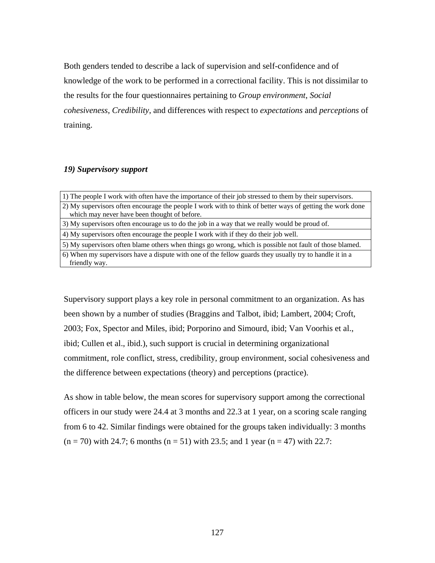Both genders tended to describe a lack of supervision and self-confidence and of knowledge of the work to be performed in a correctional facility. This is not dissimilar to the results for the four questionnaires pertaining to *Group environment*, *Social cohesiveness*, *Credibility*, and differences with respect to *expectations* and *perceptions* of training.

## *19) Supervisory support*

1) The people I work with often have the importance of their job stressed to them by their supervisors.

2) My supervisors often encourage the people I work with to think of better ways of getting the work done which may never have been thought of before.

3) My supervisors often encourage us to do the job in a way that we really would be proud of.

4) My supervisors often encourage the people I work with if they do their job well.

5) My supervisors often blame others when things go wrong, which is possible not fault of those blamed.

Supervisory support plays a key role in personal commitment to an organization. As has been shown by a number of studies (Braggins and Talbot, ibid; Lambert, 2004; Croft, 2003; Fox, Spector and Miles, ibid; Porporino and Simourd, ibid; Van Voorhis et al., ibid; Cullen et al., ibid.), such support is crucial in determining organizational commitment, role conflict, stress, credibility, group environment, social cohesiveness and the difference between expectations (theory) and perceptions (practice).

As show in table below, the mean scores for supervisory support among the correctional officers in our study were 24.4 at 3 months and 22.3 at 1 year, on a scoring scale ranging from 6 to 42. Similar findings were obtained for the groups taken individually: 3 months  $(n = 70)$  with 24.7; 6 months  $(n = 51)$  with 23.5; and 1 year  $(n = 47)$  with 22.7:

<sup>6)</sup> When my supervisors have a dispute with one of the fellow guards they usually try to handle it in a friendly way.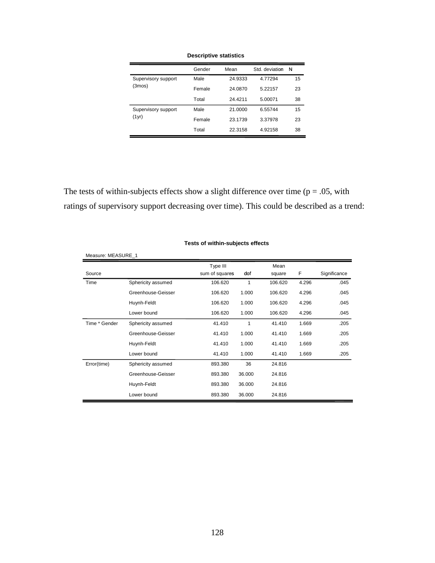|                     | Gender | Mean     | Std. deviation | N  |
|---------------------|--------|----------|----------------|----|
| Supervisory support | Male   | 24.9333  | 4.77294        | 15 |
| (3mos)              | Female | 24.0870  | 5.22157        | 23 |
|                     | Total  | 24 4 211 | 5.00071        | 38 |
| Supervisory support | Male   | 21.0000  | 6.55744        | 15 |
| (1yr)               | Female | 23.1739  | 3.37978        | 23 |
|                     | Total  | 22.3158  | 4.92158        | 38 |

**Descriptive statistics**

The tests of within-subjects effects show a slight difference over time ( $p = .05$ , with ratings of supervisory support decreasing over time). This could be described as a trend:

| Measure: MEASURE 1 |                    |                            |        |                |       |              |
|--------------------|--------------------|----------------------------|--------|----------------|-------|--------------|
| Source             |                    | Type III<br>sum of squares | dof    | Mean<br>square | F     | Significance |
| Time               | Sphericity assumed | 106.620                    | 1      | 106.620        | 4.296 | .045         |
|                    | Greenhouse-Geisser | 106.620                    | 1.000  | 106.620        | 4.296 | .045         |
|                    | Huynh-Feldt        | 106.620                    | 1.000  | 106.620        | 4.296 | .045         |
|                    | Lower bound        | 106.620                    | 1.000  | 106.620        | 4.296 | .045         |
| Time * Gender      | Sphericity assumed | 41.410                     | 1      | 41.410         | 1.669 | .205         |
|                    | Greenhouse-Geisser | 41.410                     | 1.000  | 41.410         | 1.669 | .205         |
|                    | Huynh-Feldt        | 41.410                     | 1.000  | 41.410         | 1.669 | .205         |
|                    | Lower bound        | 41.410                     | 1.000  | 41.410         | 1.669 | .205         |
| Error(time)        | Sphericity assumed | 893.380                    | 36     | 24.816         |       |              |
|                    | Greenhouse-Geisser | 893.380                    | 36.000 | 24.816         |       |              |
|                    | Huynh-Feldt        | 893.380                    | 36.000 | 24.816         |       |              |
|                    | Lower bound        | 893.380                    | 36.000 | 24.816         |       |              |

# **Tests of within-subjects effects**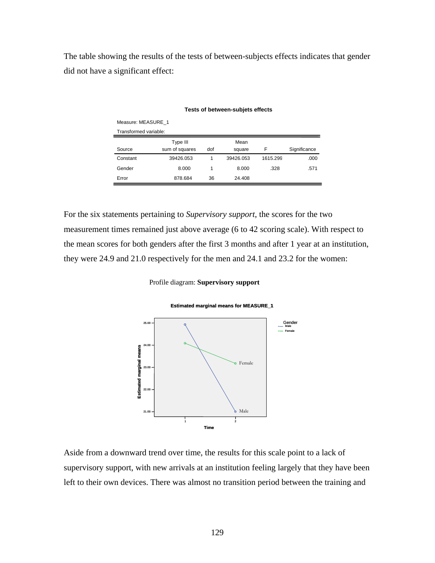The table showing the results of the tests of between-subjects effects indicates that gender did not have a significant effect:

| Transformed variable: |                |     |           |          |              |
|-----------------------|----------------|-----|-----------|----------|--------------|
|                       | Type III       |     | Mean      |          |              |
| Source                | sum of squares | dof | square    | F        | Significance |
| Constant              | 39426.053      |     | 39426.053 | 1615.299 | .000         |
| Gender                | 8.000          |     | 8.000     | .328     | .571         |
| Error                 | 878.684        | 36  | 24.408    |          |              |

Measure: MEASURE\_1

#### **Tests of between-subjets effects**

For the six statements pertaining to *Supervisory support*, the scores for the two measurement times remained just above average (6 to 42 scoring scale). With respect to the mean scores for both genders after the first 3 months and after 1 year at an institution, they were 24.9 and 21.0 respectively for the men and 24.1 and 23.2 for the women:

Profile diagram: **Supervisory support** 

**Estimated marginal means for MEASURE\_1**



Aside from a downward trend over time, the results for this scale point to a lack of supervisory support, with new arrivals at an institution feeling largely that they have been left to their own devices. There was almost no transition period between the training and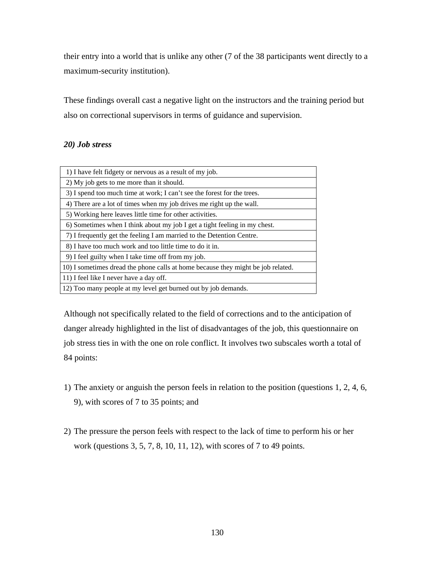their entry into a world that is unlike any other (7 of the 38 participants went directly to a maximum-security institution).

These findings overall cast a negative light on the instructors and the training period but also on correctional supervisors in terms of guidance and supervision.

# *20) Job stress*

| 1) I have felt fidgety or nervous as a result of my job.                         |
|----------------------------------------------------------------------------------|
| 2) My job gets to me more than it should.                                        |
| 3) I spend too much time at work; I can't see the forest for the trees.          |
| 4) There are a lot of times when my job drives me right up the wall.             |
| 5) Working here leaves little time for other activities.                         |
| 6) Sometimes when I think about my job I get a tight feeling in my chest.        |
| 7) I frequently get the feeling I am married to the Detention Centre.            |
| 8) I have too much work and too little time to do it in.                         |
| 9) I feel guilty when I take time off from my job.                               |
| 10) I sometimes dread the phone calls at home because they might be job related. |
| 11) I feel like I never have a day off.                                          |
| 12) Too many people at my level get burned out by job demands.                   |

Although not specifically related to the field of corrections and to the anticipation of danger already highlighted in the list of disadvantages of the job, this questionnaire on job stress ties in with the one on role conflict. It involves two subscales worth a total of 84 points:

- 1) The anxiety or anguish the person feels in relation to the position (questions 1, 2, 4, 6, 9), with scores of 7 to 35 points; and
- 2) The pressure the person feels with respect to the lack of time to perform his or her work (questions 3, 5, 7, 8, 10, 11, 12), with scores of 7 to 49 points.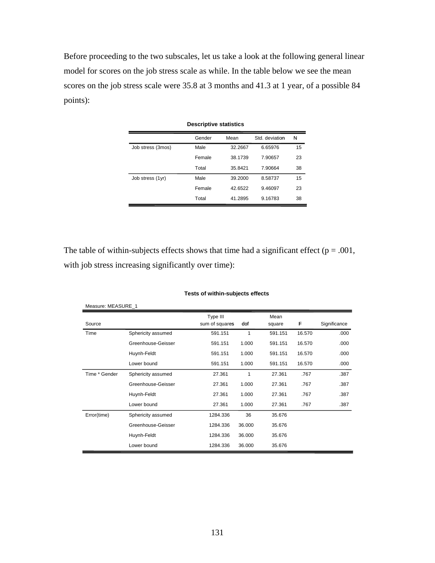Before proceeding to the two subscales, let us take a look at the following general linear model for scores on the job stress scale as while. In the table below we see the mean scores on the job stress scale were 35.8 at 3 months and 41.3 at 1 year, of a possible 84 points):

|                   | Gender | Mean    | Std. deviation | N  |
|-------------------|--------|---------|----------------|----|
| Job stress (3mos) | Male   | 32.2667 | 6.65976        | 15 |
|                   | Female | 38.1739 | 7.90657        | 23 |
|                   | Total  | 35.8421 | 7.90664        | 38 |
| Job stress (1yr)  | Male   | 39,2000 | 8.58737        | 15 |
|                   | Female | 42.6522 | 9.46097        | 23 |
|                   | Total  | 41.2895 | 9.16783        | 38 |

**Descriptive statistics**

The table of within-subjects effects shows that time had a significant effect ( $p = .001$ , with job stress increasing significantly over time):

| Measure: MEASURE 1 |                    |                            |        |                |        |              |  |
|--------------------|--------------------|----------------------------|--------|----------------|--------|--------------|--|
| Source             |                    | Type III<br>sum of squares | dof    | Mean<br>square | F      | Significance |  |
| Time               | Sphericity assumed | 591.151                    | 1      | 591.151        | 16.570 | .000         |  |
|                    | Greenhouse-Geisser | 591.151                    | 1.000  | 591.151        | 16.570 | .000         |  |
|                    | Huynh-Feldt        | 591.151                    | 1.000  | 591.151        | 16.570 | .000         |  |
|                    | Lower bound        | 591.151                    | 1.000  | 591.151        | 16.570 | .000         |  |
| Time * Gender      | Sphericity assumed | 27.361                     | 1      | 27.361         | .767   | .387         |  |
|                    | Greenhouse-Geisser | 27.361                     | 1.000  | 27.361         | .767   | .387         |  |
|                    | Huynh-Feldt        | 27.361                     | 1.000  | 27.361         | .767   | .387         |  |
|                    | Lower bound        | 27.361                     | 1.000  | 27.361         | .767   | .387         |  |
| Error(time)        | Sphericity assumed | 1284.336                   | 36     | 35.676         |        |              |  |
|                    | Greenhouse-Geisser | 1284.336                   | 36.000 | 35.676         |        |              |  |
|                    | Huynh-Feldt        | 1284.336                   | 36.000 | 35.676         |        |              |  |
|                    | Lower bound        | 1284.336                   | 36.000 | 35.676         |        |              |  |

## **Tests of within-subjects effects**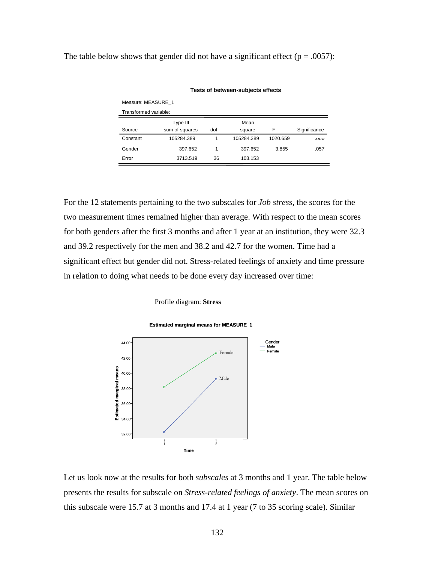The table below shows that gender did not have a significant effect ( $p = .0057$ ):

| Measure: MEASURE 1    |                |     |            |          |              |  |  |
|-----------------------|----------------|-----|------------|----------|--------------|--|--|
| Transformed variable: |                |     |            |          |              |  |  |
|                       | Type III       |     | Mean       |          |              |  |  |
| Source                | sum of squares | dof | square     | F        | Significance |  |  |
| Constant              | 105284.389     |     | 105284.389 | 1020.659 | <b>UUU</b>   |  |  |
| Gender                | 397.652        | 1   | 397.652    | 3.855    | .057         |  |  |
| Error                 | 3713.519       | 36  | 103.153    |          |              |  |  |

Tests of between-subjects effects

For the 12 statements pertaining to the two subscales for *Job stress*, the scores for the two measurement times remained higher than average. With respect to the mean scores for both genders after the first 3 months and after 1 year at an institution, they were 32.3 and 39.2 respectively for the men and 38.2 and 42.7 for the women. Time had a significant effect but gender did not. Stress-related feelings of anxiety and time pressure in relation to doing what needs to be done every day increased over time:

## Profile diagram: **Stress**



Let us look now at the results for both *subscales* at 3 months and 1 year. The table below presents the results for subscale on *Stress-related feelings of anxiety*. The mean scores on this subscale were 15.7 at 3 months and 17.4 at 1 year (7 to 35 scoring scale). Similar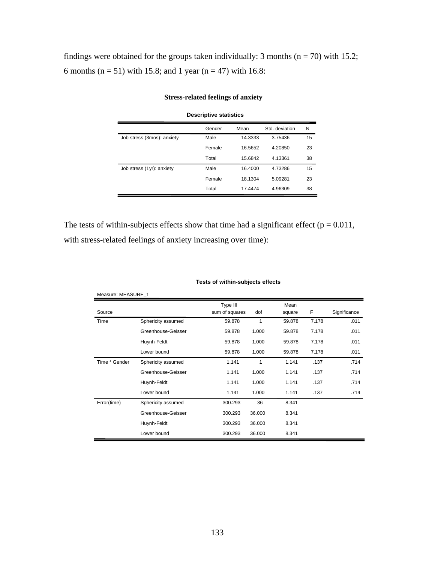findings were obtained for the groups taken individually: 3 months ( $n = 70$ ) with 15.2; 6 months ( $n = 51$ ) with 15.8; and 1 year ( $n = 47$ ) with 16.8:

| <b>Descriptive statistics</b> |        |         |                |    |  |  |
|-------------------------------|--------|---------|----------------|----|--|--|
|                               | Gender | Mean    | Std. deviation | N  |  |  |
| Job stress (3mos): anxiety    | Male   | 14.3333 | 3.75436        | 15 |  |  |
|                               | Female | 16.5652 | 4.20850        | 23 |  |  |
|                               | Total  | 15.6842 | 4.13361        | 38 |  |  |
| Job stress (1yr): anxiety     | Male   | 16.4000 | 4.73286        | 15 |  |  |
|                               | Female | 18.1304 | 5.09281        | 23 |  |  |
|                               | Total  | 17.4474 | 4.96309        | 38 |  |  |

## **Stress-related feelings of anxiety**

The tests of within-subjects effects show that time had a significant effect ( $p = 0.011$ , with stress-related feelings of anxiety increasing over time):

| Measure: MEASURE 1 |                    |                            |        |                |       |              |
|--------------------|--------------------|----------------------------|--------|----------------|-------|--------------|
| Source             |                    | Type III<br>sum of squares | dof    | Mean<br>square | F     | Significance |
| Time               | Sphericity assumed | 59.878                     | 1      | 59.878         | 7.178 | .011         |
|                    | Greenhouse-Geisser | 59.878                     | 1.000  | 59.878         | 7.178 | .011         |
|                    | Huynh-Feldt        | 59.878                     | 1.000  | 59.878         | 7.178 | .011         |
|                    | Lower bound        | 59.878                     | 1.000  | 59.878         | 7.178 | .011         |
| Time * Gender      | Sphericity assumed | 1.141                      | 1      | 1.141          | .137  | .714         |
|                    | Greenhouse-Geisser | 1.141                      | 1.000  | 1.141          | .137  | .714         |
|                    | Huynh-Feldt        | 1.141                      | 1.000  | 1.141          | .137  | .714         |
|                    | Lower bound        | 1.141                      | 1.000  | 1.141          | .137  | .714         |
| Error(time)        | Sphericity assumed | 300.293                    | 36     | 8.341          |       |              |
|                    | Greenhouse-Geisser | 300.293                    | 36.000 | 8.341          |       |              |
|                    | Huynh-Feldt        | 300.293                    | 36.000 | 8.341          |       |              |
|                    | Lower bound        | 300.293                    | 36.000 | 8.341          |       |              |

## **Tests of within-subjects effects**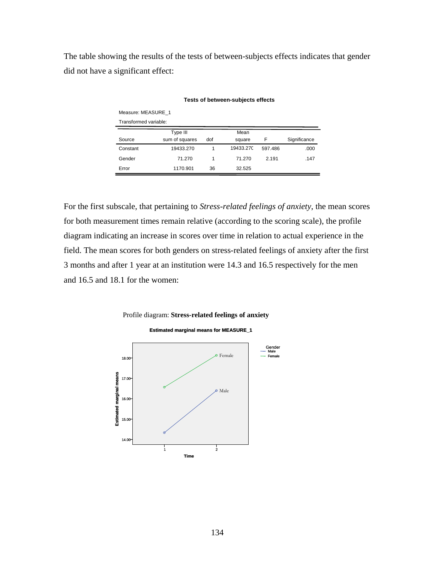The table showing the results of the tests of between-subjects effects indicates that gender did not have a significant effect:

| Measure: MEASURE 1    |                |     |           |         |              |  |  |
|-----------------------|----------------|-----|-----------|---------|--------------|--|--|
| Transformed variable: |                |     |           |         |              |  |  |
|                       | Type III       |     | Mean      |         |              |  |  |
| Source                | sum of squares | dof | square    | F       | Significance |  |  |
| Constant              | 19433.270      |     | 19433.270 | 597.486 | .000         |  |  |
| Gender                | 71.270         |     | 71.270    | 2.191   | .147         |  |  |
| Error                 | 1170.901       | 36  | 32.525    |         |              |  |  |

#### Tests of between-subjects effects

For the first subscale, that pertaining to *Stress-related feelings of anxiety*, the mean scores for both measurement times remain relative (according to the scoring scale), the profile diagram indicating an increase in scores over time in relation to actual experience in the field. The mean scores for both genders on stress-related feelings of anxiety after the first 3 months and after 1 year at an institution were 14.3 and 16.5 respectively for the men and 16.5 and 18.1 for the women:





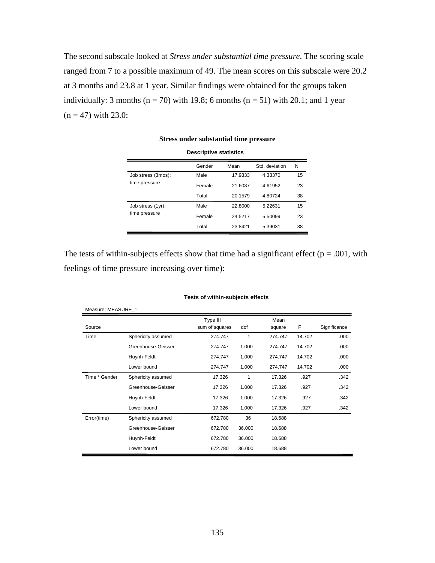The second subscale looked at *Stress under substantial time pressure*. The scoring scale ranged from 7 to a possible maximum of 49. The mean scores on this subscale were 20.2 at 3 months and 23.8 at 1 year. Similar findings were obtained for the groups taken individually: 3 months ( $n = 70$ ) with 19.8; 6 months ( $n = 51$ ) with 20.1; and 1 year  $(n = 47)$  with 23.0:

| <b>Descriptive statistics</b> |        |         |                |    |  |  |
|-------------------------------|--------|---------|----------------|----|--|--|
|                               | Gender | Mean    | Std. deviation | N  |  |  |
| Job stress (3mos):            | Male   | 17.9333 | 4.33370        | 15 |  |  |
| time pressure                 | Female | 21.6087 | 4.61952        | 23 |  |  |
|                               | Total  | 20.1579 | 4.80724        | 38 |  |  |
| Job stress (1yr):             | Male   | 22,8000 | 5.22631        | 15 |  |  |
| time pressure                 | Female | 24.5217 | 5.50099        | 23 |  |  |
|                               | Total  | 23.8421 | 5.39031        | 38 |  |  |

**Stress under substantial time pressure** 

The tests of within-subjects effects show that time had a significant effect ( $p = .001$ , with feelings of time pressure increasing over time):

| Measure: MEASURE 1 |                    |                            |        |         |        |              |
|--------------------|--------------------|----------------------------|--------|---------|--------|--------------|
| Source             |                    | Type III<br>sum of squares | dof    | Mean    | F      | Significance |
|                    |                    |                            |        | square  |        |              |
| Time               | Sphericity assumed | 274.747                    | 1      | 274.747 | 14.702 | .000         |
|                    | Greenhouse-Geisser | 274.747                    | 1.000  | 274.747 | 14.702 | .000         |
|                    | Huynh-Feldt        | 274.747                    | 1.000  | 274.747 | 14.702 | .000         |
|                    | Lower bound        | 274.747                    | 1.000  | 274.747 | 14.702 | .000         |
| Time * Gender      | Sphericity assumed | 17.326                     | 1      | 17.326  | .927   | .342         |
|                    | Greenhouse-Geisser | 17.326                     | 1.000  | 17.326  | .927   | .342         |
|                    | Huynh-Feldt        | 17.326                     | 1.000  | 17.326  | .927   | .342         |
|                    | Lower bound        | 17.326                     | 1.000  | 17.326  | .927   | .342         |
| Error(time)        | Sphericity assumed | 672.780                    | 36     | 18.688  |        |              |
|                    | Greenhouse-Geisser | 672.780                    | 36.000 | 18.688  |        |              |
|                    | Huynh-Feldt        | 672.780                    | 36.000 | 18.688  |        |              |
|                    | Lower bound        | 672.780                    | 36.000 | 18.688  |        |              |

### **Tests of within-subjects effects**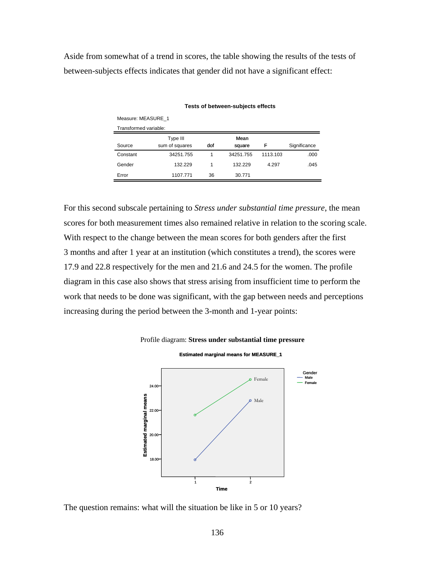Aside from somewhat of a trend in scores, the table showing the results of the tests of between-subjects effects indicates that gender did not have a significant effect:

Measure: MEASURE\_1

| Transformed variable: |                |     |           |          |              |  |  |
|-----------------------|----------------|-----|-----------|----------|--------------|--|--|
|                       | Type III       |     | Mean      |          |              |  |  |
| Source                | sum of squares | dof | square    | F        | Significance |  |  |
| Constant              | 34251.755      | 1   | 34251.755 | 1113.103 | .000         |  |  |
| Gender                | 132.229        | 1   | 132.229   | 4.297    | .045         |  |  |
| Error                 | 1107.771       | 36  | 30.771    |          |              |  |  |

Tests of between-subjects effects

For this second subscale pertaining to *Stress under substantial time pressure*, the mean scores for both measurement times also remained relative in relation to the scoring scale. With respect to the change between the mean scores for both genders after the first 3 months and after 1 year at an institution (which constitutes a trend), the scores were 17.9 and 22.8 respectively for the men and 21.6 and 24.5 for the women. The profile diagram in this case also shows that stress arising from insufficient time to perform the work that needs to be done was significant, with the gap between needs and perceptions increasing during the period between the 3-month and 1-year points:



Profile diagram: **Stress under substantial time pressure** 

**Estimated marginal means for MEASURE\_1**

The question remains: what will the situation be like in 5 or 10 years?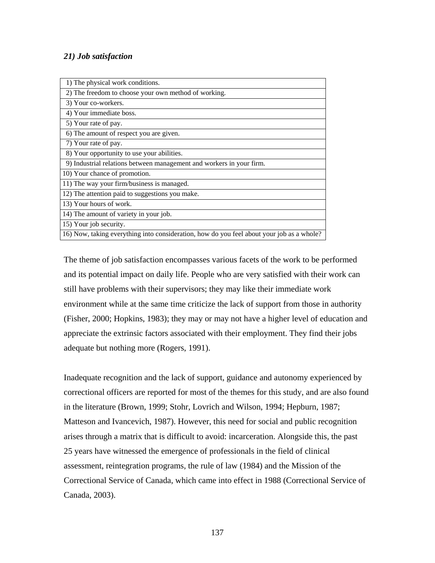## *21) Job satisfaction*

| 1) The physical work conditions.                                                          |
|-------------------------------------------------------------------------------------------|
| 2) The freedom to choose your own method of working.                                      |
| 3) Your co-workers.                                                                       |
| 4) Your immediate boss.                                                                   |
| 5) Your rate of pay.                                                                      |
| 6) The amount of respect you are given.                                                   |
| 7) Your rate of pay.                                                                      |
| 8) Your opportunity to use your abilities.                                                |
| 9) Industrial relations between management and workers in your firm.                      |
| 10) Your chance of promotion.                                                             |
| 11) The way your firm/business is managed.                                                |
| 12) The attention paid to suggestions you make.                                           |
| 13) Your hours of work.                                                                   |
| 14) The amount of variety in your job.                                                    |
| 15) Your job security.                                                                    |
| 16) Now, taking everything into consideration, how do you feel about your job as a whole? |

The theme of job satisfaction encompasses various facets of the work to be performed and its potential impact on daily life. People who are very satisfied with their work can still have problems with their supervisors; they may like their immediate work environment while at the same time criticize the lack of support from those in authority (Fisher, 2000; Hopkins, 1983); they may or may not have a higher level of education and appreciate the extrinsic factors associated with their employment. They find their jobs adequate but nothing more (Rogers, 1991).

Inadequate recognition and the lack of support, guidance and autonomy experienced by correctional officers are reported for most of the themes for this study, and are also found in the literature (Brown, 1999; Stohr, Lovrich and Wilson, 1994; Hepburn, 1987; Matteson and Ivancevich, 1987). However, this need for social and public recognition arises through a matrix that is difficult to avoid: incarceration. Alongside this, the past 25 years have witnessed the emergence of professionals in the field of clinical assessment, reintegration programs, the rule of law (1984) and the Mission of the Correctional Service of Canada, which came into effect in 1988 (Correctional Service of Canada, 2003).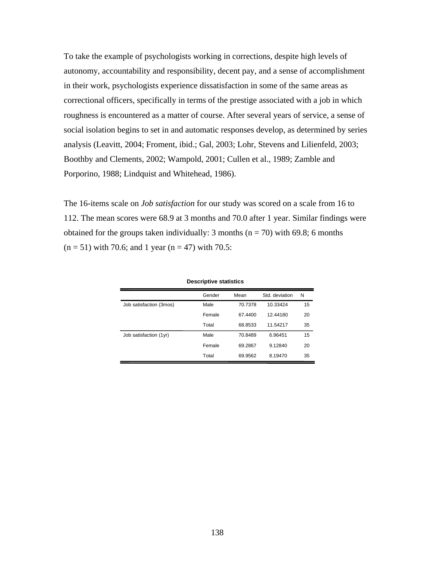To take the example of psychologists working in corrections, despite high levels of autonomy, accountability and responsibility, decent pay, and a sense of accomplishment in their work, psychologists experience dissatisfaction in some of the same areas as correctional officers, specifically in terms of the prestige associated with a job in which roughness is encountered as a matter of course. After several years of service, a sense of social isolation begins to set in and automatic responses develop, as determined by series analysis (Leavitt, 2004; Froment, ibid.; Gal, 2003; Lohr, Stevens and Lilienfeld, 2003; Boothby and Clements, 2002; Wampold, 2001; Cullen et al., 1989; Zamble and Porporino, 1988; Lindquist and Whitehead, 1986).

The 16-items scale on *Job satisfaction* for our study was scored on a scale from 16 to 112. The mean scores were 68.9 at 3 months and 70.0 after 1 year. Similar findings were obtained for the groups taken individually: 3 months ( $n = 70$ ) with 69.8; 6 months  $(n = 51)$  with 70.6; and 1 year  $(n = 47)$  with 70.5:

|                         | Gender | Mean    | Std. deviation | N  |
|-------------------------|--------|---------|----------------|----|
| Job satisfaction (3mos) | Male   | 70.7378 | 10.33424       | 15 |
|                         | Female | 67.4400 | 12.44180       | 20 |
|                         | Total  | 68.8533 | 11.54217       | 35 |
| Job satisfaction (1yr)  | Male   | 70.8489 | 6.96451        | 15 |
|                         | Female | 69.2867 | 9.12840        | 20 |
|                         | Total  | 69.9562 | 8.19470        | 35 |

**Descriptive statistics**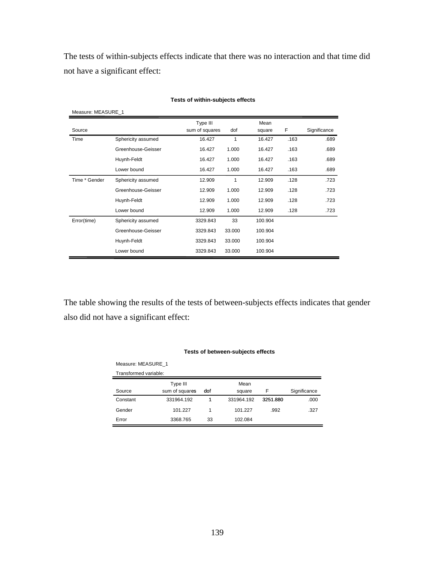The tests of within-subjects effects indicate that there was no interaction and that time did not have a significant effect:

| Measure: MEASURE 1 |                    |                            |              |                |      |              |
|--------------------|--------------------|----------------------------|--------------|----------------|------|--------------|
| Source             |                    | Type III<br>sum of squares | dof          | Mean<br>square | F    | Significance |
| Time               | Sphericity assumed | 16.427                     | 1            | 16.427         | .163 | .689         |
|                    | Greenhouse-Geisser | 16.427                     | 1.000        | 16.427         | .163 | .689         |
|                    | Huynh-Feldt        | 16.427                     | 1.000        | 16.427         | .163 | .689         |
|                    | Lower bound        | 16.427                     | 1.000        | 16.427         | .163 | .689         |
| Time * Gender      | Sphericity assumed | 12.909                     | $\mathbf{1}$ | 12.909         | .128 | .723         |
|                    | Greenhouse-Geisser | 12.909                     | 1.000        | 12.909         | .128 | .723         |
|                    | Huynh-Feldt        | 12.909                     | 1.000        | 12.909         | .128 | .723         |
|                    | Lower bound        | 12.909                     | 1.000        | 12.909         | .128 | .723         |
| Error(time)        | Sphericity assumed | 3329.843                   | 33           | 100.904        |      |              |
|                    | Greenhouse-Geisser | 3329.843                   | 33.000       | 100.904        |      |              |
|                    | Huynh-Feldt        | 3329.843                   | 33.000       | 100.904        |      |              |
|                    | Lower bound        | 3329.843                   | 33.000       | 100.904        |      |              |

## **Tests of within-subjects effects**

The table showing the results of the tests of between-subjects effects indicates that gender also did not have a significant effect:

## Tests of between-subjects effects Measure: MEASURE\_1

| Mean                           |
|--------------------------------|
|                                |
| F<br>Significance<br>square    |
| 331964.192<br>3251.880<br>.000 |
| 101.227<br>.327<br>.992        |
| 102.084                        |
|                                |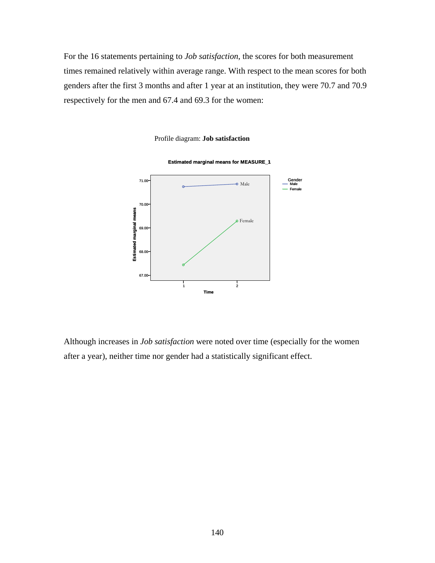For the 16 statements pertaining to *Job satisfaction*, the scores for both measurement times remained relatively within average range. With respect to the mean scores for both genders after the first 3 months and after 1 year at an institution, they were 70.7 and 70.9 respectively for the men and 67.4 and 69.3 for the women:

Profile diagram: **Job satisfaction** 



**Estimated marginal means for MEASURE\_1**

Although increases in *Job satisfaction* were noted over time (especially for the women after a year), neither time nor gender had a statistically significant effect.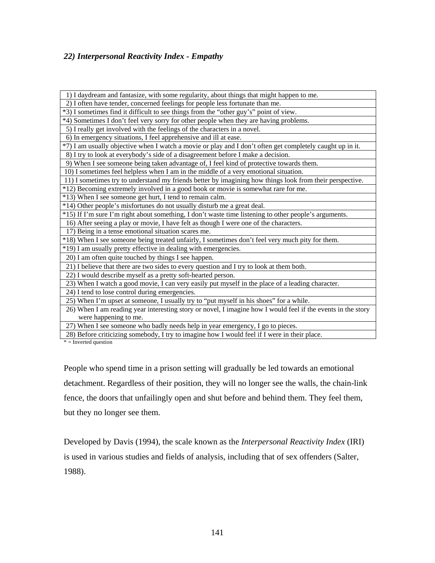## *22) Interpersonal Reactivity Index - Empathy*

 1) I daydream and fantasize, with some regularity, about things that might happen to me. 2) I often have tender, concerned feelings for people less fortunate than me. \*3) I sometimes find it difficult to see things from the "other guy's" point of view. \*4) Sometimes I don't feel very sorry for other people when they are having problems. 5) I really get involved with the feelings of the characters in a novel. 6) In emergency situations, I feel apprehensive and ill at ease. \*7) I am usually objective when I watch a movie or play and I don't often get completely caught up in it. 8) I try to look at everybody's side of a disagreement before I make a decision. 9) When I see someone being taken advantage of, I feel kind of protective towards them. 10) I sometimes feel helpless when I am in the middle of a very emotional situation. 11) I sometimes try to understand my friends better by imagining how things look from their perspective. \*12) Becoming extremely involved in a good book or movie is somewhat rare for me. \*13) When I see someone get hurt, I tend to remain calm. \*14) Other people's misfortunes do not usually disturb me a great deal. \*15) If I'm sure I'm right about something, I don't waste time listening to other people's arguments. 16) After seeing a play or movie, I have felt as though I were one of the characters. 17) Being in a tense emotional situation scares me. \*18) When I see someone being treated unfairly, I sometimes don't feel very much pity for them. \*19) I am usually pretty effective in dealing with emergencies. 20) I am often quite touched by things I see happen. 21) I believe that there are two sides to every question and I try to look at them both. 22) I would describe myself as a pretty soft-hearted person. 23) When I watch a good movie, I can very easily put myself in the place of a leading character. 24) I tend to lose control during emergencies. 25) When I'm upset at someone, I usually try to "put myself in his shoes" for a while. 26) When I am reading year interesting story or novel, I imagine how I would feel if the events in the story were happening to me. 27) When I see someone who badly needs help in year emergency, I go to pieces.

28) Before criticizing somebody, I try to imagine how I would feel if I were in their place.

 $* =$  Inverted question

People who spend time in a prison setting will gradually be led towards an emotional detachment. Regardless of their position, they will no longer see the walls, the chain-link fence, the doors that unfailingly open and shut before and behind them. They feel them, but they no longer see them.

Developed by Davis (1994), the scale known as the *Interpersonal Reactivity Index* (IRI) is used in various studies and fields of analysis, including that of sex offenders (Salter, 1988).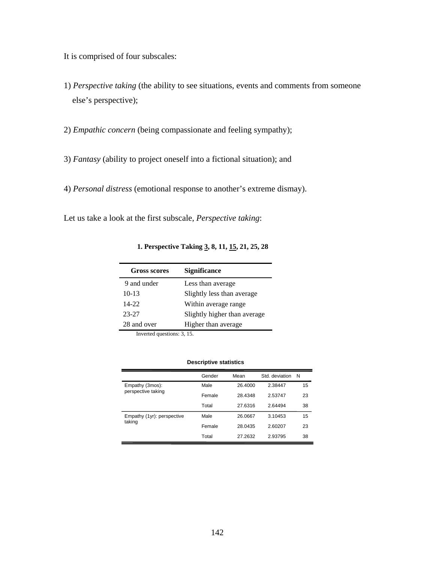It is comprised of four subscales:

- 1) *Perspective taking* (the ability to see situations, events and comments from someone else's perspective);
- 2) *Empathic concern* (being compassionate and feeling sympathy);
- 3) *Fantasy* (ability to project oneself into a fictional situation); and
- 4) *Personal distress* (emotional response to another's extreme dismay).

Let us take a look at the first subscale, *Perspective taking*:

 **1. Perspective Taking 3, 8, 11, 15, 21, 25, 28** 

| <b>Gross scores</b> | <b>Significance</b>          |
|---------------------|------------------------------|
| 9 and under         | Less than average            |
| $10-13$             | Slightly less than average   |
| $14 - 22$           | Within average range         |
| 23-27               | Slightly higher than average |
| 28 and over         | Higher than average          |

Inverted questions: 3, 15.

| <b>Descriptive statistics</b> |        |         |                |    |  |  |  |
|-------------------------------|--------|---------|----------------|----|--|--|--|
|                               | Gender | Mean    | Std. deviation | N  |  |  |  |
| Empathy (3mos):               | Male   | 26,4000 | 2.38447        | 15 |  |  |  |
| perspective taking            | Female | 28.4348 | 2.53747        | 23 |  |  |  |
|                               | Total  | 27.6316 | 2.64494        | 38 |  |  |  |
| Empathy (1yr): perspective    | Male   | 26.0667 | 3.10453        | 15 |  |  |  |
| taking                        | Female | 28.0435 | 2.60207        | 23 |  |  |  |
|                               | Total  | 27.2632 | 2.93795        | 38 |  |  |  |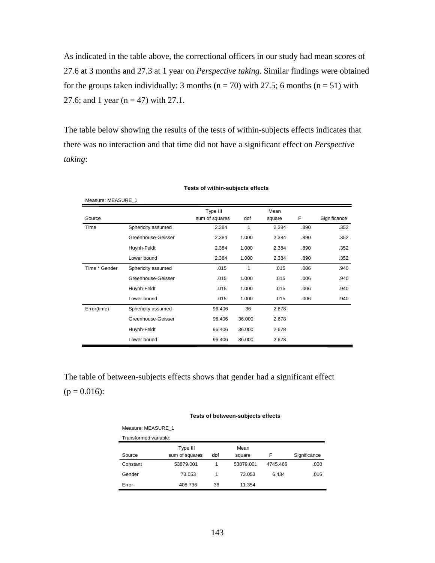As indicated in the table above, the correctional officers in our study had mean scores of 27.6 at 3 months and 27.3 at 1 year on *Perspective taking*. Similar findings were obtained for the groups taken individually: 3 months ( $n = 70$ ) with 27.5; 6 months ( $n = 51$ ) with 27.6; and 1 year ( $n = 47$ ) with 27.1.

The table below showing the results of the tests of within-subjects effects indicates that there was no interaction and that time did not have a significant effect on *Perspective taking*:

| Measure: MEASURE 1 |                    |                            |        |                |      |              |
|--------------------|--------------------|----------------------------|--------|----------------|------|--------------|
| Source             |                    | Type III<br>sum of squares | dof    | Mean<br>square | F    | Significance |
| Time               | Sphericity assumed | 2.384                      | 1      | 2.384          | .890 | .352         |
|                    | Greenhouse-Geisser | 2.384                      | 1.000  | 2.384          | .890 | .352         |
|                    | Huynh-Feldt        | 2.384                      | 1.000  | 2.384          | .890 | .352         |
|                    | Lower bound        | 2.384                      | 1.000  | 2.384          | .890 | .352         |
| Time * Gender      | Sphericity assumed | .015                       | 1      | .015           | .006 | .940         |
|                    | Greenhouse-Geisser | .015                       | 1.000  | .015           | .006 | .940         |
|                    | Huynh-Feldt        | .015                       | 1.000  | .015           | .006 | .940         |
|                    | Lower bound        | .015                       | 1.000  | .015           | .006 | .940         |
| Error(time)        | Sphericity assumed | 96.406                     | 36     | 2.678          |      |              |
|                    | Greenhouse-Geisser | 96.406                     | 36.000 | 2.678          |      |              |
|                    | Huynh-Feldt        | 96.406                     | 36.000 | 2.678          |      |              |
|                    | Lower bound        | 96.406                     | 36.000 | 2.678          |      |              |

**Tests of within-subjects effects**

The table of between-subjects effects shows that gender had a significant effect  $(p = 0.016)$ :

#### **Tests of between-subjects effects**

| Measure: MEASURE 1    |                |     |           |          |              |  |  |
|-----------------------|----------------|-----|-----------|----------|--------------|--|--|
| Transformed variable: |                |     |           |          |              |  |  |
|                       | Type III       |     | Mean      |          |              |  |  |
| Source                | sum of squares | dof | square    | F        | Significance |  |  |
| Constant              | 53879.001      | 1   | 53879.001 | 4745.466 | .000         |  |  |
| Gender                | 73.053         | 1   | 73.053    | 6.434    | .016         |  |  |
| Error                 | 408.736        | 36  | 11.354    |          |              |  |  |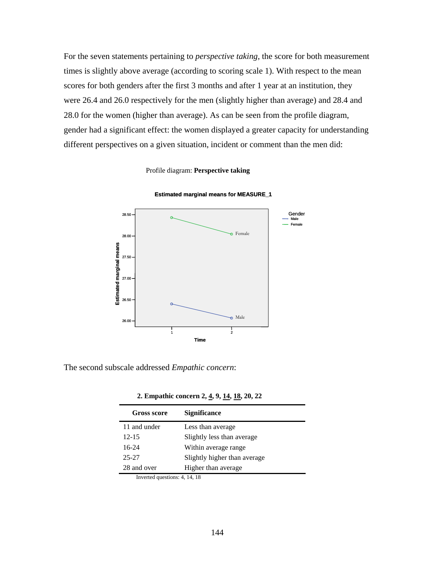For the seven statements pertaining to *perspective taking*, the score for both measurement times is slightly above average (according to scoring scale 1). With respect to the mean scores for both genders after the first 3 months and after 1 year at an institution, they were 26.4 and 26.0 respectively for the men (slightly higher than average) and 28.4 and 28.0 for the women (higher than average). As can be seen from the profile diagram, gender had a significant effect: the women displayed a greater capacity for understanding different perspectives on a given situation, incident or comment than the men did:

Profile diagram: **Perspective taking** 



### **Estimated marginal means for MEASURE\_1**

The second subscale addressed *Empathic concern*:

| Gross score  | <b>Significance</b>          |
|--------------|------------------------------|
| 11 and under | Less than average            |
| $12 - 15$    | Slightly less than average   |
| $16-24$      | Within average range         |
| 25-27        | Slightly higher than average |
| 28 and over  | Higher than average          |

 **2. Empathic concern 2, 4, 9, 14, 18, 20, 22**

Inverted questions: 4, 14, 18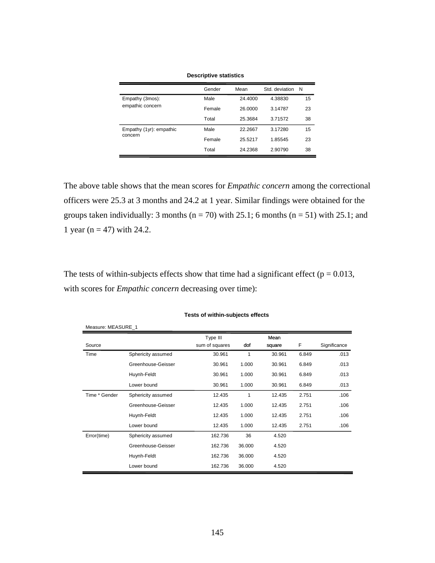|                         | Gender | Mean    | Std. deviation | N  |
|-------------------------|--------|---------|----------------|----|
| Empathy (3mos):         | Male   | 24.4000 | 4.38830        | 15 |
| empathic concern        | Female | 26,0000 | 3.14787        | 23 |
|                         | Total  | 25.3684 | 3.71572        | 38 |
| Empathy (1yr): empathic | Male   | 22.2667 | 3.17280        | 15 |
| concern                 | Female | 25.5217 | 1.85545        | 23 |
|                         | Total  | 24.2368 | 2.90790        | 38 |

**Descriptive statistics**

The above table shows that the mean scores for *Empathic concern* among the correctional officers were 25.3 at 3 months and 24.2 at 1 year. Similar findings were obtained for the groups taken individually: 3 months ( $n = 70$ ) with 25.1; 6 months ( $n = 51$ ) with 25.1; and 1 year ( $n = 47$ ) with 24.2.

The tests of within-subjects effects show that time had a significant effect ( $p = 0.013$ , with scores for *Empathic concern* decreasing over time):

## **Tests of within-subjects effects**

| Measure: MEASURE 1 |                    |                            |        |                |       |              |
|--------------------|--------------------|----------------------------|--------|----------------|-------|--------------|
| Source             |                    | Type III<br>sum of squares | dof    | Mean<br>square | F     | Significance |
| Time               | Sphericity assumed | 30.961                     | 1      | 30.961         | 6.849 | .013         |
|                    | Greenhouse-Geisser | 30.961                     | 1.000  | 30.961         | 6.849 | .013         |
|                    | Huynh-Feldt        | 30.961                     | 1.000  | 30.961         | 6.849 | .013         |
|                    | Lower bound        | 30.961                     | 1.000  | 30.961         | 6.849 | .013         |
| Time * Gender      | Sphericity assumed | 12.435                     | 1      | 12.435         | 2.751 | .106         |
|                    | Greenhouse-Geisser | 12.435                     | 1.000  | 12.435         | 2.751 | .106         |
|                    | Huynh-Feldt        | 12.435                     | 1.000  | 12.435         | 2.751 | .106         |
|                    | Lower bound        | 12.435                     | 1.000  | 12.435         | 2.751 | .106         |
| Error(time)        | Sphericity assumed | 162.736                    | 36     | 4.520          |       |              |
|                    | Greenhouse-Geisser | 162.736                    | 36.000 | 4.520          |       |              |
|                    | Huynh-Feldt        | 162.736                    | 36.000 | 4.520          |       |              |
|                    | Lower bound        | 162.736                    | 36.000 | 4.520          |       |              |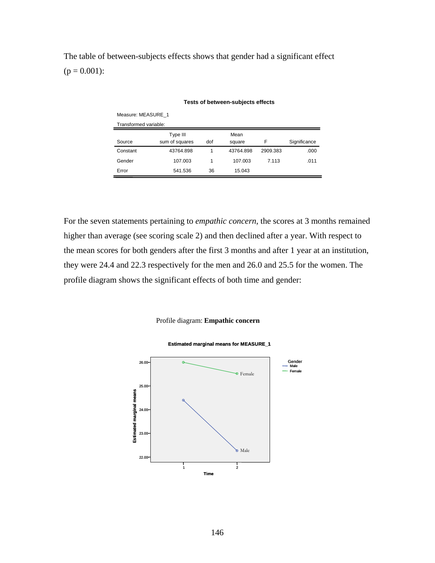The table of between-subjects effects shows that gender had a significant effect  $(p = 0.001)$ :

#### Measure: MEASURE\_1 Transformed variable: 43764.898 1 43764.898 2909.383 .000 107.003 1 107.003 7.113 .011 541.536 36 15.043 Source Constant Gender Error Type III sum of squares dof Mean square F Significance 43764.898 43764.898 Significance

Tests of between-subjects effects

For the seven statements pertaining to *empathic concern*, the scores at 3 months remained higher than average (see scoring scale 2) and then declined after a year. With respect to the mean scores for both genders after the first 3 months and after 1 year at an institution, they were 24.4 and 22.3 respectively for the men and 26.0 and 25.5 for the women. The profile diagram shows the significant effects of both time and gender:





146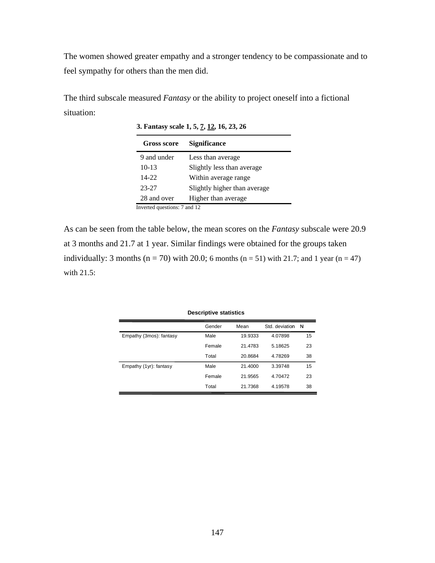The women showed greater empathy and a stronger tendency to be compassionate and to feel sympathy for others than the men did.

The third subscale measured *Fantasy* or the ability to project oneself into a fictional situation:

 **3. Fantasy scale 1, 5, 7, 12, 16, 23, 26** 

| Gross score                  | <b>Significance</b>          |
|------------------------------|------------------------------|
| 9 and under                  | Less than average            |
| $10-13$                      | Slightly less than average   |
| 14-22                        | Within average range         |
| 23-27                        | Slightly higher than average |
| 28 and over                  | Higher than average          |
| Inverted questions: 7 and 12 |                              |

As can be seen from the table below, the mean scores on the *Fantasy* subscale were 20.9 at 3 months and 21.7 at 1 year. Similar findings were obtained for the groups taken individually: 3 months ( $n = 70$ ) with 20.0; 6 months ( $n = 51$ ) with 21.7; and 1 year ( $n = 47$ ) with 21.5:

|                         | Gender | Mean    | Std. deviation N |    |
|-------------------------|--------|---------|------------------|----|
| Empathy (3mos): fantasy | Male   | 19.9333 | 4.07898          | 15 |
|                         | Female | 21.4783 | 5.18625          | 23 |
|                         | Total  | 20.8684 | 4.78269          | 38 |
| Empathy (1yr): fantasy  | Male   | 21.4000 | 3.39748          | 15 |
|                         | Female | 21.9565 | 4.70472          | 23 |
|                         | Total  | 21.7368 | 4.19578          | 38 |

**Descriptive statistics**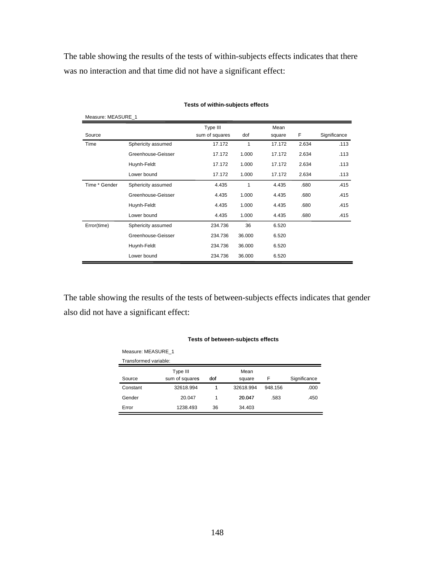The table showing the results of the tests of within-subjects effects indicates that there was no interaction and that time did not have a significant effect:

| Measure: MEASURE 1 |                    |                            |        |                |       |              |
|--------------------|--------------------|----------------------------|--------|----------------|-------|--------------|
| Source             |                    | Type III<br>sum of squares | dof    | Mean<br>square | F     | Significance |
| Time               | Sphericity assumed | 17.172                     | 1      | 17.172         | 2.634 | .113         |
|                    | Greenhouse-Geisser | 17.172                     | 1.000  | 17.172         | 2.634 | .113         |
|                    | Huynh-Feldt        | 17.172                     | 1.000  | 17.172         | 2.634 | .113         |
|                    | Lower bound        | 17.172                     | 1.000  | 17.172         | 2.634 | .113         |
| Time * Gender      | Sphericity assumed | 4.435                      | 1      | 4.435          | .680  | .415         |
|                    | Greenhouse-Geisser | 4.435                      | 1.000  | 4.435          | .680  | .415         |
|                    | Huynh-Feldt        | 4.435                      | 1.000  | 4.435          | .680  | .415         |
|                    | Lower bound        | 4.435                      | 1.000  | 4.435          | .680  | .415         |
| Error(time)        | Sphericity assumed | 234.736                    | 36     | 6.520          |       |              |
|                    | Greenhouse-Geisser | 234.736                    | 36.000 | 6.520          |       |              |
|                    | Huynh-Feldt        | 234.736                    | 36.000 | 6.520          |       |              |
|                    | Lower bound        | 234.736                    | 36.000 | 6.520          |       |              |

## **Tests of within-subjects effects**

The table showing the results of the tests of between-subjects effects indicates that gender also did not have a significant effect:

| Measure: MEASURE 1    |                |     |           |         |              |  |  |
|-----------------------|----------------|-----|-----------|---------|--------------|--|--|
| Transformed variable: |                |     |           |         |              |  |  |
|                       | Type III       |     | Mean      |         |              |  |  |
| Source                | sum of squares | dof | square    | F       | Significance |  |  |
| Constant              | 32618.994      | 1   | 32618.994 | 948.156 | .000         |  |  |
| Gender                | 20.047         | 1   | 20.047    | .583    | .450         |  |  |
| Error                 | 1238.493       | 36  | 34.403    |         |              |  |  |

#### **Tests of between-subjects effects**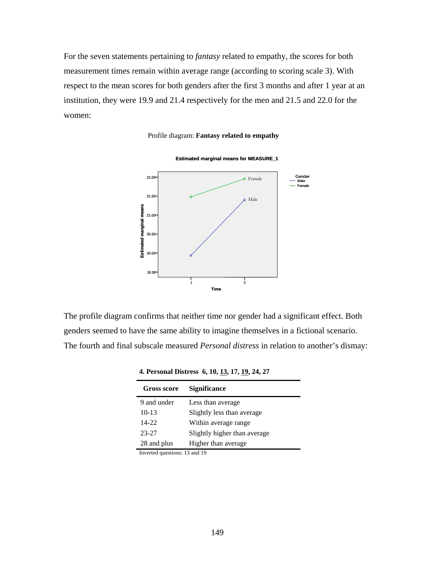For the seven statements pertaining to *fantasy* related to empathy, the scores for both measurement times remain within average range (according to scoring scale 3). With respect to the mean scores for both genders after the first 3 months and after 1 year at an institution, they were 19.9 and 21.4 respectively for the men and 21.5 and 22.0 for the women:





**Estimated marginal means for MEASURE\_1**

The profile diagram confirms that neither time nor gender had a significant effect. Both genders seemed to have the same ability to imagine themselves in a fictional scenario. The fourth and final subscale measured *Personal distress* in relation to another's dismay:

| Gross score                                                | <b>Significance</b>          |
|------------------------------------------------------------|------------------------------|
| 9 and under                                                | Less than average            |
| $10-13$                                                    | Slightly less than average   |
| $14 - 22$                                                  | Within average range         |
| 23-27                                                      | Slightly higher than average |
| 28 and plus                                                | Higher than average          |
| $T_{\text{source}} = 1$ and $T_{\text{source}} = 12 - 110$ |                              |

**4. Personal Distress 6, 10, 13, 17, 19, 24, 27** 

Inverted questions: 13 and 19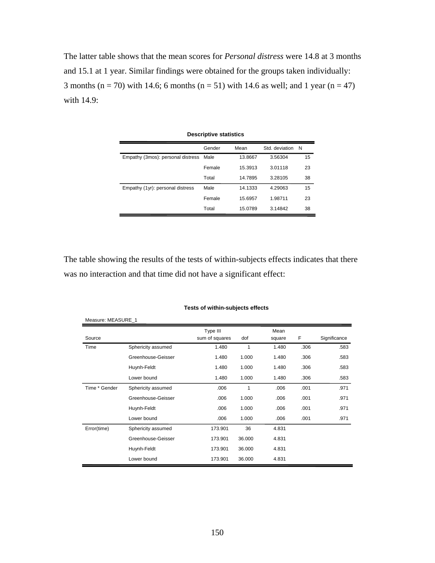The latter table shows that the mean scores for *Personal distress* were 14.8 at 3 months and 15.1 at 1 year. Similar findings were obtained for the groups taken individually: 3 months ( $n = 70$ ) with 14.6; 6 months ( $n = 51$ ) with 14.6 as well; and 1 year ( $n = 47$ ) with 14.9:

| <b>Descriptive statistics</b>     |        |         |                |     |  |  |  |  |
|-----------------------------------|--------|---------|----------------|-----|--|--|--|--|
|                                   | Gender | Mean    | Std. deviation | - N |  |  |  |  |
| Empathy (3mos): personal distress | Male   | 13.8667 | 3.56304        | 15  |  |  |  |  |
|                                   | Female | 15.3913 | 3.01118        | 23  |  |  |  |  |
|                                   | Total  | 14.7895 | 3.28105        | 38  |  |  |  |  |
| Empathy (1yr): personal distress  | Male   | 14.1333 | 4.29063        | 15  |  |  |  |  |
|                                   | Female | 15.6957 | 1.98711        | 23  |  |  |  |  |
|                                   | Total  | 15.0789 | 3.14842        | 38  |  |  |  |  |

The table showing the results of the tests of within-subjects effects indicates that there was no interaction and that time did not have a significant effect:

| Measure: MEASURE 1 |                    |                            |        |                |      |              |  |  |
|--------------------|--------------------|----------------------------|--------|----------------|------|--------------|--|--|
| Source             |                    | Type III<br>sum of squares | dof    | Mean<br>square | F    | Significance |  |  |
| Time               | Sphericity assumed | 1.480                      | 1      | 1.480          | .306 | .583         |  |  |
|                    | Greenhouse-Geisser | 1.480                      | 1.000  | 1.480          | .306 | .583         |  |  |
|                    | Huynh-Feldt        | 1.480                      | 1.000  | 1.480          | .306 | .583         |  |  |
|                    | Lower bound        | 1.480                      | 1.000  | 1.480          | .306 | .583         |  |  |
| Time * Gender      | Sphericity assumed | .006                       | 1      | .006           | .001 | .971         |  |  |
|                    | Greenhouse-Geisser | .006                       | 1.000  | .006           | .001 | .971         |  |  |
|                    | Huynh-Feldt        | .006                       | 1.000  | .006           | .001 | .971         |  |  |
|                    | Lower bound        | .006                       | 1.000  | .006           | .001 | .971         |  |  |
| Error(time)        | Sphericity assumed | 173.901                    | 36     | 4.831          |      |              |  |  |
|                    | Greenhouse-Geisser | 173.901                    | 36.000 | 4.831          |      |              |  |  |
|                    | Huynh-Feldt        | 173.901                    | 36.000 | 4.831          |      |              |  |  |
|                    | Lower bound        | 173.901                    | 36.000 | 4.831          |      |              |  |  |

## **Tests of within-subjects effects**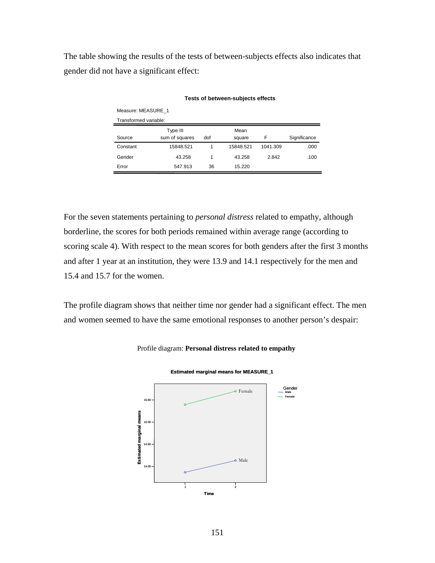The table showing the results of the tests of between-subjects effects also indicates that gender did not have a significant effect:

| Measure: MEASURE 1    |                |     |           |          |              |  |  |  |  |
|-----------------------|----------------|-----|-----------|----------|--------------|--|--|--|--|
| Transformed variable: |                |     |           |          |              |  |  |  |  |
|                       | Type III       |     | Mean      |          |              |  |  |  |  |
| Source                | sum of squares | dof | square    | F        | Significance |  |  |  |  |
| Constant              | 15848.521      |     | 15848.521 | 1041.309 | .000         |  |  |  |  |
| Gender                | 43.258         |     | 43.258    | 2.842    | .100         |  |  |  |  |
| Error                 | 547.913        | 36  | 15.220    |          |              |  |  |  |  |

### **Tests of between-subjects effects**

For the seven statements pertaining to *personal distress* related to empathy, although borderline, the scores for both periods remained within average range (according to scoring scale 4). With respect to the mean scores for both genders after the first 3 months and after 1 year at an institution, they were 13.9 and 14.1 respectively for the men and 15.4 and 15.7 for the women.

The profile diagram shows that neither time nor gender had a significant effect. The men and women seemed to have the same emotional responses to another person's despair:



Profile diagram: **Personal distress related to empathy**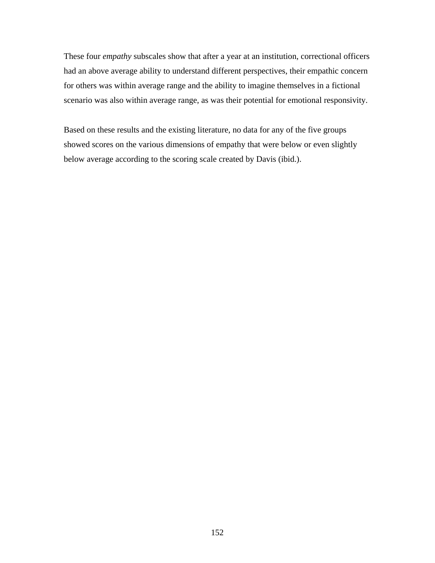These four *empathy* subscales show that after a year at an institution, correctional officers had an above average ability to understand different perspectives, their empathic concern for others was within average range and the ability to imagine themselves in a fictional scenario was also within average range, as was their potential for emotional responsivity.

Based on these results and the existing literature, no data for any of the five groups showed scores on the various dimensions of empathy that were below or even slightly below average according to the scoring scale created by Davis (ibid.).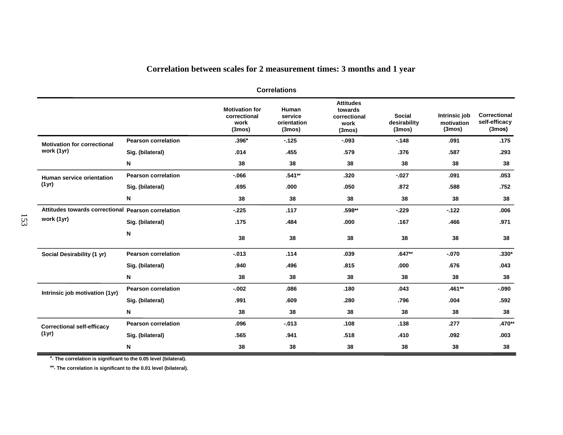# **Correlation between scales for 2 measurement times: 3 months and 1 year**

|                                                                  |                            |                                                         | Correlations                              |                                                               |                                         |                                       |                                                |
|------------------------------------------------------------------|----------------------------|---------------------------------------------------------|-------------------------------------------|---------------------------------------------------------------|-----------------------------------------|---------------------------------------|------------------------------------------------|
|                                                                  |                            | <b>Motivation for</b><br>correctional<br>work<br>(3mos) | Human<br>service<br>orientation<br>(3mos) | <b>Attitudes</b><br>towards<br>correctional<br>work<br>(3mos) | <b>Social</b><br>desirability<br>(3mos) | Intrinsic job<br>motivation<br>(3mos) | <b>Correctional</b><br>self-efficacy<br>(3mos) |
| <b>Motivation for correctional</b>                               | <b>Pearson correlation</b> | .396*                                                   | $-125$                                    | $-0.093$                                                      | $-148$                                  | .091                                  | .175                                           |
| work (1yr)                                                       | Sig. (bilateral)           | .014                                                    | .455                                      | .579                                                          | .376                                    | .587                                  | .293                                           |
|                                                                  | N                          | 38                                                      | 38                                        | 38                                                            | 38                                      | 38                                    | 38                                             |
| <b>Human service orientation</b>                                 | <b>Pearson correlation</b> | $-066$                                                  | $.541**$                                  | .320                                                          | $-0.27$                                 | .091                                  | .053                                           |
| (1yr)                                                            | Sig. (bilateral)           | .695                                                    | .000                                      | .050                                                          | .872                                    | .588                                  | .752                                           |
|                                                                  | N                          | 38                                                      | 38                                        | 38                                                            | 38                                      | 38                                    | 38                                             |
| Attitudes towards correctional Pearson correlation<br>work (1yr) |                            | $-225$                                                  | .117                                      | .598**                                                        | $-229$                                  | $-122$                                | .006                                           |
|                                                                  | Sig. (bilateral)           | .175                                                    | .484                                      | .000                                                          | .167                                    | .466                                  | .971                                           |
|                                                                  | N                          | 38                                                      | 38                                        | 38                                                            | 38                                      | 38                                    | 38                                             |
| Social Desirability (1 yr)                                       | <b>Pearson correlation</b> | $-013$                                                  | .114                                      | .039                                                          | $.647**$                                | $-070$                                | $.330*$                                        |
|                                                                  | Sig. (bilateral)           | .940                                                    | .496                                      | .815                                                          | .000                                    | .676                                  | .043                                           |
|                                                                  | N                          | 38                                                      | 38                                        | 38                                                            | 38                                      | 38                                    | 38                                             |
| Intrinsic job motivation (1yr)                                   | <b>Pearson correlation</b> | $-0.002$                                                | .086                                      | .180                                                          | .043                                    | .461**                                | $-0.90$                                        |
|                                                                  | Sig. (bilateral)           | .991                                                    | .609                                      | .280                                                          | .796                                    | .004                                  | .592                                           |
|                                                                  | N                          | 38                                                      | 38                                        | 38                                                            | 38                                      | 38                                    | 38                                             |
| <b>Correctional self-efficacy</b>                                | <b>Pearson correlation</b> | .096                                                    | $-013$                                    | .108                                                          | .138                                    | .277                                  | .470**                                         |
| (1yr)                                                            | Sig. (bilateral)           | .565                                                    | .941                                      | .518                                                          | .410                                    | .092                                  | .003                                           |
|                                                                  | ${\bf N}$                  | 38                                                      | 38                                        | 38                                                            | 38                                      | 38                                    | 38                                             |

Correlations**Correlations**

**\*. The correlation is significant to the 0.05 level (bilateral).**

**\*\*. The correlation is significant to the 0.01 level (bilateral).**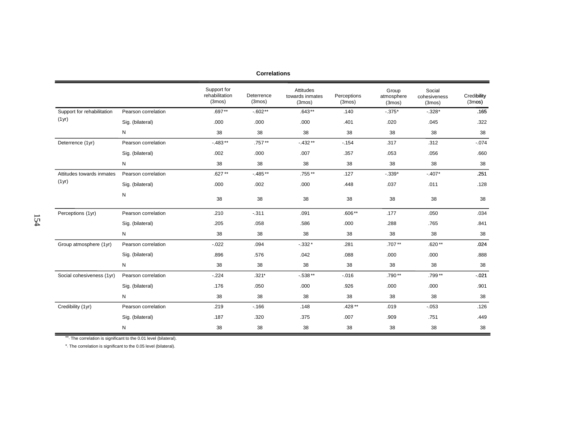|                            |                     | Support for<br>rehabilitation<br>(3mos) | Deterrence<br>(3mos) | Attitudes<br>towards inmates<br>(3mos) | Perceptions<br>(3mos) | Group<br>atmosphere<br>(3mos) | Social<br>cohesiveness<br>(3mos) | Credibility<br>(3mos) |
|----------------------------|---------------------|-----------------------------------------|----------------------|----------------------------------------|-----------------------|-------------------------------|----------------------------------|-----------------------|
| Support for rehabilitation | Pearson correlation | $.697**$                                | $-0.602**$           | $.643**$                               | .140                  | $-375*$                       | $-328*$                          | .165                  |
| (1yr)                      | Sig. (bilateral)    | .000                                    | .000                 | .000                                   | .401                  | .020                          | .045                             | .322                  |
|                            | N                   | 38                                      | 38                   | 38                                     | 38                    | 38                            | 38                               | 38                    |
| Deterrence (1yr)           | Pearson correlation | $-483**$                                | .757**               | $-432**$                               | $-154$                | .317                          | .312                             | $-074$                |
|                            | Sig. (bilateral)    | .002                                    | .000                 | .007                                   | .357                  | .053                          | .056                             | .660                  |
|                            | N                   | 38                                      | 38                   | 38                                     | 38                    | 38                            | 38                               | 38                    |
| Attitudes towards inmates  | Pearson correlation | $.627**$                                | $-485**$             | .755 **                                | .127                  | $-0.339*$                     | $-407*$                          | .251                  |
| (1yr)                      | Sig. (bilateral)    | .000                                    | .002                 | .000                                   | .448                  | .037                          | .011                             | .128                  |
|                            | N                   | 38                                      | 38                   | 38                                     | 38                    | 38                            | 38                               | 38                    |
| Perceptions (1yr)          | Pearson correlation | .210                                    | $-311$               | .091                                   | $.606**$              | .177                          | .050                             | .034                  |
|                            | Sig. (bilateral)    | .205                                    | .058                 | .586                                   | .000                  | .288                          | .765                             | .841                  |
|                            | N                   | 38                                      | 38                   | 38                                     | 38                    | 38                            | 38                               | 38                    |
| Group atmosphere (1yr)     | Pearson correlation | $-0.022$                                | .094                 | $-332*$                                | .281                  | $.707**$                      | $.620**$                         | .024                  |
|                            | Sig. (bilateral)    | .896                                    | .576                 | .042                                   | .088                  | .000                          | .000                             | .888                  |
|                            | N                   | 38                                      | 38                   | 38                                     | 38                    | 38                            | 38                               | 38                    |
| Social cohesiveness (1yr)  | Pearson correlation | $-224$                                  | $.321*$              | $-0.538**$                             | $-0.016$              | .790**                        | .799**                           | $-021$                |
|                            | Sig. (bilateral)    | .176                                    | .050                 | .000                                   | .926                  | .000                          | .000                             | .901                  |
|                            | N                   | 38                                      | 38                   | 38                                     | 38                    | 38                            | 38                               | 38                    |
| Credibility (1yr)          | Pearson correlation | .219                                    | $-166$               | .148                                   | .428 **               | .019                          | $-0.053$                         | .126                  |
|                            | Sig. (bilateral)    | .187                                    | .320                 | .375                                   | .007                  | .909                          | .751                             | .449                  |
|                            | Ν                   | 38                                      | 38                   | 38                                     | 38                    | 38                            | 38                               | 38                    |

**Correlations**

\*\*. The correlation is significant to the 0.01 level (bilateral).

\*. The correlation is significant to the 0.05 level (bilateral).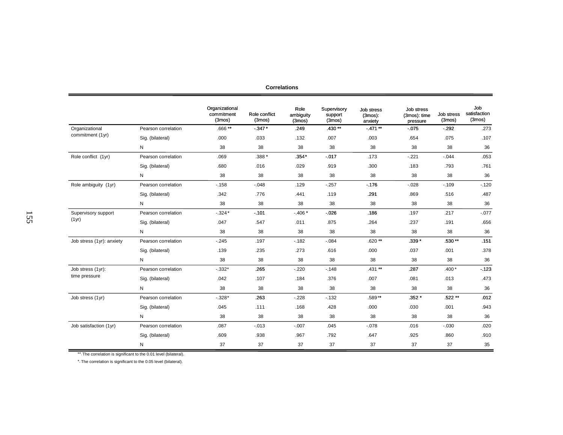|                           |                     | Organizational<br>commitment<br>(3mos) | Role conflict<br>(3mos) | Role<br>ambiguity<br>(3mos) | Supervisory<br>support<br>(3mos) | Job stress<br>(3mos):<br>anxiety | Job stress<br>(3mos): time<br>pressure | Job stress<br>(3mos) | Job<br>satisfaction<br>(3mos) |
|---------------------------|---------------------|----------------------------------------|-------------------------|-----------------------------|----------------------------------|----------------------------------|----------------------------------------|----------------------|-------------------------------|
| Organizational            | Pearson correlation | .666 **                                | $-347*$                 | .249                        | .430**                           | $-471**$                         | $-075$                                 | $-292$               | .273                          |
| commitment (1yr)          | Sig. (bilateral)    | .000                                   | .033                    | .132                        | .007                             | .003                             | .654                                   | .075                 | .107                          |
|                           | N                   | 38                                     | 38                      | 38                          | 38                               | 38                               | 38                                     | 38                   | 36                            |
| Role conflict (1yr)       | Pearson correlation | .069                                   | .388 *                  | .354*                       | $-017$                           | .173                             | $-.221$                                | $-.044$              | .053                          |
|                           | Sig. (bilateral)    | .680                                   | .016                    | .029                        | .919                             | .300                             | .183                                   | .793                 | .761                          |
|                           | N                   | 38                                     | 38                      | 38                          | 38                               | 38                               | 38                                     | 38                   | 36                            |
| Role ambiguity (1yr)      | Pearson correlation | $-158$                                 | $-.048$                 | .129                        | $-257$                           | $-176$                           | $-0.028$                               | $-0.109$             | $-0.120$                      |
|                           | Sig. (bilateral)    | .342                                   | .776                    | .441                        | .119                             | .291                             | .869                                   | .516                 | .487                          |
|                           | N                   | 38                                     | 38                      | 38                          | 38                               | 38                               | 38                                     | 38                   | 36                            |
| Supervisory support       | Pearson correlation | $-324*$                                | $-101$                  | $-406*$                     | $-026$                           | .186                             | .197                                   | .217                 | $-.077$                       |
| (1 <sup>y</sup> r)        | Sig. (bilateral)    | .047                                   | .547                    | .011                        | .875                             | .264                             | .237                                   | .191                 | .656                          |
|                           | N                   | 38                                     | 38                      | 38                          | 38                               | 38                               | 38                                     | 38                   | 36                            |
| Job stress (1yr): anxiety | Pearson correlation | $-245$                                 | .197                    | $-182$                      | $-.084$                          | $.620**$                         | .339 *                                 | .530**               | .151                          |
|                           | Sig. (bilateral)    | .139                                   | .235                    | .273                        | .616                             | .000                             | .037                                   | .001                 | .378                          |
|                           | N                   | 38                                     | 38                      | 38                          | 38                               | 38                               | 38                                     | 38                   | 36                            |
| Job stress (1yr):         | Pearson correlation | $-332*$                                | .265                    | $-.220$                     | $-148$                           | .431**                           | .287                                   | $.400*$              | $-123$                        |
| time pressure             | Sig. (bilateral)    | .042                                   | .107                    | .184                        | .376                             | .007                             | .081                                   | .013                 | .473                          |
|                           | N                   | 38                                     | 38                      | 38                          | 38                               | 38                               | 38                                     | 38                   | 36                            |
| Job stress (1yr)          | Pearson correlation | $-0.328*$                              | .263                    | $-228$                      | $-132$                           | .589**                           | .352 *                                 | .522 **              | .012                          |
|                           | Sig. (bilateral)    | .045                                   | .111                    | .168                        | .428                             | .000                             | .030                                   | .001                 | .943                          |
|                           | N                   | 38                                     | 38                      | 38                          | 38                               | 38                               | 38                                     | 38                   | 36                            |
| Job satisfaction (1yr)    | Pearson correlation | .087                                   | $-.013$                 | $-.007$                     | .045                             | $-.078$                          | .016                                   | $-.030$              | .020                          |
|                           | Sig. (bilateral)    | .609                                   | .938                    | .967                        | .792                             | .647                             | .925                                   | .860                 | .910                          |
|                           | N                   | 37                                     | 37                      | 37                          | 37                               | 37                               | 37                                     | 37                   | 35                            |

**Correlations**

\*\*. The correlation is significant to the 0.01 level (bilateral).

\*. The correlation is significant to the 0.05 level (bilateral).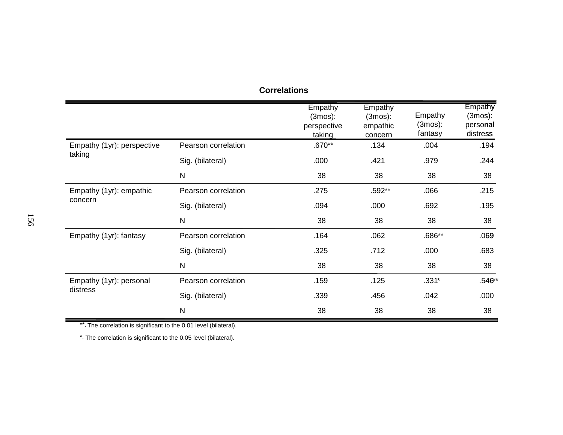|                                      |                     | Empathy<br>(3mos):<br>perspective<br>taking | Empathy<br>(3mos):<br>empathic<br>concern | Empathy<br>(3mos):<br>fantasy | <b>Empathy</b><br>(3mos):<br>personal<br>distress |
|--------------------------------------|---------------------|---------------------------------------------|-------------------------------------------|-------------------------------|---------------------------------------------------|
| Empathy (1yr): perspective<br>taking | Pearson correlation | $.670**$                                    | .134                                      | .004                          | .194                                              |
|                                      | Sig. (bilateral)    | .000                                        | .421                                      | .979                          | .244                                              |
|                                      | N                   | 38                                          | 38                                        | 38                            | 38                                                |
| Empathy (1yr): empathic<br>concern   | Pearson correlation | .275                                        | .592**                                    | .066                          | .215                                              |
|                                      | Sig. (bilateral)    | .094                                        | .000                                      | .692                          | .195                                              |
|                                      | N                   | 38                                          | 38                                        | 38                            | 38                                                |
| Empathy (1yr): fantasy               | Pearson correlation | .164                                        | .062                                      | $.686**$                      | .069                                              |
|                                      | Sig. (bilateral)    | .325                                        | .712                                      | .000                          | .683                                              |
|                                      | $\mathsf{N}$        | 38                                          | 38                                        | 38                            | 38                                                |
| Empathy (1yr): personal              | Pearson correlation | .159                                        | .125                                      | $.331*$                       | $.546**$                                          |
| distress                             | Sig. (bilateral)    | .339                                        | .456                                      | .042                          | .000                                              |
|                                      | N                   | 38                                          | 38                                        | 38                            | 38                                                |

**Correlations**

\*\*. The correlation is significant to the 0.01 level (bilateral).

\*. The correlation is significant to the 0.05 level (bilateral).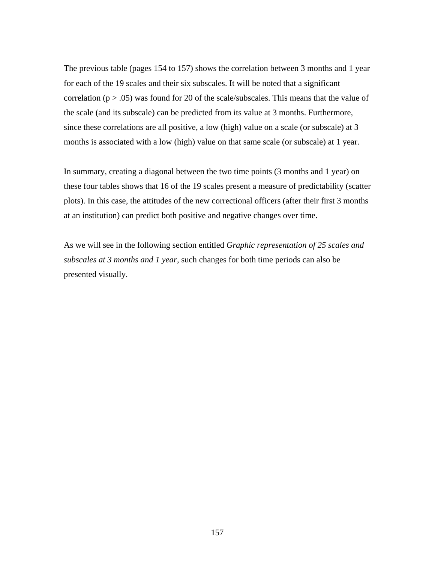The previous table (pages 154 to 157) shows the correlation between 3 months and 1 year for each of the 19 scales and their six subscales. It will be noted that a significant correlation ( $p > .05$ ) was found for 20 of the scale/subscales. This means that the value of the scale (and its subscale) can be predicted from its value at 3 months. Furthermore, since these correlations are all positive, a low (high) value on a scale (or subscale) at 3 months is associated with a low (high) value on that same scale (or subscale) at 1 year.

In summary, creating a diagonal between the two time points (3 months and 1 year) on these four tables shows that 16 of the 19 scales present a measure of predictability (scatter plots). In this case, the attitudes of the new correctional officers (after their first 3 months at an institution) can predict both positive and negative changes over time.

As we will see in the following section entitled *Graphic representation of 25 scales and subscales at 3 months and 1 year*, such changes for both time periods can also be presented visually.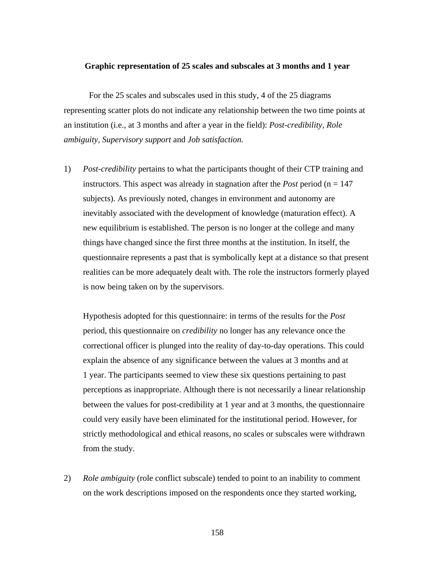## **Graphic representation of 25 scales and subscales at 3 months and 1 year**

For the 25 scales and subscales used in this study, 4 of the 25 diagrams representing scatter plots do not indicate any relationship between the two time points at an institution (i.e., at 3 months and after a year in the field): *Post-credibility, Role ambiguity, Supervisory support* and *Job satisfaction.* 

1) *Post-credibility* pertains to what the participants thought of their CTP training and instructors. This aspect was already in stagnation after the *Post* period ( $n = 147$ ) subjects). As previously noted, changes in environment and autonomy are inevitably associated with the development of knowledge (maturation effect). A new equilibrium is established. The person is no longer at the college and many things have changed since the first three months at the institution. In itself, the questionnaire represents a past that is symbolically kept at a distance so that present realities can be more adequately dealt with. The role the instructors formerly played is now being taken on by the supervisors.

 Hypothesis adopted for this questionnaire: in terms of the results for the *Post*  period, this questionnaire on *credibility* no longer has any relevance once the correctional officer is plunged into the reality of day-to-day operations. This could explain the absence of any significance between the values at 3 months and at 1 year. The participants seemed to view these six questions pertaining to past perceptions as inappropriate. Although there is not necessarily a linear relationship between the values for post-credibility at 1 year and at 3 months, the questionnaire could very easily have been eliminated for the institutional period. However, for strictly methodological and ethical reasons, no scales or subscales were withdrawn from the study.

2) *Role ambiguity* (role conflict subscale) tended to point to an inability to comment on the work descriptions imposed on the respondents once they started working,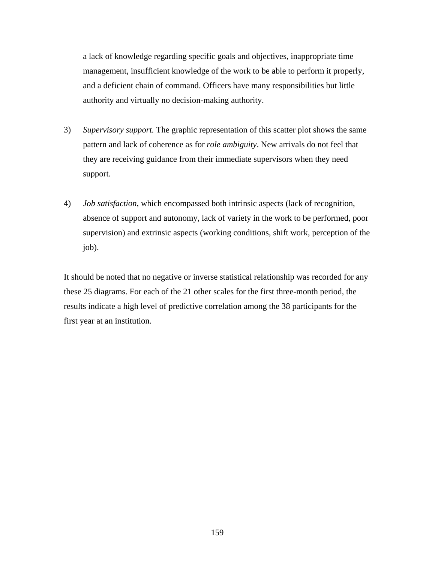a lack of knowledge regarding specific goals and objectives, inappropriate time management, insufficient knowledge of the work to be able to perform it properly, and a deficient chain of command. Officers have many responsibilities but little authority and virtually no decision-making authority.

- 3) *Supervisory support.* The graphic representation of this scatter plot shows the same pattern and lack of coherence as for *role ambiguity*. New arrivals do not feel that they are receiving guidance from their immediate supervisors when they need support.
- 4) *Job satisfaction*, which encompassed both intrinsic aspects (lack of recognition, absence of support and autonomy, lack of variety in the work to be performed, poor supervision) and extrinsic aspects (working conditions, shift work, perception of the job).

It should be noted that no negative or inverse statistical relationship was recorded for any these 25 diagrams. For each of the 21 other scales for the first three-month period, the results indicate a high level of predictive correlation among the 38 participants for the first year at an institution.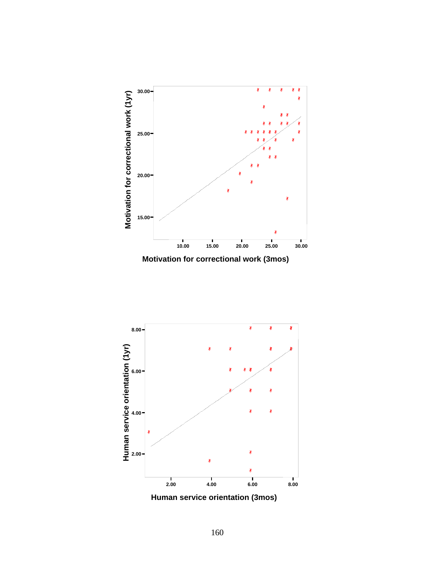

**Motivation for correctional work (3mos)** 



**Human service orientation (3mos)**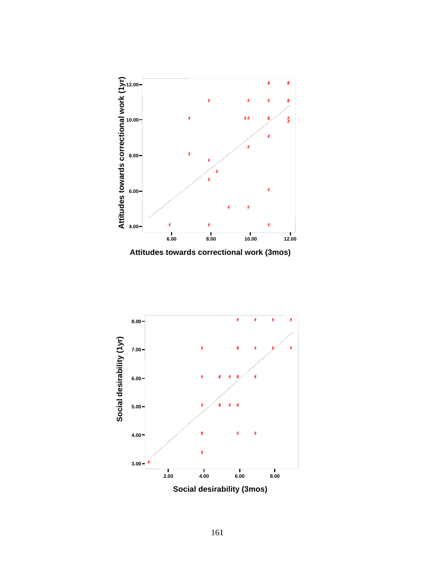

**Attitudes towards correctional work (3mos)**

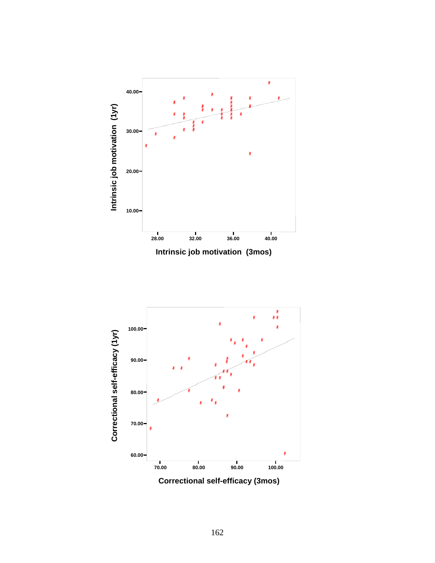

**Intrinsic job motivation (3mos)**



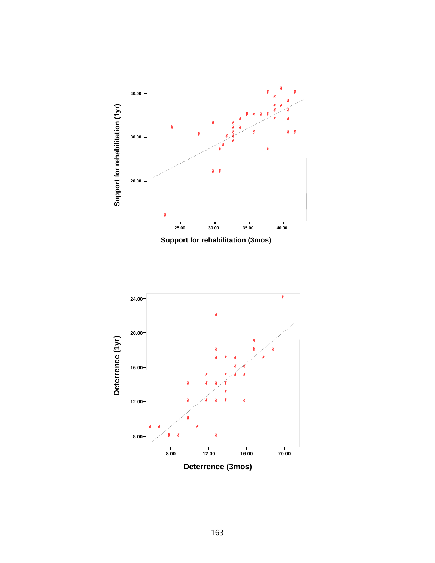

**Support for rehabilitation (3mos)**

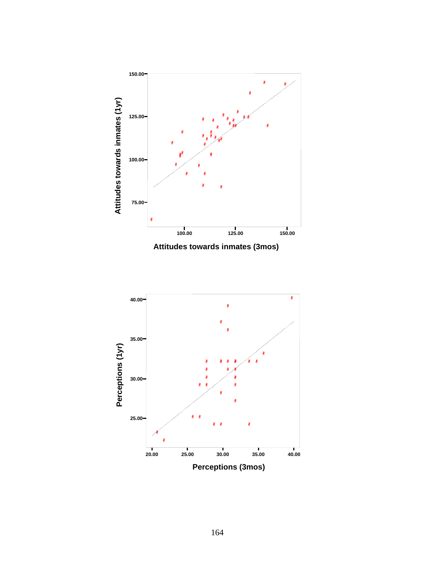

**Attitudes towards inmates (3mos)**

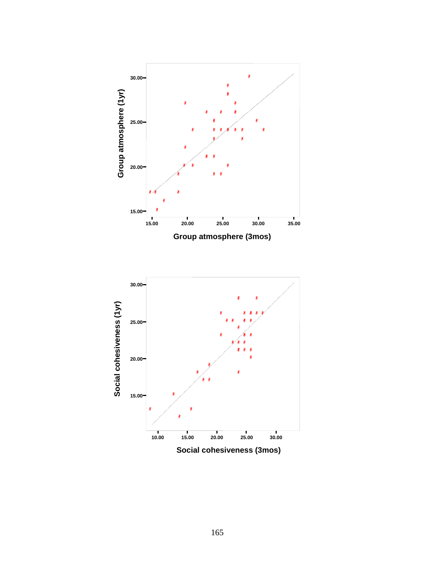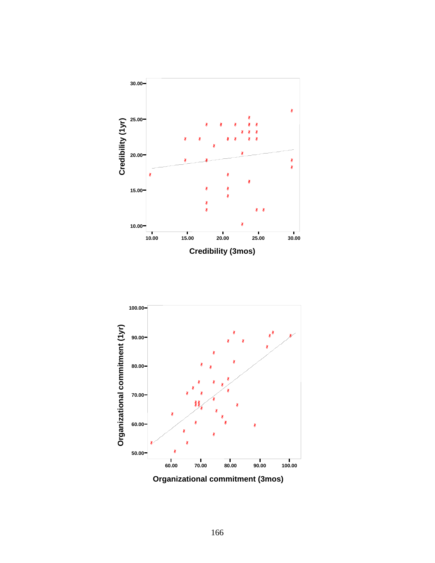



**Organizational commitment (3mos)**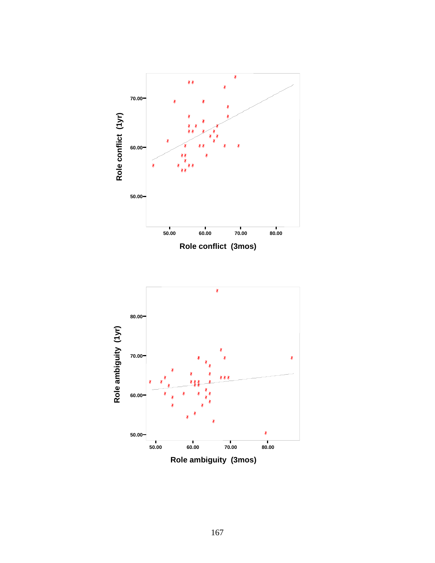

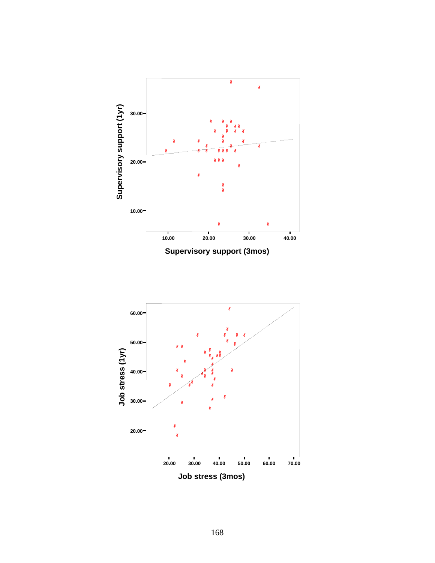

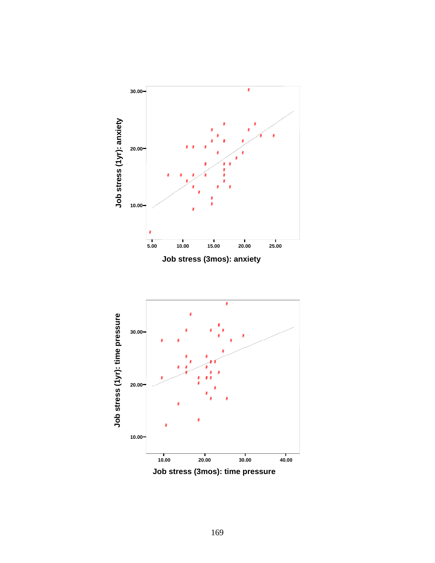

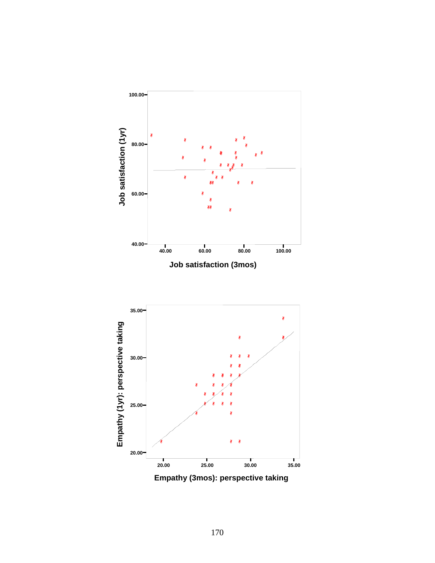



**Empathy (3mos): perspective taking**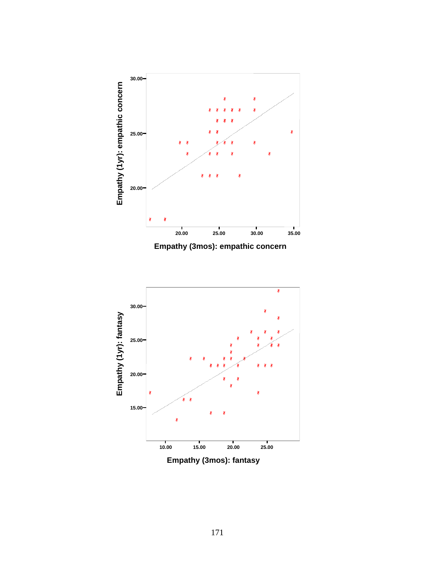

**Empathy (3mos): empathic concern**



**Empathy (3mos): fantasy**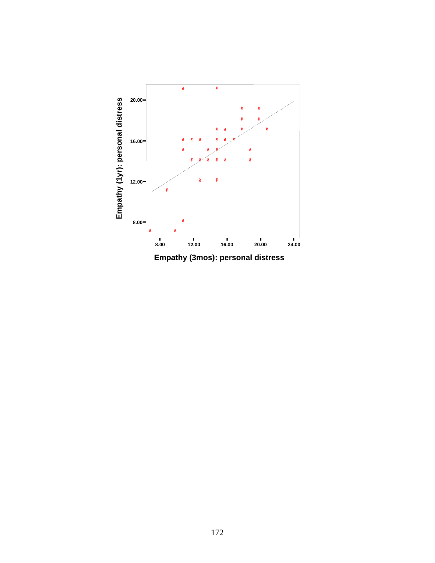

**Empathy (3mos): personal distress**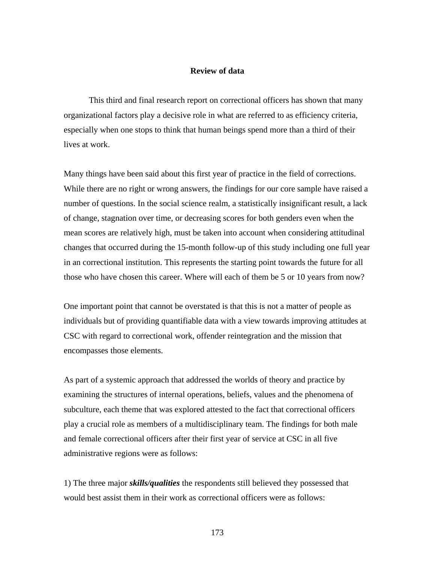#### **Review of data**

This third and final research report on correctional officers has shown that many organizational factors play a decisive role in what are referred to as efficiency criteria, especially when one stops to think that human beings spend more than a third of their lives at work.

Many things have been said about this first year of practice in the field of corrections. While there are no right or wrong answers, the findings for our core sample have raised a number of questions. In the social science realm, a statistically insignificant result, a lack of change, stagnation over time, or decreasing scores for both genders even when the mean scores are relatively high, must be taken into account when considering attitudinal changes that occurred during the 15-month follow-up of this study including one full year in an correctional institution. This represents the starting point towards the future for all those who have chosen this career. Where will each of them be 5 or 10 years from now?

One important point that cannot be overstated is that this is not a matter of people as individuals but of providing quantifiable data with a view towards improving attitudes at CSC with regard to correctional work, offender reintegration and the mission that encompasses those elements.

As part of a systemic approach that addressed the worlds of theory and practice by examining the structures of internal operations, beliefs, values and the phenomena of subculture, each theme that was explored attested to the fact that correctional officers play a crucial role as members of a multidisciplinary team. The findings for both male and female correctional officers after their first year of service at CSC in all five administrative regions were as follows:

1) The three major *skills/qualities* the respondents still believed they possessed that would best assist them in their work as correctional officers were as follows:

173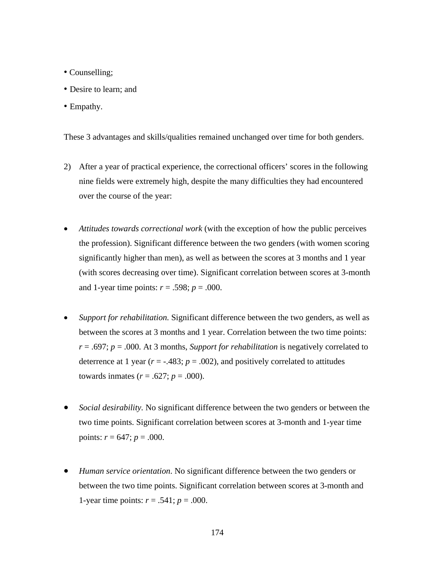- Counselling;
- Desire to learn; and
- Empathy.

These 3 advantages and skills/qualities remained unchanged over time for both genders.

- 2) After a year of practical experience, the correctional officers' scores in the following nine fields were extremely high, despite the many difficulties they had encountered over the course of the year:
- *Attitudes towards correctional work* (with the exception of how the public perceives the profession). Significant difference between the two genders (with women scoring significantly higher than men), as well as between the scores at 3 months and 1 year (with scores decreasing over time). Significant correlation between scores at 3-month and 1-year time points:  $r = .598$ ;  $p = .000$ .
- *Support for rehabilitation.* Significant difference between the two genders, as well as between the scores at 3 months and 1 year. Correlation between the two time points: *r* = .697; *p* = .000. At 3 months, *Support for rehabilitation* is negatively correlated to deterrence at 1 year ( $r = -0.483$ ;  $p = 0.002$ ), and positively correlated to attitudes towards inmates ( $r = .627$ ;  $p = .000$ ).
- *Social desirability.* No significant difference between the two genders or between the two time points. Significant correlation between scores at 3-month and 1-year time points:  $r = 647$ ;  $p = .000$ .
- *Human service orientation*. No significant difference between the two genders or between the two time points. Significant correlation between scores at 3-month and 1-year time points:  $r = .541$ ;  $p = .000$ .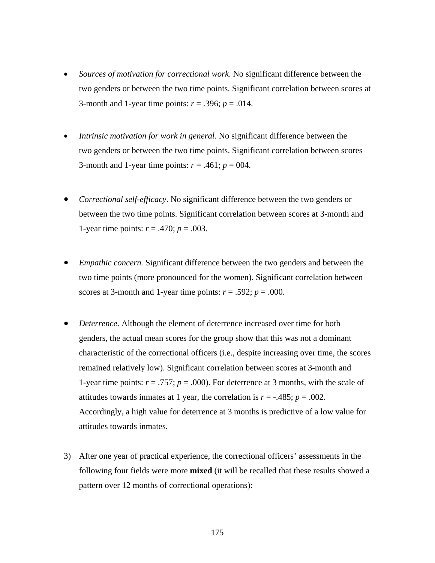- *Sources of motivation for correctional work*. No significant difference between the two genders or between the two time points. Significant correlation between scores at 3-month and 1-year time points:  $r = .396$ ;  $p = .014$ .
- *Intrinsic motivation for work in general*. No significant difference between the two genders or between the two time points. Significant correlation between scores 3-month and 1-year time points:  $r = .461$ ;  $p = 004$ .
- *Correctional self-efficacy*. No significant difference between the two genders or between the two time points. Significant correlation between scores at 3-month and 1-year time points:  $r = .470$ ;  $p = .003$ .
- *Empathic concern.* Significant difference between the two genders and between the two time points (more pronounced for the women). Significant correlation between scores at 3-month and 1-year time points:  $r = .592$ ;  $p = .000$ .
- *Deterrence*. Although the element of deterrence increased over time for both genders, the actual mean scores for the group show that this was not a dominant characteristic of the correctional officers (i.e., despite increasing over time, the scores remained relatively low). Significant correlation between scores at 3-month and 1-year time points:  $r = .757$ ;  $p = .000$ ). For deterrence at 3 months, with the scale of attitudes towards inmates at 1 year, the correlation is  $r = -.485$ ;  $p = .002$ . Accordingly, a high value for deterrence at 3 months is predictive of a low value for attitudes towards inmates.
- 3) After one year of practical experience, the correctional officers' assessments in the following four fields were more **mixed** (it will be recalled that these results showed a pattern over 12 months of correctional operations):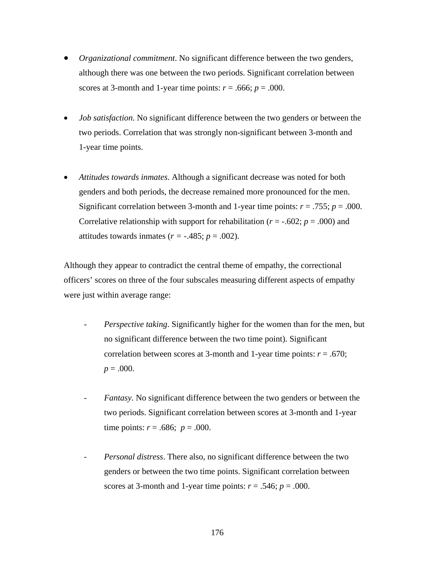- *Organizational commitment*. No significant difference between the two genders, although there was one between the two periods. Significant correlation between scores at 3-month and 1-year time points:  $r = .666$ ;  $p = .000$ .
- *Job satisfaction*. No significant difference between the two genders or between the two periods. Correlation that was strongly non-significant between 3-month and 1-year time points.
- *Attitudes towards inmates*. Although a significant decrease was noted for both genders and both periods, the decrease remained more pronounced for the men. Significant correlation between 3-month and 1-year time points:  $r = .755$ ;  $p = .000$ . Correlative relationship with support for rehabilitation ( $r = -.602$ ;  $p = .000$ ) and attitudes towards inmates  $(r = -.485; p = .002)$ .

Although they appear to contradict the central theme of empathy, the correctional officers' scores on three of the four subscales measuring different aspects of empathy were just within average range:

- *Perspective taking*. Significantly higher for the women than for the men, but no significant difference between the two time point). Significant correlation between scores at 3-month and 1-year time points:  $r = .670$ ;  $p = .000$ .
- *Fantasy*. No significant difference between the two genders or between the two periods. Significant correlation between scores at 3-month and 1-year time points:  $r = .686$ ;  $p = .000$ .
- *Personal distress*. There also, no significant difference between the two genders or between the two time points. Significant correlation between scores at 3-month and 1-year time points:  $r = .546$ ;  $p = .000$ .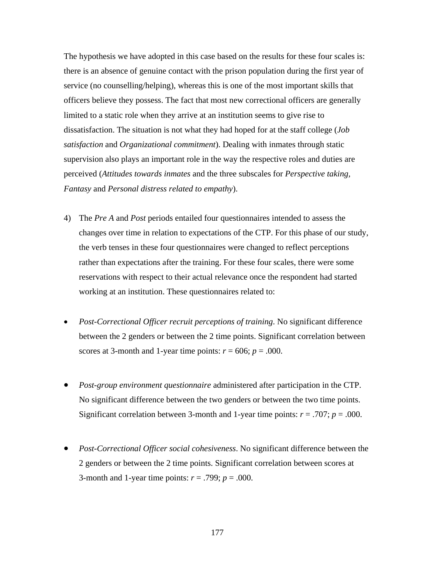The hypothesis we have adopted in this case based on the results for these four scales is: there is an absence of genuine contact with the prison population during the first year of service (no counselling/helping), whereas this is one of the most important skills that officers believe they possess. The fact that most new correctional officers are generally limited to a static role when they arrive at an institution seems to give rise to dissatisfaction. The situation is not what they had hoped for at the staff college (*Job satisfaction* and *Organizational commitment*). Dealing with inmates through static supervision also plays an important role in the way the respective roles and duties are perceived (*Attitudes towards inmates* and the three subscales for *Perspective taking, Fantasy* and *Personal distress related to empathy*).

- 4) The *Pre A* and *Post* periods entailed four questionnaires intended to assess the changes over time in relation to expectations of the CTP. For this phase of our study, the verb tenses in these four questionnaires were changed to reflect perceptions rather than expectations after the training. For these four scales, there were some reservations with respect to their actual relevance once the respondent had started working at an institution. These questionnaires related to:
- *Post-Correctional Officer recruit perceptions of training*. No significant difference between the 2 genders or between the 2 time points. Significant correlation between scores at 3-month and 1-year time points:  $r = 606$ ;  $p = .000$ .
- *Post-group environment questionnaire* administered after participation in the CTP. No significant difference between the two genders or between the two time points. Significant correlation between 3-month and 1-year time points:  $r = .707$ ;  $p = .000$ .
- *Post-Correctional Officer social cohesiveness*. No significant difference between the 2 genders or between the 2 time points. Significant correlation between scores at 3-month and 1-year time points:  $r = .799$ ;  $p = .000$ .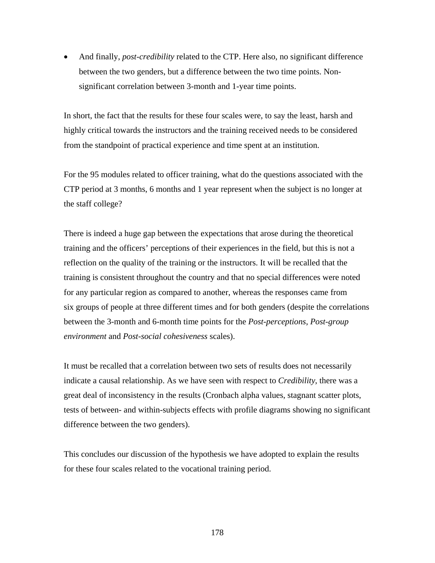• And finally, *post-credibility* related to the CTP. Here also, no significant difference between the two genders, but a difference between the two time points. Nonsignificant correlation between 3-month and 1-year time points.

In short, the fact that the results for these four scales were, to say the least, harsh and highly critical towards the instructors and the training received needs to be considered from the standpoint of practical experience and time spent at an institution.

For the 95 modules related to officer training, what do the questions associated with the CTP period at 3 months, 6 months and 1 year represent when the subject is no longer at the staff college?

There is indeed a huge gap between the expectations that arose during the theoretical training and the officers' perceptions of their experiences in the field, but this is not a reflection on the quality of the training or the instructors. It will be recalled that the training is consistent throughout the country and that no special differences were noted for any particular region as compared to another, whereas the responses came from six groups of people at three different times and for both genders (despite the correlations between the 3-month and 6-month time points for the *Post-perceptions*, *Post-group environment* and *Post-social cohesiveness* scales).

It must be recalled that a correlation between two sets of results does not necessarily indicate a causal relationship. As we have seen with respect to *Credibility*, there was a great deal of inconsistency in the results (Cronbach alpha values, stagnant scatter plots, tests of between- and within-subjects effects with profile diagrams showing no significant difference between the two genders).

This concludes our discussion of the hypothesis we have adopted to explain the results for these four scales related to the vocational training period.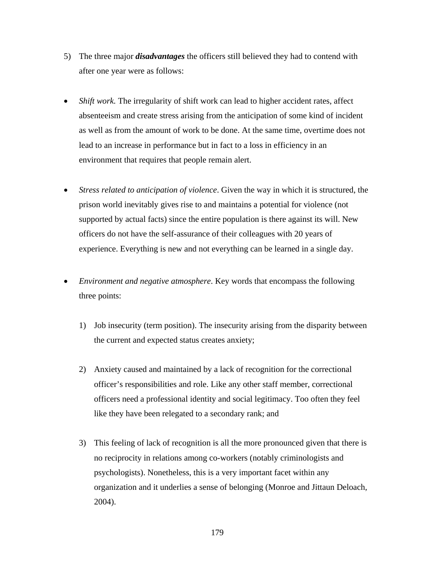- 5) The three major *disadvantages* the officers still believed they had to contend with after one year were as follows:
- *Shift work*. The irregularity of shift work can lead to higher accident rates, affect absenteeism and create stress arising from the anticipation of some kind of incident as well as from the amount of work to be done. At the same time, overtime does not lead to an increase in performance but in fact to a loss in efficiency in an environment that requires that people remain alert.
- *Stress related to anticipation of violence*. Given the way in which it is structured, the prison world inevitably gives rise to and maintains a potential for violence (not supported by actual facts) since the entire population is there against its will. New officers do not have the self-assurance of their colleagues with 20 years of experience. Everything is new and not everything can be learned in a single day.
- *Environment and negative atmosphere*. Key words that encompass the following three points:
	- 1) Job insecurity (term position). The insecurity arising from the disparity between the current and expected status creates anxiety;
	- 2) Anxiety caused and maintained by a lack of recognition for the correctional officer's responsibilities and role. Like any other staff member, correctional officers need a professional identity and social legitimacy. Too often they feel like they have been relegated to a secondary rank; and
	- 3) This feeling of lack of recognition is all the more pronounced given that there is no reciprocity in relations among co-workers (notably criminologists and psychologists). Nonetheless, this is a very important facet within any organization and it underlies a sense of belonging (Monroe and Jittaun Deloach, 2004).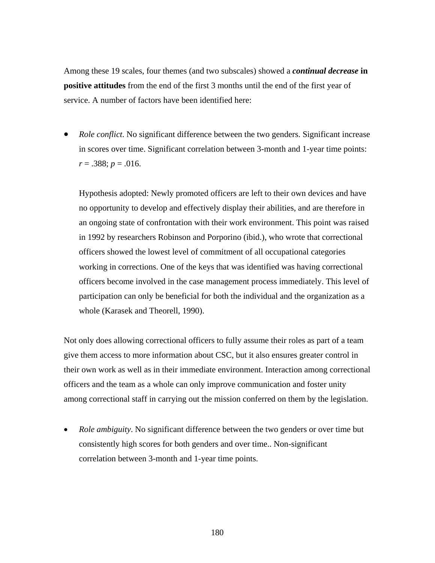Among these 19 scales, four themes (and two subscales) showed a *continual decrease* **in positive attitudes** from the end of the first 3 months until the end of the first year of service. A number of factors have been identified here:

• *Role conflict*. No significant difference between the two genders. Significant increase in scores over time. Significant correlation between 3-month and 1-year time points:  $r = .388; p = .016.$ 

Hypothesis adopted: Newly promoted officers are left to their own devices and have no opportunity to develop and effectively display their abilities, and are therefore in an ongoing state of confrontation with their work environment. This point was raised in 1992 by researchers Robinson and Porporino (ibid.), who wrote that correctional officers showed the lowest level of commitment of all occupational categories working in corrections. One of the keys that was identified was having correctional officers become involved in the case management process immediately. This level of participation can only be beneficial for both the individual and the organization as a whole (Karasek and Theorell, 1990).

Not only does allowing correctional officers to fully assume their roles as part of a team give them access to more information about CSC, but it also ensures greater control in their own work as well as in their immediate environment. Interaction among correctional officers and the team as a whole can only improve communication and foster unity among correctional staff in carrying out the mission conferred on them by the legislation.

• *Role ambiguity*. No significant difference between the two genders or over time but consistently high scores for both genders and over time.. Non-significant correlation between 3-month and 1-year time points.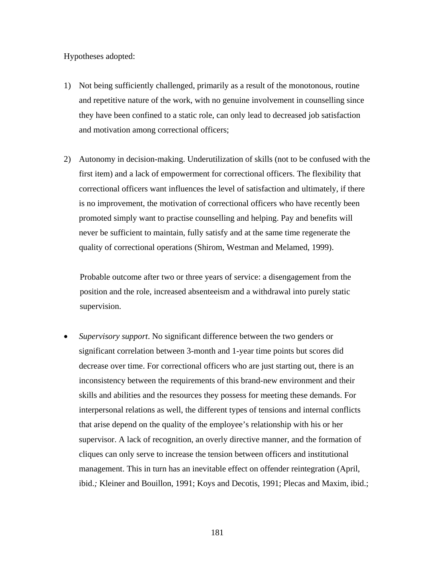Hypotheses adopted:

- 1) Not being sufficiently challenged, primarily as a result of the monotonous, routine and repetitive nature of the work, with no genuine involvement in counselling since they have been confined to a static role, can only lead to decreased job satisfaction and motivation among correctional officers;
- 2) Autonomy in decision-making. Underutilization of skills (not to be confused with the first item) and a lack of empowerment for correctional officers. The flexibility that correctional officers want influences the level of satisfaction and ultimately, if there is no improvement, the motivation of correctional officers who have recently been promoted simply want to practise counselling and helping. Pay and benefits will never be sufficient to maintain, fully satisfy and at the same time regenerate the quality of correctional operations (Shirom, Westman and Melamed, 1999).

Probable outcome after two or three years of service: a disengagement from the position and the role, increased absenteeism and a withdrawal into purely static supervision.

• *Supervisory support*. No significant difference between the two genders or significant correlation between 3-month and 1-year time points but scores did decrease over time. For correctional officers who are just starting out, there is an inconsistency between the requirements of this brand-new environment and their skills and abilities and the resources they possess for meeting these demands. For interpersonal relations as well, the different types of tensions and internal conflicts that arise depend on the quality of the employee's relationship with his or her supervisor. A lack of recognition, an overly directive manner, and the formation of cliques can only serve to increase the tension between officers and institutional management. This in turn has an inevitable effect on offender reintegration (April, ibid.*;* Kleiner and Bouillon, 1991; Koys and Decotis, 1991; Plecas and Maxim, ibid.;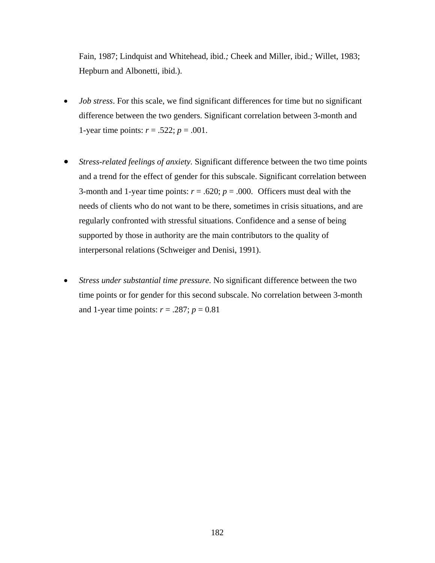Fain, 1987; Lindquist and Whitehead, ibid.*;* Cheek and Miller, ibid.*;* Willet, 1983; Hepburn and Albonetti, ibid.).

- *Job stress*. For this scale, we find significant differences for time but no significant difference between the two genders. Significant correlation between 3-month and 1-year time points:  $r = .522$ ;  $p = .001$ .
- *Stress-related feelings of anxiety.* Significant difference between the two time points and a trend for the effect of gender for this subscale. Significant correlation between 3-month and 1-year time points:  $r = .620$ ;  $p = .000$ . Officers must deal with the needs of clients who do not want to be there, sometimes in crisis situations, and are regularly confronted with stressful situations. Confidence and a sense of being supported by those in authority are the main contributors to the quality of interpersonal relations (Schweiger and Denisi, 1991).
- *Stress under substantial time pressure.* No significant difference between the two time points or for gender for this second subscale. No correlation between 3-month and 1-year time points:  $r = .287$ ;  $p = 0.81$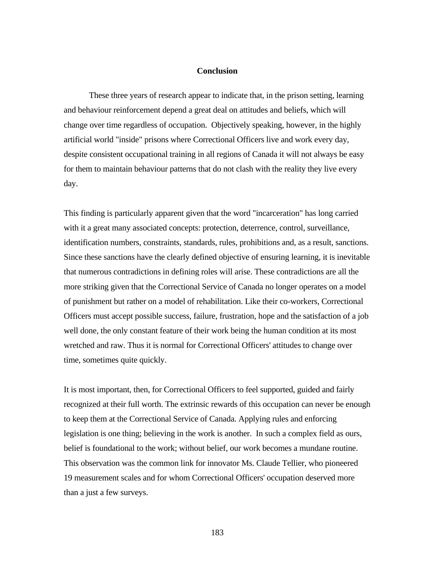### **Conclusion**

These three years of research appear to indicate that, in the prison setting, learning and behaviour reinforcement depend a great deal on attitudes and beliefs, which will change over time regardless of occupation. Objectively speaking, however, in the highly artificial world "inside" prisons where Correctional Officers live and work every day, despite consistent occupational training in all regions of Canada it will not always be easy for them to maintain behaviour patterns that do not clash with the reality they live every day.

This finding is particularly apparent given that the word "incarceration" has long carried with it a great many associated concepts: protection, deterrence, control, surveillance, identification numbers, constraints, standards, rules, prohibitions and, as a result, sanctions. Since these sanctions have the clearly defined objective of ensuring learning, it is inevitable that numerous contradictions in defining roles will arise. These contradictions are all the more striking given that the Correctional Service of Canada no longer operates on a model of punishment but rather on a model of rehabilitation. Like their co-workers, Correctional Officers must accept possible success, failure, frustration, hope and the satisfaction of a job well done, the only constant feature of their work being the human condition at its most wretched and raw. Thus it is normal for Correctional Officers' attitudes to change over time, sometimes quite quickly.

It is most important, then, for Correctional Officers to feel supported, guided and fairly recognized at their full worth. The extrinsic rewards of this occupation can never be enough to keep them at the Correctional Service of Canada. Applying rules and enforcing legislation is one thing; believing in the work is another. In such a complex field as ours, belief is foundational to the work; without belief, our work becomes a mundane routine. This observation was the common link for innovator Ms. Claude Tellier, who pioneered 19 measurement scales and for whom Correctional Officers' occupation deserved more than a just a few surveys.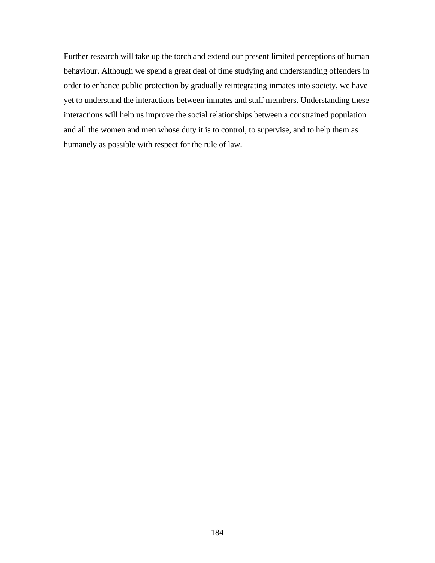Further research will take up the torch and extend our present limited perceptions of human behaviour. Although we spend a great deal of time studying and understanding offenders in order to enhance public protection by gradually reintegrating inmates into society, we have yet to understand the interactions between inmates and staff members. Understanding these interactions will help us improve the social relationships between a constrained population and all the women and men whose duty it is to control, to supervise, and to help them as humanely as possible with respect for the rule of law.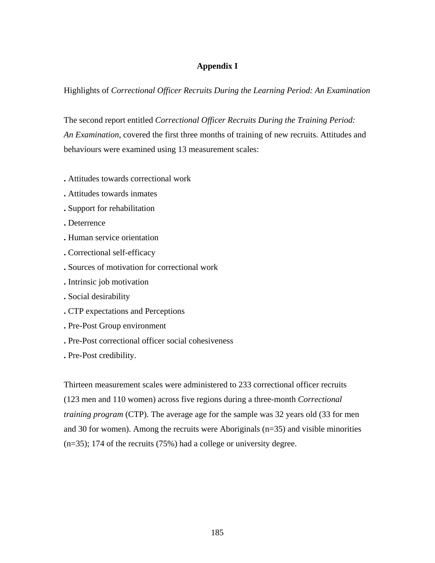### **Appendix I**

Highlights of *Correctional Officer Recruits During the Learning Period: An Examination* 

The second report entitled *Correctional Officer Recruits During the Training Period: An Examination*, covered the first three months of training of new recruits. Attitudes and behaviours were examined using 13 measurement scales:

- **.** Attitudes towards correctional work
- **.** Attitudes towards inmates
- **.** Support for rehabilitation
- **.** Deterrence
- **.** Human service orientation
- **.** Correctional self-efficacy
- **.** Sources of motivation for correctional work
- **.** Intrinsic job motivation
- **.** Social desirability
- **.** CTP expectations and Perceptions
- **.** Pre-Post Group environment
- **.** Pre-Post correctional officer social cohesiveness
- **.** Pre-Post credibility.

Thirteen measurement scales were administered to 233 correctional officer recruits (123 men and 110 women) across five regions during a three-month *Correctional training program* (CTP). The average age for the sample was 32 years old (33 for men and 30 for women). Among the recruits were Aboriginals (n=35) and visible minorities (n=35); 174 of the recruits (75%) had a college or university degree.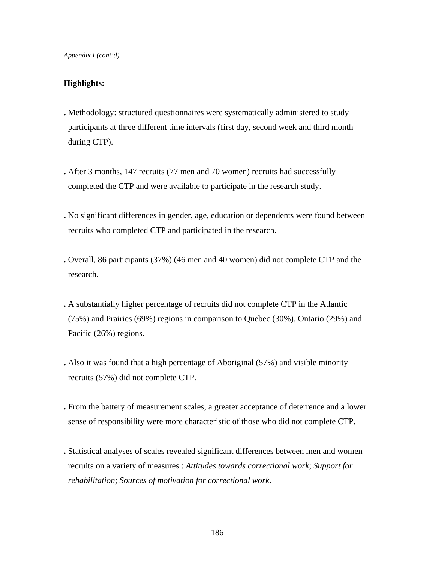#### **Highlights:**

- **.** Methodology: structured questionnaires were systematically administered to study participants at three different time intervals (first day, second week and third month during CTP).
- **.** After 3 months, 147 recruits (77 men and 70 women) recruits had successfully completed the CTP and were available to participate in the research study.
- **.** No significant differences in gender, age, education or dependents were found between recruits who completed CTP and participated in the research.
- **.** Overall, 86 participants (37%) (46 men and 40 women) did not complete CTP and the research.
- **.** A substantially higher percentage of recruits did not complete CTP in the Atlantic (75%) and Prairies (69%) regions in comparison to Quebec (30%), Ontario (29%) and Pacific (26%) regions.
- **.** Also it was found that a high percentage of Aboriginal (57%) and visible minority recruits (57%) did not complete CTP.
- **.** From the battery of measurement scales, a greater acceptance of deterrence and a lower sense of responsibility were more characteristic of those who did not complete CTP.
- **.** Statistical analyses of scales revealed significant differences between men and women recruits on a variety of measures : *Attitudes towards correctional work*; *Support for rehabilitation*; *Sources of motivation for correctional work*.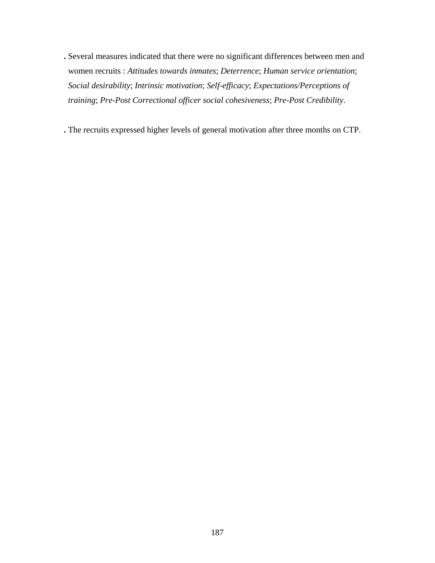- **.** Several measures indicated that there were no significant differences between men and women recruits : *Attitudes towards inmates*; *Deterrence*; *Human service orientation*; *Social desirability*; *Intrinsic motivation*; *Self-efficacy*; *Expectations/Perceptions of training*; *Pre-Post Correctional officer social cohesiveness*; *Pre-Post Credibility*.
- **.** The recruits expressed higher levels of general motivation after three months on CTP.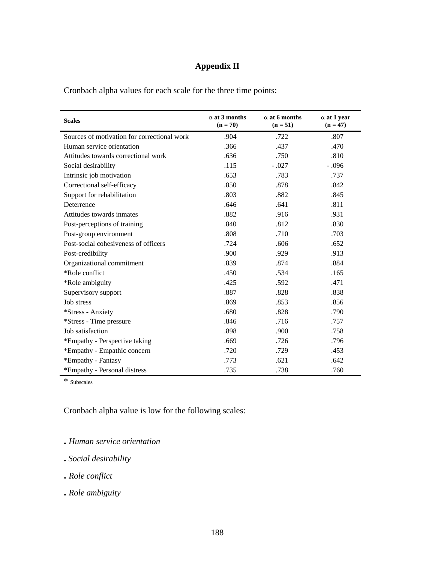## **Appendix II**

Cronbach alpha values for each scale for the three time points:

| <b>Scales</b>                               | $\alpha$ at 3 months<br>$(n = 70)$ | $\alpha$ at 6 months<br>$(n = 51)$ | $\alpha$ at 1 year<br>$(n = 47)$ |
|---------------------------------------------|------------------------------------|------------------------------------|----------------------------------|
| Sources of motivation for correctional work | .904                               | .722                               | .807                             |
| Human service orientation                   | .366                               | .437                               | .470                             |
| Attitudes towards correctional work         | .636                               | .750                               | .810                             |
| Social desirability                         | .115                               | $-.027$                            | $-.096$                          |
| Intrinsic job motivation                    | .653                               | .783                               | .737                             |
| Correctional self-efficacy                  | .850                               | .878                               | .842                             |
| Support for rehabilitation                  | .803                               | .882                               | .845                             |
| Deterrence                                  | .646                               | .641                               | .811                             |
| Attitudes towards inmates                   | .882                               | .916                               | .931                             |
| Post-perceptions of training                | .840                               | .812                               | .830                             |
| Post-group environment                      | .808                               | .710                               | .703                             |
| Post-social cohesiveness of officers        | .724                               | .606                               | .652                             |
| Post-credibility                            | .900                               | .929                               | .913                             |
| Organizational commitment                   | .839                               | .874                               | .884                             |
| *Role conflict                              | .450                               | .534                               | .165                             |
| *Role ambiguity                             | .425                               | .592                               | .471                             |
| Supervisory support                         | .887                               | .828                               | .838                             |
| Job stress                                  | .869                               | .853                               | .856                             |
| *Stress - Anxiety                           | .680                               | .828                               | .790                             |
| *Stress - Time pressure                     | .846                               | .716                               | .757                             |
| Job satisfaction                            | .898                               | .900                               | .758                             |
| *Empathy - Perspective taking               | .669                               | .726                               | .796                             |
| *Empathy - Empathic concern                 | .720                               | .729                               | .453                             |
| *Empathy - Fantasy                          | .773                               | .621                               | .642                             |
| *Empathy - Personal distress                | .735                               | .738                               | .760                             |

\* Subscales

Cronbach alpha value is low for the following scales:

- **.** *Human service orientation*
- **.** *Social desirability*
- **.** *Role conflict*
- **.** *Role ambiguity*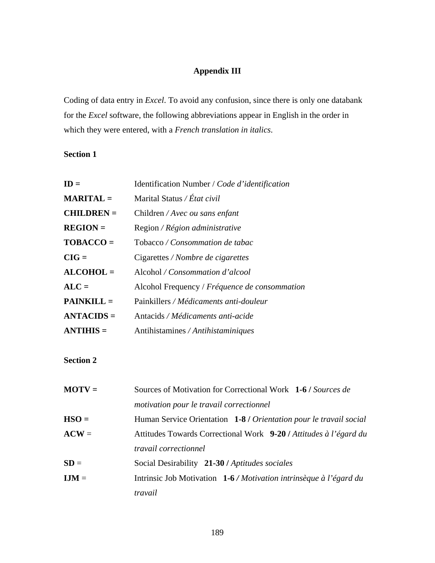### **Appendix III**

Coding of data entry in *Excel*. To avoid any confusion, since there is only one databank for the *Excel* software, the following abbreviations appear in English in the order in which they were entered, with a *French translation in italics*.

## **Section 1**

| $ID =$       | Identification Number / Code d'identification |
|--------------|-----------------------------------------------|
| $MARKITAL =$ | Marital Status / État civil                   |
| $CHILDREN =$ | Children / Avec ou sans enfant                |
| $REGION =$   | Region / Région administrative                |
| $TOBACCO =$  | Tobacco / Consommation de tabac               |
| $CIG =$      | Cigarettes / Nombre de cigarettes             |
| $ALCOHOL =$  | Alcohol / Consommation d'alcool               |
| $ALC =$      | Alcohol Frequency / Fréquence de consommation |
| $PAINKILL =$ | Painkillers / <i>Médicaments anti-douleur</i> |
| $ANTACIDS =$ | Antacids / <i>Médicaments anti-acide</i>      |
| $ANTIHIS =$  | Antihistamines / Antihistaminiques            |

### **Section 2**

| $MOTV =$ | Sources of Motivation for Correctional Work 1-6 / Sources de       |
|----------|--------------------------------------------------------------------|
|          | motivation pour le travail correctionnel                           |
| $HSO =$  | Human Service Orientation 1-8 / Orientation pour le travail social |
| $ACW =$  | Attitudes Towards Correctional Work 9-20 / Attitudes à l'égard du  |
|          | travail correctionnel                                              |
| $SD =$   | Social Desirability 21-30 / Aptitudes sociales                     |
| $IJM =$  | Intrinsic Job Motivation 1-6 / Motivation intrinsèque à l'égard du |
|          | travail                                                            |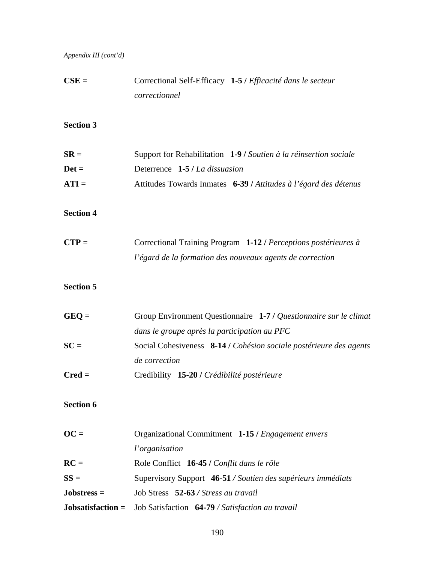*Appendix III (cont'd)* 

| $CSE =$          | Correctional Self-Efficacy 1-5 / Efficacité dans le secteur               |
|------------------|---------------------------------------------------------------------------|
|                  | correctionnel                                                             |
| <b>Section 3</b> |                                                                           |
|                  |                                                                           |
| $SR =$           | Support for Rehabilitation 1-9 / Soutien à la réinsertion sociale         |
| $Det =$          | Deterrence 1-5 / La dissuasion                                            |
| $ATI =$          | Attitudes Towards Inmates 6-39 / Attitudes à l'égard des détenus          |
| <b>Section 4</b> |                                                                           |
| $CTP =$          | Correctional Training Program 1-12 / Perceptions postérieures à           |
|                  | l'égard de la formation des nouveaux agents de correction                 |
| <b>Section 5</b> |                                                                           |
| $GEQ =$          | Group Environment Questionnaire 1-7 / Questionnaire sur le climat         |
|                  | dans le groupe après la participation au PFC                              |
| $SC =$           | Social Cohesiveness 8-14 / Cohésion sociale postérieure des agents        |
|                  | de correction                                                             |
| $Cred =$         | Credibility 15-20 / Crédibilité postérieure                               |
| <b>Section 6</b> |                                                                           |
| $OC =$           | Organizational Commitment 1-15 / Engagement envers                        |
|                  | l'organisation                                                            |
| $RC =$           | Role Conflict 16-45 / Conflit dans le rôle                                |
| $SS =$           | Supervisory Support 46-51 / Soutien des supérieurs immédiats              |
| $Jobstress =$    | Job Stress 52-63 / Stress au travail                                      |
|                  | <b>Jobsatisfaction</b> = Job Satisfaction 64-79 / Satisfaction au travail |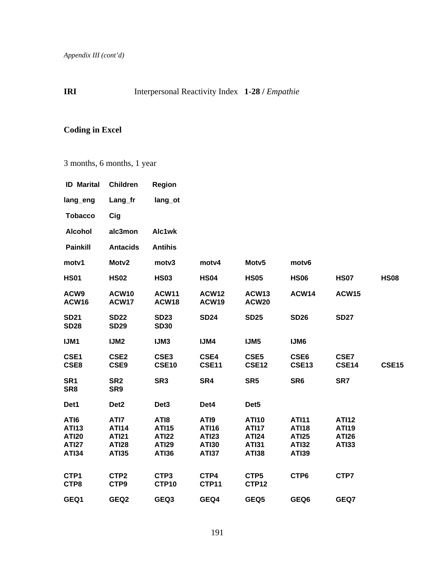**IRI** Interpersonal Reactivity Index 1-28 / *Empathie* 

## **Coding in Excel**

3 months, 6 months, 1 year

| <b>ID Marital</b>                                                    | <b>Children</b>                                                      | <b>Region</b>                                                        |                                                                      |                                                                              |                                                                              |                                                              |              |
|----------------------------------------------------------------------|----------------------------------------------------------------------|----------------------------------------------------------------------|----------------------------------------------------------------------|------------------------------------------------------------------------------|------------------------------------------------------------------------------|--------------------------------------------------------------|--------------|
| lang_eng                                                             | Lang_fr                                                              | lang_ot                                                              |                                                                      |                                                                              |                                                                              |                                                              |              |
| <b>Tobacco</b>                                                       | Cig                                                                  |                                                                      |                                                                      |                                                                              |                                                                              |                                                              |              |
| <b>Alcohol</b>                                                       | alc3mon                                                              | Alc1wk                                                               |                                                                      |                                                                              |                                                                              |                                                              |              |
| <b>Painkill</b>                                                      | <b>Antacids</b>                                                      | <b>Antihis</b>                                                       |                                                                      |                                                                              |                                                                              |                                                              |              |
| motv1                                                                | Motv2                                                                | motv3                                                                | motv4                                                                | Motv <sub>5</sub>                                                            | motv6                                                                        |                                                              |              |
| <b>HS01</b>                                                          | <b>HS02</b>                                                          | <b>HS03</b>                                                          | <b>HS04</b>                                                          | <b>HS05</b>                                                                  | <b>HS06</b>                                                                  | <b>HS07</b>                                                  | <b>HS08</b>  |
| ACW9<br><b>ACW16</b>                                                 | <b>ACW10</b><br><b>ACW17</b>                                         | <b>ACW11</b><br><b>ACW18</b>                                         | <b>ACW12</b><br><b>ACW19</b>                                         | ACW <sub>13</sub><br><b>ACW20</b>                                            | ACW14                                                                        | <b>ACW15</b>                                                 |              |
| <b>SD21</b><br><b>SD28</b>                                           | <b>SD22</b><br><b>SD29</b>                                           | <b>SD23</b><br><b>SD30</b>                                           | <b>SD24</b>                                                          | <b>SD25</b>                                                                  | <b>SD26</b>                                                                  | <b>SD27</b>                                                  |              |
| IJM1                                                                 | <b>IJM2</b>                                                          | IJM3                                                                 | <b>IJM4</b>                                                          | IJM5                                                                         | <b>IJM6</b>                                                                  |                                                              |              |
| CSE1<br>CSE8                                                         | CSE <sub>2</sub><br>CSE9                                             | CSE3<br><b>CSE10</b>                                                 | CSE4<br><b>CSE11</b>                                                 | CSE5<br><b>CSE12</b>                                                         | CSE <sub>6</sub><br><b>CSE13</b>                                             | CSE7<br><b>CSE14</b>                                         | <b>CSE15</b> |
| SR <sub>1</sub><br>SR <sub>8</sub>                                   | SR <sub>2</sub><br>SR9                                               | SR <sub>3</sub>                                                      | SR4                                                                  | SR <sub>5</sub>                                                              | SR <sub>6</sub>                                                              | SR7                                                          |              |
| Det1                                                                 | Det <sub>2</sub>                                                     | Det <sub>3</sub>                                                     | Det4                                                                 | Det <sub>5</sub>                                                             |                                                                              |                                                              |              |
| ATI6<br><b>ATI13</b><br><b>ATI20</b><br><b>ATI27</b><br><b>ATI34</b> | ATI7<br><b>ATI14</b><br><b>ATI21</b><br><b>ATI28</b><br><b>ATI35</b> | ATI8<br><b>ATI15</b><br><b>ATI22</b><br><b>ATI29</b><br><b>ATI36</b> | ATI9<br><b>ATI16</b><br><b>ATI23</b><br><b>ATI30</b><br><b>ATI37</b> | <b>ATI10</b><br><b>ATI17</b><br><b>ATI24</b><br><b>ATI31</b><br><b>ATI38</b> | <b>ATI11</b><br><b>ATI18</b><br><b>ATI25</b><br><b>ATI32</b><br><b>ATI39</b> | <b>ATI12</b><br><b>ATI19</b><br><b>ATI26</b><br><b>ATI33</b> |              |
| CTP1<br>CTP8                                                         | CTP <sub>2</sub><br>CTP9                                             | CTP <sub>3</sub><br>CTP10                                            | CTP4<br>CTP11                                                        | CTP <sub>5</sub><br>CTP12                                                    | CTP6                                                                         | CTP7                                                         |              |
| GEQ1                                                                 | GEQ <sub>2</sub>                                                     | GEQ3                                                                 | GEQ4                                                                 | GEQ5                                                                         | GEQ6                                                                         | GEQ7                                                         |              |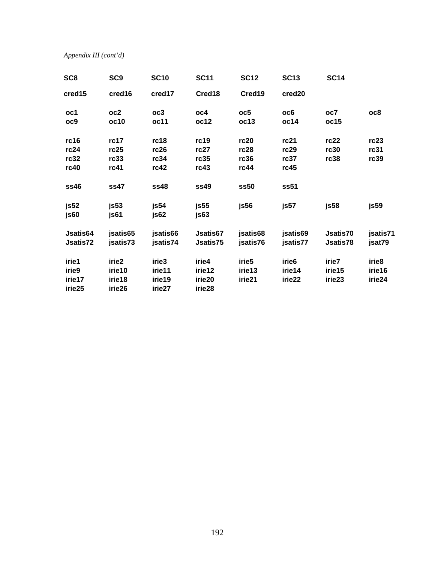### *Appendix III (cont'd)*

| SC <sub>8</sub>    | SC <sub>9</sub> | <b>SC10</b>       | <b>SC11</b>  | <b>SC12</b>       | <b>SC13</b>        | <b>SC14</b>        |                   |
|--------------------|-----------------|-------------------|--------------|-------------------|--------------------|--------------------|-------------------|
| cred15             | cred16          | cred17            | Cred18       | Cred19            | cred <sub>20</sub> |                    |                   |
| oc1                | oc <sub>2</sub> | oc <sub>3</sub>   | oc4          | oc5               | oc6                | oc7                | oc8               |
| $_{\rm oc9}$       | oc10            | oc11              | oc12         | oc13              | oc14               | oc15               |                   |
| rc16               | rc17            | rc18              | rc19         | rc20              | rc21               | rc22               | rc23              |
| rc24               | rc25            | rc26              | rc27         | rc28              | rc29               | rc30               | rc31              |
| rc32               | rc33            | rc34              | rc35         | rc36              | rc37               | rc38               | rc39              |
| rc40               | rc41            | rc42              | rc43         | rc44              | rc45               |                    |                   |
| ss46               | ss47            | ss48              | <b>ss49</b>  | ss50              | ss51               |                    |                   |
| js52<br>js60       | js53<br>js61    | js54<br>js62      | js55<br>js63 | js56              | js57               | js58               | js59              |
| Jsatis64           | jsatis65        | jsatis66          | Jsatis67     | jsatis68          | jsatis69           | Jsatis70           | jsatis71          |
| <b>Jsatis72</b>    | jsatis73        | jsatis74          | Jsatis75     | jsatis76          | jsatis77           | Jsatis78           | jsat79            |
| irie1              | irie2           | irie <sub>3</sub> | irie4        | irie <sub>5</sub> | irie <sub>6</sub>  | irie7              | irie <sub>8</sub> |
| irie9              | irie10          | irie11            | irie12       | irie13            | irie14             | irie15             | irie16            |
| irie17             | irie18          | irie19            | irie20       | irie21            | irie22             | irie <sub>23</sub> | irie24            |
| irie <sub>25</sub> | irie26          | irie27            | irie28       |                   |                    |                    |                   |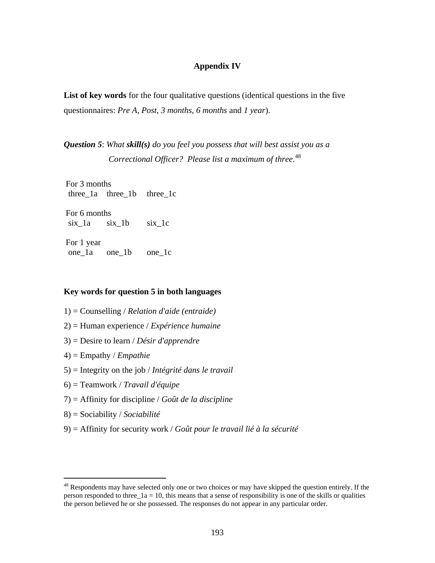#### **Appendix IV**

<span id="page-206-0"></span>List of key words for the four qualitative questions (identical questions in the five questionnaires: *Pre A*, *Post*, *3 months*, *6 months* and *1 year*).

*Question 5*: *What skill(s) do you feel you possess that will best assist you as a Correctional Officer? Please list a maximum of three*. [48](#page-206-0)

For 3 months three 1a three 1b three 1c

For 6 months  $six_1a$   $six_1b$   $six_1c$ 

For 1 year one\_1a one\_1b one\_1c

#### **Key words for question 5 in both languages**

- 1) = Counselling / *Relation d'aide (entraide)*
- 2) = Human experience / *Expérience humaine*
- 3) = Desire to learn / *Désir d'apprendre*
- 4) = Empathy / *Empathie*
- 5) = Integrity on the job / *Intégrité dans le travail*
- 6) = Teamwork / *Travail d'équipe*
- 7) = Affinity for discipline / *Goût de la discipline*
- 8) = Sociability / *Sociabilité*

9) = Affinity for security work / *Goût pour le travail lié à la sécurité* 

<sup>&</sup>lt;sup>48</sup> Respondents may have selected only one or two choices or may have skipped the question entirely. If the person responded to three\_1a = 10, this means that a sense of responsibility is one of the skills or qualities the person believed he or she possessed. The responses do not appear in any particular order.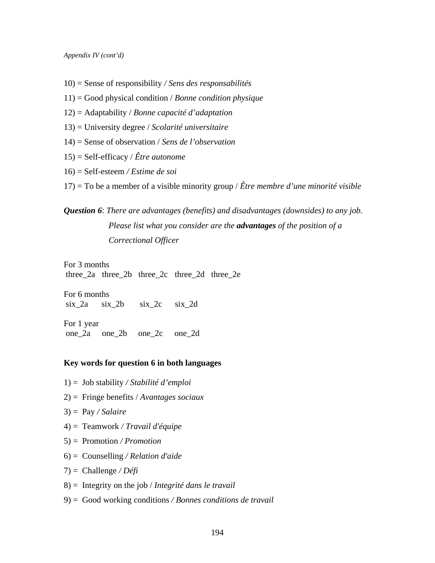- 10) = Sense of responsibility */ Sens des responsabilités*
- 11) = Good physical condition / *Bonne condition physique*
- 12) = Adaptability / *Bonne capacité d'adaptation*
- 13) = University degree / *Scolarité universitaire*
- 14) = Sense of observation / *Sens de l'observation*
- 15) = Self-efficacy / *Être autonome*
- 16) = Self-esteem */ Estime de soi*
- 17) = To be a member of a visible minority group / *Être membre d'une minorité visible*

# *Question 6*: *There are advantages (benefits) and disadvantages (downsides) to any job. Please list what you consider are the advantages of the position of a Correctional Officer*

For 3 months three\_2a three\_2b three\_2c three\_2d three\_2e

For 6 months six\_2a six\_2b six\_2c six\_2d

For 1 year one\_2a one\_2b one\_2c one\_2d

#### **Key words for question 6 in both languages**

- 1) = Job stability */ Stabilité d'emploi*
- 2) = Fringe benefits / *Avantages sociaux*
- 3) = Pay */ Salaire*
- 4) = Teamwork */ Travail d'équipe*
- 5) = Promotion */ Promotion*
- 6) = Counselling */ Relation d'aide*
- 7) = Challenge */ Défi*
- 8) = Integrity on the job / *Integrité dans le travail*
- 9) = Good working conditions */ Bonnes conditions de travail*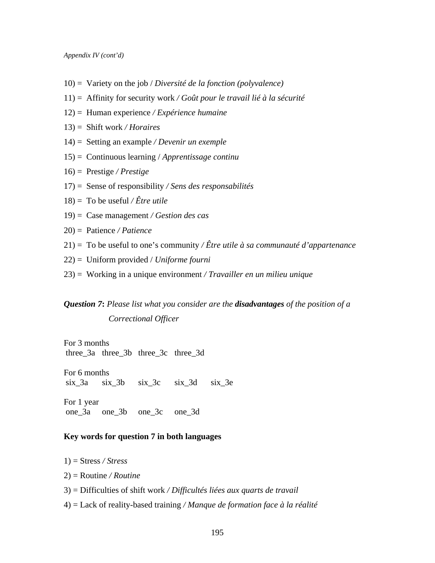- 10) = Variety on the job / *Diversité de la fonction (polyvalence)*
- 11) = Affinity for security work */ Goût pour le travail lié à la sécurité*
- 12) = Human experience */ Expérience humaine*
- 13) = Shift work */ Horaires*
- 14) = Setting an example */ Devenir un exemple*
- 15) = Continuous learning / *Apprentissage continu*
- 16) = Prestige */ Prestige*
- 17) = Sense of responsibility */ Sens des responsabilités*
- 18) = To be useful */ Être utile*
- 19) = Case management */ Gestion des cas*
- 20) = Patience */ Patience*
- 21) = To be useful to one's community */ Être utile à sa communauté d'appartenance*
- 22) = Uniform provided / *Uniforme fourni*
- 23) = Working in a unique environment */ Travailler en un milieu unique*

## *Question 7***:** *Please list what you consider are the disadvantages of the position of a Correctional Officer*

For 3 months three\_3a three\_3b three\_3c three\_3d

For 6 months six\_3a six\_3b six\_3c six\_3d six\_3e

For 1 year one\_3a one\_3b one\_3c one\_3d

### **Key words for question 7 in both languages**

- 1) = Stress */ Stress*
- 2) = Routine */ Routine*
- 3) = Difficulties of shift work */ Difficultés liées aux quarts de travail*
- 4) = Lack of reality-based training */ Manque de formation face à la réalité*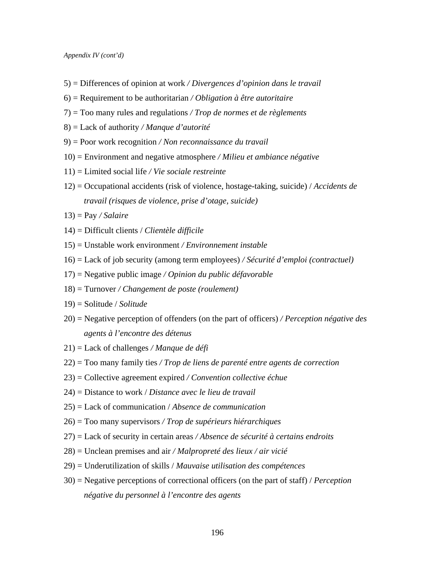- 5) = Differences of opinion at work */ Divergences d'opinion dans le travail*
- 6) = Requirement to be authoritarian */ Obligation à être autoritaire*
- 7) = Too many rules and regulations */ Trop de normes et de règlements*
- 8) = Lack of authority */ Manque d'autorité*
- 9) = Poor work recognition */ Non reconnaissance du travail*
- 10) = Environment and negative atmosphere */ Milieu et ambiance négative*
- 11) = Limited social life */ Vie sociale restreinte*
- 12) = Occupational accidents (risk of violence, hostage-taking, suicide) / *Accidents de travail (risques de violence, prise d'otage, suicide)*
- 13) = Pay */ Salaire*
- 14) = Difficult clients / *Clientèle difficile*
- 15) = Unstable work environment */ Environnement instable*
- 16) = Lack of job security (among term employees) */ Sécurité d'emploi (contractuel)*
- 17) = Negative public image */ Opinion du public défavorable*
- 18) = Turnover */ Changement de poste (roulement)*
- 19) = Solitude / *Solitude*
- 20) = Negative perception of offenders (on the part of officers) */ Perception négative des agents à l'encontre des détenus*
- 21) = Lack of challenges */ Manque de défi*
- 22) = Too many family ties */ Trop de liens de parenté entre agents de correction*
- 23) = Collective agreement expired */ Convention collective échue*
- 24) = Distance to work / *Distance avec le lieu de travail*
- 25) = Lack of communication / *Absence de communication*
- 26) = Too many supervisors */ Trop de supérieurs hiérarchiques*
- 27) = Lack of security in certain areas */ Absence de sécurité à certains endroits*
- 28) = Unclean premises and air */ Malpropreté des lieux / air vicié*
- 29) = Underutilization of skills / *Mauvaise utilisation des compétences*
- 30) = Negative perceptions of correctional officers (on the part of staff) / *Perception négative du personnel à l'encontre des agents*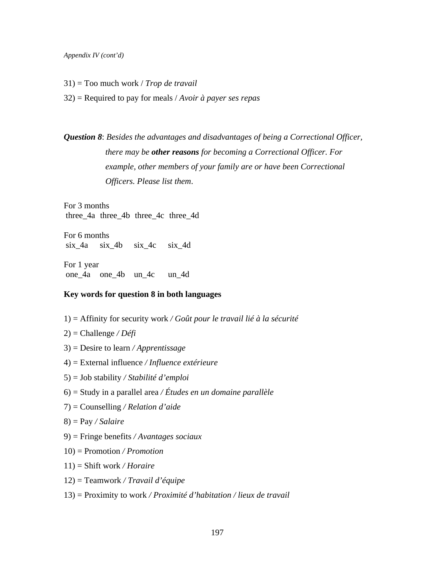31) = Too much work / *Trop de travail*  32) = Required to pay for meals / *Avoir à payer ses repas*

*Question 8*: *Besides the advantages and disadvantages of being a Correctional Officer, there may be other reasons for becoming a Correctional Officer. For example, other members of your family are or have been Correctional Officers. Please list them*.

For 3 months three\_4a three\_4b three\_4c three\_4d

For 6 months six 4a six 4b six 4c six 4d

For 1 year one\_4a one\_4b un\_4c un\_4d

### **Key words for question 8 in both languages**

- 1) = Affinity for security work */ Goût pour le travail lié à la sécurité*
- 2) = Challenge */ Défi*
- 3) = Desire to learn */ Apprentissage*
- 4) = External influence */ Influence extérieure*
- 5) = Job stability */ Stabilité d'emploi*
- 6) = Study in a parallel area */ Études en un domaine parallèle*
- 7) = Counselling */ Relation d'aide*

8) = Pay */ Salaire* 

- 9) = Fringe benefits */ Avantages sociaux*
- 10) = Promotion */ Promotion*
- 11) = Shift work */ Horaire*
- 12) = Teamwork */ Travail d'équipe*
- 13) = Proximity to work */ Proximité d'habitation / lieux de travail*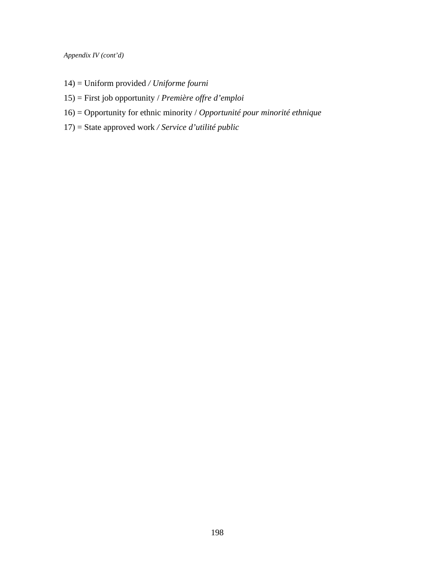### *Appendix IV (cont'd)*

- 14) = Uniform provided */ Uniforme fourni*
- 15) = First job opportunity / *Première offre d'emploi*
- 16) = Opportunity for ethnic minority / *Opportunité pour minorité ethnique*
- 17) = State approved work */ Service d'utilité public*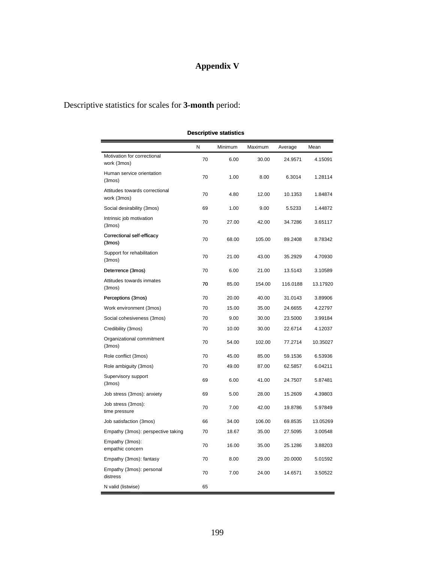# **Appendix V**

Descriptive statistics for scales for **3-month** period:

| <b>Descriptive statistics</b>                 |    |         |         |          |          |  |
|-----------------------------------------------|----|---------|---------|----------|----------|--|
|                                               | N  | Minimum | Maximum | Average  | Mean     |  |
| Motivation for correctional<br>work (3mos)    | 70 | 6.00    | 30.00   | 24.9571  | 4.15091  |  |
| Human service orientation<br>(3mos)           | 70 | 1.00    | 8.00    | 6.3014   | 1.28114  |  |
| Attitudes towards correctional<br>work (3mos) | 70 | 4.80    | 12.00   | 10.1353  | 1.84874  |  |
| Social desirability (3mos)                    | 69 | 1.00    | 9.00    | 5.5233   | 1.44872  |  |
| Intrinsic job motivation<br>(3mos)            | 70 | 27.00   | 42.00   | 34.7286  | 3.65117  |  |
| Correctional self-efficacy<br>(3mos)          | 70 | 68.00   | 105.00  | 89.2408  | 8.78342  |  |
| Support for rehabilitation<br>(3mos)          | 70 | 21.00   | 43.00   | 35.2929  | 4.70930  |  |
| Deterrence (3mos)                             | 70 | 6.00    | 21.00   | 13.5143  | 3.10589  |  |
| Attitudes towards inmates<br>(3mos)           | 70 | 85.00   | 154.00  | 116.0188 | 13.17920 |  |
| Perceptions (3mos)                            | 70 | 20.00   | 40.00   | 31.0143  | 3.89906  |  |
| Work environment (3mos)                       | 70 | 15.00   | 35.00   | 24.6655  | 4.22797  |  |
| Social cohesiveness (3mos)                    | 70 | 9.00    | 30.00   | 23.5000  | 3.99184  |  |
| Credibility (3mos)                            | 70 | 10.00   | 30.00   | 22.6714  | 4.12037  |  |
| Organizational commitment<br>(3mos)           | 70 | 54.00   | 102.00  | 77.2714  | 10.35027 |  |
| Role conflict (3mos)                          | 70 | 45.00   | 85.00   | 59.1536  | 6.53936  |  |
| Role ambiguity (3mos)                         | 70 | 49.00   | 87.00   | 62.5857  | 6.04211  |  |
| Supervisory support<br>(3mos)                 | 69 | 6.00    | 41.00   | 24.7507  | 5.87481  |  |
| Job stress (3mos): anxiety                    | 69 | 5.00    | 28.00   | 15.2609  | 4.39803  |  |
| Job stress (3mos):<br>time pressure           | 70 | 7.00    | 42.00   | 19.8786  | 5.97849  |  |
| Job satisfaction (3mos)                       | 66 | 34.00   | 106.00  | 69.8535  | 13.05269 |  |
| Empathy (3mos): perspective taking            | 70 | 18.67   | 35.00   | 27.5095  | 3.00548  |  |
| Empathy (3mos):<br>empathic concern           | 70 | 16.00   | 35.00   | 25.1286  | 3.88203  |  |
| Empathy (3mos): fantasy                       | 70 | 8.00    | 29.00   | 20.0000  | 5.01592  |  |
| Empathy (3mos): personal<br>distress          | 70 | 7.00    | 24.00   | 14.6571  | 3.50522  |  |
| N valid (listwise)                            | 65 |         |         |          |          |  |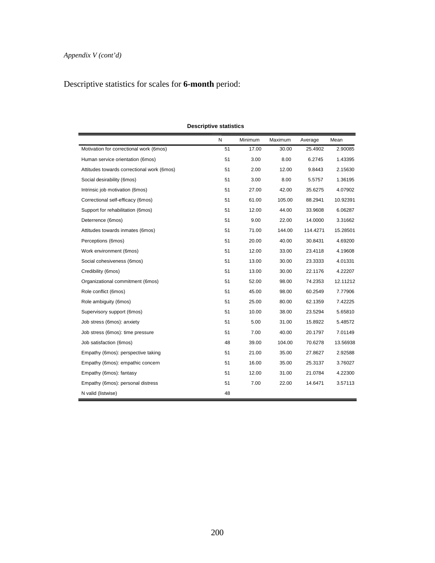### *Appendix V (cont'd)*

# Descriptive statistics for scales for **6-month** period:

|                                            | N  | Minimum | Maximum | Average  | Mean     |
|--------------------------------------------|----|---------|---------|----------|----------|
| Motivation for correctional work (6mos)    | 51 | 17.00   | 30.00   | 25.4902  | 2.90085  |
| Human service orientation (6mos)           | 51 | 3.00    | 8.00    | 6.2745   | 1.43395  |
| Attitudes towards correctional work (6mos) | 51 | 2.00    | 12.00   | 9.8443   | 2.15630  |
| Social desirability (6mos)                 | 51 | 3.00    | 8.00    | 5.5757   | 1.36195  |
| Intrinsic job motivation (6mos)            | 51 | 27.00   | 42.00   | 35.6275  | 4.07902  |
| Correctional self-efficacy (6mos)          | 51 | 61.00   | 105.00  | 88.2941  | 10.92391 |
| Support for rehabilitation (6mos)          | 51 | 12.00   | 44.00   | 33.9608  | 6.06287  |
| Deterrence (6mos)                          | 51 | 9.00    | 22.00   | 14.0000  | 3.31662  |
| Attitudes towards inmates (6mos)           | 51 | 71.00   | 144.00  | 114.4271 | 15.28501 |
| Perceptions (6mos)                         | 51 | 20.00   | 40.00   | 30.8431  | 4.69200  |
| Work environment (6mos)                    | 51 | 12.00   | 33.00   | 23.4118  | 4.19608  |
| Social cohesiveness (6mos)                 | 51 | 13.00   | 30.00   | 23.3333  | 4.01331  |
| Credibility (6mos)                         | 51 | 13.00   | 30.00   | 22.1176  | 4.22207  |
| Organizational commitment (6mos)           | 51 | 52.00   | 98.00   | 74.2353  | 12.11212 |
| Role conflict (6mos)                       | 51 | 45.00   | 98.00   | 60.2549  | 7.77906  |
| Role ambiguity (6mos)                      | 51 | 25.00   | 80.00   | 62.1359  | 7.42225  |
| Supervisory support (6mos)                 | 51 | 10.00   | 38.00   | 23.5294  | 5.65810  |
| Job stress (6mos): anxiety                 | 51 | 5.00    | 31.00   | 15.8922  | 5.48572  |
| Job stress (6mos): time pressure           | 51 | 7.00    | 40.00   | 20.1797  | 7.01149  |
| Job satisfaction (6mos)                    | 48 | 39.00   | 104.00  | 70.6278  | 13.56938 |
| Empathy (6mos): perspective taking         | 51 | 21.00   | 35.00   | 27.8627  | 2.92588  |
| Empathy (6mos): empathic concern           | 51 | 16.00   | 35.00   | 25.3137  | 3.76027  |
| Empathy (6mos): fantasy                    | 51 | 12.00   | 31.00   | 21.0784  | 4.22300  |
| Empathy (6mos): personal distress          | 51 | 7.00    | 22.00   | 14.6471  | 3.57113  |
| N valid (listwise)                         | 48 |         |         |          |          |

#### **Descriptive statistics**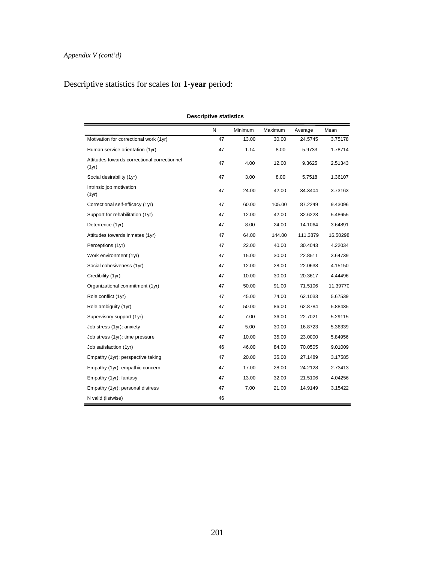### *Appendix V (cont'd)*

# Descriptive statistics for scales for **1-year** period:

|                                                       | N  | Minimum | Maximum | Average  | Mean     |
|-------------------------------------------------------|----|---------|---------|----------|----------|
| Motivation for correctional work (1yr)                | 47 | 13.00   | 30.00   | 24.5745  | 3.75178  |
| Human service orientation (1yr)                       | 47 | 1.14    | 8.00    | 5.9733   | 1.78714  |
| Attitudes towards correctional correctionnel<br>(1yr) | 47 | 4.00    | 12.00   | 9.3625   | 2.51343  |
| Social desirability (1yr)                             | 47 | 3.00    | 8.00    | 5.7518   | 1.36107  |
| Intrinsic job motivation<br>(1yr)                     | 47 | 24.00   | 42.00   | 34.3404  | 3.73163  |
| Correctional self-efficacy (1yr)                      | 47 | 60.00   | 105.00  | 87.2249  | 9.43096  |
| Support for rehabilitation (1yr)                      | 47 | 12.00   | 42.00   | 32.6223  | 5.48655  |
| Deterrence (1yr)                                      | 47 | 8.00    | 24.00   | 14.1064  | 3.64891  |
| Attitudes towards inmates (1yr)                       | 47 | 64.00   | 144.00  | 111.3879 | 16.50298 |
| Perceptions (1yr)                                     | 47 | 22.00   | 40.00   | 30.4043  | 4.22034  |
| Work environment (1yr)                                | 47 | 15.00   | 30.00   | 22.8511  | 3.64739  |
| Social cohesiveness (1yr)                             | 47 | 12.00   | 28.00   | 22.0638  | 4.15150  |
| Credibility (1yr)                                     | 47 | 10.00   | 30.00   | 20.3617  | 4.44496  |
| Organizational commitment (1yr)                       | 47 | 50.00   | 91.00   | 71.5106  | 11.39770 |
| Role conflict (1yr)                                   | 47 | 45.00   | 74.00   | 62.1033  | 5.67539  |
| Role ambiguity (1yr)                                  | 47 | 50.00   | 86.00   | 62.8784  | 5.88435  |
| Supervisory support (1yr)                             | 47 | 7.00    | 36.00   | 22.7021  | 5.29115  |
| Job stress (1yr): anxiety                             | 47 | 5.00    | 30.00   | 16.8723  | 5.36339  |
| Job stress (1yr): time pressure                       | 47 | 10.00   | 35.00   | 23.0000  | 5.84956  |
| Job satisfaction (1yr)                                | 46 | 46.00   | 84.00   | 70.0505  | 9.01009  |
| Empathy (1yr): perspective taking                     | 47 | 20.00   | 35.00   | 27.1489  | 3.17585  |
| Empathy (1yr): empathic concern                       | 47 | 17.00   | 28.00   | 24.2128  | 2.73413  |
| Empathy (1yr): fantasy                                | 47 | 13.00   | 32.00   | 21.5106  | 4.04256  |
| Empathy (1yr): personal distress                      | 47 | 7.00    | 21.00   | 14.9149  | 3.15422  |
| N valid (listwise)                                    | 46 |         |         |          |          |

**Descriptive statistics**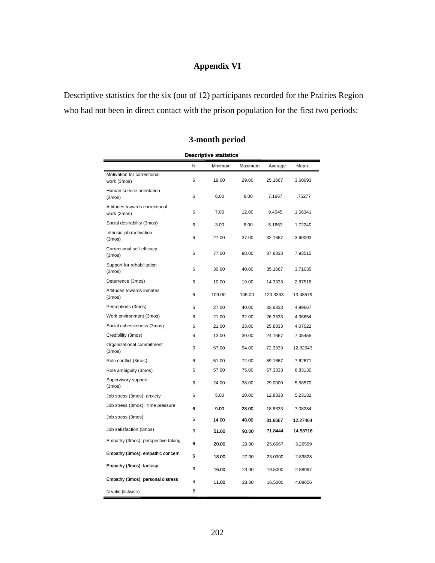### **Appendix VI**

Descriptive statistics for the six (out of 12) participants recorded for the Prairies Region who had not been in direct contact with the prison population for the first two periods:

|                                               | N | Minimum | Maximum | Average  | Mean     |
|-----------------------------------------------|---|---------|---------|----------|----------|
| Motivation for correctional<br>work (3mos)    | 6 | 19.00   | 29.00   | 25.1667  | 3.60093  |
| Human service orientation<br>(3mos)           | 6 | 6.00    | 8.00    | 7.1667   | .75277   |
| Attitudes towards correctional<br>work (3mos) | 6 | 7.00    | 12.00   | 9.4545   | 1.66341  |
| Social desirability (3mos)                    | 6 | 3.00    | 8.00    | 5.1667   | 1.72240  |
| Intrinsic job motivation<br>(3mos)            | 6 | 27.00   | 37.00   | 32.1667  | 3.60093  |
| Correctional self-efficacy<br>(3mos)          | 6 | 77.00   | 98.00   | 87.8333  | 7.93515  |
| Support for rehabilitation<br>(3mos)          | 6 | 30.00   | 40.00   | 35.1667  | 3.71035  |
| Deterrence (3mos)                             | 6 | 10.00   | 19.00   | 14.3333  | 2.87518  |
| Attitudes towards inmates<br>(3mos)           | 6 | 109.00  | 145.00  | 120.3333 | 13.48579 |
| Perceptions (3mos)                            | 6 | 27.00   | 40.00   | 33.8333  | 4.99667  |
| Work environment (3mos)                       | 6 | 21.00   | 32.00   | 26.3333  | 4.36654  |
| Social cohesiveness (3mos)                    | 6 | 21.00   | 33.00   | 25.8333  | 4.07022  |
| Credibility (3mos)                            | 6 | 13.00   | 30.00   | 24.1667  | 7.05455  |
| Organizational commitment<br>(3mos)           | 6 | 57.00   | 94.00   | 72.3333  | 12.92543 |
| Role conflict (3mos)                          | 6 | 51.00   | 72.00   | 59.1667  | 7.62671  |
| Role ambiguity (3mos)                         | 6 | 57.00   | 75.00   | 67.3333  | 6.83130  |
| Supervisory support<br>(3mos)                 | 6 | 24.00   | 38.00   | 29.0000  | 5.58570  |
| Job stress (3mos): anxiety                    | 6 | 5.00    | 20.00   | 12.8333  | 5.23132  |
| Job stress (3mos): time pressure              | 6 | 9.00    | 28.00   | 18.8333  | 7.08284  |
| Job stress (3mos)                             | 6 | 14.00   | 48.00   | 31.6667  | 12.27464 |
| Job satisfaction (3mos)                       | 6 | 51.00   | 90.00   | 71.8444  | 14.58716 |
| Empathy (3mos): perspective taking            | 6 | 20.00   | 29.00   | 25.6667  | 3.26599  |
| Empathy (3mos): empathic concern              | 6 | 18.00   | 27.00   | 23.0000  | 2.89828  |
| Empathy (3mos): fantasy                       | 6 | 16.00   | 23.00   | 19.5000  | 2.88097  |
| Empathy (3mos): personal distress             | 6 | 11.00   | 23.00   | 16.5000  | 4.08656  |
| N valid (listwise)                            | 6 |         |         |          |          |

### **3-month period**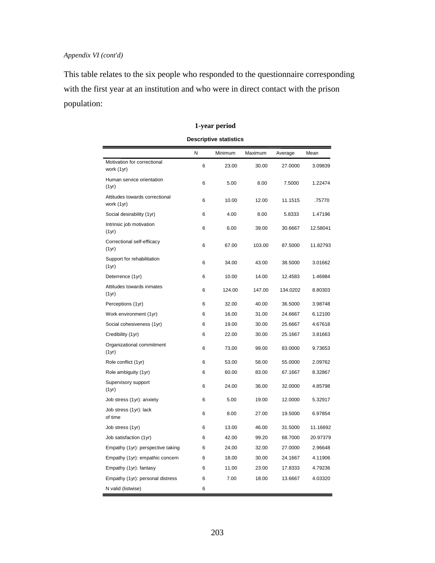# *Appendix VI (cont'd)*

This table relates to the six people who responded to the questionnaire corresponding with the first year at an institution and who were in direct contact with the prison population:

| <b>Descriptive statistics</b>                |   |         |         |          |          |  |  |  |
|----------------------------------------------|---|---------|---------|----------|----------|--|--|--|
|                                              | N | Minimum | Maximum | Average  | Mean     |  |  |  |
| Motivation for correctional<br>work (1yr)    | 6 | 23.00   | 30.00   | 27.0000  | 3.09839  |  |  |  |
| Human service orientation<br>(1yr)           | 6 | 5.00    | 8.00    | 7.5000   | 1.22474  |  |  |  |
| Attitudes towards correctional<br>work (1yr) | 6 | 10.00   | 12.00   | 11.1515  | .75770   |  |  |  |
| Social desirability (1yr)                    | 6 | 4.00    | 8.00    | 5.8333   | 1.47196  |  |  |  |
| Intrinsic job motivation<br>(1yr)            | 6 | 6.00    | 39.00   | 30.6667  | 12.58041 |  |  |  |
| Correctional self-efficacy<br>(1yr)          | 6 | 67.00   | 103.00  | 87.5000  | 11.82793 |  |  |  |
| Support for rehabilitation<br>(1yr)          | 6 | 34.00   | 43.00   | 38.5000  | 3.01662  |  |  |  |
| Deterrence (1yr)                             | 6 | 10.00   | 14.00   | 12.4583  | 1.46984  |  |  |  |
| Attitudes towards inmates<br>(1yr)           | 6 | 124.00  | 147.00  | 134.0202 | 8.80303  |  |  |  |
| Perceptions (1yr)                            | 6 | 32.00   | 40.00   | 36.5000  | 3.98748  |  |  |  |
| Work environment (1yr)                       | 6 | 16.00   | 31.00   | 24.6667  | 6.12100  |  |  |  |
| Social cohesiveness (1yr)                    | 6 | 19.00   | 30.00   | 25.6667  | 4.67618  |  |  |  |
| Credibility (1yr)                            | 6 | 22.00   | 30.00   | 25.1667  | 3.81663  |  |  |  |
| Organizational commitment<br>(1yr)           | 6 | 73.00   | 99.00   | 83.0000  | 9.73653  |  |  |  |
| Role conflict (1yr)                          | 6 | 53.00   | 58.00   | 55.0000  | 2.09762  |  |  |  |
| Role ambiguity (1yr)                         | 6 | 60.00   | 83.00   | 67.1667  | 8.32867  |  |  |  |
| Supervisory support<br>(1yr)                 | 6 | 24.00   | 36.00   | 32.0000  | 4.85798  |  |  |  |
| Job stress (1yr): anxiety                    | 6 | 5.00    | 19.00   | 12.0000  | 5.32917  |  |  |  |
| Job stress (1yr): lack<br>of time            | 6 | 8.00    | 27.00   | 19.5000  | 6.97854  |  |  |  |
| Job stress (1yr)                             | 6 | 13.00   | 46.00   | 31.5000  | 11.16692 |  |  |  |
| Job satisfaction (1yr)                       | 6 | 42.00   | 99.20   | 68.7000  | 20.97379 |  |  |  |
| Empathy (1yr): perspective taking            | 6 | 24.00   | 32.00   | 27.0000  | 2.96648  |  |  |  |
| Empathy (1yr): empathic concern              | 6 | 18.00   | 30.00   | 24.1667  | 4.11906  |  |  |  |
| Empathy (1yr): fantasy                       | 6 | 11.00   | 23.00   | 17.8333  | 4.79236  |  |  |  |
| Empathy (1yr): personal distress             | 6 | 7.00    | 18.00   | 13.6667  | 4.03320  |  |  |  |
| N valid (listwise)                           | 6 |         |         |          |          |  |  |  |

# **1-year period**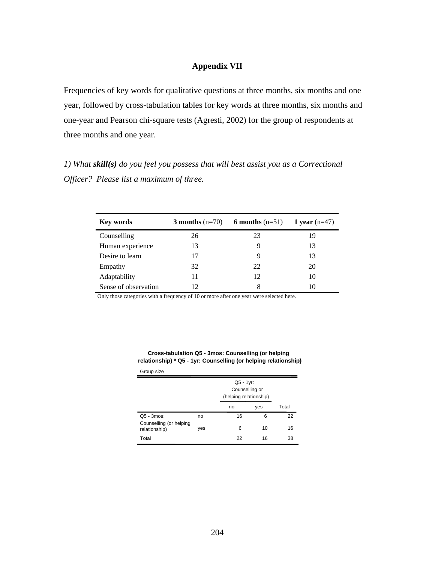# **Appendix VII**

Frequencies of key words for qualitative questions at three months, six months and one year, followed by cross-tabulation tables for key words at three months, six months and one-year and Pearson chi-square tests (Agresti, 2002) for the group of respondents at three months and one year.

*1) What skill(s) do you feel you possess that will best assist you as a Correctional Officer? Please list a maximum of three.* 

| <b>Key words</b>     | 3 months $(n=70)$ | 6 months $(n=51)$ | 1 year $(n=47)$ |
|----------------------|-------------------|-------------------|-----------------|
| Counselling          | 26                | 23                | 19              |
| Human experience     | 13                | 9                 | 13              |
| Desire to learn      | 17                | 9                 | 13              |
| Empathy              | 32                | 22                | 20              |
| Adaptability         | 11                | 12                | 10              |
| Sense of observation | 12                | 8                 | 10              |

Only those categories with a frequency of 10 or more after one year were selected here.

**Cross-tabulation Q5 - 3mos: Counselling (or helping relationship) \* Q5 - 1yr: Counselling (or helping relationship)**

| Group size                               |     |    |     |       |
|------------------------------------------|-----|----|-----|-------|
|                                          |     |    |     |       |
|                                          |     | no | yes | Total |
| $Q5 - 3$ mos:                            | no  | 16 | 6   | 22    |
| Counselling (or helping<br>relationship) | yes | 6  | 10  | 16    |
| Total                                    |     | 22 | 16  | 38    |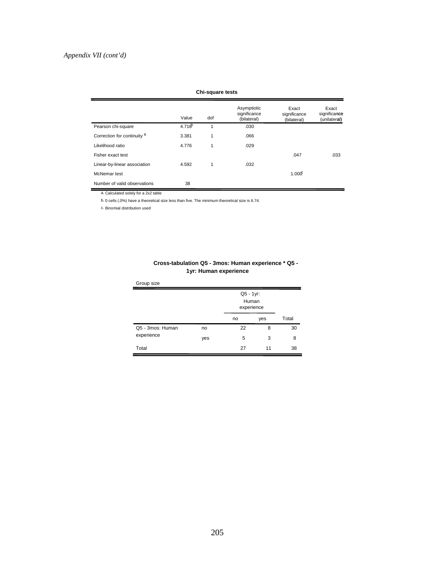# *Appendix VII (cont'd)*

#### **Chi-square tests**

|                                        | Value                | dof | Asymptiotic<br>significance<br>(bilateral) | Exact<br>significance<br>(bilateral)  | Exact<br>significance<br>(unilateral) |
|----------------------------------------|----------------------|-----|--------------------------------------------|---------------------------------------|---------------------------------------|
| Pearson chi-square                     | $4.716$ <sup>b</sup> |     | .030                                       |                                       |                                       |
| Correction for continuity <sup>a</sup> | 3.381                | 1   | .066                                       |                                       |                                       |
| Likelihood ratio                       | 4.776                | 1   | .029                                       |                                       |                                       |
| Fisher exact test                      |                      |     |                                            | .047                                  | .033                                  |
| Linear-by-linear association           | 4.592                | 1   | .032                                       |                                       |                                       |
| McNemar test                           |                      |     |                                            | $1.000$ <sup><math>\circ</math></sup> |                                       |
| Number of valid observations           | 38                   |     |                                            |                                       |                                       |

a. Calculated solely for a 2x2 table

b. 0 cells (.0%) have a theoretical size less than five. The minimum theoretical size is 6.74.

c. Binomial distribution used

# **Cross-tabulation Q5 - 3mos: Human experience \* Q5 - 1yr: Human experience**

| Group size       |                                  |    |     |       |
|------------------|----------------------------------|----|-----|-------|
|                  | Q5 - 1yr:<br>Human<br>experience |    |     |       |
|                  |                                  | no | yes | Total |
| Q5 - 3mos: Human | no                               | 22 | 8   | 30    |
| experience       | yes                              | 5  | 3   | 8     |
| Total            |                                  | 27 | 11  | 38    |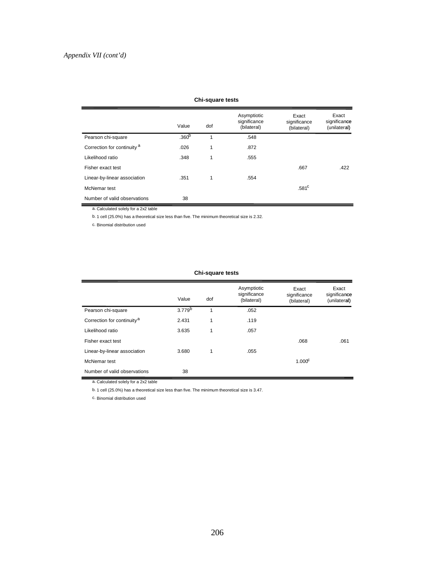### **Chi-square tests**

|                                        | Value             | dof | Asymptiotic<br>significance<br>(bilateral) | Exact<br>significance<br>(bilateral) | Exact<br>significance<br>(unilateral) |
|----------------------------------------|-------------------|-----|--------------------------------------------|--------------------------------------|---------------------------------------|
| Pearson chi-square                     | .360 <sup>b</sup> | 1   | .548                                       |                                      |                                       |
| Correction for continuity <sup>a</sup> | .026              | 1   | .872                                       |                                      |                                       |
| Likelihood ratio                       | .348              | 1   | .555                                       |                                      |                                       |
| Fisher exact test                      |                   |     |                                            | .667                                 | .422                                  |
| Linear-by-linear association           | .351              | 1   | .554                                       |                                      |                                       |
| McNemar test                           |                   |     |                                            | .581 <sup>c</sup>                    |                                       |
| Number of valid observations           | 38                |     |                                            |                                      |                                       |

a. Calculated solely for a 2x2 table

b. 1 cell (25.0%) has a theoretical size less than five. The minimum theoretical size is 2.32.

c. Binomial distribution used

# **Chi-square tests**

|                                        | Value              | dof | Asymptiotic<br>significance<br>(bilateral) | Exact<br>significance<br>(bilateral) | Exact<br>significance<br>(unilateral) |
|----------------------------------------|--------------------|-----|--------------------------------------------|--------------------------------------|---------------------------------------|
| Pearson chi-square                     | 3.779 <sup>b</sup> | 1   | .052                                       |                                      |                                       |
| Correction for continuity <sup>a</sup> | 2.431              | 1   | .119                                       |                                      |                                       |
| Likelihood ratio                       | 3.635              | 1   | .057                                       |                                      |                                       |
| Fisher exact test                      |                    |     |                                            | .068                                 | .061                                  |
| Linear-by-linear association           | 3.680              | 1   | .055                                       |                                      |                                       |
| McNemar test                           |                    |     |                                            | 1.000 <sup>c</sup>                   |                                       |
| Number of valid observations           | 38                 |     |                                            |                                      |                                       |

a. Calculated solely for a 2x2 table

b. 1 cell (25.0%) has a theoretical size less than five. The minimum theoretical size is 3.47.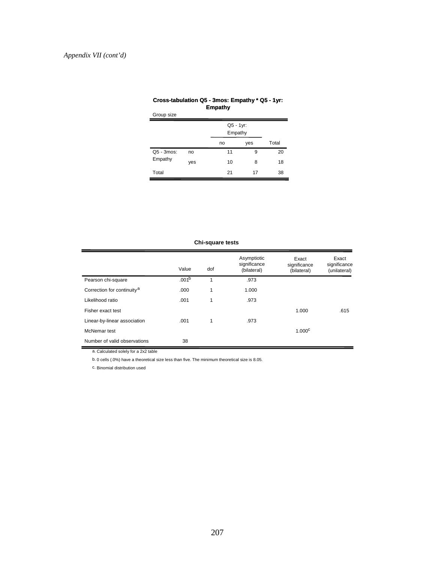#### **Cross-tabulation Q5 - 3mos: Empathy \* Q5 - 1yr: Empathy**

| Group size     |                         |    |     |       |  |  |
|----------------|-------------------------|----|-----|-------|--|--|
|                | $Q5 - 1yr$ :<br>Empathy |    |     |       |  |  |
|                |                         | no | yes | Total |  |  |
| $Q5 - 3$ mos:  | no                      | 11 | 9   | 20    |  |  |
| Empathy<br>yes | 10                      | 8  | 18  |       |  |  |
| Total          |                         | 21 | 17  | 38    |  |  |

# **Chi-square tests**

|                                        | Value             | dof | Asymptiotic<br>significance<br>(bilateral) | Exact<br>significance<br>(bilateral) | Exact<br>significance<br>(unilateral) |
|----------------------------------------|-------------------|-----|--------------------------------------------|--------------------------------------|---------------------------------------|
| Pearson chi-square                     | .001 <sup>b</sup> | 1   | .973                                       |                                      |                                       |
| Correction for continuity <sup>a</sup> | .000              | 1   | 1.000                                      |                                      |                                       |
| Likelihood ratio                       | .001              | 1   | .973                                       |                                      |                                       |
| Fisher exact test                      |                   |     |                                            | 1.000                                | .615                                  |
| Linear-by-linear association           | .001              | 1   | .973                                       |                                      |                                       |
| McNemar test                           |                   |     |                                            | 1.000 <sup>c</sup>                   |                                       |
| Number of valid observations           | 38                |     |                                            |                                      |                                       |

a. Calculated solely for a 2x2 table

b. 0 cells (.0%) have a theoretical size less than five. The minimum theoretical size is 8.05.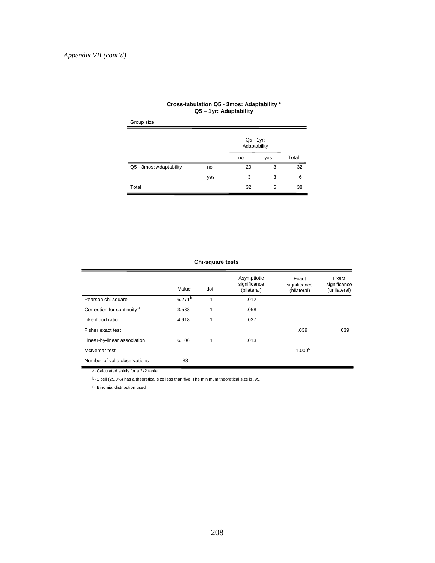Group size

|                         |     | Q5 - 1yr:<br>Adaptability |     |       |
|-------------------------|-----|---------------------------|-----|-------|
|                         |     | no                        | yes | Total |
| Q5 - 3mos: Adaptability | no  | 29                        | 3   | 32    |
|                         | yes | 3                         | 3   | 6     |
| Total                   |     | 32                        | 6   | 38    |

#### **Cross-tabulation Q5 - 3mos: Adaptability \* Q5 – 1yr: Adaptability**

| <b>Chi-square tests</b>                |             |     |                                            |                                      |                                       |  |  |
|----------------------------------------|-------------|-----|--------------------------------------------|--------------------------------------|---------------------------------------|--|--|
|                                        | Value       | dof | Asymptiotic<br>significance<br>(bilateral) | Exact<br>significance<br>(bilateral) | Exact<br>significance<br>(unilateral) |  |  |
| Pearson chi-square                     | $6.271^{b}$ | 1   | .012                                       |                                      |                                       |  |  |
| Correction for continuity <sup>a</sup> | 3.588       | 1   | .058                                       |                                      |                                       |  |  |
| Likelihood ratio                       | 4.918       | 1   | .027                                       |                                      |                                       |  |  |
| Fisher exact test                      |             |     |                                            | .039                                 | .039                                  |  |  |
| Linear-by-linear association           | 6.106       | 1   | .013                                       |                                      |                                       |  |  |
| McNemar test                           |             |     |                                            | 1.000 <sup>c</sup>                   |                                       |  |  |
| Number of valid observations           | 38          |     |                                            |                                      |                                       |  |  |

a. Calculated solely for a 2x2 table

b. 1 cell (25.0%) has a theoretical size less than five. The minimum theoretical size is .95.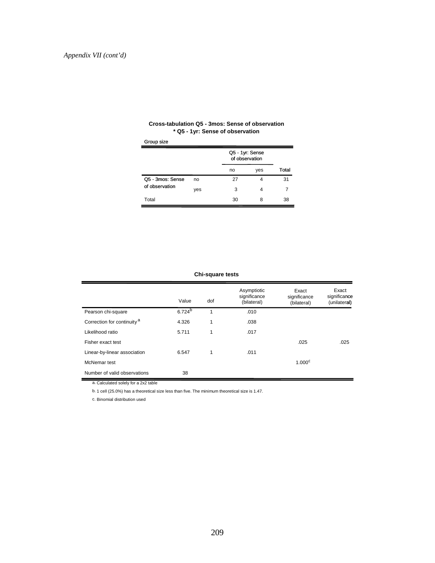| Group size                         |                                   |    |    |     |       |
|------------------------------------|-----------------------------------|----|----|-----|-------|
|                                    | Q5 - 1yr: Sense<br>of observation |    |    |     |       |
|                                    |                                   | no |    | yes | Total |
| Q5 - 3mos: Sense<br>of observation | no                                |    | 27 | 4   | 31    |
|                                    | yes                               |    | 3  | 4   | 7     |
| Total                              |                                   |    | 30 | 8   | 38    |

### **Cross-tabulation Q5 - 3mos: Sense of observation \* Q5 - 1yr: Sense of observation**

# **Chi-square tests**

|                                        | Value       | dof | Asymptiotic<br>significance<br>(bilateral) | Exact<br>significance<br>(bilateral) | Exact<br>significance<br>(unilateral) |
|----------------------------------------|-------------|-----|--------------------------------------------|--------------------------------------|---------------------------------------|
| Pearson chi-square                     | $6.724^{b}$ | 1   | .010                                       |                                      |                                       |
| Correction for continuity <sup>a</sup> | 4.326       | 1   | .038                                       |                                      |                                       |
| Likelihood ratio                       | 5.711       | 1   | .017                                       |                                      |                                       |
| Fisher exact test                      |             |     |                                            | .025                                 | .025                                  |
| Linear-by-linear association           | 6.547       | 1   | .011                                       |                                      |                                       |
| McNemar test                           |             |     |                                            | 1.000 <sup>c</sup>                   |                                       |
| Number of valid observations           | 38          |     |                                            |                                      |                                       |

a. Calculated solely for a 2x2 table

b. 1 cell (25.0%) has a theoretical size less than five. The minimum theoretical size is 1.47.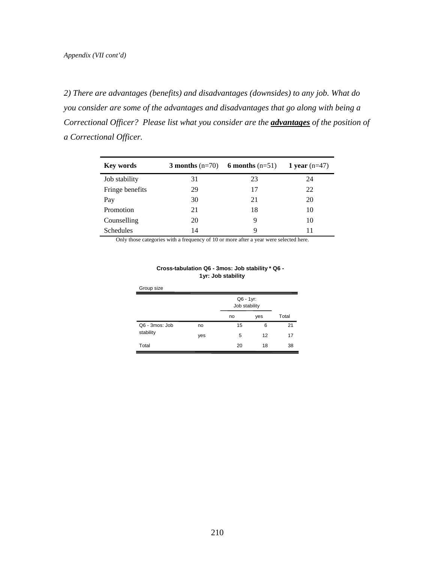*2) There are advantages (benefits) and disadvantages (downsides) to any job. What do you consider are some of the advantages and disadvantages that go along with being a Correctional Officer? Please list what you consider are the advantages of the position of a Correctional Officer.* 

| <b>Key words</b> | 3 months $(n=70)$ | 6 months $(n=51)$ | 1 year $(n=47)$ |
|------------------|-------------------|-------------------|-----------------|
| Job stability    | 31                | 23                | 24              |
| Fringe benefits  | 29                | 17                | 22              |
| Pay              | 30                | 21                | 20              |
| Promotion        | 21                | 18                | 10              |
| Counselling      | 20                | 9                 | 10              |
| <b>Schedules</b> | 14                | 9                 |                 |

Only those categories with a frequency of 10 or more after a year were selected here.

| Cross-tabulation Q6 - 3mos: Job stability * Q6 - |  |
|--------------------------------------------------|--|
| 1yr: Job stability                               |  |

| Group size     |     |    |     |       |
|----------------|-----|----|-----|-------|
|                |     |    |     |       |
|                |     | no | yes | Total |
| Q6 - 3mos: Job | no  | 15 | 6   | 21    |
| stability      | yes | 5  | 12  | 17    |
| Total          |     | 20 | 18  | 38    |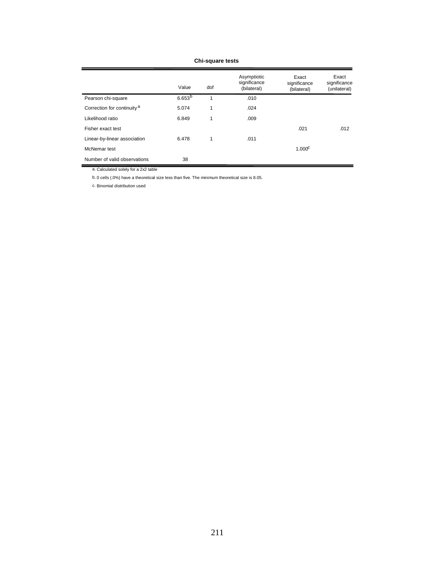# **Chi-square tests**

|                                        | Value       | dof | Asymptiotic<br>significance<br>(bilateral) | Exact<br>significance<br>(bilateral) | Exact<br>significance<br>(unilateral) |
|----------------------------------------|-------------|-----|--------------------------------------------|--------------------------------------|---------------------------------------|
| Pearson chi-square                     | $6.653^{b}$ | 1   | .010                                       |                                      |                                       |
| Correction for continuity <sup>a</sup> | 5.074       | 1   | .024                                       |                                      |                                       |
| Likelihood ratio                       | 6.849       | 1   | .009                                       |                                      |                                       |
| Fisher exact test                      |             |     |                                            | .021                                 | .012                                  |
| Linear-by-linear association           | 6.478       | 1   | .011                                       |                                      |                                       |
| McNemar test                           |             |     |                                            | 1.000 <sup>c</sup>                   |                                       |
| Number of valid observations           | 38          |     |                                            |                                      |                                       |

a. Calculated solely for a 2x2 table

b. 0 cells (.0%) have a theoretical size less than five. The minimum theoretical size is 8.05.

c. Binomial distribution used

Е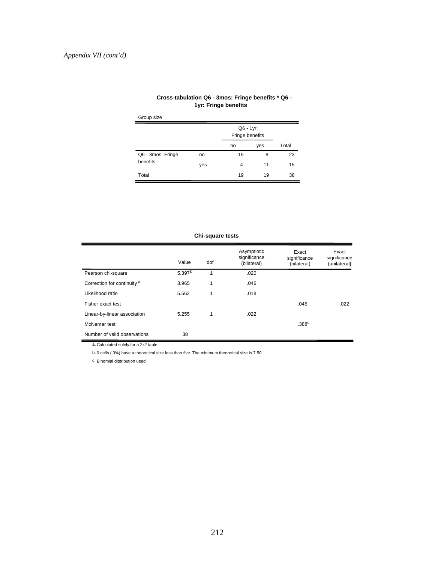| Group size                    |     |                                 |     |       |  |
|-------------------------------|-----|---------------------------------|-----|-------|--|
|                               |     | $Q6 - 1yr$ :<br>Fringe benefits |     |       |  |
|                               |     | no                              | yes | Total |  |
| Q6 - 3mos: Fringe<br>benefits | no  | 15                              | 8   | 23    |  |
|                               | yes | 4                               | 11  | 15    |  |
| Total                         |     | 19                              | 19  | 38    |  |

#### **Cross-tabulation Q6 - 3mos: Fringe benefits \* Q6 - 1yr: Fringe benefits**

# **Chi-square tests**

|                                        | Value              | dof | Asymptiotic<br>significance<br>(bilateral) | Exact<br>significance<br>(bilateral) | Exact<br>significance<br>(unilateral) |
|----------------------------------------|--------------------|-----|--------------------------------------------|--------------------------------------|---------------------------------------|
| Pearson chi-square                     | 5.397 <sup>b</sup> | 1   | .020                                       |                                      |                                       |
| Correction for continuity <sup>a</sup> | 3.965              | 1   | .046                                       |                                      |                                       |
| Likelihood ratio                       | 5.562              | 1   | .018                                       |                                      |                                       |
| Fisher exact test                      |                    |     |                                            | .045                                 | .022                                  |
| Linear-by-linear association           | 5.255              | 1   | .022                                       |                                      |                                       |
| McNemar test                           |                    |     |                                            | .388 <sup>c</sup>                    |                                       |
| Number of valid observations           | 38                 |     |                                            |                                      |                                       |

a. Calculated solely for a 2x2 table

b. 0 cells (.0%) have a theoretical size less than five. The minimum theoretical size is 7.50.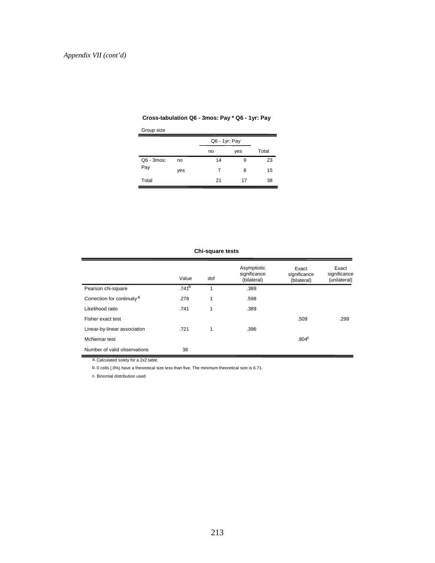| Group size    |     |               |     |       |
|---------------|-----|---------------|-----|-------|
|               |     | Q6 - 1yr: Pay |     |       |
|               |     | no            | yes | Total |
| $Q6 - 3$ mos: | no  | 14            | 9   | 23    |
| Pay           | yes | 7             | 8   | 15    |
| Total         |     | 21            | 17  | 38    |

# **Cross-tabulation Q6 - 3mos: Pay \* Q6 - 1yr: Pay**

### **Chi-square tests**

|                                        | Value             | dof | Asymptiotic<br>significance<br>(bilateral) | Exact<br>significance<br>(bilateral) | Exact<br>significance<br>(unilateral) |
|----------------------------------------|-------------------|-----|--------------------------------------------|--------------------------------------|---------------------------------------|
| Pearson chi-square                     | .741 <sup>b</sup> | 1   | .389                                       |                                      |                                       |
| Correction for continuity <sup>a</sup> | .278              | 1   | .598                                       |                                      |                                       |
| Likelihood ratio                       | .741              | 1   | .389                                       |                                      |                                       |
| Fisher exact test                      |                   |     |                                            | .509                                 | .299                                  |
| Linear-by-linear association           | .721              | 1   | .396                                       |                                      |                                       |
| McNemar test                           |                   |     |                                            | .804 <sup>c</sup>                    |                                       |
| Number of valid observations           | 38                |     |                                            |                                      |                                       |

a. Calculated solely for a 2x2 table

b. 0 cells (.0%) have a theoretical size less than five. The minimum theoretical size is 6.71.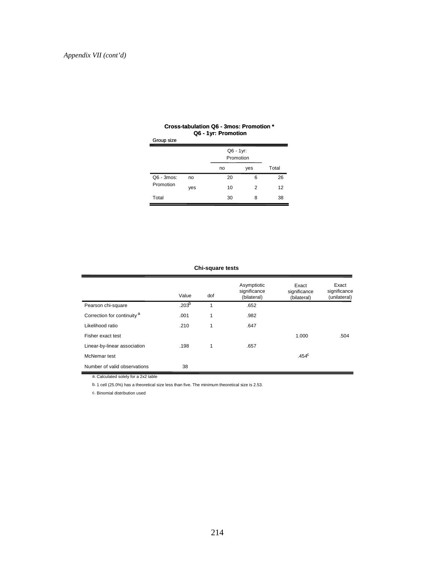| Group size    |     |                           |     |       |
|---------------|-----|---------------------------|-----|-------|
|               |     | $Q6 - 1yr$ :<br>Promotion |     |       |
|               |     | no                        | yes | Total |
| $Q6 - 3$ mos: | no  | 20                        | 6   | 26    |
| Promotion     | yes | 10                        | 2   | 12    |
| Total         |     | 30                        | 8   | 38    |

#### **Cross-tabulation Q6 - 3mos: Promotion \* Q6 - 1yr: Promotion** Group size

# **Chi-square tests**

|                                        | Value             | dof | Asymptiotic<br>significance<br>(bilateral) | Exact<br>significance<br>(bilateral) | Exact<br>significance<br>(unilateral) |
|----------------------------------------|-------------------|-----|--------------------------------------------|--------------------------------------|---------------------------------------|
| Pearson chi-square                     | .203 <sup>b</sup> | 1   | .652                                       |                                      |                                       |
| Correction for continuity <sup>a</sup> | .001              | 1   | .982                                       |                                      |                                       |
| Likelihood ratio                       | .210              | 1   | .647                                       |                                      |                                       |
| Fisher exact test                      |                   |     |                                            | 1.000                                | .504                                  |
| Linear-by-linear association           | .198              | 1   | .657                                       |                                      |                                       |
| McNemar test                           |                   |     |                                            | .454 <sup>c</sup>                    |                                       |
| Number of valid observations           | 38                |     |                                            |                                      |                                       |

a. Calculated solely for a 2x2 table

b. 1 cell (25.0%) has a theoretical size less than five. The minimum theoretical size is 2.53.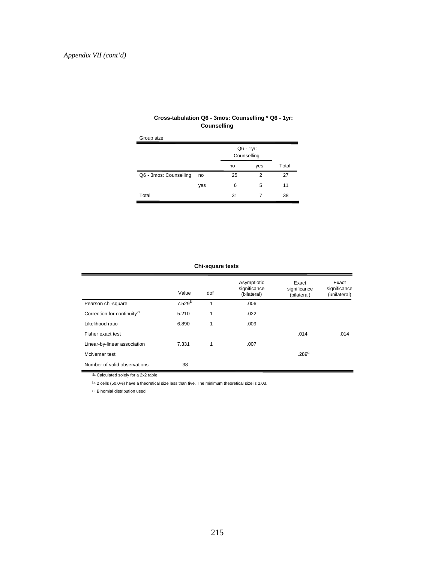| Group size                  |     |    |                |       |
|-----------------------------|-----|----|----------------|-------|
| $Q6 - 1yr$ :<br>Counselling |     |    |                |       |
|                             |     | no | yes            | Total |
| Q6 - 3mos: Counselling      | no  | 25 | $\overline{2}$ | 27    |
|                             | yes | 6  | 5              | 11    |
| Total                       |     | 31 |                | 38    |

# **Cross-tabulation Q6 - 3mos: Counselling \* Q6 - 1yr: Counselling**

# **Chi-square tests**

|                                        | Value              | dof | Asymptiotic<br>significance<br>(bilateral) | Exact<br>significance<br>(bilateral) | Exact<br>significance<br>(unilateral) |
|----------------------------------------|--------------------|-----|--------------------------------------------|--------------------------------------|---------------------------------------|
| Pearson chi-square                     | 7.529 <sup>b</sup> | 1   | .006                                       |                                      |                                       |
| Correction for continuity <sup>a</sup> | 5.210              | 1   | .022                                       |                                      |                                       |
| Likelihood ratio                       | 6.890              | 1   | .009                                       |                                      |                                       |
| Fisher exact test                      |                    |     |                                            | .014                                 | .014                                  |
| Linear-by-linear association           | 7.331              | 1   | .007                                       |                                      |                                       |
| McNemar test                           |                    |     |                                            | .289 <sup>c</sup>                    |                                       |
| Number of valid observations           | 38                 |     |                                            |                                      |                                       |

a. Calculated solely for a 2x2 table

b. 2 cells (50.0%) have a theoretical size less than five. The minimum theoretical size is 2.03.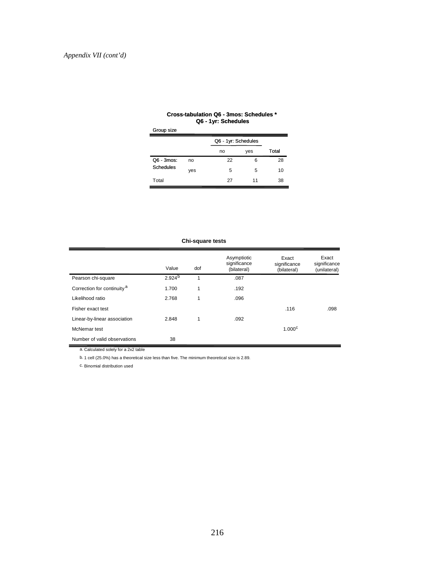#### **Cross-tabulation Q6 - 3mos: Schedules \* Q6 - 1yr: Schedules**

| Group size       |     |                     |     |       |
|------------------|-----|---------------------|-----|-------|
|                  |     | Q6 - 1yr: Schedules |     |       |
|                  |     | no                  | yes | Total |
| $O6 - 3$ mos:    | no  | 22                  | 6   | 28    |
| <b>Schedules</b> | yes | 5                   | 5   | 10    |
| Total            |     | 27                  | 11  | 38    |

# **Chi-square tests**

|                                        | Value              | dof | Asymptiotic<br>significance<br>(bilateral) | Exact<br>significance<br>(bilateral) | Exact<br>significance<br>(unilateral) |
|----------------------------------------|--------------------|-----|--------------------------------------------|--------------------------------------|---------------------------------------|
| Pearson chi-square                     | 2.924 <sup>b</sup> | 1   | .087                                       |                                      |                                       |
| Correction for continuity <sup>a</sup> | 1.700              | 1   | .192                                       |                                      |                                       |
| Likelihood ratio                       | 2.768              | 1   | .096                                       |                                      |                                       |
| Fisher exact test                      |                    |     |                                            | .116                                 | .098                                  |
| Linear-by-linear association           | 2.848              | 1   | .092                                       |                                      |                                       |
| McNemar test                           |                    |     |                                            | 1.000 <sup>c</sup>                   |                                       |
| Number of valid observations           | 38                 |     |                                            |                                      |                                       |

a. Calculated solely for a 2x2 table

b. 1 cell (25.0%) has a theoretical size less than five. The minimum theoretical size is 2.89.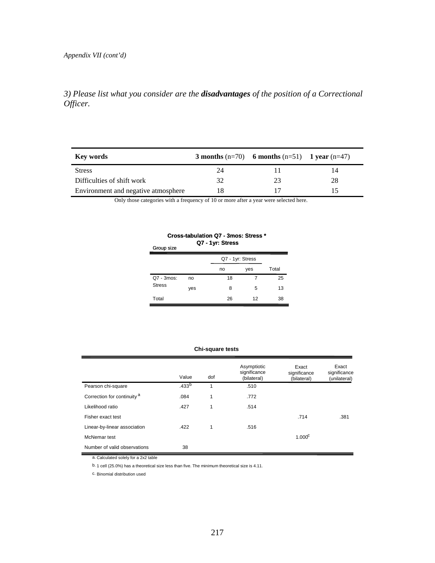*3) Please list what you consider are the disadvantages of the position of a Correctional Officer.* 

| Key words                           |    | 3 months $(n=70)$ 6 months $(n=51)$ 1 year $(n=47)$ |    |
|-------------------------------------|----|-----------------------------------------------------|----|
| <b>Stress</b>                       | 24 |                                                     | 14 |
| Difficulties of shift work          | 32 |                                                     | 28 |
| Environment and negative atmosphere | 18 |                                                     |    |

Only those categories with a frequency of 10 or more after a year were selected here.

#### **Cross-tabulation Q7 - 3mos: Stress \* Q7 - 1yr: Stress** Group size

|                                |     |    | Q7 - 1yr: Stress |       |  |
|--------------------------------|-----|----|------------------|-------|--|
|                                |     | no | yes              | Total |  |
| $Q7 - 3$ mos:<br><b>Stress</b> | no  | 18 |                  | 25    |  |
|                                | yes | 8  | 5                | 13    |  |
| Total                          |     | 26 | 12               | 38    |  |

|                                        | Value             | dof | Asymptiotic<br>significance<br>(bilateral) | Exact<br>significance<br>(bilateral) | Exact<br>significance<br>(unilateral) |
|----------------------------------------|-------------------|-----|--------------------------------------------|--------------------------------------|---------------------------------------|
| Pearson chi-square                     | .433 <sup>b</sup> | 1   | .510                                       |                                      |                                       |
| Correction for continuity <sup>a</sup> | .084              | 1   | .772                                       |                                      |                                       |
| Likelihood ratio                       | .427              | 1   | .514                                       |                                      |                                       |
| Fisher exact test                      |                   |     |                                            | .714                                 | .381                                  |
| Linear-by-linear association           | .422              | 1   | .516                                       |                                      |                                       |
| McNemar test                           |                   |     |                                            | 1.000 <sup>c</sup>                   |                                       |
| Number of valid observations           | 38                |     |                                            |                                      |                                       |

## **Chi-square tests**

a. Calculated solely for a 2x2 table

b. 1 cell (25.0%) has a theoretical size less than five. The minimum theoretical size is 4.11.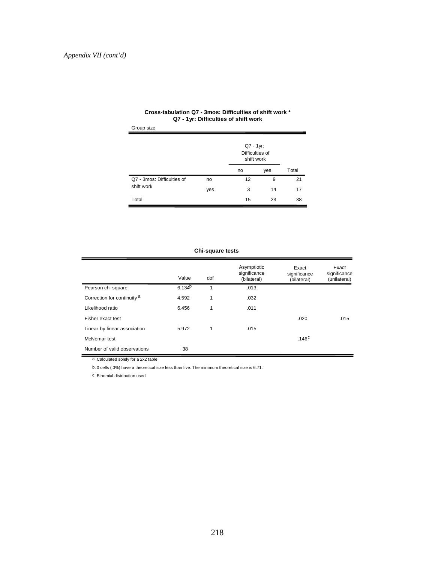### **Cross-tabulation Q7 - 3mos: Difficulties of shift work \* Q7 - 1yr: Difficulties of shift work**

Group size

|                                          |     | $Q7 - 1$ yr:<br>Difficulties of<br>shift work |     |       |
|------------------------------------------|-----|-----------------------------------------------|-----|-------|
|                                          |     | no                                            | yes | Total |
| Q7 - 3mos: Difficulties of<br>shift work | no  | 12                                            | 9   | 21    |
|                                          | yes | 3                                             | 14  | 17    |
| Total                                    |     | 15                                            | 23  | 38    |

# **Chi-square tests**

|                                        |             |     | Asymptiotic<br>significance | Exact<br>significance | Exact<br>significance |
|----------------------------------------|-------------|-----|-----------------------------|-----------------------|-----------------------|
|                                        | Value       | dof | (bilateral)                 | (bilateral)           | (unilateral)          |
| Pearson chi-square                     | $6.134^{b}$ | 1   | .013                        |                       |                       |
| Correction for continuity <sup>a</sup> | 4.592       | 1   | .032                        |                       |                       |
| Likelihood ratio                       | 6.456       | 1   | .011                        |                       |                       |
| Fisher exact test                      |             |     |                             | .020                  | .015                  |
| Linear-by-linear association           | 5.972       | 1   | .015                        |                       |                       |
| McNemar test                           |             |     |                             | .146 <sup>c</sup>     |                       |
| Number of valid observations           | 38          |     |                             |                       |                       |

a. Calculated solely for a 2x2 table

b. 0 cells (.0%) have a theoretical size less than five. The minimum theoretical size is 6.71.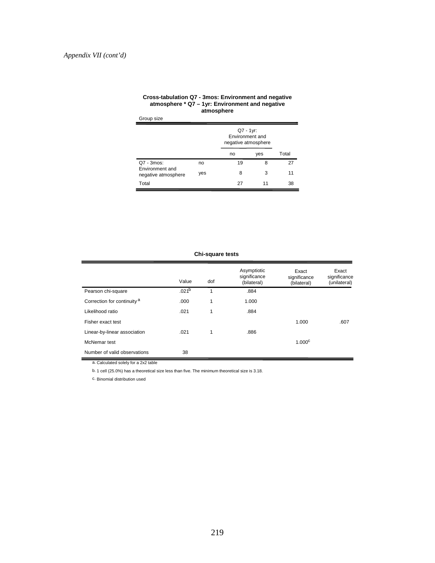#### **Cross-tabulation Q7 - 3mos: Environment and negative atmosphere \* Q7 – 1yr: Environment and negative atmosphere**

Group size

|                                        | Q7 - 1yr:<br>Environment and<br>negative atmosphere |    |     |       |
|----------------------------------------|-----------------------------------------------------|----|-----|-------|
|                                        |                                                     | no | yes | Total |
| $Q7 - 3$ mos:                          | no                                                  | 19 | 8   | 27    |
| Environment and<br>negative atmosphere | yes                                                 | 8  | 3   | 11    |
| Total                                  |                                                     | 27 | 11  | 38    |

# **Chi-square tests**

|                                        | Value             | dof | Asymptiotic<br>significance<br>(bilateral) | Exact<br>significance<br>(bilateral) | Exact<br>significance<br>(unilateral) |
|----------------------------------------|-------------------|-----|--------------------------------------------|--------------------------------------|---------------------------------------|
| Pearson chi-square                     | .021 <sup>b</sup> | 1   | .884                                       |                                      |                                       |
| Correction for continuity <sup>a</sup> | .000              | 1   | 1.000                                      |                                      |                                       |
| Likelihood ratio                       | .021              | 1   | .884                                       |                                      |                                       |
| Fisher exact test                      |                   |     |                                            | 1.000                                | .607                                  |
| Linear-by-linear association           | .021              | 1   | .886                                       |                                      |                                       |
| McNemar test                           |                   |     |                                            | 1.000 <sup>c</sup>                   |                                       |
| Number of valid observations           | 38                |     |                                            |                                      |                                       |

a. Calculated solely for a 2x2 table

b. 1 cell (25.0%) has a theoretical size less than five. The minimum theoretical size is 3.18.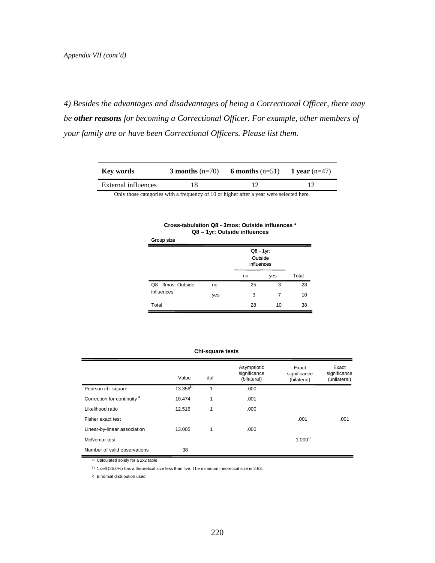*4) Besides the advantages and disadvantages of being a Correctional Officer, there may be other reasons for becoming a Correctional Officer. For example, other members of your family are or have been Correctional Officers. Please list them.* 

| Key words           | 3 months $(n=70)$ | 6 months $(n=51)$ | 1 year $(n=47)$ |
|---------------------|-------------------|-------------------|-----------------|
| External influences |                   |                   |                 |

Only those categories with a frequency of 10 or higher after a year were selected here.

### **Cross-tabulation Q8 - 3mos: Outside influences \* Q8 – 1yr: Outside influences**

| Group size                       |                                       |    |     |       |
|----------------------------------|---------------------------------------|----|-----|-------|
|                                  | $Q8 - 1$ yr:<br>Outside<br>influences |    |     |       |
|                                  |                                       | no | yes | Total |
| Q8 - 3mos: Outside<br>influences | no                                    | 25 | 3   | 28    |
|                                  | yes                                   | 3  | 7   | 10    |
| Total                            |                                       | 28 | 10  | 38    |

# **Chi-square tests**

|                                        | Value               | dof | Asymptiotic<br>significance<br>(bilateral) | Exact<br>significance<br>(bilateral) | Exact<br>significance<br>(unilateral) |
|----------------------------------------|---------------------|-----|--------------------------------------------|--------------------------------------|---------------------------------------|
| Pearson chi-square                     | 13.356 <sup>b</sup> | 1   | .000                                       |                                      |                                       |
| Correction for continuity <sup>a</sup> | 10.474              | 1   | .001                                       |                                      |                                       |
| Likelihood ratio                       | 12.516              | 1   | .000                                       |                                      |                                       |
| Fisher exact test                      |                     |     |                                            | .001                                 | .001                                  |
| Linear-by-linear association           | 13.005              | 1   | .000                                       |                                      |                                       |
| McNemar test                           |                     |     |                                            | 1.000 <sup>c</sup>                   |                                       |
| Number of valid observations           | 38                  |     |                                            |                                      |                                       |

a. Calculated solely for a 2x2 table

b. 1 cell (25.0%) has a theoretical size less than five. The minimum theoretical size is 2.63.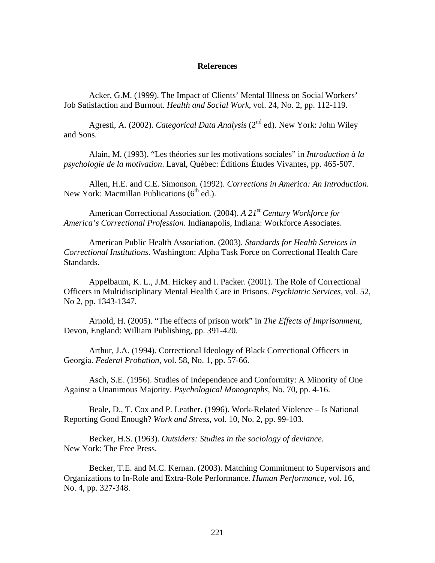# **References**

Acker, G.M. (1999). The Impact of Clients' Mental Illness on Social Workers' Job Satisfaction and Burnout. *Health and Social Work*, vol. 24, No. 2, pp. 112-119.

Agresti, A. (2002). *Categorical Data Analysis* (2<sup>nd</sup> ed). New York: John Wiley and Sons.

Alain, M. (1993). "Les théories sur les motivations sociales" in *Introduction à la psychologie de la motivation*. Laval, Québec: Éditions Études Vivantes, pp. 465-507.

Allen, H.E. and C.E. Simonson. (1992). *Corrections in America: An Introduction*. New York: Macmillan Publications  $(6<sup>th</sup>$  ed.).

American Correctional Association. (2004). *A 21st Century Workforce for America's Correctional Profession*. Indianapolis, Indiana: Workforce Associates.

American Public Health Association. (2003). *Standards for Health Services in Correctional Institutions*. Washington: Alpha Task Force on Correctional Health Care Standards.

Appelbaum, K. L., J.M. Hickey and I. Packer. (2001). The Role of Correctional Officers in Multidisciplinary Mental Health Care in Prisons. *Psychiatric Services*, vol. 52, No 2, pp. 1343-1347.

Arnold, H. (2005). "The effects of prison work" in *The Effects of Imprisonment*, Devon, England: William Publishing, pp. 391-420.

Arthur, J.A. (1994). Correctional Ideology of Black Correctional Officers in Georgia. *Federal Probation*, vol. 58, No. 1, pp. 57-66.

Asch, S.E. (1956). Studies of Independence and Conformity: A Minority of One Against a Unanimous Majority. *Psychological Monographs*, No. 70, pp. 4-16.

Beale, D., T. Cox and P. Leather. (1996). Work-Related Violence – Is National Reporting Good Enough? *Work and Stress*, vol. 10, No. 2, pp. 99-103.

Becker, H.S. (1963). *Outsiders: Studies in the sociology of deviance.*  New York: The Free Press.

Becker, T.E. and M.C. Kernan. (2003). Matching Commitment to Supervisors and Organizations to In-Role and Extra-Role Performance. *Human Performance*, vol. 16, No. 4, pp. 327-348.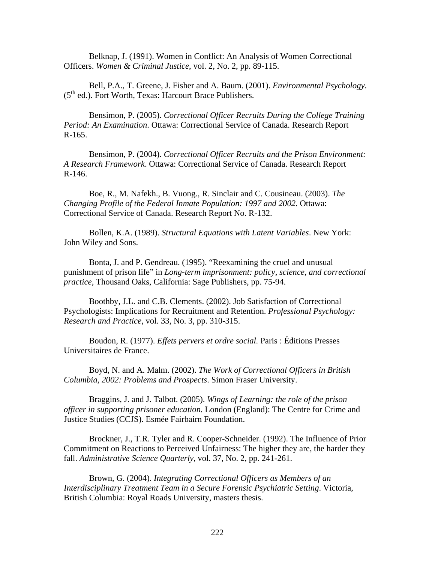Belknap, J. (1991). Women in Conflict: An Analysis of Women Correctional Officers. *Women & Criminal Justice*, vol. 2, No. 2, pp. 89-115.

Bell, P.A., T. Greene, J. Fisher and A. Baum. (2001). *Environmental Psychology.*   $(5<sup>th</sup>$  ed.). Fort Worth, Texas: Harcourt Brace Publishers.

Bensimon, P. (2005). *Correctional Officer Recruits During the College Training Period: An Examination*. Ottawa: Correctional Service of Canada. Research Report R-165.

Bensimon, P. (2004). *Correctional Officer Recruits and the Prison Environment: A Research Framework*. Ottawa: Correctional Service of Canada. Research Report R-146.

Boe, R., M. Nafekh., B. Vuong., R. Sinclair and C. Cousineau. (2003). *The Changing Profile of the Federal Inmate Population: 1997 and 2002*. Ottawa: Correctional Service of Canada. Research Report No. R-132.

Bollen, K.A. (1989). *Structural Equations with Latent Variables*. New York: John Wiley and Sons.

Bonta, J. and P. Gendreau. (1995). "Reexamining the cruel and unusual punishment of prison life" in *Long-term imprisonment: policy, science, and correctional practice*, Thousand Oaks, California: Sage Publishers, pp. 75-94.

Boothby, J.L. and C.B. Clements. (2002). Job Satisfaction of Correctional Psychologists: Implications for Recruitment and Retention. *Professional Psychology: Research and Practice*, vol. 33, No. 3, pp. 310-315.

Boudon, R. (1977). *Effets pervers et ordre social.* Paris : Éditions Presses Universitaires de France.

Boyd, N. and A. Malm. (2002). *The Work of Correctional Officers in British Columbia, 2002: Problems and Prospects*. Simon Fraser University.

Braggins, J. and J. Talbot. (2005). *Wings of Learning: the role of the prison officer in supporting prisoner education.* London (England): The Centre for Crime and Justice Studies (CCJS). Esmée Fairbairn Foundation.

Brockner, J., T.R. Tyler and R. Cooper-Schneider. (1992). The Influence of Prior Commitment on Reactions to Perceived Unfairness: The higher they are, the harder they fall. *Administrative Science Quarterly*, vol. 37, No. 2, pp. 241-261.

Brown, G. (2004). *Integrating Correctional Officers as Members of an Interdisciplinary Treatment Team in a Secure Forensic Psychiatric Setting*. Victoria, British Columbia: Royal Roads University, masters thesis.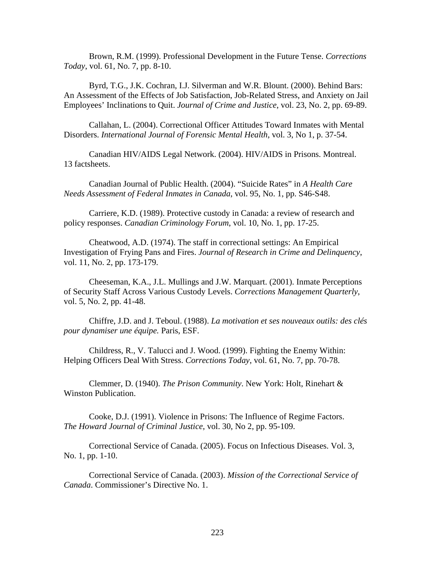Brown, R.M. (1999). Professional Development in the Future Tense. *Corrections Today*, vol. 61, No. 7, pp. 8-10.

Byrd, T.G., J.K. Cochran, I.J. Silverman and W.R. Blount. (2000). Behind Bars: An Assessment of the Effects of Job Satisfaction, Job-Related Stress, and Anxiety on Jail Employees' Inclinations to Quit. *Journal of Crime and Justice*, vol. 23, No. 2, pp. 69-89.

Callahan, L. (2004). Correctional Officer Attitudes Toward Inmates with Mental Disorders. *International Journal of Forensic Mental Health*, vol. 3, No 1, p. 37-54.

Canadian HIV/AIDS Legal Network. (2004). HIV/AIDS in Prisons. Montreal. 13 factsheets.

Canadian Journal of Public Health. (2004). "Suicide Rates" in *A Health Care Needs Assessment of Federal Inmates in Canada*, vol. 95, No. 1, pp. S46-S48.

Carriere, K.D. (1989). Protective custody in Canada: a review of research and policy responses. *Canadian Criminology Forum*, vol. 10, No. 1, pp. 17-25.

Cheatwood, A.D. (1974). The staff in correctional settings: An Empirical Investigation of Frying Pans and Fires. *Journal of Research in Crime and Delinquency*, vol. 11, No. 2, pp. 173-179.

Cheeseman, K.A., J.L. Mullings and J.W. Marquart. (2001). Inmate Perceptions of Security Staff Across Various Custody Levels. *Corrections Management Quarterly*, vol. 5, No. 2, pp. 41-48.

Chiffre, J.D. and J. Teboul. (1988). *La motivation et ses nouveaux outils: des clés pour dynamiser une équipe.* Paris, ESF.

Childress, R., V. Talucci and J. Wood. (1999). Fighting the Enemy Within: Helping Officers Deal With Stress. *Corrections Today*, vol. 61, No. 7, pp. 70-78.

Clemmer, D. (1940). *The Prison Community*. New York: Holt, Rinehart & Winston Publication.

Cooke, D.J. (1991). Violence in Prisons: The Influence of Regime Factors. *The Howard Journal of Criminal Justice*, vol. 30, No 2, pp. 95-109.

Correctional Service of Canada. (2005). Focus on Infectious Diseases. Vol. 3, No. 1, pp. 1-10.

Correctional Service of Canada. (2003). *Mission of the Correctional Service of Canada*. Commissioner's Directive No. 1.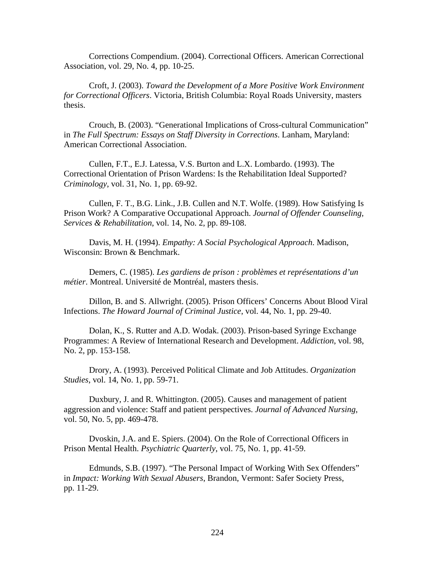Corrections Compendium. (2004). Correctional Officers. American Correctional Association, vol. 29, No. 4, pp. 10-25.

Croft, J. (2003). *Toward the Development of a More Positive Work Environment for Correctional Officers*. Victoria, British Columbia: Royal Roads University, masters thesis.

Crouch, B. (2003). "Generational Implications of Cross-cultural Communication" in *The Full Spectrum: Essays on Staff Diversity in Corrections*. Lanham, Maryland: American Correctional Association.

Cullen, F.T., E.J. Latessa, V.S. Burton and L.X. Lombardo. (1993). The Correctional Orientation of Prison Wardens: Is the Rehabilitation Ideal Supported? *Criminology*, vol. 31, No. 1, pp. 69-92.

Cullen, F. T., B.G. Link., J.B. Cullen and N.T. Wolfe. (1989). How Satisfying Is Prison Work? A Comparative Occupational Approach. *Journal of Offender Counseling, Services & Rehabilitation*, vol. 14, No. 2, pp. 89-108.

Davis, M. H. (1994). *Empathy: A Social Psychological Approach*. Madison, Wisconsin: Brown & Benchmark.

Demers, C. (1985). *Les gardiens de prison : problèmes et représentations d'un métier*. Montreal. Université de Montréal, masters thesis.

Dillon, B. and S. Allwright. (2005). Prison Officers' Concerns About Blood Viral Infections. *The Howard Journal of Criminal Justice*, vol. 44, No. 1, pp. 29-40.

Dolan, K., S. Rutter and A.D. Wodak. (2003). Prison-based Syringe Exchange Programmes: A Review of International Research and Development. *Addiction*, vol. 98, No. 2, pp. 153-158.

Drory, A. (1993). Perceived Political Climate and Job Attitudes. *Organization Studies*, vol. 14, No. 1, pp. 59-71.

Duxbury, J. and R. Whittington. (2005). Causes and management of patient aggression and violence: Staff and patient perspectives. *Journal of Advanced Nursing*, vol. 50, No. 5, pp. 469-478.

Dvoskin, J.A. and E. Spiers. (2004). On the Role of Correctional Officers in Prison Mental Health. *Psychiatric Quarterly*, vol. 75, No. 1, pp. 41-59.

Edmunds, S.B. (1997). "The Personal Impact of Working With Sex Offenders" in *Impact: Working With Sexual Abusers*, Brandon, Vermont: Safer Society Press, pp. 11-29.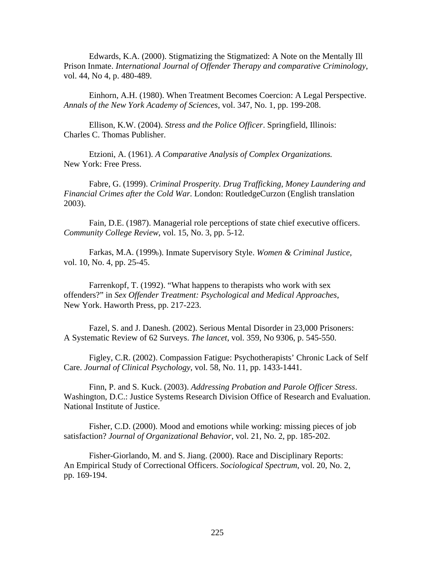Edwards, K.A. (2000). Stigmatizing the Stigmatized: A Note on the Mentally Ill Prison Inmate. *International Journal of Offender Therapy and comparative Criminology*, vol. 44, No 4, p. 480-489.

Einhorn, A.H. (1980). When Treatment Becomes Coercion: A Legal Perspective. *Annals of the New York Academy of Sciences*, vol. 347, No. 1, pp. 199-208.

Ellison, K.W. (2004). *Stress and the Police Officer*. Springfield, Illinois: Charles C. Thomas Publisher.

Etzioni, A. (1961). *A Comparative Analysis of Complex Organizations.*  New York: Free Press.

Fabre, G. (1999). *Criminal Prosperity. Drug Trafficking, Money Laundering and Financial Crimes after the Cold War*. London: RoutledgeCurzon (English translation 2003).

Fain, D.E. (1987). Managerial role perceptions of state chief executive officers. *Community College Review*, vol. 15, No. 3, pp. 5-12.

Farkas, M.A. (1999b). Inmate Supervisory Style. Women & Criminal Justice, vol. 10, No. 4, pp. 25-45.

Farrenkopf, T. (1992). "What happens to therapists who work with sex offenders?" in *Sex Offender Treatment: Psychological and Medical Approaches*, New York. Haworth Press, pp. 217-223.

Fazel, S. and J. Danesh. (2002). Serious Mental Disorder in 23,000 Prisoners: A Systematic Review of 62 Surveys. *The lancet*, vol. 359, No 9306, p. 545-550.

Figley, C.R. (2002). Compassion Fatigue: Psychotherapists' Chronic Lack of Self Care. *Journal of Clinical Psychology*, vol. 58, No. 11, pp. 1433-1441.

Finn, P. and S. Kuck. (2003). *Addressing Probation and Parole Officer Stress*. Washington, D.C.: Justice Systems Research Division Office of Research and Evaluation. National Institute of Justice.

Fisher, C.D. (2000). Mood and emotions while working: missing pieces of job satisfaction? *Journal of Organizational Behavior*, vol. 21, No. 2, pp. 185-202.

Fisher-Giorlando, M. and S. Jiang. (2000). Race and Disciplinary Reports: An Empirical Study of Correctional Officers. *Sociological Spectrum*, vol. 20, No. 2, pp. 169-194.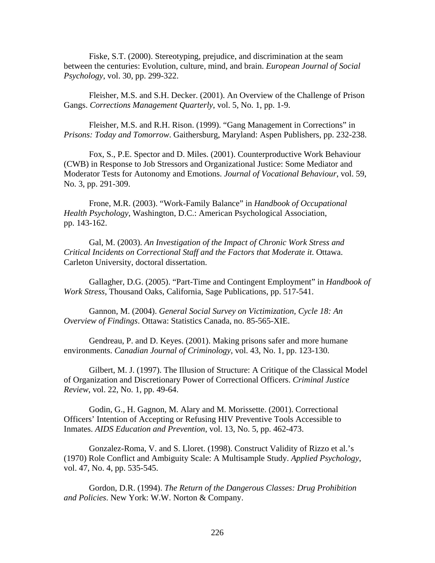Fiske, S.T. (2000). Stereotyping, prejudice, and discrimination at the seam between the centuries: Evolution, culture, mind, and brain. *European Journal of Social Psychology*, vol. 30, pp. 299-322.

Fleisher, M.S. and S.H. Decker. (2001). An Overview of the Challenge of Prison Gangs. *Corrections Management Quarterly*, vol. 5, No. 1, pp. 1-9.

Fleisher, M.S. and R.H. Rison. (1999). "Gang Management in Corrections" in *Prisons: Today and Tomorrow*. Gaithersburg, Maryland: Aspen Publishers, pp. 232-238.

Fox, S., P.E. Spector and D. Miles. (2001). Counterproductive Work Behaviour (CWB) in Response to Job Stressors and Organizational Justice: Some Mediator and Moderator Tests for Autonomy and Emotions. *Journal of Vocational Behaviour*, vol. 59, No. 3, pp. 291-309.

Frone, M.R. (2003). "Work-Family Balance" in *Handbook of Occupational Health Psychology*, Washington, D.C.: American Psychological Association, pp. 143-162.

Gal, M. (2003). *An Investigation of the Impact of Chronic Work Stress and Critical Incidents on Correctional Staff and the Factors that Moderate it*. Ottawa. Carleton University, doctoral dissertation.

Gallagher, D.G. (2005). "Part-Time and Contingent Employment" in *Handbook of Work Stress*, Thousand Oaks, California, Sage Publications, pp. 517-541.

Gannon, M. (2004). *General Social Survey on Victimization, Cycle 18: An Overview of Findings*. Ottawa: Statistics Canada, no. 85-565-XIE.

Gendreau, P. and D. Keyes. (2001). Making prisons safer and more humane environments. *Canadian Journal of Criminology*, vol. 43, No. 1, pp. 123-130.

Gilbert, M. J. (1997). The Illusion of Structure: A Critique of the Classical Model of Organization and Discretionary Power of Correctional Officers. *Criminal Justice Review*, vol. 22, No. 1, pp. 49-64.

Godin, G., H. Gagnon, M. Alary and M. Morissette. (2001). Correctional Officers' Intention of Accepting or Refusing HIV Preventive Tools Accessible to Inmates. *AIDS Education and Prevention*, vol. 13, No. 5, pp. 462-473.

Gonzalez-Roma, V. and S. Lloret. (1998). Construct Validity of Rizzo et al.'s (1970) Role Conflict and Ambiguity Scale: A Multisample Study. *Applied Psychology*, vol. 47, No. 4, pp. 535-545.

Gordon, D.R. (1994). *The Return of the Dangerous Classes: Drug Prohibition and Policies*. New York: W.W. Norton & Company.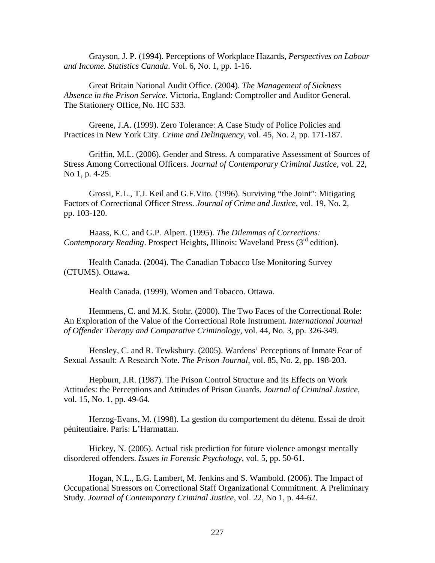Grayson, J. P. (1994). Perceptions of Workplace Hazards, *Perspectives on Labour and Income. Statistics Canada*. Vol. 6, No. 1, pp. 1-16.

Great Britain National Audit Office. (2004). *The Management of Sickness Absence in the Prison Service*. Victoria, England: Comptroller and Auditor General. The Stationery Office, No. HC 533.

Greene, J.A. (1999). Zero Tolerance: A Case Study of Police Policies and Practices in New York City. *Crime and Delinquency*, vol. 45, No. 2, pp. 171-187.

Griffin, M.L. (2006). Gender and Stress. A comparative Assessment of Sources of Stress Among Correctional Officers. *Journal of Contemporary Criminal Justice*, vol. 22, No 1, p. 4-25.

Grossi, E.L., T.J. Keil and G.F.Vito. (1996). Surviving "the Joint": Mitigating Factors of Correctional Officer Stress. *Journal of Crime and Justice*, vol. 19, No. 2, pp. 103-120.

Haass, K.C. and G.P. Alpert. (1995). *The Dilemmas of Corrections: Contemporary Reading*. Prospect Heights, Illinois: Waveland Press (3<sup>rd</sup> edition).

Health Canada. (2004). The Canadian Tobacco Use Monitoring Survey (CTUMS). Ottawa.

Health Canada. (1999). Women and Tobacco. Ottawa.

Hemmens, C. and M.K. Stohr. (2000). The Two Faces of the Correctional Role: An Exploration of the Value of the Correctional Role Instrument. *International Journal of Offender Therapy and Comparative Criminology*, vol. 44, No. 3, pp. 326-349.

Hensley, C. and R. Tewksbury. (2005). Wardens' Perceptions of Inmate Fear of Sexual Assault: A Research Note. *The Prison Journal*, vol. 85, No. 2, pp. 198-203.

Hepburn, J.R. (1987). The Prison Control Structure and its Effects on Work Attitudes: the Perceptions and Attitudes of Prison Guards. *Journal of Criminal Justice*, vol. 15, No. 1, pp. 49-64.

Herzog-Evans, M. (1998). La gestion du comportement du détenu. Essai de droit pénitentiaire. Paris: L'Harmattan.

Hickey, N. (2005). Actual risk prediction for future violence amongst mentally disordered offenders. *Issues in Forensic Psychology*, vol. 5, pp. 50-61.

Hogan, N.L., E.G. Lambert, M. Jenkins and S. Wambold. (2006). The Impact of Occupational Stressors on Correctional Staff Organizational Commitment. A Preliminary Study. *Journal of Contemporary Criminal Justice*, vol. 22, No 1, p. 44-62.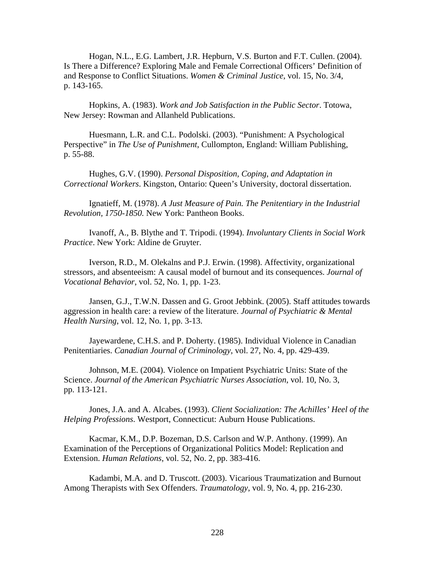Hogan, N.L., E.G. Lambert, J.R. Hepburn, V.S. Burton and F.T. Cullen. (2004). Is There a Difference? Exploring Male and Female Correctional Officers' Definition of and Response to Conflict Situations. *Women & Criminal Justice*, vol. 15, No. 3/4, p. 143-165.

Hopkins, A. (1983). *Work and Job Satisfaction in the Public Sector*. Totowa, New Jersey: Rowman and Allanheld Publications.

Huesmann, L.R. and C.L. Podolski. (2003). "Punishment: A Psychological Perspective" in *The Use of Punishment*, Cullompton, England: William Publishing, p. 55-88.

Hughes, G.V. (1990). *Personal Disposition, Coping, and Adaptation in Correctional Workers*. Kingston, Ontario: Queen's University, doctoral dissertation.

Ignatieff, M. (1978). *A Just Measure of Pain. The Penitentiary in the Industrial Revolution, 1750-1850.* New York: Pantheon Books.

Ivanoff, A., B. Blythe and T. Tripodi. (1994). *Involuntary Clients in Social Work Practice*. New York: Aldine de Gruyter.

Iverson, R.D., M. Olekalns and P.J. Erwin. (1998). Affectivity, organizational stressors, and absenteeism: A causal model of burnout and its consequences. *Journal of Vocational Behavior*, vol. 52, No. 1, pp. 1-23.

Jansen, G.J., T.W.N. Dassen and G. Groot Jebbink. (2005). Staff attitudes towards aggression in health care: a review of the literature. *Journal of Psychiatric & Mental Health Nursing*, vol. 12, No. 1, pp. 3-13.

Jayewardene, C.H.S. and P. Doherty. (1985). Individual Violence in Canadian Penitentiaries. *Canadian Journal of Criminology*, vol. 27, No. 4, pp. 429-439.

Johnson, M.E. (2004). Violence on Impatient Psychiatric Units: State of the Science. *Journal of the American Psychiatric Nurses Association*, vol. 10, No. 3, pp. 113-121.

Jones, J.A. and A. Alcabes. (1993). *Client Socialization: The Achilles' Heel of the Helping Professions*. Westport, Connecticut: Auburn House Publications.

Kacmar, K.M., D.P. Bozeman, D.S. Carlson and W.P. Anthony. (1999). An Examination of the Perceptions of Organizational Politics Model: Replication and Extension. *Human Relations*, vol. 52, No. 2, pp. 383-416.

Kadambi, M.A. and D. Truscott. (2003). Vicarious Traumatization and Burnout Among Therapists with Sex Offenders. *Traumatology*, vol. 9, No. 4, pp. 216-230.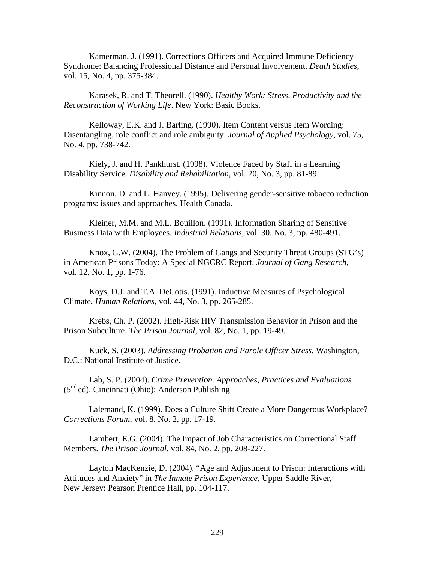Kamerman, J. (1991). Corrections Officers and Acquired Immune Deficiency Syndrome: Balancing Professional Distance and Personal Involvement. *Death Studies*, vol. 15, No. 4, pp. 375-384.

Karasek, R. and T. Theorell. (1990). *Healthy Work: Stress, Productivity and the Reconstruction of Working Life*. New York: Basic Books.

Kelloway, E.K. and J. Barling. (1990). Item Content versus Item Wording: Disentangling, role conflict and role ambiguity. *Journal of Applied Psychology*, vol. 75, No. 4, pp. 738-742.

Kiely, J. and H. Pankhurst. (1998). Violence Faced by Staff in a Learning Disability Service. *Disability and Rehabilitation*, vol. 20, No. 3, pp. 81-89.

Kinnon, D. and L. Hanvey. (1995). Delivering gender-sensitive tobacco reduction programs: issues and approaches. Health Canada.

Kleiner, M.M. and M.L. Bouillon. (1991). Information Sharing of Sensitive Business Data with Employees. *Industrial Relations*, vol. 30, No. 3, pp. 480-491.

Knox, G.W. (2004). The Problem of Gangs and Security Threat Groups (STG's) in American Prisons Today: A Special NGCRC Report. *Journal of Gang Research*, vol. 12, No. 1, pp. 1-76.

Koys, D.J. and T.A. DeCotis. (1991). Inductive Measures of Psychological Climate. *Human Relations*, vol. 44, No. 3, pp. 265-285.

Krebs, Ch. P. (2002). High-Risk HIV Transmission Behavior in Prison and the Prison Subculture. *The Prison Journal*, vol. 82, No. 1, pp. 19-49.

Kuck, S. (2003). *Addressing Probation and Parole Officer Stress*. Washington, D.C.: National Institute of Justice.

Lab, S. P. (2004). *Crime Prevention. Approaches, Practices and Evaluations*  $(5<sup>nd</sup>$ ed). Cincinnati (Ohio): Anderson Publishing

Lalemand, K. (1999). Does a Culture Shift Create a More Dangerous Workplace? *Corrections Forum*, vol. 8, No. 2, pp. 17-19.

Lambert, E.G. (2004). The Impact of Job Characteristics on Correctional Staff Members. *The Prison Journal*, vol. 84, No. 2, pp. 208-227.

Layton MacKenzie, D. (2004). "Age and Adjustment to Prison: Interactions with Attitudes and Anxiety" in *The Inmate Prison Experience*, Upper Saddle River, New Jersey: Pearson Prentice Hall, pp. 104-117.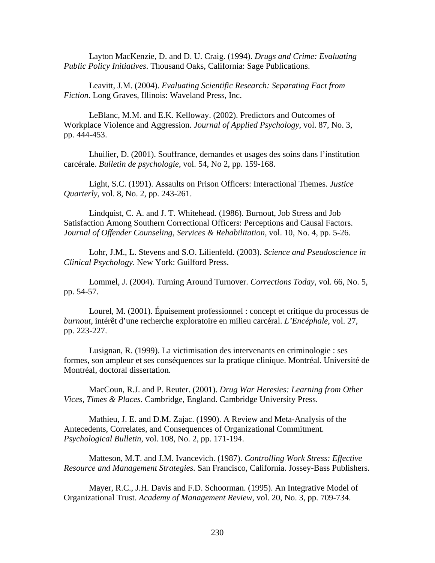Layton MacKenzie, D. and D. U. Craig. (1994). *Drugs and Crime: Evaluating Public Policy Initiatives*. Thousand Oaks, California: Sage Publications.

Leavitt, J.M. (2004). *Evaluating Scientific Research: Separating Fact from Fiction*. Long Graves, Illinois: Waveland Press, Inc.

LeBlanc, M.M. and E.K. Kelloway. (2002). Predictors and Outcomes of Workplace Violence and Aggression. *Journal of Applied Psychology*, vol. 87, No. 3, pp. 444-453.

Lhuilier, D. (2001). Souffrance, demandes et usages des soins dans l'institution carcérale. *Bulletin de psychologie*, vol. 54, No 2, pp. 159-168.

Light, S.C. (1991). Assaults on Prison Officers: Interactional Themes. *Justice Quarterly*, vol. 8, No. 2, pp. 243-261.

Lindquist, C. A. and J. T. Whitehead. (1986). Burnout, Job Stress and Job Satisfaction Among Southern Correctional Officers: Perceptions and Causal Factors. *Journal of Offender Counseling, Services & Rehabilitation*, vol. 10, No. 4, pp. 5-26.

Lohr, J.M., L. Stevens and S.O. Lilienfeld. (2003). *Science and Pseudoscience in Clinical Psychology*. New York: Guilford Press.

Lommel, J. (2004). Turning Around Turnover. *Corrections Today*, vol. 66, No. 5, pp. 54-57.

Lourel, M. (2001). Épuisement professionnel : concept et critique du processus de *burnout*, intérêt d'une recherche exploratoire en milieu carcéral. *L'Encéphale*, vol. 27, pp. 223-227.

Lusignan, R. (1999). La victimisation des intervenants en criminologie : ses formes, son ampleur et ses conséquences sur la pratique clinique. Montréal. Université de Montréal, doctoral dissertation.

MacCoun, R.J. and P. Reuter. (2001). *Drug War Heresies: Learning from Other Vices, Times & Places*. Cambridge, England. Cambridge University Press.

Mathieu, J. E. and D.M. Zajac. (1990). A Review and Meta-Analysis of the Antecedents, Correlates, and Consequences of Organizational Commitment. *Psychological Bulletin*, vol. 108, No. 2, pp. 171-194.

Matteson, M.T. and J.M. Ivancevich. (1987). *Controlling Work Stress: Effective Resource and Management Strategies.* San Francisco, California. Jossey-Bass Publishers.

Mayer, R.C., J.H. Davis and F.D. Schoorman. (1995). An Integrative Model of Organizational Trust. *Academy of Management Review*, vol. 20, No. 3, pp. 709-734.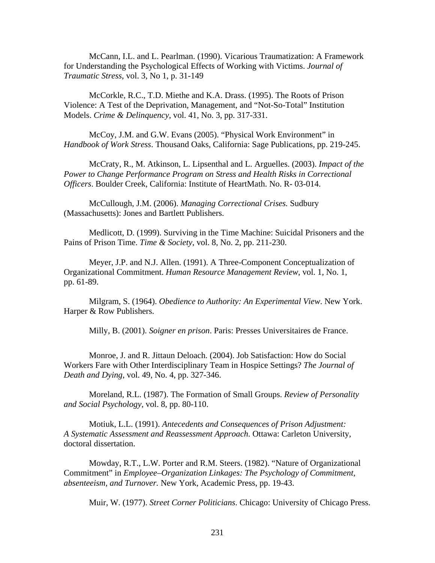McCann, I.L. and L. Pearlman. (1990). Vicarious Traumatization: A Framework for Understanding the Psychological Effects of Working with Victims. *Journal of Traumatic Stress*, vol. 3, No 1, p. 31-149

McCorkle, R.C., T.D. Miethe and K.A. Drass. (1995). The Roots of Prison Violence: A Test of the Deprivation, Management, and "Not-So-Total" Institution Models. *Crime & Delinquency*, vol. 41, No. 3, pp. 317-331.

McCoy, J.M. and G.W. Evans (2005). "Physical Work Environment" in *Handbook of Work Stress*. Thousand Oaks, California: Sage Publications, pp. 219-245.

McCraty, R., M. Atkinson, L. Lipsenthal and L. Arguelles. (2003). *Impact of the Power to Change Performance Program on Stress and Health Risks in Correctional Officers*. Boulder Creek, California: Institute of HeartMath. No. R- 03-014.

McCullough, J.M. (2006). *Managing Correctional Crises.* Sudbury (Massachusetts): Jones and Bartlett Publishers.

Medlicott, D. (1999). Surviving in the Time Machine: Suicidal Prisoners and the Pains of Prison Time. *Time & Society*, vol. 8, No. 2, pp. 211-230.

Meyer, J.P. and N.J. Allen. (1991). A Three-Component Conceptualization of Organizational Commitment. *Human Resource Management Review*, vol. 1, No. 1, pp. 61-89.

Milgram, S. (1964). *Obedience to Authority: An Experimental View*. New York. Harper & Row Publishers.

Milly, B. (2001). *Soigner en prison*. Paris: Presses Universitaires de France.

Monroe, J. and R. Jittaun Deloach. (2004). Job Satisfaction: How do Social Workers Fare with Other Interdisciplinary Team in Hospice Settings? *The Journal of Death and Dying*, vol. 49, No. 4, pp. 327-346.

Moreland, R.L. (1987). The Formation of Small Groups. *Review of Personality and Social Psychology*, vol. 8, pp. 80-110.

Motiuk, L.L. (1991). *Antecedents and Consequences of Prison Adjustment: A Systematic Assessment and Reassessment Approach*. Ottawa: Carleton University, doctoral dissertation.

Mowday, R.T., L.W. Porter and R.M. Steers. (1982). "Nature of Organizational Commitment" in *Employee–Organization Linkages: The Psychology of Commitment, absenteeism, and Turnover.* New York, Academic Press, pp. 19-43.

Muir, W. (1977). *Street Corner Politicians*. Chicago: University of Chicago Press.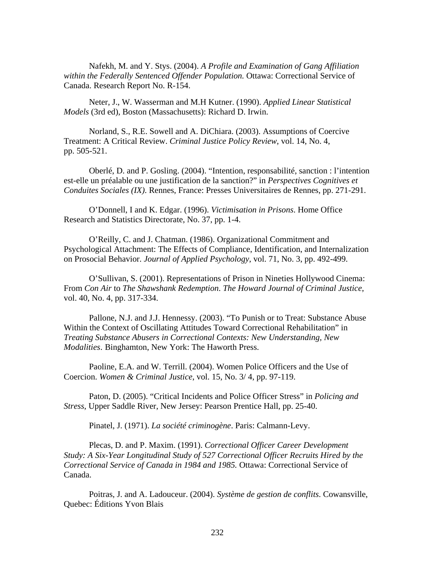Nafekh, M. and Y. Stys. (2004). *A Profile and Examination of Gang Affiliation within the Federally Sentenced Offender Population.* Ottawa: Correctional Service of Canada. Research Report No. R-154.

Neter, J., W. Wasserman and M.H Kutner. (1990). *Applied Linear Statistical Models* (3rd ed), Boston (Massachusetts): Richard D. Irwin.

Norland, S., R.E. Sowell and A. DiChiara. (2003). Assumptions of Coercive Treatment: A Critical Review. *Criminal Justice Policy Review*, vol. 14, No. 4, pp. 505-521.

Oberlé, D. and P. Gosling. (2004). "Intention, responsabilité, sanction : l'intention est-elle un préalable ou une justification de la sanction?" in *Perspectives Cognitives et Conduites Sociales (IX)*. Rennes, France: Presses Universitaires de Rennes, pp. 271-291.

O'Donnell, I and K. Edgar. (1996). *Victimisation in Prisons*. Home Office Research and Statistics Directorate, No. 37, pp. 1-4.

O'Reilly, C. and J. Chatman. (1986). Organizational Commitment and Psychological Attachment: The Effects of Compliance, Identification, and Internalization on Prosocial Behavior. *Journal of Applied Psychology*, vol. 71, No. 3, pp. 492-499.

O'Sullivan, S. (2001). Representations of Prison in Nineties Hollywood Cinema: From *Con Air* to *The Shawshank Redemption*. *The Howard Journal of Criminal Justice*, vol. 40, No. 4, pp. 317-334.

Pallone, N.J. and J.J. Hennessy. (2003). "To Punish or to Treat: Substance Abuse Within the Context of Oscillating Attitudes Toward Correctional Rehabilitation" in *Treating Substance Abusers in Correctional Contexts: New Understanding, New Modalities*. Binghamton, New York: The Haworth Press.

Paoline, E.A. and W. Terrill. (2004). Women Police Officers and the Use of Coercion. *Women & Criminal Justice*, vol. 15, No. 3/ 4, pp. 97-119.

Paton, D. (2005). "Critical Incidents and Police Officer Stress" in *Policing and Stress*, Upper Saddle River, New Jersey: Pearson Prentice Hall, pp. 25-40.

Pinatel, J. (1971). *La société criminogène*. Paris: Calmann-Levy.

Plecas, D. and P. Maxim. (1991). *Correctional Officer Career Development Study: A Six-Year Longitudinal Study of 527 Correctional Officer Recruits Hired by the Correctional Service of Canada in 1984 and 1985.* Ottawa: Correctional Service of Canada.

Poitras, J. and A. Ladouceur. (2004). *Système de gestion de conflits*. Cowansville, Quebec: Éditions Yvon Blais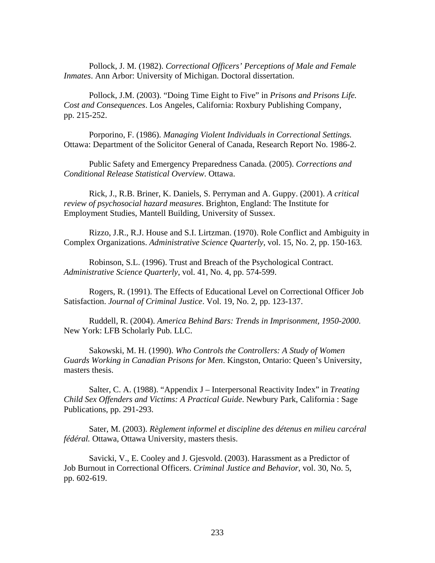Pollock, J. M. (1982). *Correctional Officers' Perceptions of Male and Female Inmates*. Ann Arbor: University of Michigan. Doctoral dissertation.

Pollock, J.M. (2003). "Doing Time Eight to Five" in *Prisons and Prisons Life. Cost and Consequences*. Los Angeles, California: Roxbury Publishing Company, pp. 215-252.

Porporino, F. (1986). *Managing Violent Individuals in Correctional Settings.* Ottawa: Department of the Solicitor General of Canada, Research Report No. 1986-2.

Public Safety and Emergency Preparedness Canada. (2005). *Corrections and Conditional Release Statistical Overview*. Ottawa.

Rick, J., R.B. Briner, K. Daniels, S. Perryman and A. Guppy. (2001). *A critical review of psychosocial hazard measures*. Brighton, England: The Institute for Employment Studies, Mantell Building, University of Sussex.

Rizzo, J.R., R.J. House and S.I. Lirtzman. (1970). Role Conflict and Ambiguity in Complex Organizations. *Administrative Science Quarterly*, vol. 15, No. 2, pp. 150-163.

Robinson, S.L. (1996). Trust and Breach of the Psychological Contract. *Administrative Science Quarterly*, vol. 41, No. 4, pp. 574-599.

Rogers, R. (1991). The Effects of Educational Level on Correctional Officer Job Satisfaction. *Journal of Criminal Justice*. Vol. 19, No. 2, pp. 123-137.

Ruddell, R. (2004). *America Behind Bars: Trends in Imprisonment, 1950-2000*. New York: LFB Scholarly Pub. LLC.

Sakowski, M. H. (1990). *Who Controls the Controllers: A Study of Women Guards Working in Canadian Prisons for Men*. Kingston, Ontario: Queen's University, masters thesis.

Salter, C. A. (1988). "Appendix J – Interpersonal Reactivity Index" in *Treating Child Sex Offenders and Victims: A Practical Guide*. Newbury Park, California : Sage Publications, pp. 291-293.

Sater, M. (2003). *Règlement informel et discipline des détenus en milieu carcéral fédéral.* Ottawa, Ottawa University, masters thesis.

Savicki, V., E. Cooley and J. Gjesvold. (2003). Harassment as a Predictor of Job Burnout in Correctional Officers. *Criminal Justice and Behavior*, vol. 30, No. 5, pp. 602-619.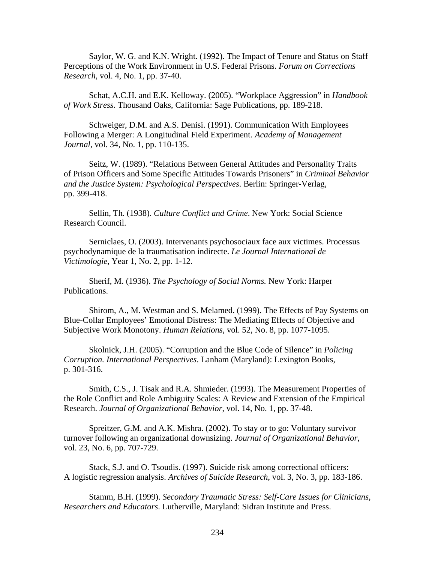Saylor, W. G. and K.N. Wright. (1992). The Impact of Tenure and Status on Staff Perceptions of the Work Environment in U.S. Federal Prisons. *Forum on Corrections Research*, vol. 4, No. 1, pp. 37-40.

Schat, A.C.H. and E.K. Kelloway. (2005). "Workplace Aggression" in *Handbook of Work Stress*. Thousand Oaks, California: Sage Publications, pp. 189-218.

Schweiger, D.M. and A.S. Denisi. (1991). Communication With Employees Following a Merger: A Longitudinal Field Experiment. *Academy of Management Journal*, vol. 34, No. 1, pp. 110-135.

Seitz, W. (1989). "Relations Between General Attitudes and Personality Traits of Prison Officers and Some Specific Attitudes Towards Prisoners" in *Criminal Behavior and the Justice System: Psychological Perspectives*. Berlin: Springer-Verlag, pp. 399-418.

Sellin, Th. (1938). *Culture Conflict and Crime*. New York: Social Science Research Council.

Serniclaes, O. (2003). Intervenants psychosociaux face aux victimes. Processus psychodynamique de la traumatisation indirecte. *Le Journal International de Victimologie*, Year 1, No. 2, pp. 1-12.

Sherif, M. (1936). *The Psychology of Social Norms.* New York: Harper Publications.

Shirom, A., M. Westman and S. Melamed. (1999). The Effects of Pay Systems on Blue-Collar Employees' Emotional Distress: The Mediating Effects of Objective and Subjective Work Monotony. *Human Relations*, vol. 52, No. 8, pp. 1077-1095.

Skolnick, J.H. (2005). "Corruption and the Blue Code of Silence" in *Policing Corruption. International Perspectives*. Lanham (Maryland): Lexington Books, p. 301-316.

Smith, C.S., J. Tisak and R.A. Shmieder. (1993). The Measurement Properties of the Role Conflict and Role Ambiguity Scales: A Review and Extension of the Empirical Research. *Journal of Organizational Behavior*, vol. 14, No. 1, pp. 37-48.

Spreitzer, G.M. and A.K. Mishra. (2002). To stay or to go: Voluntary survivor turnover following an organizational downsizing. *Journal of Organizational Behavior,*  vol. 23, No. 6, pp. 707-729.

Stack, S.J. and O. Tsoudis. (1997). Suicide risk among correctional officers: A logistic regression analysis. *Archives of Suicide Research*, vol. 3, No. 3, pp. 183-186.

Stamm, B.H. (1999). *Secondary Traumatic Stress: Self-Care Issues for Clinicians, Researchers and Educators*. Lutherville, Maryland: Sidran Institute and Press.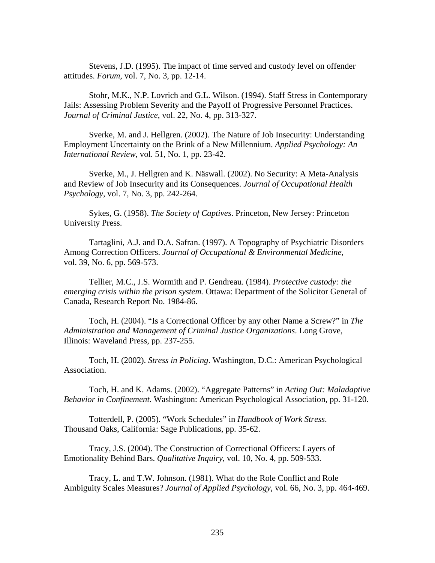Stevens, J.D. (1995). The impact of time served and custody level on offender attitudes. *Forum*, vol. 7, No. 3, pp. 12-14.

Stohr, M.K., N.P. Lovrich and G.L. Wilson. (1994). Staff Stress in Contemporary Jails: Assessing Problem Severity and the Payoff of Progressive Personnel Practices. *Journal of Criminal Justice*, vol. 22, No. 4, pp. 313-327.

Sverke, M. and J. Hellgren. (2002). The Nature of Job Insecurity: Understanding Employment Uncertainty on the Brink of a New Millennium. *Applied Psychology: An International Review*, vol. 51, No. 1, pp. 23-42.

Sverke, M., J. Hellgren and K. Näswall. (2002). No Security: A Meta-Analysis and Review of Job Insecurity and its Consequences. *Journal of Occupational Health Psychology*, vol. 7, No. 3, pp. 242-264.

Sykes, G. (1958). *The Society of Captives*. Princeton, New Jersey: Princeton University Press.

Tartaglini, A.J. and D.A. Safran. (1997). A Topography of Psychiatric Disorders Among Correction Officers. *Journal of Occupational & Environmental Medicine*, vol. 39, No. 6, pp. 569-573.

Tellier, M.C., J.S. Wormith and P. Gendreau. (1984). *Protective custody: the emerging crisis within the prison system.* Ottawa: Department of the Solicitor General of Canada, Research Report No. 1984-86.

Toch, H. (2004). "Is a Correctional Officer by any other Name a Screw?" in *The Administration and Management of Criminal Justice Organizations*. Long Grove, Illinois: Waveland Press, pp. 237-255.

Toch, H. (2002). *Stress in Policing*. Washington, D.C.: American Psychological Association.

Toch, H. and K. Adams. (2002). "Aggregate Patterns" in *Acting Out: Maladaptive Behavior in Confinement*. Washington: American Psychological Association, pp. 31-120.

Totterdell, P. (2005). "Work Schedules" in *Handbook of Work Stress*. Thousand Oaks, California: Sage Publications, pp. 35-62.

Tracy, J.S. (2004). The Construction of Correctional Officers: Layers of Emotionality Behind Bars. *Qualitative Inquiry*, vol. 10, No. 4, pp. 509-533.

Tracy, L. and T.W. Johnson. (1981). What do the Role Conflict and Role Ambiguity Scales Measures? *Journal of Applied Psychology*, vol. 66, No. 3, pp. 464-469.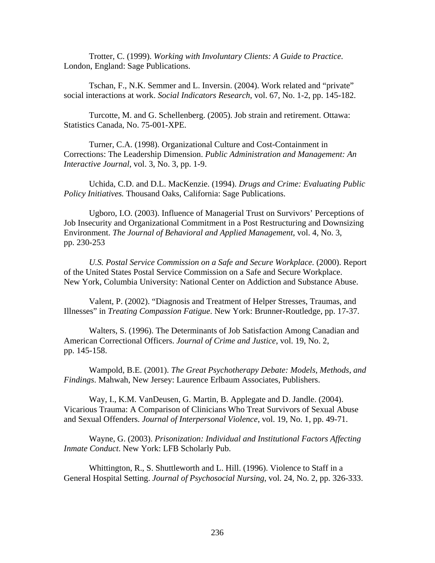Trotter, C. (1999). *Working with Involuntary Clients: A Guide to Practice*. London, England: Sage Publications.

Tschan, F., N.K. Semmer and L. Inversin. (2004). Work related and "private" social interactions at work. *Social Indicators Research*, vol. 67, No. 1-2, pp. 145-182.

Turcotte, M. and G. Schellenberg. (2005). Job strain and retirement. Ottawa: Statistics Canada, No. 75-001-XPE.

Turner, C.A. (1998). Organizational Culture and Cost-Containment in Corrections: The Leadership Dimension. *Public Administration and Management: An Interactive Journal*, vol. 3, No. 3, pp. 1-9.

Uchida, C.D. and D.L. MacKenzie. (1994). *Drugs and Crime: Evaluating Public Policy Initiatives.* Thousand Oaks, California: Sage Publications.

Ugboro, I.O. (2003). Influence of Managerial Trust on Survivors' Perceptions of Job Insecurity and Organizational Commitment in a Post Restructuring and Downsizing Environment. *The Journal of Behavioral and Applied Management*, vol. 4, No. 3, pp. 230-253

*U.S. Postal Service Commission on a Safe and Secure Workplace.* (2000). Report of the United States Postal Service Commission on a Safe and Secure Workplace. New York, Columbia University: National Center on Addiction and Substance Abuse.

Valent, P. (2002). "Diagnosis and Treatment of Helper Stresses, Traumas, and Illnesses" in *Treating Compassion Fatigue*. New York: Brunner-Routledge, pp. 17-37.

Walters, S. (1996). The Determinants of Job Satisfaction Among Canadian and American Correctional Officers. *Journal of Crime and Justice*, vol. 19, No. 2, pp. 145-158.

Wampold, B.E. (2001). *The Great Psychotherapy Debate: Models, Methods, and Findings*. Mahwah, New Jersey: Laurence Erlbaum Associates, Publishers.

Way, I., K.M. VanDeusen, G. Martin, B. Applegate and D. Jandle. (2004). Vicarious Trauma: A Comparison of Clinicians Who Treat Survivors of Sexual Abuse and Sexual Offenders. *Journal of Interpersonal Violence*, vol. 19, No. 1, pp. 49-71.

Wayne, G. (2003). *Prisonization: Individual and Institutional Factors Affecting Inmate Conduct*. New York: LFB Scholarly Pub.

Whittington, R., S. Shuttleworth and L. Hill. (1996). Violence to Staff in a General Hospital Setting. *Journal of Psychosocial Nursing*, vol. 24, No. 2, pp. 326-333.